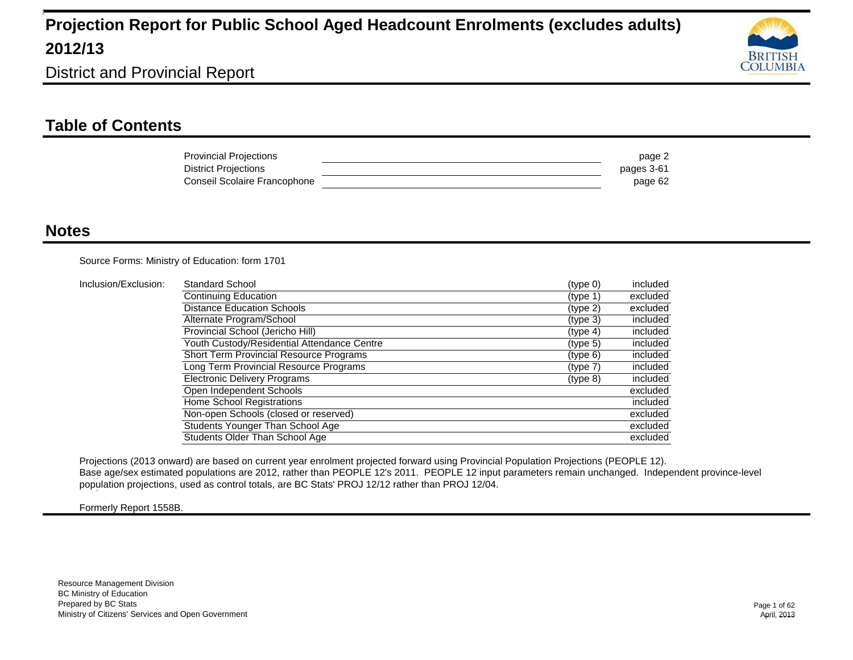

District and Provincial Report

### **Table of Contents**

| <b>Provincial Projections</b> | page 2     |
|-------------------------------|------------|
| <b>District Projections</b>   | pages 3-61 |
| Conseil Scolaire Francophone  | page 62    |

#### **Notes**

Source Forms: Ministry of Education: form 1701

| Inclusion/Exclusion: | Standard School                             | (type 0)             | included |
|----------------------|---------------------------------------------|----------------------|----------|
|                      | Continuing Education                        | (type 1)             | excluded |
|                      | <b>Distance Education Schools</b>           | (tvpe <sub>2</sub> ) | excluded |
|                      | Alternate Program/School                    | (type 3)             | included |
|                      | Provincial School (Jericho Hill)            | (type 4)             | included |
|                      | Youth Custody/Residential Attendance Centre | (tvpe <sub>5</sub> ) | included |
|                      | Short Term Provincial Resource Programs     | (type 6)             | included |
|                      | Long Term Provincial Resource Programs      | (type 7)             | included |
|                      | <b>Electronic Delivery Programs</b>         | (type 8)             | included |
|                      | Open Independent Schools                    |                      | excluded |
|                      | Home School Registrations                   |                      | included |
|                      | Non-open Schools (closed or reserved)       |                      | excluded |
|                      | Students Younger Than School Age            |                      | excluded |
|                      | Students Older Than School Age              |                      | excluded |

Projections (2013 onward) are based on current year enrolment projected forward using Provincial Population Projections (PEOPLE 12). Base age/sex estimated populations are 2012, rather than PEOPLE 12's 2011. PEOPLE 12 input parameters remain unchanged. Independent province-level 1 population projections, used as control totals, are BC Stats' PROJ 12/12 rather than PROJ 12/04. 1

Formerly Report 1558B.

1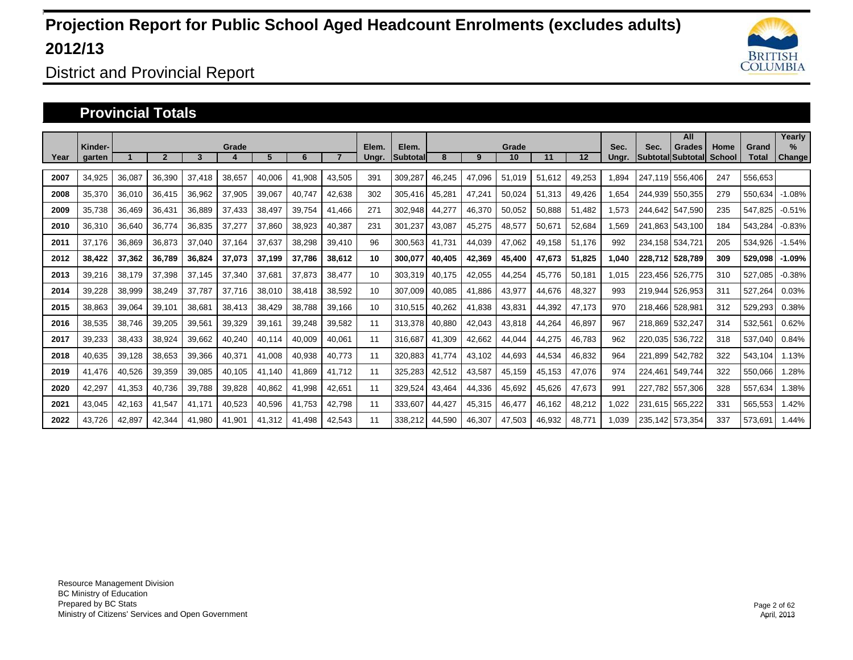

District and Provincial Report

#### **Provincial Totals**

|      | Kinder- |        |        |        | Grade  |        |        |        | Elem. | Elem.           |        |        | Grade  |        |        | Sec.  | Sec.    | All<br><b>Grades</b>     | Home   | Grand   | Yearly<br>$\frac{9}{6}$ |
|------|---------|--------|--------|--------|--------|--------|--------|--------|-------|-----------------|--------|--------|--------|--------|--------|-------|---------|--------------------------|--------|---------|-------------------------|
| Year | garten  |        |        | 3      |        | 5      | 6      |        | Ungr. | <b>Subtotal</b> | 8      | 9      | 10     | 11     | 12     | Ungr. |         | <b>Subtotal Subtotal</b> | School | Total   | Change                  |
| 2007 | 34,925  | 36,087 | 36,390 | 37,418 | 38,657 | 40,006 | 41,908 | 43,505 | 391   | 309,287         | 46,245 | 47,096 | 51,019 | 51,612 | 49,253 | .894  | 247.119 | 556,406                  | 247    | 556,653 |                         |
| 2008 | 35,370  | 36,010 | 36,415 | 36,962 | 37,905 | 39,067 | 40,747 | 42,638 | 302   | 305,416         | 45,281 | 47,241 | 50,024 | 51,313 | 49,426 | 1,654 | 244.939 | 550,355                  | 279    | 550,634 | $-1.08%$                |
| 2009 | 35,738  | 36,469 | 36,431 | 36,889 | 37,433 | 38,497 | 39,754 | 41.466 | 271   | 302,948         | 44,277 | 46,370 | 50,052 | 50,888 | 51,482 | 1,573 | 244.642 | 547.590                  | 235    | 547,825 | $-0.51%$                |
| 2010 | 36,310  | 36,640 | 36.774 | 36,835 | 37,277 | 37.860 | 38,923 | 40,387 | 231   | 301,237         | 43,087 | 45,275 | 48,577 | 50,671 | 52,684 | 1.569 |         | 241.863 543.100          | 184    | 543,284 | $-0.83%$                |
| 2011 | 37,176  | 36,869 | 36,873 | 37,040 | 37,164 | 37,637 | 38,298 | 39,410 | 96    | 300,563         | 41.731 | 44,039 | 47,062 | 49,158 | 51,176 | 992   |         | 234,158 534,721          | 205    | 534,926 | $-1.54%$                |
| 2012 | 38,422  | 37,362 | 36,789 | 36,824 | 37,073 | 37,199 | 37,786 | 38,612 | 10    | 300,077         | 40.405 | 42,369 | 45,400 | 47,673 | 51,825 | 1.040 | 228.712 | 528.789                  | 309    | 529,098 | $-1.09%$                |
| 2013 | 39,216  | 38,179 | 37,398 | 37.145 | 37,340 | 37.681 | 37,873 | 38,477 | 10    | 303,319         | 40.175 | 42,055 | 44,254 | 45,776 | 50,181 | 1.015 | 223.456 | 526,775                  | 310    | 527.085 | $-0.38%$                |
| 2014 | 39.228  | 38,999 | 38,249 | 37.787 | 37.716 | 38,010 | 38,418 | 38,592 | 10    | 307.009         | 40.085 | 41.886 | 43,977 | 44,676 | 48,327 | 993   | 219.944 | 526,953                  | 311    | 527,264 | 0.03%                   |
| 2015 | 38,863  | 39,064 | 39,101 | 38,681 | 38,413 | 38,429 | 38,788 | 39,166 | 10    | 310,515         | 40,262 | 41,838 | 43,831 | 44,392 | 47,173 | 970   | 218,466 | 528,981                  | 312    | 529,293 | 0.38%                   |
| 2016 | 38,535  | 38,746 | 39,205 | 39,561 | 39,329 | 39,161 | 39,248 | 39,582 | 11    | 313,378         | 40,880 | 42,043 | 43,818 | 44,264 | 46,897 | 967   | 218,869 | 532,247                  | 314    | 532,561 | 0.62%                   |
| 2017 | 39,233  | 38,433 | 38,924 | 39,662 | 40,240 | 40.114 | 40,009 | 40,061 | 11    | 316,687         | 41,309 | 42,662 | 44,044 | 44,275 | 46,783 | 962   | 220.035 | 536,722                  | 318    | 537,040 | 0.84%                   |
| 2018 | 40,635  | 39,128 | 38,653 | 39,366 | 40,371 | 41.008 | 40,938 | 40,773 | 11    | 320,883         | 41.774 | 43.102 | 44,693 | 44,534 | 46,832 | 964   |         | 221.899 542.782          | 322    | 543.104 | 1.13%                   |
| 2019 | 41,476  | 40,526 | 39,359 | 39,085 | 40,105 | 41.140 | 41,869 | 41,712 | 11    | 325,283         | 42,512 | 43,587 | 45,159 | 45,153 | 47,076 | 974   | 224,461 | 549,744                  | 322    | 550,066 | .28%                    |
| 2020 | 42,297  | 41,353 | 40,736 | 39,788 | 39,828 | 40,862 | 41,998 | 42,651 | 11    | 329,524         | 43,464 | 44,336 | 45,692 | 45,626 | 47,673 | 991   | 227.782 | 557,306                  | 328    | 557,634 | .38%                    |
| 2021 | 43,045  | 42,163 | 41,547 | 41,171 | 40,523 | 40,596 | 41,753 | 42,798 | 11    | 333,607         | 44,427 | 45,315 | 46,477 | 46,162 | 48,212 | 1,022 | 231,615 | 565,222                  | 331    | 565,553 | 1.42%                   |
| 2022 | 43.726  | 42,897 | 42.344 | 41.980 | 41,901 | 41.312 | 41.498 | 42,543 | 11    | 338,212         | 44,590 | 46,307 | 47,503 | 46,932 | 48,771 | 1.039 |         | 235.142 573.354          | 337    | 573.691 | 1.44%                   |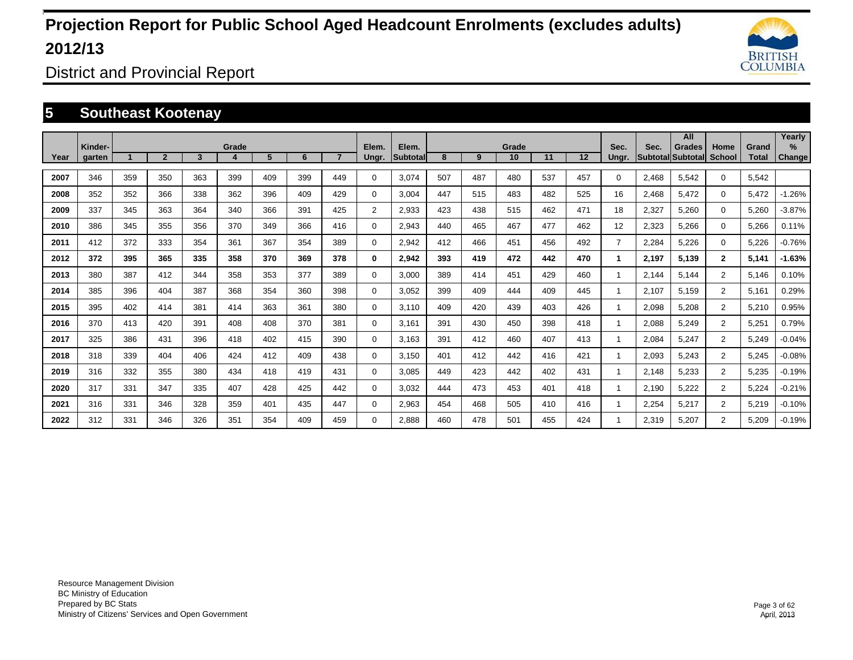

District and Provincial Report

### **5 Southeast Kootenay**

|      |                   |     |                |     |       |     |     |     |                |                          |     |     |             |     |         |                |       | All                                 |                       |                       | Yearly                         |
|------|-------------------|-----|----------------|-----|-------|-----|-----|-----|----------------|--------------------------|-----|-----|-------------|-----|---------|----------------|-------|-------------------------------------|-----------------------|-----------------------|--------------------------------|
| Year | Kinder-<br>garten |     | $\overline{2}$ | 3   | Grade | 5   | 6   |     | Elem.<br>Ungr. | Elem.<br><b>Subtotal</b> | 8   | 9   | Grade<br>10 | 11  | $12 \,$ | Sec.<br>Ungr.  | Sec.  | <b>Grades</b><br> Subtotal Subtotal | Home<br><b>School</b> | Grand<br><b>Total</b> | $\frac{9}{6}$<br><b>Change</b> |
| 2007 | 346               | 359 | 350            | 363 | 399   | 409 | 399 | 449 | $\Omega$       | 3,074                    | 507 | 487 | 480         | 537 | 457     | $\Omega$       | 2,468 | 5,542                               | $\Omega$              | 5,542                 |                                |
| 2008 | 352               | 352 | 366            | 338 | 362   | 396 | 409 | 429 | $\Omega$       | 3,004                    | 447 | 515 | 483         | 482 | 525     | 16             | 2,468 | 5,472                               | $\Omega$              | 5,472                 | $-1.26%$                       |
| 2009 | 337               | 345 | 363            | 364 | 340   | 366 | 391 | 425 | 2              | 2,933                    | 423 | 438 | 515         | 462 | 471     | 18             | 2,327 | 5,260                               | $\Omega$              | 5,260                 | $-3.87%$                       |
| 2010 | 386               | 345 | 355            | 356 | 370   | 349 | 366 | 416 | $\Omega$       | 2,943                    | 440 | 465 | 467         | 477 | 462     | 12             | 2,323 | 5,266                               | $\mathbf 0$           | 5,266                 | 0.11%                          |
| 2011 | 412               | 372 | 333            | 354 | 361   | 367 | 354 | 389 | 0              | 2,942                    | 412 | 466 | 451         | 456 | 492     | $\overline{7}$ | 2,284 | 5,226                               | $\mathbf 0$           | 5,226                 | $-0.76%$                       |
| 2012 | 372               | 395 | 365            | 335 | 358   | 370 | 369 | 378 | 0              | 2,942                    | 393 | 419 | 472         | 442 | 470     |                | 2,197 | 5,139                               | $\overline{2}$        | 5,141                 | $-1.63%$                       |
| 2013 | 380               | 387 | 412            | 344 | 358   | 353 | 377 | 389 | 0              | 3,000                    | 389 | 414 | 451         | 429 | 460     |                | 2,144 | 5,144                               | $\overline{2}$        | 5,146                 | 0.10%                          |
| 2014 | 385               | 396 | 404            | 387 | 368   | 354 | 360 | 398 | $\Omega$       | 3,052                    | 399 | 409 | 444         | 409 | 445     |                | 2,107 | 5,159                               | $\overline{2}$        | 5,161                 | 0.29%                          |
| 2015 | 395               | 402 | 414            | 381 | 414   | 363 | 361 | 380 | 0              | 3,110                    | 409 | 420 | 439         | 403 | 426     |                | 2,098 | 5,208                               | $\overline{2}$        | 5,210                 | 0.95%                          |
| 2016 | 370               | 413 | 420            | 391 | 408   | 408 | 370 | 381 | $\Omega$       | 3,161                    | 391 | 430 | 450         | 398 | 418     |                | 2,088 | 5,249                               | $\overline{2}$        | 5,251                 | 0.79%                          |
| 2017 | 325               | 386 | 431            | 396 | 418   | 402 | 415 | 390 | $\Omega$       | 3,163                    | 391 | 412 | 460         | 407 | 413     |                | 2,084 | 5,247                               | $\overline{2}$        | 5,249                 | $-0.04%$                       |
| 2018 | 318               | 339 | 404            | 406 | 424   | 412 | 409 | 438 | 0              | 3,150                    | 401 | 412 | 442         | 416 | 421     |                | 2,093 | 5,243                               | $\overline{2}$        | 5,245                 | $-0.08%$                       |
| 2019 | 316               | 332 | 355            | 380 | 434   | 418 | 419 | 431 | $\Omega$       | 3,085                    | 449 | 423 | 442         | 402 | 431     |                | 2,148 | 5,233                               | $\overline{2}$        | 5,235                 | $-0.19%$                       |
| 2020 | 317               | 331 | 347            | 335 | 407   | 428 | 425 | 442 | $\Omega$       | 3,032                    | 444 | 473 | 453         | 401 | 418     |                | 2,190 | 5,222                               | $\overline{2}$        | 5,224                 | $-0.21%$                       |
| 2021 | 316               | 331 | 346            | 328 | 359   | 401 | 435 | 447 | $\Omega$       | 2,963                    | 454 | 468 | 505         | 410 | 416     |                | 2,254 | 5,217                               | $\overline{2}$        | 5,219                 | $-0.10%$                       |
| 2022 | 312               | 331 | 346            | 326 | 351   | 354 | 409 | 459 | $\Omega$       | 2.888                    | 460 | 478 | 501         | 455 | 424     |                | 2,319 | 5,207                               | $\overline{2}$        | 5,209                 | $-0.19%$                       |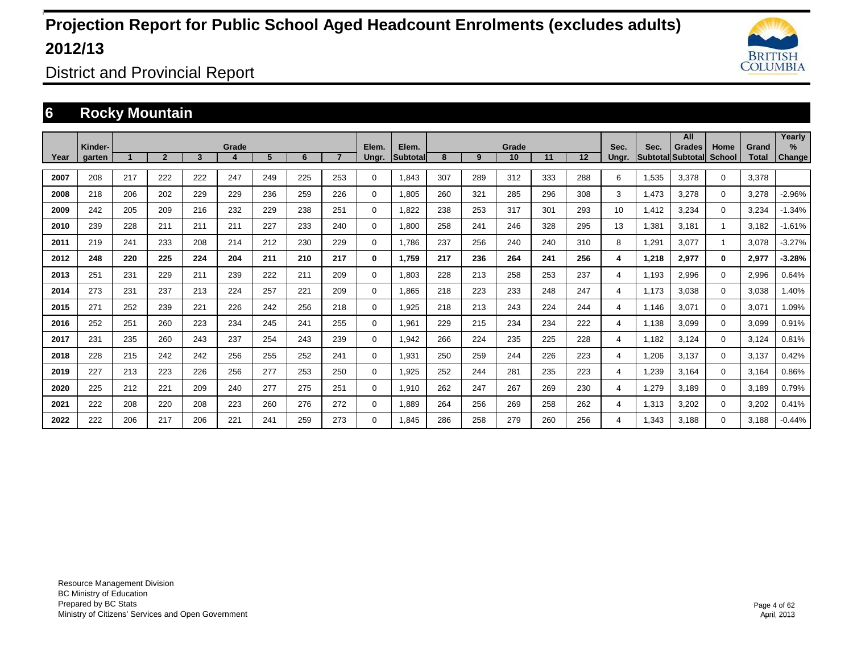

District and Provincial Report

### **6 Rocky Mountain**

|      |                   |     |                |     |       |     |     |                |                |                    |     |     |             |     |     |                |       | All                                |                       |                       | Yearly                |
|------|-------------------|-----|----------------|-----|-------|-----|-----|----------------|----------------|--------------------|-----|-----|-------------|-----|-----|----------------|-------|------------------------------------|-----------------------|-----------------------|-----------------------|
| Year | Kinder-<br>garten |     | $\overline{2}$ | 3   | Grade | 5   | 6   | $\overline{7}$ | Elem.<br>Ungr. | Elem.<br>Subtotall | 8   | 9   | Grade<br>10 | 11  | 12  | Sec.<br>Ungr.  | Sec.  | <b>Grades</b><br>Subtotal Subtotal | Home<br><b>School</b> | Grand<br><b>Total</b> | $\%$<br><b>Change</b> |
|      |                   |     |                |     |       |     |     |                |                |                    |     |     |             |     |     |                |       |                                    |                       |                       |                       |
| 2007 | 208               | 217 | 222            | 222 | 247   | 249 | 225 | 253            | $\mathbf 0$    | 1.843              | 307 | 289 | 312         | 333 | 288 | 6              | 1,535 | 3.378                              | $\mathbf 0$           | 3.378                 |                       |
| 2008 | 218               | 206 | 202            | 229 | 229   | 236 | 259 | 226            | $\mathbf 0$    | 1.805              | 260 | 321 | 285         | 296 | 308 | 3              | 1.473 | 3.278                              | $\mathbf 0$           | 3,278                 | $-2.96%$              |
| 2009 | 242               | 205 | 209            | 216 | 232   | 229 | 238 | 251            | 0              | 1,822              | 238 | 253 | 317         | 301 | 293 | 10             | 1,412 | 3,234                              | 0                     | 3,234                 | $-1.34%$              |
| 2010 | 239               | 228 | 211            | 211 | 211   | 227 | 233 | 240            | $\mathbf 0$    | 1,800              | 258 | 241 | 246         | 328 | 295 | 13             | 1,381 | 3,181                              |                       | 3,182                 | $-1.61%$              |
| 2011 | 219               | 241 | 233            | 208 | 214   | 212 | 230 | 229            | $\mathbf 0$    | 1,786              | 237 | 256 | 240         | 240 | 310 | 8              | 1,291 | 3,077                              |                       | 3,078                 | $-3.27%$              |
| 2012 | 248               | 220 | 225            | 224 | 204   | 211 | 210 | 217            | 0              | 1,759              | 217 | 236 | 264         | 241 | 256 | 4              | 1,218 | 2,977                              | 0                     | 2,977                 | $-3.28%$              |
| 2013 | 251               | 231 | 229            | 211 | 239   | 222 | 211 | 209            | $\mathbf 0$    | 1,803              | 228 | 213 | 258         | 253 | 237 | 4              | 1,193 | 2,996                              | $\mathbf 0$           | 2,996                 | 0.64%                 |
| 2014 | 273               | 231 | 237            | 213 | 224   | 257 | 221 | 209            | $\mathbf 0$    | 1,865              | 218 | 223 | 233         | 248 | 247 | 4              | 1,173 | 3,038                              | 0                     | 3,038                 | 1.40%                 |
| 2015 | 271               | 252 | 239            | 221 | 226   | 242 | 256 | 218            | 0              | 1,925              | 218 | 213 | 243         | 224 | 244 | 4              | 1,146 | 3,071                              | 0                     | 3,071                 | 1.09%                 |
| 2016 | 252               | 251 | 260            | 223 | 234   | 245 | 241 | 255            | $\mathbf 0$    | 1,961              | 229 | 215 | 234         | 234 | 222 | 4              | 1,138 | 3.099                              | 0                     | 3,099                 | 0.91%                 |
| 2017 | 231               | 235 | 260            | 243 | 237   | 254 | 243 | 239            | $\mathbf 0$    | 1,942              | 266 | 224 | 235         | 225 | 228 | 4              | 1.182 | 3.124                              | 0                     | 3,124                 | 0.81%                 |
| 2018 | 228               | 215 | 242            | 242 | 256   | 255 | 252 | 241            | $\mathbf 0$    | 1,931              | 250 | 259 | 244         | 226 | 223 | $\overline{4}$ | 1,206 | 3,137                              | 0                     | 3,137                 | 0.42%                 |
| 2019 | 227               | 213 | 223            | 226 | 256   | 277 | 253 | 250            | $\mathbf 0$    | 1,925              | 252 | 244 | 281         | 235 | 223 | 4              | 1,239 | 3.164                              | 0                     | 3.164                 | 0.86%                 |
| 2020 | 225               | 212 | 221            | 209 | 240   | 277 | 275 | 251            | $\mathbf 0$    | 1,910              | 262 | 247 | 267         | 269 | 230 | 4              | 1,279 | 3.189                              | 0                     | 3.189                 | 0.79%                 |
| 2021 | 222               | 208 | 220            | 208 | 223   | 260 | 276 | 272            | $\mathbf 0$    | 1,889              | 264 | 256 | 269         | 258 | 262 | 4              | 1,313 | 3,202                              | 0                     | 3,202                 | 0.41%                 |
| 2022 | 222               | 206 | 217            | 206 | 221   | 241 | 259 | 273            | 0              | 1.845              | 286 | 258 | 279         | 260 | 256 | 4              | 1,343 | 3.188                              | 0                     | 3.188                 | $-0.44%$              |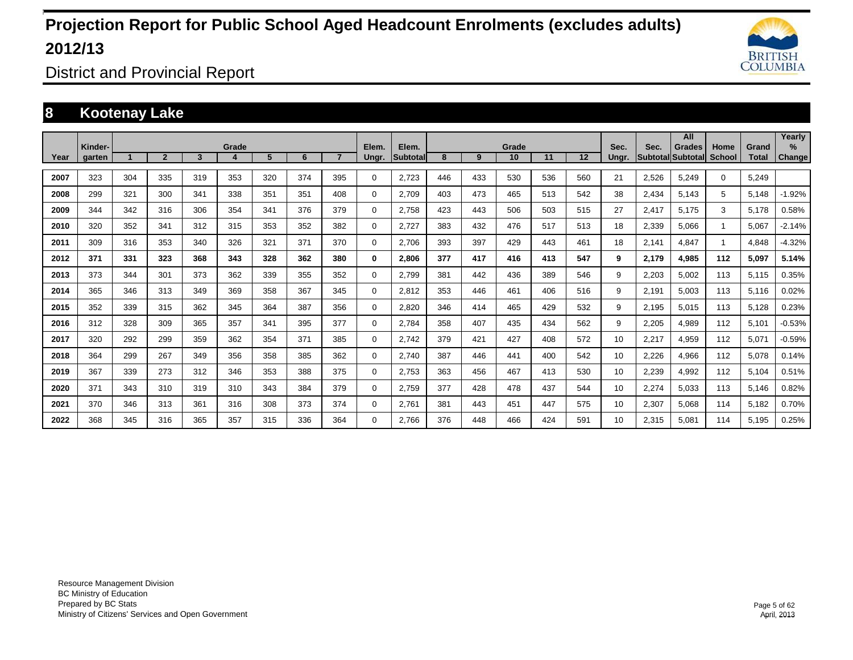

District and Provincial Report

### **8 Kootenay Lake**

|      |                   |     |                |     |       |     |     |                |                |                   |     |     |             |     |         |               |                         | All                       |                       |                       | Yearly         |
|------|-------------------|-----|----------------|-----|-------|-----|-----|----------------|----------------|-------------------|-----|-----|-------------|-----|---------|---------------|-------------------------|---------------------------|-----------------------|-----------------------|----------------|
| Year | Kinder-<br>garten |     | $\overline{2}$ | 3   | Grade | 5   | 6   | $\overline{7}$ | Elem.<br>Ungr. | Elem.<br>Subtotal | 8   | 9   | Grade<br>10 | 11  | $12 \,$ | Sec.<br>Ungr. | Sec.<br><b>Subtotal</b> | <b>Grades</b><br>Subtotal | Home<br><b>School</b> | Grand<br><b>Total</b> | $\%$<br>Change |
|      |                   |     |                |     |       |     |     |                |                |                   |     |     |             |     |         |               |                         |                           |                       |                       |                |
| 2007 | 323               | 304 | 335            | 319 | 353   | 320 | 374 | 395            | 0              | 2.723             | 446 | 433 | 530         | 536 | 560     | 21            | 2,526                   | 5.249                     | $\mathbf 0$           | 5.249                 |                |
| 2008 | 299               | 321 | 300            | 341 | 338   | 351 | 351 | 408            | 0              | 2.709             | 403 | 473 | 465         | 513 | 542     | 38            | 2.434                   | 5.143                     | 5                     | 5,148                 | $-1.92%$       |
| 2009 | 344               | 342 | 316            | 306 | 354   | 341 | 376 | 379            | 0              | 2,758             | 423 | 443 | 506         | 503 | 515     | 27            | 2,417                   | 5,175                     | 3                     | 5,178                 | 0.58%          |
| 2010 | 320               | 352 | 341            | 312 | 315   | 353 | 352 | 382            | 0              | 2,727             | 383 | 432 | 476         | 517 | 513     | 18            | 2,339                   | 5,066                     |                       | 5,067                 | $-2.14%$       |
| 2011 | 309               | 316 | 353            | 340 | 326   | 321 | 371 | 370            | 0              | 2,706             | 393 | 397 | 429         | 443 | 461     | 18            | 2,141                   | 4,847                     |                       | 4,848                 | $-4.32%$       |
| 2012 | 371               | 331 | 323            | 368 | 343   | 328 | 362 | 380            | 0              | 2,806             | 377 | 417 | 416         | 413 | 547     | 9             | 2,179                   | 4,985                     | 112                   | 5,097                 | 5.14%          |
| 2013 | 373               | 344 | 301            | 373 | 362   | 339 | 355 | 352            | 0              | 2,799             | 381 | 442 | 436         | 389 | 546     | 9             | 2,203                   | 5,002                     | 113                   | 5,115                 | 0.35%          |
| 2014 | 365               | 346 | 313            | 349 | 369   | 358 | 367 | 345            | 0              | 2.812             | 353 | 446 | 461         | 406 | 516     | 9             | 2.191                   | 5.003                     | 113                   | 5,116                 | 0.02%          |
| 2015 | 352               | 339 | 315            | 362 | 345   | 364 | 387 | 356            | 0              | 2.820             | 346 | 414 | 465         | 429 | 532     | 9             | 2.195                   | 5,015                     | 113                   | 5,128                 | 0.23%          |
| 2016 | 312               | 328 | 309            | 365 | 357   | 341 | 395 | 377            | 0              | 2,784             | 358 | 407 | 435         | 434 | 562     | 9             | 2,205                   | 4.989                     | 112                   | 5,101                 | $-0.53%$       |
| 2017 | 320               | 292 | 299            | 359 | 362   | 354 | 371 | 385            | 0              | 2,742             | 379 | 421 | 427         | 408 | 572     | 10            | 2,217                   | 4.959                     | 112                   | 5,071                 | $-0.59%$       |
| 2018 | 364               | 299 | 267            | 349 | 356   | 358 | 385 | 362            | 0              | 2.740             | 387 | 446 | 441         | 400 | 542     | 10            | 2,226                   | 4.966                     | 112                   | 5,078                 | 0.14%          |
| 2019 | 367               | 339 | 273            | 312 | 346   | 353 | 388 | 375            | 0              | 2,753             | 363 | 456 | 467         | 413 | 530     | 10            | 2,239                   | 4.992                     | 112                   | 5,104                 | 0.51%          |
| 2020 | 371               | 343 | 310            | 319 | 310   | 343 | 384 | 379            | 0              | 2.759             | 377 | 428 | 478         | 437 | 544     | 10            | 2,274                   | 5.033                     | 113                   | 5,146                 | 0.82%          |
| 2021 | 370               | 346 | 313            | 361 | 316   | 308 | 373 | 374            | 0              | 2,761             | 381 | 443 | 451         | 447 | 575     | 10            | 2,307                   | 5,068                     | 114                   | 5,182                 | 0.70%          |
| 2022 | 368               | 345 | 316            | 365 | 357   | 315 | 336 | 364            | $\Omega$       | 2.766             | 376 | 448 | 466         | 424 | 591     | 10            | 2,315                   | 5,081                     | 114                   | 5,195                 | 0.25%          |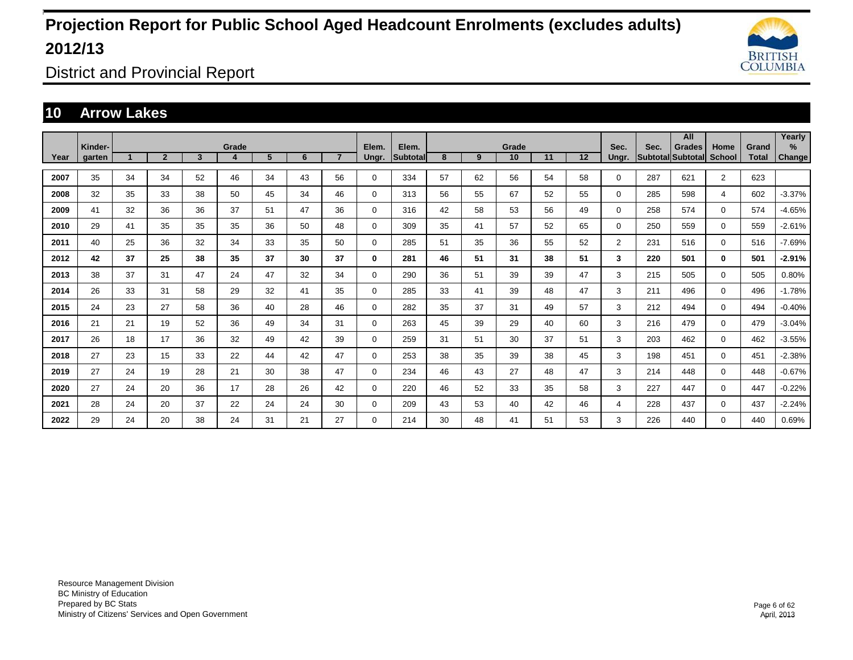

District and Provincial Report

### **10 Arrow Lakes**

|      |                   |    |                |                         |            |    |    |                |                |                          |    |    |             |    |    |                |                           | All           |                       |                       | Yearly      |
|------|-------------------|----|----------------|-------------------------|------------|----|----|----------------|----------------|--------------------------|----|----|-------------|----|----|----------------|---------------------------|---------------|-----------------------|-----------------------|-------------|
| Year | Kinder-<br>garten |    | $\overline{2}$ | $\overline{\mathbf{3}}$ | Grade<br>4 | 5  | 6  | $\overline{7}$ | Elem.<br>Ungr. | Elem.<br><b>Subtotal</b> | 8  | 9  | Grade<br>10 | 11 | 12 | Sec.<br>Ungr.  | Sec.<br>Subtotal Subtotal | <b>Grades</b> | Home<br><b>School</b> | Grand<br><b>Total</b> | %<br>Change |
|      |                   |    |                |                         |            |    |    |                |                |                          |    |    |             |    |    |                |                           |               |                       |                       |             |
| 2007 | 35                | 34 | 34             | 52                      | 46         | 34 | 43 | 56             | $\mathbf 0$    | 334                      | 57 | 62 | 56          | 54 | 58 | 0              | 287                       | 621           | $\overline{2}$        | 623                   |             |
| 2008 | 32                | 35 | 33             | 38                      | 50         | 45 | 34 | 46             | $\mathbf 0$    | 313                      | 56 | 55 | 67          | 52 | 55 | 0              | 285                       | 598           | $\overline{4}$        | 602                   | $-3.37%$    |
| 2009 | 41                | 32 | 36             | 36                      | 37         | 51 | 47 | 36             | $\mathbf 0$    | 316                      | 42 | 58 | 53          | 56 | 49 | 0              | 258                       | 574           | $\mathbf 0$           | 574                   | -4.65%      |
| 2010 | 29                | 41 | 35             | 35                      | 35         | 36 | 50 | 48             | $\mathbf 0$    | 309                      | 35 | 41 | 57          | 52 | 65 | 0              | 250                       | 559           | $\mathbf 0$           | 559                   | $-2.61%$    |
| 2011 | 40                | 25 | 36             | 32                      | 34         | 33 | 35 | 50             | $\mathbf 0$    | 285                      | 51 | 35 | 36          | 55 | 52 | $\overline{2}$ | 231                       | 516           | $\mathbf 0$           | 516                   | $-7.69%$    |
| 2012 | 42                | 37 | 25             | 38                      | 35         | 37 | 30 | 37             | 0              | 281                      | 46 | 51 | 31          | 38 | 51 | 3              | 220                       | 501           | $\bf{0}$              | 501                   | $-2.91%$    |
| 2013 | 38                | 37 | 31             | 47                      | 24         | 47 | 32 | 34             | $\mathbf 0$    | 290                      | 36 | 51 | 39          | 39 | 47 | 3              | 215                       | 505           | $\mathbf 0$           | 505                   | 0.80%       |
| 2014 | 26                | 33 | 31             | 58                      | 29         | 32 | 41 | 35             | $\mathbf 0$    | 285                      | 33 | 41 | 39          | 48 | 47 | 3              | 211                       | 496           | $\mathbf{0}$          | 496                   | $-1.78%$    |
| 2015 | 24                | 23 | 27             | 58                      | 36         | 40 | 28 | 46             | 0              | 282                      | 35 | 37 | 31          | 49 | 57 | 3              | 212                       | 494           | $\mathbf{0}$          | 494                   | $-0.40%$    |
| 2016 | 21                | 21 | 19             | 52                      | 36         | 49 | 34 | 31             | 0              | 263                      | 45 | 39 | 29          | 40 | 60 | 3              | 216                       | 479           | $\mathbf 0$           | 479                   | $-3.04%$    |
| 2017 | 26                | 18 | 17             | 36                      | 32         | 49 | 42 | 39             | $\mathbf 0$    | 259                      | 31 | 51 | 30          | 37 | 51 | 3              | 203                       | 462           | $\mathbf 0$           | 462                   | $-3.55%$    |
| 2018 | 27                | 23 | 15             | 33                      | 22         | 44 | 42 | 47             | $\mathbf 0$    | 253                      | 38 | 35 | 39          | 38 | 45 | 3              | 198                       | 451           | $\mathbf 0$           | 451                   | $-2.38%$    |
| 2019 | 27                | 24 | 19             | 28                      | 21         | 30 | 38 | 47             | $\mathbf 0$    | 234                      | 46 | 43 | 27          | 48 | 47 | 3              | 214                       | 448           | $\mathbf{0}$          | 448                   | $-0.67%$    |
| 2020 | 27                | 24 | 20             | 36                      | 17         | 28 | 26 | 42             | $\mathbf 0$    | 220                      | 46 | 52 | 33          | 35 | 58 | 3              | 227                       | 447           | $\mathbf{0}$          | 447                   | $-0.22%$    |
| 2021 | 28                | 24 | 20             | 37                      | 22         | 24 | 24 | 30             | $\mathbf 0$    | 209                      | 43 | 53 | 40          | 42 | 46 | 4              | 228                       | 437           | $\mathbf{0}$          | 437                   | $-2.24%$    |
| 2022 | 29                | 24 | 20             | 38                      | 24         | 31 | 21 | 27             | $\mathbf 0$    | 214                      | 30 | 48 | 41          | 51 | 53 | 3              | 226                       | 440           | $\mathbf 0$           | 440                   | 0.69%       |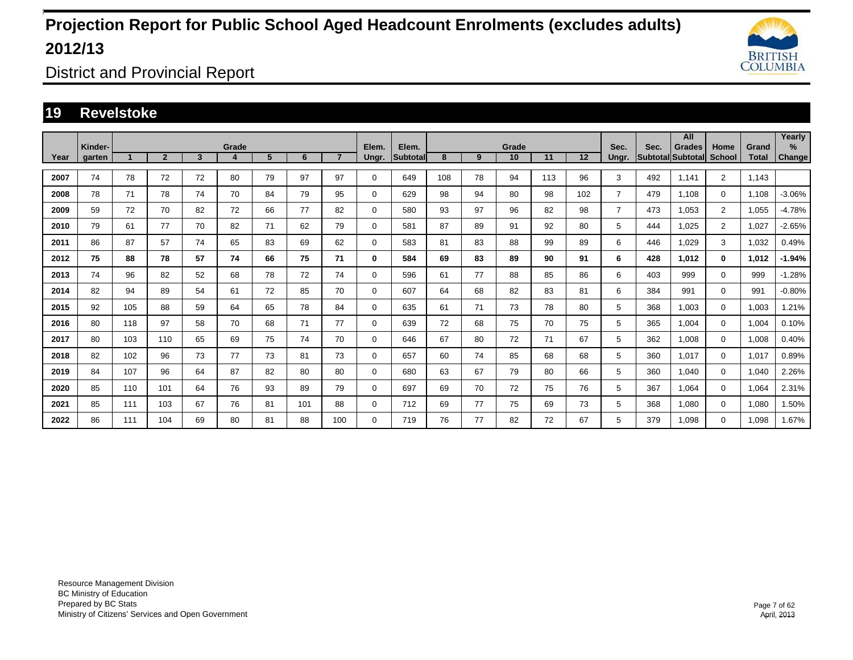

District and Provincial Report

### **19 Revelstoke**

|      |                   |     |                |                         |            |    |     |                |                |                   |     |    |             |     |     |                |                           | All           |                       |                       | Yearly         |
|------|-------------------|-----|----------------|-------------------------|------------|----|-----|----------------|----------------|-------------------|-----|----|-------------|-----|-----|----------------|---------------------------|---------------|-----------------------|-----------------------|----------------|
| Year | Kinder-<br>garten |     | $\overline{2}$ | $\overline{\mathbf{3}}$ | Grade<br>4 | 5  | 6   | $\overline{7}$ | Elem.<br>Ungr. | Elem.<br>Subtotal | 8   | 9  | Grade<br>10 | 11  | 12  | Sec.<br>Ungr.  | Sec.<br>Subtotal Subtotal | <b>Grades</b> | Home<br><b>School</b> | Grand<br><b>Total</b> | $\%$<br>Change |
|      |                   |     |                |                         |            |    |     |                |                |                   |     |    |             |     |     |                |                           |               |                       |                       |                |
| 2007 | 74                | 78  | 72             | 72                      | 80         | 79 | 97  | 97             | $\mathbf 0$    | 649               | 108 | 78 | 94          | 113 | 96  | 3              | 492                       | 1.141         | $\overline{2}$        | 1,143                 |                |
| 2008 | 78                | 71  | 78             | 74                      | 70         | 84 | 79  | 95             | $\mathbf 0$    | 629               | 98  | 94 | 80          | 98  | 102 | $\overline{7}$ | 479                       | 1.108         | $\mathbf{0}$          | 1,108                 | $-3.06%$       |
| 2009 | 59                | 72  | 70             | 82                      | 72         | 66 | 77  | 82             | $\mathbf 0$    | 580               | 93  | 97 | 96          | 82  | 98  | $\overline{7}$ | 473                       | 1,053         | $\overline{2}$        | 1,055                 | $-4.78%$       |
| 2010 | 79                | 61  | 77             | 70                      | 82         | 71 | 62  | 79             | $\mathbf 0$    | 581               | 87  | 89 | 91          | 92  | 80  | 5              | 444                       | 1,025         | $\overline{2}$        | 1,027                 | $-2.65%$       |
| 2011 | 86                | 87  | 57             | 74                      | 65         | 83 | 69  | 62             | $\mathbf 0$    | 583               | 81  | 83 | 88          | 99  | 89  | 6              | 446                       | 1,029         | 3                     | 1,032                 | 0.49%          |
| 2012 | 75                | 88  | 78             | 57                      | 74         | 66 | 75  | 71             | 0              | 584               | 69  | 83 | 89          | 90  | 91  | 6              | 428                       | 1.012         | $\bf{0}$              | 1,012                 | $-1.94%$       |
| 2013 | 74                | 96  | 82             | 52                      | 68         | 78 | 72  | 74             | $\mathbf 0$    | 596               | 61  | 77 | 88          | 85  | 86  | 6              | 403                       | 999           | $\mathbf 0$           | 999                   | $-1.28%$       |
| 2014 | 82                | 94  | 89             | 54                      | 61         | 72 | 85  | 70             | $\mathbf 0$    | 607               | 64  | 68 | 82          | 83  | 81  | 6              | 384                       | 991           | $\mathbf{0}$          | 991                   | $-0.80%$       |
| 2015 | 92                | 105 | 88             | 59                      | 64         | 65 | 78  | 84             | 0              | 635               | 61  | 71 | 73          | 78  | 80  | 5              | 368                       | 1.003         | $\mathbf 0$           | 1.003                 | .21%           |
| 2016 | 80                | 118 | 97             | 58                      | 70         | 68 | 71  | 77             | $\mathbf 0$    | 639               | 72  | 68 | 75          | 70  | 75  | 5              | 365                       | 1,004         | $\mathbf{0}$          | 1,004                 | 0.10%          |
| 2017 | 80                | 103 | 110            | 65                      | 69         | 75 | 74  | 70             | $\mathbf 0$    | 646               | 67  | 80 | 72          | 71  | 67  | 5              | 362                       | 1,008         | $\mathbf{0}$          | 1,008                 | 0.40%          |
| 2018 | 82                | 102 | 96             | 73                      | 77         | 73 | 81  | 73             | $\mathbf 0$    | 657               | 60  | 74 | 85          | 68  | 68  | 5              | 360                       | 1,017         | $\mathbf{0}$          | 1,017                 | 0.89%          |
| 2019 | 84                | 107 | 96             | 64                      | 87         | 82 | 80  | 80             | $\mathbf 0$    | 680               | 63  | 67 | 79          | 80  | 66  | 5              | 360                       | 1.040         | $\mathbf 0$           | 1,040                 | 2.26%          |
| 2020 | 85                | 110 | 101            | 64                      | 76         | 93 | 89  | 79             | $\mathbf 0$    | 697               | 69  | 70 | 72          | 75  | 76  | 5              | 367                       | 1.064         | $\mathbf 0$           | 1,064                 | 2.31%          |
| 2021 | 85                | 111 | 103            | 67                      | 76         | 81 | 101 | 88             | $\mathbf 0$    | 712               | 69  | 77 | 75          | 69  | 73  | 5              | 368                       | 1.080         | $\mathbf{0}$          | 1,080                 | 1.50%          |
| 2022 | 86                | 111 | 104            | 69                      | 80         | 81 | 88  | 100            | $\mathbf 0$    | 719               | 76  | 77 | 82          | 72  | 67  | 5              | 379                       | 1.098         | $\mathbf 0$           | 1.098                 | 1.67%          |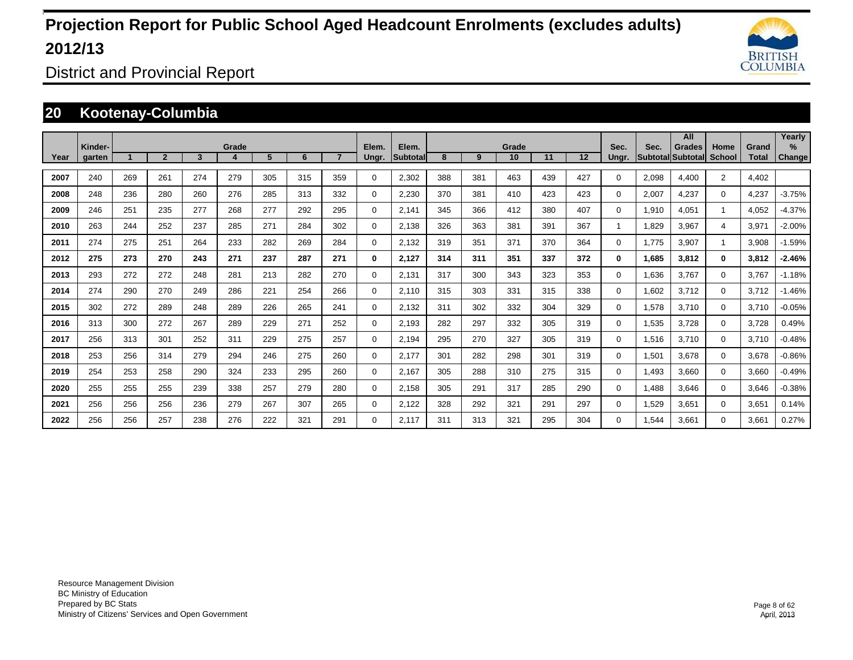

District and Provincial Report

### **20 Kootenay-Columbia**

|      |                   |     |                |     |       |     |     |     |                |                          |     |     |             |     |         |               |       | All                                |                |                       | Yearly                  |
|------|-------------------|-----|----------------|-----|-------|-----|-----|-----|----------------|--------------------------|-----|-----|-------------|-----|---------|---------------|-------|------------------------------------|----------------|-----------------------|-------------------------|
| Year | Kinder-<br>garten |     | $\overline{2}$ | 3   | Grade | 5   | 6   |     | Elem.<br>Ungr. | Elem.<br><b>Subtotal</b> | 8   | 9   | Grade<br>10 | 11  | $12 \,$ | Sec.<br>Ungr. | Sec.  | Grades<br><b>Subtotal Subtotal</b> | Home<br>School | Grand<br><b>Total</b> | $\frac{9}{6}$<br>Change |
|      |                   |     |                |     |       |     |     |     |                |                          |     |     |             |     |         |               |       |                                    |                |                       |                         |
| 2007 | 240               | 269 | 261            | 274 | 279   | 305 | 315 | 359 | $\Omega$       | 2,302                    | 388 | 381 | 463         | 439 | 427     | $\Omega$      | 2,098 | 4,400                              | $\overline{2}$ | 4,402                 |                         |
| 2008 | 248               | 236 | 280            | 260 | 276   | 285 | 313 | 332 | 0              | 2,230                    | 370 | 381 | 410         | 423 | 423     | $\Omega$      | 2,007 | 4,237                              | $\Omega$       | 4,237                 | $-3.75%$                |
| 2009 | 246               | 251 | 235            | 277 | 268   | 277 | 292 | 295 | 0              | 2,141                    | 345 | 366 | 412         | 380 | 407     | 0             | 1,910 | 4,051                              | $\mathbf{1}$   | 4,052                 | $-4.37%$                |
| 2010 | 263               | 244 | 252            | 237 | 285   | 271 | 284 | 302 | 0              | 2,138                    | 326 | 363 | 381         | 391 | 367     |               | 1,829 | 3,967                              | 4              | 3,971                 | $-2.00%$                |
| 2011 | 274               | 275 | 251            | 264 | 233   | 282 | 269 | 284 | 0              | 2,132                    | 319 | 351 | 371         | 370 | 364     | $\Omega$      | 1.775 | 3,907                              |                | 3,908                 | $-1.59%$                |
| 2012 | 275               | 273 | 270            | 243 | 271   | 237 | 287 | 271 | 0              | 2,127                    | 314 | 311 | 351         | 337 | 372     | 0             | 1,685 | 3,812                              | $\bf{0}$       | 3,812                 | $-2.46%$                |
| 2013 | 293               | 272 | 272            | 248 | 281   | 213 | 282 | 270 | 0              | 2,131                    | 317 | 300 | 343         | 323 | 353     | 0             | 1,636 | 3,767                              | $\mathbf 0$    | 3,767                 | $-1.18%$                |
| 2014 | 274               | 290 | 270            | 249 | 286   | 221 | 254 | 266 | 0              | 2,110                    | 315 | 303 | 331         | 315 | 338     | 0             | 1,602 | 3,712                              | $\mathbf 0$    | 3,712                 | $-1.46%$                |
| 2015 | 302               | 272 | 289            | 248 | 289   | 226 | 265 | 241 | $\Omega$       | 2,132                    | 311 | 302 | 332         | 304 | 329     | 0             | 1,578 | 3,710                              | $\Omega$       | 3,710                 | $-0.05%$                |
| 2016 | 313               | 300 | 272            | 267 | 289   | 229 | 271 | 252 | 0              | 2,193                    | 282 | 297 | 332         | 305 | 319     | 0             | 1,535 | 3,728                              | $\mathbf 0$    | 3,728                 | 0.49%                   |
| 2017 | 256               | 313 | 301            | 252 | 311   | 229 | 275 | 257 | 0              | 2,194                    | 295 | 270 | 327         | 305 | 319     | 0             | 1,516 | 3,710                              | $\mathbf 0$    | 3,710                 | $-0.48%$                |
| 2018 | 253               | 256 | 314            | 279 | 294   | 246 | 275 | 260 | 0              | 2,177                    | 301 | 282 | 298         | 301 | 319     | 0             | 1,501 | 3,678                              | $\mathbf 0$    | 3,678                 | $-0.86%$                |
| 2019 | 254               | 253 | 258            | 290 | 324   | 233 | 295 | 260 | 0              | 2,167                    | 305 | 288 | 310         | 275 | 315     | 0             | 1,493 | 3,660                              | $\mathbf 0$    | 3,660                 | $-0.49%$                |
| 2020 | 255               | 255 | 255            | 239 | 338   | 257 | 279 | 280 | 0              | 2,158                    | 305 | 291 | 317         | 285 | 290     | 0             | 1,488 | 3,646                              | $\mathbf 0$    | 3,646                 | $-0.38%$                |
| 2021 | 256               | 256 | 256            | 236 | 279   | 267 | 307 | 265 | 0              | 2,122                    | 328 | 292 | 321         | 291 | 297     | 0             | 1,529 | 3,651                              | $\mathbf 0$    | 3,651                 | 0.14%                   |
| 2022 | 256               | 256 | 257            | 238 | 276   | 222 | 321 | 291 | $\Omega$       | 2.117                    | 311 | 313 | 321         | 295 | 304     | 0             | .544  | 3.661                              | $\Omega$       | 3,661                 | 0.27%                   |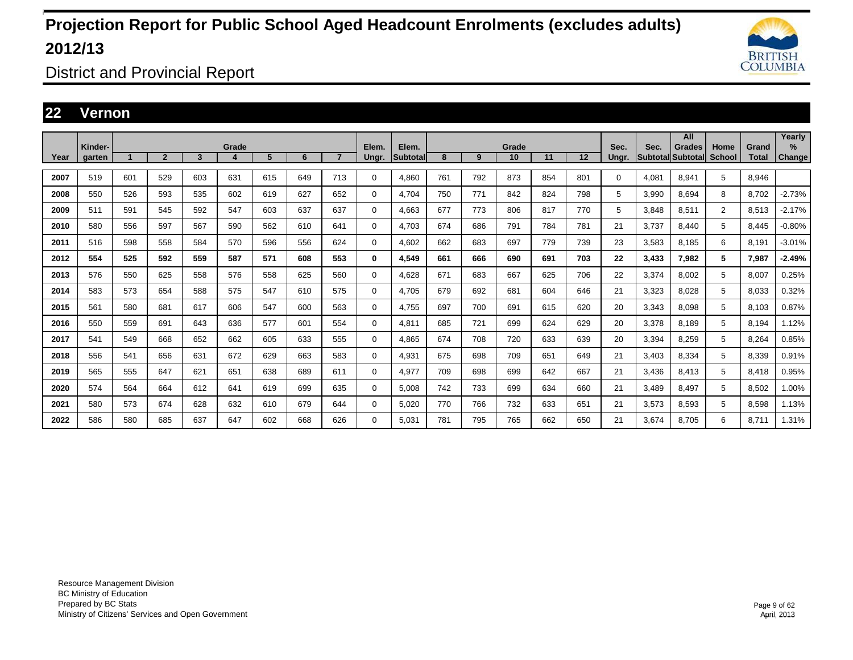

District and Provincial Report

### **22 Vernon**

|      |                   |     |                |     |            |     |     |                |                |                    |     |     |             |     |     |               |                           | All           |                       |                       | Yearly                |
|------|-------------------|-----|----------------|-----|------------|-----|-----|----------------|----------------|--------------------|-----|-----|-------------|-----|-----|---------------|---------------------------|---------------|-----------------------|-----------------------|-----------------------|
| Year | Kinder-<br>aarten |     | $\overline{2}$ | 3   | Grade<br>4 | 5   | 6   | $\overline{7}$ | Elem.<br>Ungr. | Elem.<br>Subtotall | 8   | 9   | Grade<br>10 | 11  | 12  | Sec.<br>Unar. | Sec.<br>Subtotal Subtotal | <b>Grades</b> | Home<br><b>School</b> | Grand<br><b>Total</b> | $\%$<br><b>Change</b> |
| 2007 | 519               | 601 | 529            | 603 | 631        | 615 | 649 | 713            | 0              | 4,860              | 761 | 792 | 873         | 854 | 801 | 0             | 4,081                     | 8,941         | 5                     | 8,946                 |                       |
| 2008 | 550               | 526 | 593            | 535 | 602        | 619 | 627 | 652            | 0              | 4.704              | 750 | 771 | 842         | 824 | 798 | 5             | 3,990                     | 8.694         | 8                     | 8.702                 | $-2.73%$              |
| 2009 | 511               | 591 | 545            | 592 | 547        | 603 | 637 | 637            | 0              | 4.663              | 677 | 773 | 806         | 817 | 770 | 5             | 3.848                     | 8,511         | $\overline{2}$        | 8,513                 | $-2.17%$              |
| 2010 | 580               | 556 | 597            | 567 | 590        | 562 | 610 | 641            | 0              | 4,703              | 674 | 686 | 791         | 784 | 781 | 21            | 3,737                     | 8.440         | 5                     | 8,445                 | $-0.80%$              |
| 2011 | 516               | 598 | 558            | 584 | 570        | 596 | 556 | 624            | 0              | 4,602              | 662 | 683 | 697         | 779 | 739 | 23            | 3,583                     | 8,185         | 6                     | 8,191                 | $-3.01%$              |
| 2012 | 554               | 525 | 592            | 559 | 587        | 571 | 608 | 553            | 0              | 4,549              | 661 | 666 | 690         | 691 | 703 | 22            | 3,433                     | 7,982         | 5                     | 7,987                 | $-2.49%$              |
| 2013 | 576               | 550 | 625            | 558 | 576        | 558 | 625 | 560            | $\mathbf 0$    | 4.628              | 671 | 683 | 667         | 625 | 706 | 22            | 3,374                     | 8.002         | 5                     | 8.007                 | 0.25%                 |
| 2014 | 583               | 573 | 654            | 588 | 575        | 547 | 610 | 575            | 0              | 4,705              | 679 | 692 | 681         | 604 | 646 | 21            | 3,323                     | 8,028         | 5                     | 8,033                 | 0.32%                 |
| 2015 | 561               | 580 | 681            | 617 | 606        | 547 | 600 | 563            | 0              | 4,755              | 697 | 700 | 691         | 615 | 620 | 20            | 3,343                     | 8.098         | 5                     | 8,103                 | 0.87%                 |
| 2016 | 550               | 559 | 691            | 643 | 636        | 577 | 601 | 554            | 0              | 4.811              | 685 | 721 | 699         | 624 | 629 | 20            | 3,378                     | 8.189         | 5                     | 8,194                 | 1.12%                 |
| 2017 | 541               | 549 | 668            | 652 | 662        | 605 | 633 | 555            | 0              | 4.865              | 674 | 708 | 720         | 633 | 639 | 20            | 3,394                     | 8.259         | 5                     | 8.264                 | 0.85%                 |
| 2018 | 556               | 541 | 656            | 631 | 672        | 629 | 663 | 583            | 0              | 4,931              | 675 | 698 | 709         | 651 | 649 | 21            | 3,403                     | 8,334         | 5                     | 8,339                 | 0.91%                 |
| 2019 | 565               | 555 | 647            | 621 | 651        | 638 | 689 | 611            | $\mathbf 0$    | 4,977              | 709 | 698 | 699         | 642 | 667 | 21            | 3,436                     | 8,413         | 5                     | 8,418                 | 0.95%                 |
| 2020 | 574               | 564 | 664            | 612 | 641        | 619 | 699 | 635            | $\mathbf 0$    | 5,008              | 742 | 733 | 699         | 634 | 660 | 21            | 3,489                     | 8.497         | 5                     | 8,502                 | 1.00%                 |
| 2021 | 580               | 573 | 674            | 628 | 632        | 610 | 679 | 644            | $\mathbf 0$    | 5.020              | 770 | 766 | 732         | 633 | 651 | 21            | 3,573                     | 8.593         | 5                     | 8,598                 | 1.13%                 |
| 2022 | 586               | 580 | 685            | 637 | 647        | 602 | 668 | 626            | $\Omega$       | 5.031              | 781 | 795 | 765         | 662 | 650 | 21            | 3,674                     | 8.705         | 6                     | 8,711                 | 1.31%                 |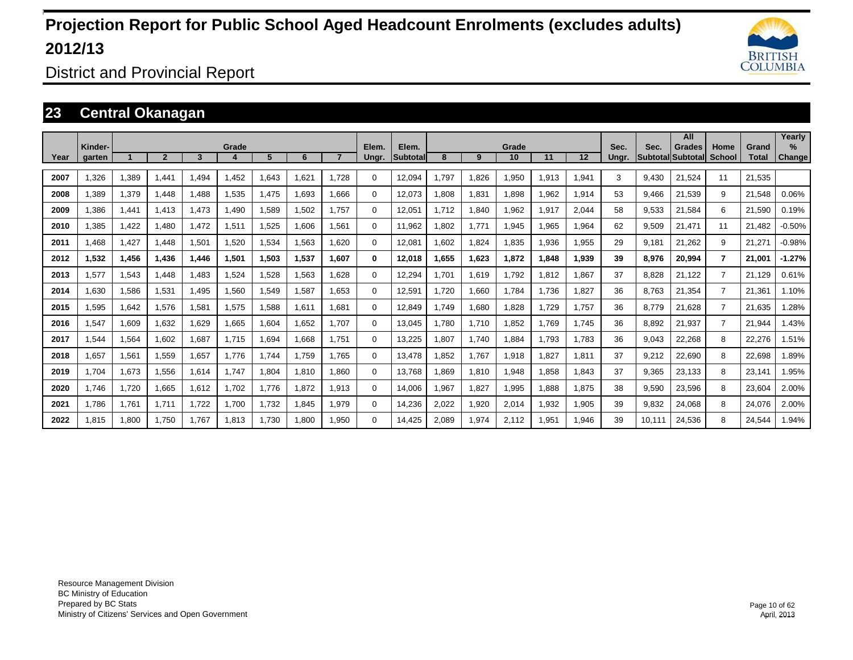

District and Provincial Report

### **23 Central Okanagan**

|      |                   |       |                |       |       |       |       |                |                |                          |       |       |             |       |       |               |        | All                                       |                       |                       | Yearly                |
|------|-------------------|-------|----------------|-------|-------|-------|-------|----------------|----------------|--------------------------|-------|-------|-------------|-------|-------|---------------|--------|-------------------------------------------|-----------------------|-----------------------|-----------------------|
| Year | Kinder-<br>garten |       | $\overline{2}$ | 3     | Grade | 5     | 6     | $\overline{7}$ | Elem.<br>Ungr. | Elem.<br><b>Subtotal</b> | 8     | 9     | Grade<br>10 | 11    | 12    | Sec.<br>Ungr. | Sec.   | <b>Grades</b><br><b>Subtotal Subtotal</b> | Home<br><b>School</b> | Grand<br><b>Total</b> | $\%$<br><b>Change</b> |
|      |                   |       |                |       |       |       |       |                |                |                          |       |       |             |       |       |               |        |                                           |                       |                       |                       |
| 2007 | 1.326             | 1,389 | 1.441          | .494  | 1.452 | 1.643 | 1.621 | 1.728          | 0              | 12.094                   | ,797  | 1,826 | 1,950       | 1,913 | 1,941 | 3             | 9.430  | 21.524                                    | 11                    | 21,535                |                       |
| 2008 | .389              | 1,379 | 1.448          | .488  | 1,535 | 1.475 | 1.693 | 1.666          | 0              | 12.073                   | .808  | 1,831 | 1,898       | 1.962 | 1,914 | 53            | 9.466  | 21.539                                    | 9                     | 21,548                | 0.06%                 |
| 2009 | .386              | 1,441 | 1.413          | 1.473 | 1.490 | 1,589 | 1.502 | 1.757          | 0              | 12.051                   | .712  | 1,840 | 1.962       | 1.917 | 2.044 | 58            | 9,533  | 21.584                                    | 6                     | 21,590                | 0.19%                 |
| 2010 | ,385              | 1,422 | 1,480          | 1,472 | 1,511 | 1,525 | 1,606 | 1.561          | 0              | 11,962                   | .802  | 1,771 | 1,945       | .965  | 1,964 | 62            | 9,509  | 21,471                                    | 11                    | 21,482                | $-0.50%$              |
| 2011 | .468              | 1,427 | 1.448          | 1,501 | 1,520 | 1,534 | 1,563 | 1,620          | 0              | 12,081                   | .602  | 1,824 | 1,835       | 1,936 | 1,955 | 29            | 9,181  | 21,262                                    | 9                     | 21,271                | $-0.98%$              |
| 2012 | 1,532             | 1,456 | 1.436          | 1.446 | 1,501 | 1,503 | 1,537 | 1.607          | 0              | 12,018                   | .655  | 1,623 | 1,872       | 1,848 | 1,939 | 39            | 8,976  | 20,994                                    | 7                     | 21.001                | $-1.27%$              |
| 2013 | .577              | 1,543 | 1.448          | .483  | 1,524 | 1,528 | 1.563 | 1.628          | 0              | 12.294                   | .701  | 1,619 | 1,792       | 1.812 | 1.867 | 37            | 8.828  | 21,122                                    | $\overline{7}$        | 21,129                | 0.61%                 |
| 2014 | .630              | 1,586 | 1.531          | 1.495 | 1,560 | 1.549 | 1.587 | 1.653          | 0              | 12.591                   | .720  | 1.660 | 1.784       | 1.736 | 1.827 | 36            | 8.763  | 21.354                                    | $\overline{7}$        | 21,361                | 1.10%                 |
| 2015 | .595              | 1.642 | 1.576          | 1.581 | 1.575 | 1.588 | 1.611 | 1.681          | 0              | 12.849                   | .749  | 1.680 | 1.828       | 1.729 | 1.757 | 36            | 8.779  | 21.628                                    | $\overline{7}$        | 21.635                | 1.28%                 |
| 2016 | 1,547             | 1,609 | 1,632          | .629  | 1,665 | 1,604 | 1,652 | 1.707          | 0              | 13,045                   | ,780  | 1,710 | 1,852       | 1.769 | 1.745 | 36            | 8,892  | 21,937                                    | $\overline{7}$        | 21,944                | .43%                  |
| 2017 | .544              | 1,564 | 1,602          | .687  | 1,715 | 1,694 | 1,668 | 1.751          | 0              | 13,225                   | ,807  | 1,740 | 1,884       | 1.793 | 1.783 | 36            | 9,043  | 22,268                                    | 8                     | 22,276                | 1.51%                 |
| 2018 | .657              | 1,561 | 1,559          | .657  | 1.776 | 1.744 | 1,759 | 1.765          | 0              | 13.478                   | .852  | 1,767 | 1,918       | 1,827 | 1,811 | 37            | 9,212  | 22,690                                    | 8                     | 22,698                | .89%                  |
| 2019 | 1.704             | 1,673 | 1,556          | 1,614 | 1.747 | 1,804 | 1.810 | .860           | 0              | 13,768                   | .869  | 1,810 | 1,948       | 1.858 | 1.843 | 37            | 9,365  | 23,133                                    | 8                     | 23,141                | .95%                  |
| 2020 | 1.746             | 1,720 | 1,665          | 1.612 | 1.702 | 1.776 | 1.872 | <b>1.913</b>   | 0              | 14.006                   | .967  | 1,827 | 1,995       | 1.888 | 1.875 | 38            | 9,590  | 23,596                                    | 8                     | 23,604                | 2.00%                 |
| 2021 | 1.786             | 1.761 | 1.711          | 1.722 | 1.700 | 1,732 | 1.845 | .979           | 0              | 14,236                   | 2,022 | 1,920 | 2,014       | 1.932 | 1.905 | 39            | 9.832  | 24,068                                    | 8                     | 24.076                | 2.00%                 |
| 2022 | 1.815             | 1,800 | 1.750          | 1.767 | 1,813 | 1,730 | 1.800 | .950           | 0              | 14,425                   | 2,089 | 1,974 | 2.112       | 1.951 | 1,946 | 39            | 10.111 | 24,536                                    | 8                     | 24,544                | 1.94%                 |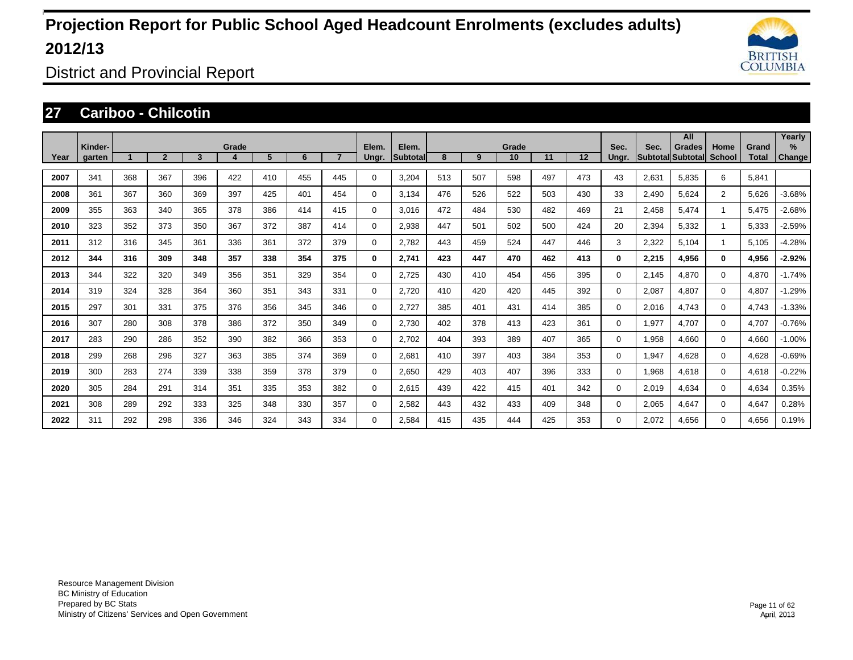

District and Provincial Report

### **27 Cariboo - Chilcotin**

|      |                   |     |                |     |       |     |     |     |                |                           |     |     |             |     |     |               |       | All                         |                |                       | Yearly                         |
|------|-------------------|-----|----------------|-----|-------|-----|-----|-----|----------------|---------------------------|-----|-----|-------------|-----|-----|---------------|-------|-----------------------------|----------------|-----------------------|--------------------------------|
| Year | Kinder-<br>garten |     | $\overline{2}$ | 3   | Grade | 5   | 6   |     | Elem.<br>Ungr. | Elem.<br><b>Subtotall</b> | 8   | 9   | Grade<br>10 | 11  | 12  | Sec.<br>Ungr. | Sec.  | Grades<br>Subtotal Subtotal | Home<br>School | Grand<br><b>Total</b> | $\frac{9}{6}$<br><b>Change</b> |
|      |                   |     |                |     |       |     |     |     |                |                           |     |     |             |     |     |               |       |                             |                |                       |                                |
| 2007 | 341               | 368 | 367            | 396 | 422   | 410 | 455 | 445 | $\Omega$       | 3,204                     | 513 | 507 | 598         | 497 | 473 | 43            | 2,631 | 5,835                       | 6              | 5,841                 |                                |
| 2008 | 361               | 367 | 360            | 369 | 397   | 425 | 401 | 454 | $\Omega$       | 3,134                     | 476 | 526 | 522         | 503 | 430 | 33            | 2,490 | 5,624                       | $\overline{2}$ | 5,626                 | $-3.68%$                       |
| 2009 | 355               | 363 | 340            | 365 | 378   | 386 | 414 | 415 | 0              | 3,016                     | 472 | 484 | 530         | 482 | 469 | 21            | 2,458 | 5,474                       |                | 5,475                 | $-2.68%$                       |
| 2010 | 323               | 352 | 373            | 350 | 367   | 372 | 387 | 414 | 0              | 2,938                     | 447 | 501 | 502         | 500 | 424 | 20            | 2,394 | 5,332                       |                | 5,333                 | $-2.59%$                       |
| 2011 | 312               | 316 | 345            | 361 | 336   | 361 | 372 | 379 | 0              | 2,782                     | 443 | 459 | 524         | 447 | 446 | 3             | 2,322 | 5,104                       |                | 5,105                 | $-4.28%$                       |
| 2012 | 344               | 316 | 309            | 348 | 357   | 338 | 354 | 375 | 0              | 2,741                     | 423 | 447 | 470         | 462 | 413 | $\bf{0}$      | 2,215 | 4,956                       | 0              | 4,956                 | $-2.92%$                       |
| 2013 | 344               | 322 | 320            | 349 | 356   | 351 | 329 | 354 | 0              | 2,725                     | 430 | 410 | 454         | 456 | 395 | $\Omega$      | 2,145 | 4,870                       | $\Omega$       | 4,870                 | $-1.74%$                       |
| 2014 | 319               | 324 | 328            | 364 | 360   | 351 | 343 | 331 | 0              | 2,720                     | 410 | 420 | 420         | 445 | 392 | $\Omega$      | 2,087 | 4,807                       | $\Omega$       | 4,807                 | $-1.29%$                       |
| 2015 | 297               | 301 | 331            | 375 | 376   | 356 | 345 | 346 | 0              | 2,727                     | 385 | 401 | 431         | 414 | 385 | $\Omega$      | 2,016 | 4,743                       | 0              | 4,743                 | $-1.33%$                       |
| 2016 | 307               | 280 | 308            | 378 | 386   | 372 | 350 | 349 | 0              | 2,730                     | 402 | 378 | 413         | 423 | 361 | $\Omega$      | 1,977 | 4,707                       | $\Omega$       | 4,707                 | $-0.76%$                       |
| 2017 | 283               | 290 | 286            | 352 | 390   | 382 | 366 | 353 | 0              | 2,702                     | 404 | 393 | 389         | 407 | 365 | $\Omega$      | 1,958 | 4,660                       | $\Omega$       | 4,660                 | $-1.00%$                       |
| 2018 | 299               | 268 | 296            | 327 | 363   | 385 | 374 | 369 | 0              | 2,681                     | 410 | 397 | 403         | 384 | 353 | $\Omega$      | 1,947 | 4,628                       | $\Omega$       | 4,628                 | $-0.69%$                       |
| 2019 | 300               | 283 | 274            | 339 | 338   | 359 | 378 | 379 | 0              | 2,650                     | 429 | 403 | 407         | 396 | 333 | $\Omega$      | 1,968 | 4,618                       | $\Omega$       | 4,618                 | $-0.22%$                       |
| 2020 | 305               | 284 | 291            | 314 | 351   | 335 | 353 | 382 | 0              | 2,615                     | 439 | 422 | 415         | 401 | 342 | $\Omega$      | 2,019 | 4,634                       | $\Omega$       | 4,634                 | 0.35%                          |
| 2021 | 308               | 289 | 292            | 333 | 325   | 348 | 330 | 357 | 0              | 2,582                     | 443 | 432 | 433         | 409 | 348 | $\Omega$      | 2,065 | 4,647                       | $\Omega$       | 4,647                 | 0.28%                          |
| 2022 | 311               | 292 | 298            | 336 | 346   | 324 | 343 | 334 | $\Omega$       | 2,584                     | 415 | 435 | 444         | 425 | 353 | $\Omega$      | 2,072 | 4.656                       | $\Omega$       | 4,656                 | 0.19%                          |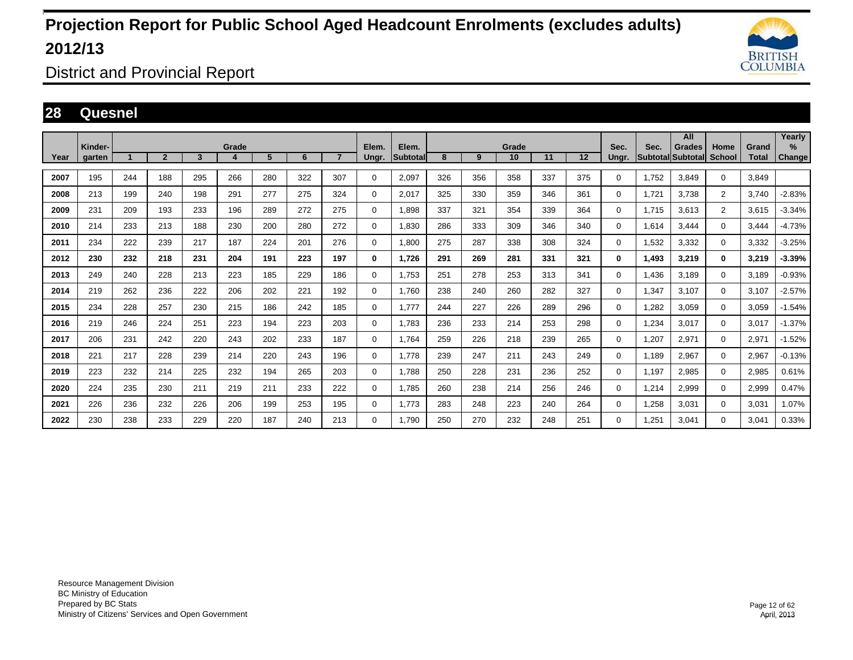

District and Provincial Report

### **28 Quesnel**

|      |                   |     |                |                         |            |     |     |                |                |                    |     |     |             |     |     |               |                                  | All           |                       |                       | Yearly                |
|------|-------------------|-----|----------------|-------------------------|------------|-----|-----|----------------|----------------|--------------------|-----|-----|-------------|-----|-----|---------------|----------------------------------|---------------|-----------------------|-----------------------|-----------------------|
| Year | Kinder-<br>garten |     | $\overline{2}$ | $\overline{\mathbf{3}}$ | Grade<br>4 | 5   | 6   | $\overline{7}$ | Elem.<br>Ungr. | Elem.<br>Subtotall | 8   | 9   | Grade<br>10 | 11  | 12  | Sec.<br>Ungr. | Sec.<br><b>Subtotal Subtotal</b> | <b>Grades</b> | Home<br><b>School</b> | Grand<br><b>Total</b> | $\%$<br><b>Change</b> |
|      |                   |     |                |                         |            |     |     |                |                |                    |     |     |             |     |     |               |                                  |               |                       |                       |                       |
| 2007 | 195               | 244 | 188            | 295                     | 266        | 280 | 322 | 307            | $\mathbf 0$    | 2,097              | 326 | 356 | 358         | 337 | 375 | 0             | 1.752                            | 3.849         | $\mathbf 0$           | 3.849                 |                       |
| 2008 | 213               | 199 | 240            | 198                     | 291        | 277 | 275 | 324            | $\mathbf 0$    | 2.017              | 325 | 330 | 359         | 346 | 361 | 0             | 1.721                            | 3,738         | $\overline{2}$        | 3.740                 | $-2.83%$              |
| 2009 | 231               | 209 | 193            | 233                     | 196        | 289 | 272 | 275            | $\mathbf 0$    | 1.898              | 337 | 321 | 354         | 339 | 364 | 0             | 1.715                            | 3,613         | $\overline{2}$        | 3.615                 | $-3.34%$              |
| 2010 | 214               | 233 | 213            | 188                     | 230        | 200 | 280 | 272            | 0              | 1,830              | 286 | 333 | 309         | 346 | 340 | 0             | 1,614                            | 3,444         | $\mathbf 0$           | 3,444                 | $-4.73%$              |
| 2011 | 234               | 222 | 239            | 217                     | 187        | 224 | 201 | 276            | 0              | 1,800              | 275 | 287 | 338         | 308 | 324 | $\Omega$      | 1,532                            | 3,332         | $\mathbf 0$           | 3,332                 | $-3.25%$              |
| 2012 | 230               | 232 | 218            | 231                     | 204        | 191 | 223 | 197            | 0              | 1,726              | 291 | 269 | 281         | 331 | 321 | 0             | 1,493                            | 3,219         | $\bf{0}$              | 3,219                 | $-3.39%$              |
| 2013 | 249               | 240 | 228            | 213                     | 223        | 185 | 229 | 186            | $\mathbf 0$    | 1,753              | 251 | 278 | 253         | 313 | 341 | 0             | 1,436                            | 3.189         | $\mathbf 0$           | 3.189                 | $-0.93%$              |
| 2014 | 219               | 262 | 236            | 222                     | 206        | 202 | 221 | 192            | $\mathbf 0$    | 1.760              | 238 | 240 | 260         | 282 | 327 | 0             | 1.347                            | 3.107         | $\mathbf 0$           | 3.107                 | $-2.57%$              |
| 2015 | 234               | 228 | 257            | 230                     | 215        | 186 | 242 | 185            | 0              | 1.777              | 244 | 227 | 226         | 289 | 296 | 0             | 1.282                            | 3.059         | 0                     | 3.059                 | $-1.54%$              |
| 2016 | 219               | 246 | 224            | 251                     | 223        | 194 | 223 | 203            | 0              | 1,783              | 236 | 233 | 214         | 253 | 298 | 0             | 1,234                            | 3,017         | $\mathbf 0$           | 3,017                 | $-1.37%$              |
| 2017 | 206               | 231 | 242            | 220                     | 243        | 202 | 233 | 187            | $\mathbf 0$    | 1,764              | 259 | 226 | 218         | 239 | 265 | 0             | 1,207                            | 2,971         | $\mathbf 0$           | 2,971                 | $-1.52%$              |
| 2018 | 221               | 217 | 228            | 239                     | 214        | 220 | 243 | 196            | $\mathbf 0$    | 1.778              | 239 | 247 | 211         | 243 | 249 | 0             | 1,189                            | 2,967         | $\mathbf 0$           | 2,967                 | $-0.13%$              |
| 2019 | 223               | 232 | 214            | 225                     | 232        | 194 | 265 | 203            | $\mathbf 0$    | 1,788              | 250 | 228 | 231         | 236 | 252 | 0             | 1,197                            | 2,985         | $\mathbf 0$           | 2,985                 | 0.61%                 |
| 2020 | 224               | 235 | 230            | 211                     | 219        | 211 | 233 | 222            | $\mathbf 0$    | 1,785              | 260 | 238 | 214         | 256 | 246 | 0             | 1,214                            | 2,999         | $\mathbf 0$           | 2,999                 | 0.47%                 |
| 2021 | 226               | 236 | 232            | 226                     | 206        | 199 | 253 | 195            | $\mathbf 0$    | 1.773              | 283 | 248 | 223         | 240 | 264 | 0             | 1,258                            | 3.031         | $\mathbf 0$           | 3,031                 | 1.07%                 |
| 2022 | 230               | 238 | 233            | 229                     | 220        | 187 | 240 | 213            | $\mathbf 0$    | 1.790              | 250 | 270 | 232         | 248 | 251 | 0             | ,251                             | 3,041         | $\mathbf 0$           | 3,041                 | 0.33%                 |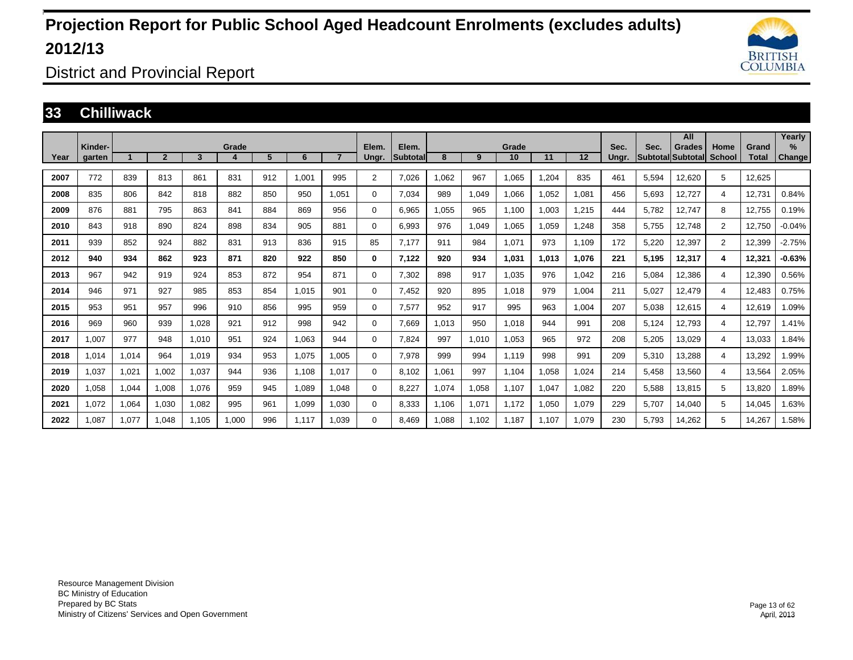

District and Provincial Report

#### **33 Chilliwack**

|      |                   |       |                |       |            |     |       |                |                |                    |       |       |             |       |                   |               |                         | All                       |                       |                       | Yearly                |
|------|-------------------|-------|----------------|-------|------------|-----|-------|----------------|----------------|--------------------|-------|-------|-------------|-------|-------------------|---------------|-------------------------|---------------------------|-----------------------|-----------------------|-----------------------|
| Year | Kinder-<br>garten |       | $\overline{2}$ | 3     | Grade<br>4 | 5   | 6     | $\overline{7}$ | Elem.<br>Ungr. | Elem.<br>Subtotall | 8     | 9     | Grade<br>10 | 11    | $12 \overline{ }$ | Sec.<br>Ungr. | Sec.<br><b>Subtotal</b> | <b>Grades</b><br>Subtotal | Home<br><b>School</b> | Grand<br><b>Total</b> | $\%$<br><b>Change</b> |
|      |                   |       |                |       |            |     |       |                |                |                    |       |       |             |       |                   |               |                         |                           |                       |                       |                       |
| 2007 | 772               | 839   | 813            | 861   | 831        | 912 | 1.001 | 995            | 2              | 7.026              | .062  | 967   | 1.065       | 1.204 | 835               | 461           | 5.594                   | 12,620                    | 5                     | 12.625                |                       |
| 2008 | 835               | 806   | 842            | 818   | 882        | 850 | 950   | 1.051          | 0              | 7,034              | 989   | 1,049 | 1,066       | 1,052 | 1,081             | 456           | 5,693                   | 12,727                    | 4                     | 12,731                | 0.84%                 |
| 2009 | 876               | 881   | 795            | 863   | 841        | 884 | 869   | 956            | 0              | 6,965              | .055  | 965   | 1.100       | 1.003 | 1,215             | 444           | 5.782                   | 12,747                    | 8                     | 12,755                | 0.19%                 |
| 2010 | 843               | 918   | 890            | 824   | 898        | 834 | 905   | 881            | 0              | 6.993              | 976   | 1,049 | 1,065       | 1.059 | 1.248             | 358           | 5.755                   | 12.748                    | $\overline{2}$        | 12.750                | $-0.04%$              |
| 2011 | 939               | 852   | 924            | 882   | 831        | 913 | 836   | 915            | 85             | 7.177              | 911   | 984   | 1.071       | 973   | 1.109             | 172           | 5,220                   | 12.397                    | $\overline{2}$        | 12.399                | $-2.75%$              |
| 2012 | 940               | 934   | 862            | 923   | 871        | 820 | 922   | 850            | 0              | 7,122              | 920   | 934   | 1,031       | 1,013 | 1,076             | 221           | 5,195                   | 12,317                    | 4                     | 12,321                | $-0.63%$              |
| 2013 | 967               | 942   | 919            | 924   | 853        | 872 | 954   | 871            | 0              | 7,302              | 898   | 917   | 1,035       | 976   | 1,042             | 216           | 5,084                   | 12,386                    | 4                     | 12,390                | 0.56%                 |
| 2014 | 946               | 971   | 927            | 985   | 853        | 854 | 1,015 | 901            | 0              | 7,452              | 920   | 895   | 1,018       | 979   | 1,004             | 211           | 5,027                   | 12,479                    | $\overline{4}$        | 12,483                | 0.75%                 |
| 2015 | 953               | 951   | 957            | 996   | 910        | 856 | 995   | 959            | 0              | 7,577              | 952   | 917   | 995         | 963   | 1.004             | 207           | 5.038                   | 12,615                    | 4                     | 12,619                | .09%                  |
| 2016 | 969               | 960   | 939            | 1,028 | 921        | 912 | 998   | 942            | 0              | 7,669              | 1,013 | 950   | 1,018       | 944   | 991               | 208           | 5,124                   | 12,793                    | 4                     | 12,797                | 1.41%                 |
| 2017 | .007              | 977   | 948            | 1,010 | 951        | 924 | 1,063 | 944            | 0              | 7,824              | 997   | 1,010 | 1,053       | 965   | 972               | 208           | 5,205                   | 13,029                    | 4                     | 13,033                | 1.84%                 |
| 2018 | .014              | 1,014 | 964            | 1.019 | 934        | 953 | 1,075 | 1,005          | 0              | 7,978              | 999   | 994   | 1.119       | 998   | 991               | 209           | 5,310                   | 13,288                    | $\overline{4}$        | 13,292                | 1.99%                 |
| 2019 | 0.037             | 1,021 | 1,002          | 1.037 | 944        | 936 | 1.108 | 1.017          | 0              | 8.102              | 1.061 | 997   | 1.104       | 1.058 | 1.024             | 214           | 5.458                   | 13,560                    | 4                     | 13,564                | 2.05%                 |
| 2020 | 1,058             | 1,044 | 1,008          | 1,076 | 959        | 945 | 1,089 | 1.048          | 0              | 8,227              | 1,074 | 1,058 | 1,107       | 1,047 | 1,082             | 220           | 5,588                   | 13,815                    | 5                     | 13,820                | 1.89%                 |
| 2021 | 1,072             | 1,064 | 1,030          | 1,082 | 995        | 961 | 1,099 | 1,030          | 0              | 8,333              | 1,106 | 1,071 | 1.172       | 1,050 | 1,079             | 229           | 5,707                   | 14,040                    | 5                     | 14,045                | 1.63%                 |
| 2022 | .087              | 1.077 | 1.048          | 1.105 | 1.000      | 996 | 1.117 | 1.039          | 0              | 8.469              | 1.088 | 1.102 | 1.187       | 1.107 | 1.079             | 230           | 5.793                   | 14.262                    | 5                     | 14.267                | 1.58%                 |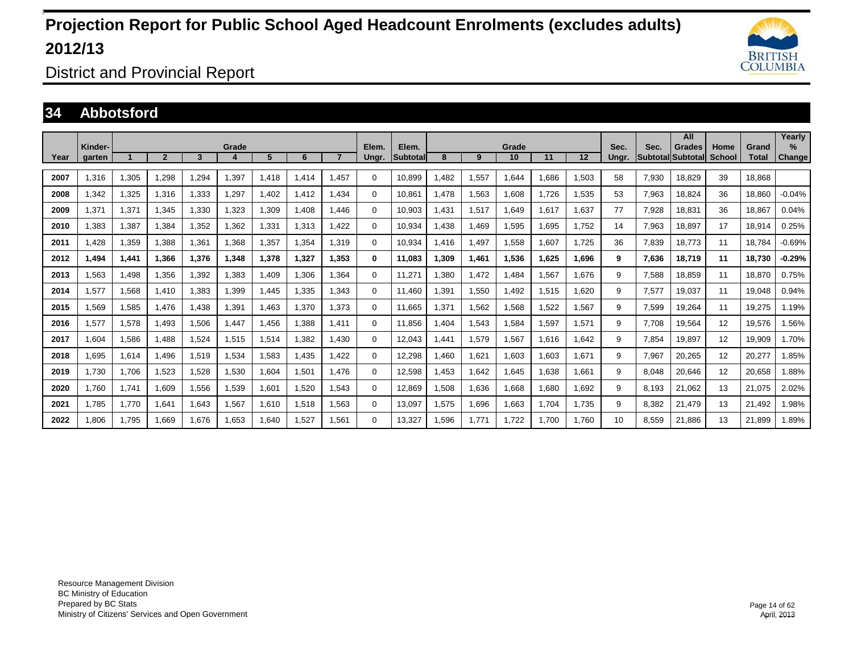

District and Provincial Report

### **34 Abbotsford**

|      | Kinder- |       |                |       |       |       |       |                |                |                   |        |       | Grade |       |       |               |                                  | All           | Home          |                       | Yearly<br>$\%$ |
|------|---------|-------|----------------|-------|-------|-------|-------|----------------|----------------|-------------------|--------|-------|-------|-------|-------|---------------|----------------------------------|---------------|---------------|-----------------------|----------------|
| Year | aarten  |       | $\overline{2}$ | 3     | Grade | 5     | 6     | $\overline{7}$ | Elem.<br>Unar. | Elem.<br>Subtotal | 8      | 9     | 10    | 11    | 12    | Sec.<br>Unar. | Sec.<br><b>Subtotal Subtotal</b> | <b>Grades</b> | <b>School</b> | Grand<br><b>Total</b> | <b>Change</b>  |
| 2007 | 1,316   | 1,305 | 1,298          | ,294  | .397  | 1,418 | 1.414 | 1.457          | $\Omega$       | 10.899            | .482   | 1,557 | .644  | 1.686 | 1,503 | 58            | 7,930                            | 18,829        | 39            | 18.868                |                |
| 2008 | 1.342   | 1,325 | 1.316          | 1,333 | 1,297 | 1,402 | 1.412 | 1.434          | 0              | 10.861            | 1.478  | 1,563 | 1,608 | 1.726 | 1,535 | 53            | 7,963                            | 18.824        | 36            | 18.860                | $-0.04%$       |
| 2009 | 1.371   | 1,371 | 1.345          | 1,330 | 1,323 | 1,309 | 1.408 | 1.446          | 0              | 10.903            | .431   | 1,517 | .649  | 1.617 | 1.637 | 77            | 7.928                            | 18.831        | 36            | 18.867                | 0.04%          |
| 2010 | .383    | 1,387 | 1,384          | 1,352 | 1,362 | 1,331 | 1,313 | 1.422          | 0              | 10,934            | ,438   | 1,469 | 1,595 | 1,695 | 1.752 | 14            | 7,963                            | 18,897        | 17            | 18,914                | 0.25%          |
| 2011 | .428    | 1,359 | 1,388          | 1,361 | 1,368 | 1,357 | 1,354 | 1.319          | 0              | 10,934            | 1,416  | 1,497 | 1,558 | 1,607 | 1.725 | 36            | 7.839                            | 18,773        | 11            | 18,784                | $-0.69%$       |
| 2012 | 1.494   | 1,441 | 1.366          | 1,376 | 1,348 | 1,378 | 1,327 | 1.353          | 0              | 11.083            | 309, ا | 1,461 | 1,536 | 1.625 | 1,696 | 9             | 7,636                            | 18,719        | 11            | 18.730                | -0.29%         |
| 2013 | .563    | 1.498 | 1.356          | 1,392 | .383  | .409  | 1.306 | 1.364          | 0              | 11,271            | .380   | 1.472 | .484  | 1,567 | 1.676 | 9             | 7.588                            | 18,859        | 11            | 18.870                | 0.75%          |
| 2014 | .577    | 1,568 | 1,410          | 1,383 | .399  | .445  | 1,335 | 1.343          | 0              | 11.460            | .391   | 1,550 | .492  | 1,515 | 1,620 | 9             | 7,577                            | 19,037        | 11            | 19,048                | 0.94%          |
| 2015 | 1.569   | 1,585 | 1.476          | 1,438 | 1,391 | 1,463 | 1,370 | 1.373          | 0              | 11.665            | .371   | 1,562 | .568  | 1,522 | 1,567 | 9             | 7,599                            | 19,264        | 11            | 19,275                | 1.19%          |
| 2016 | 1.577   | 1,578 | 1.493          | 1,506 | ,447  | 1.456 | 1.388 | 1.411          | 0              | 11.856            | .404   | 1,543 | 1,584 | 1,597 | 1.571 | 9             | 7.708                            | 19,564        | 12            | 19,576                | .56%           |
| 2017 | 1.604   | 1,586 | 1.488          | 1,524 | 1,515 | 1,514 | 1.382 | 1.430          | 0              | 12.043            | .441   | 1,579 | .567  | 1.616 | 1.642 | 9             | 7.854                            | 19.897        | 12            | 19.909                | 1.70%          |
| 2018 | .695    | 1,614 | 1,496          | 1,519 | 1,534 | 1,583 | 1,435 | 1.422          | 0              | 12,298            | ,460   | 1,621 | 1,603 | 1,603 | 1,671 | 9             | 7,967                            | 20,265        | 12            | 20,277                | 1.85%          |
| 2019 | 1,730   | 1,706 | 1,523          | 1,528 | 1,530 | 1,604 | 1,501 | 1.476          | 0              | 12,598            | ,453   | 1,642 | .645  | 1,638 | 1,661 | 9             | 8,048                            | 20,646        | 12            | 20,658                | .88%           |
| 2020 | 1.760   | 1,741 | 1,609          | 1,556 | 1,539 | 1,601 | 1,520 | 1.543          | 0              | 12,869            | .508   | 1,636 | .668  | 1,680 | 1,692 | 9             | 8.193                            | 21,062        | 13            | 21,075                | 2.02%          |
| 2021 | 1.785   | 1.770 | 1.641          | 1,643 | .567  | 1,610 | 1,518 | 1.563          | 0              | 13,097            | 1,575  | 1,696 | .663  | 1.704 | 1.735 | 9             | 8.382                            | 21.479        | 13            | 21.492                | 1.98%          |
| 2022 | 1.806   | 1,795 | 1.669          | 1,676 | 1,653 | .640  | 1,527 | 1.561          | $\Omega$       | 13,327            | .596   | 1,771 | 1,722 | 1.700 | 1.760 | 10            | 8.559                            | 21,886        | 13            | 21.899                | 1.89%          |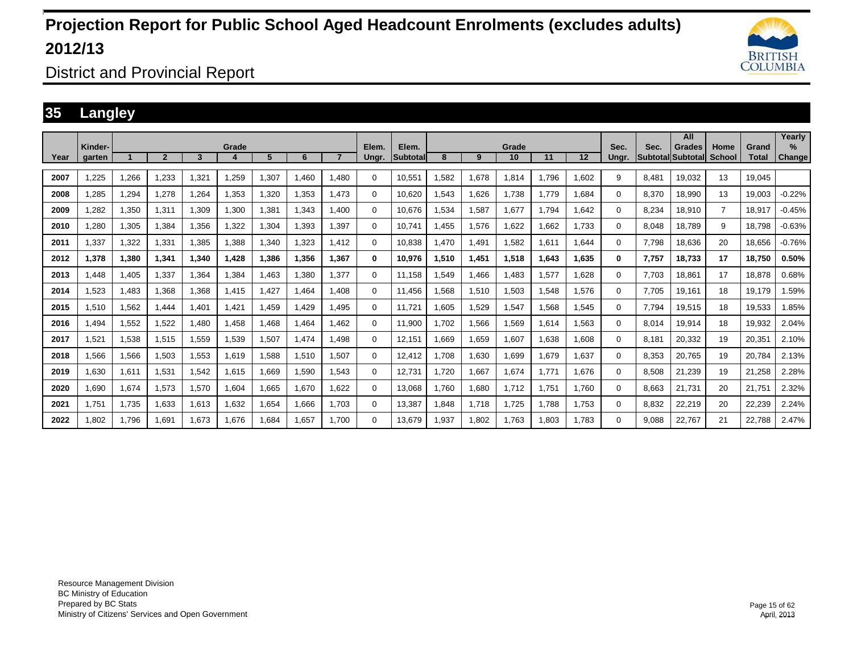

District and Provincial Report

### **35 Langley**

|      | Kinder- |       |                |       | Grade |             |       |       | Elem.       | Elem.           |       |       | Grade |       |       | Sec.     | Sec.              | All<br>Grades | Home           | Grand        | Yearly<br>$\%$ |
|------|---------|-------|----------------|-------|-------|-------------|-------|-------|-------------|-----------------|-------|-------|-------|-------|-------|----------|-------------------|---------------|----------------|--------------|----------------|
| Year | aarten  |       | $\overline{2}$ | 3     |       | 5           | 6     |       | Ungr.       | <b>Subtotal</b> | 8     | 9     | 10    | 11    | 12    | Unar.    | Subtotal Subtotal |               | School         | <b>Total</b> | <b>Change</b>  |
| 2007 | .225    | 1,266 | 1,233          | 1,321 | .259  | 1,307       | 1.460 | 1.480 | 0           | 10,551          | .582  | 1,678 | 1,814 | 1.796 | 1,602 | 9        | 8.481             | 19,032        | 13             | 19.045       |                |
| 2008 | .285    | 1.294 | 1.278          | 1.264 | 1,353 | 320, ا      | 1.353 | 1.473 | 0           | 10.620          | .543  | 1.626 | 1,738 | 1.779 | 1.684 | 0        | 8.370             | 18,990        | 13             | 19.003       | $-0.22%$       |
| 2009 | .282    | 1,350 | 1,311          | 1,309 | 1,300 | 381. ا      | 1.343 | 1,400 | 0           | 10.676          | .534  | 1,587 | 1,677 | 1.794 | 1,642 | 0        | 8,234             | 18,910        | $\overline{7}$ | 18.917       | $-0.45%$       |
| 2010 | ,280    | 1,305 | 1,384          | 1,356 | .322  | .304        | 1,393 | 1,397 | 0           | 10.741          | .455  | 1,576 | 1,622 | .662  | 1,733 | 0        | 8,048             | 18,789        | 9              | 18,798       | $-0.63%$       |
| 2011 | .337    | 1,322 | 1.331          | 1,385 | .388  | .340        | 1.323 | 1.412 | 0           | 10.838          | .470  | 1,491 | 1,582 | 1.611 | .644  | 0        | 7.798             | 18,636        | 20             | 18.656       | $-0.76%$       |
| 2012 | 1,378   | 1,380 | 1,341          | 1,340 | 1,428 | 386,        | 1,356 | 1,367 | 0           | 10,976          | 1,510 | 1,451 | 1,518 | 1,643 | 1,635 | 0        | 7,757             | 18,733        | 17             | 18,750       | 0.50%          |
| 2013 | .448    | 1.405 | 1.337          | 1,364 | .384  | .463        | 1.380 | 1,377 | $\mathbf 0$ | 11.158          | .549  | 1.466 | 1.483 | .577  | 1.628 | 0        | 7.703             | 18.861        | 17             | 18.878       | 0.68%          |
| 2014 | .523    | 1,483 | 1,368          | 1,368 | 1,415 | ,427        | 1.464 | 1.408 | $\Omega$    | 11.456          | .568  | 1,510 | 1,503 | .548  | 1.576 | $\Omega$ | 7.705             | 19.161        | 18             | 19.179       | .59%           |
| 2015 | 1.510   | 1.562 | 1.444          | 1,401 | 1,421 | ,459        | 1.429 | 1.495 | 0           | 11.721          | .605  | 1,529 | 1.547 | .568  | 1.545 | 0        | 7.794             | 19,515        | 18             | 19.533       | 1.85%          |
| 2016 | .494    | 1,552 | 1,522          | 1,480 | 1,458 | .468        | 1.464 | 1.462 | 0           | 11,900          | .702  | 1,566 | 1,569 | .614  | 1,563 | 0        | 8,014             | 19,914        | 18             | 19,932       | 2.04%          |
| 2017 | 1,521   | 1,538 | 1,515          | 1,559 | 1,539 | 1,507       | 1,474 | 1,498 | $\Omega$    | 12,151          | .669  | 1,659 | 1,607 | .638  | 1,608 | 0        | 8.181             | 20,332        | 19             | 20,351       | 2.10%          |
| 2018 | 1.566   | 1,566 | 1,503          | 1,553 | 1,619 | 1,588       | 1,510 | 1,507 | 0           | 12,412          | .708  | 1,630 | 1,699 | 1.679 | 1,637 | $\Omega$ | 8,353             | 20.765        | 19             | 20.784       | 2.13%          |
| 2019 | 1,630   | 1,611 | 1,531          | 1,542 | 1,615 | <b>.669</b> | 1,590 | 1,543 | $\Omega$    | 12,731          | .720  | 1,667 | 1,674 | 1.771 | 1,676 | $\Omega$ | 8,508             | 21,239        | 19             | 21,258       | 2.28%          |
| 2020 | 1.690   | 1,674 | 1.573          | 1,570 | 1.604 | .665        | 1.670 | 1.622 | 0           | 13,068          | .760  | 1,680 | 1.712 | 1.751 | 1.760 | $\Omega$ | 8.663             | 21.731        | 20             | 21.751       | 2.32%          |
| 2021 | 1.751   | 1,735 | 1,633          | 1,613 | 1,632 | 1,654       | 1,666 | 1.703 | $\mathbf 0$ | 13,387          | .848  | 1,718 | 1,725 | .788  | 1.753 | 0        | 8,832             | 22,219        | 20             | 22,239       | 2.24%          |
| 2022 | .802    | 1.796 | 1,691          | 1,673 | 1,676 | .684        | 1,657 | 1.700 | 0           | 13,679          | .937  | 1,802 | 1,763 | .803  | 1.783 | $\Omega$ | 9,088             | 22,767        | 21             | 22,788       | 2.47%          |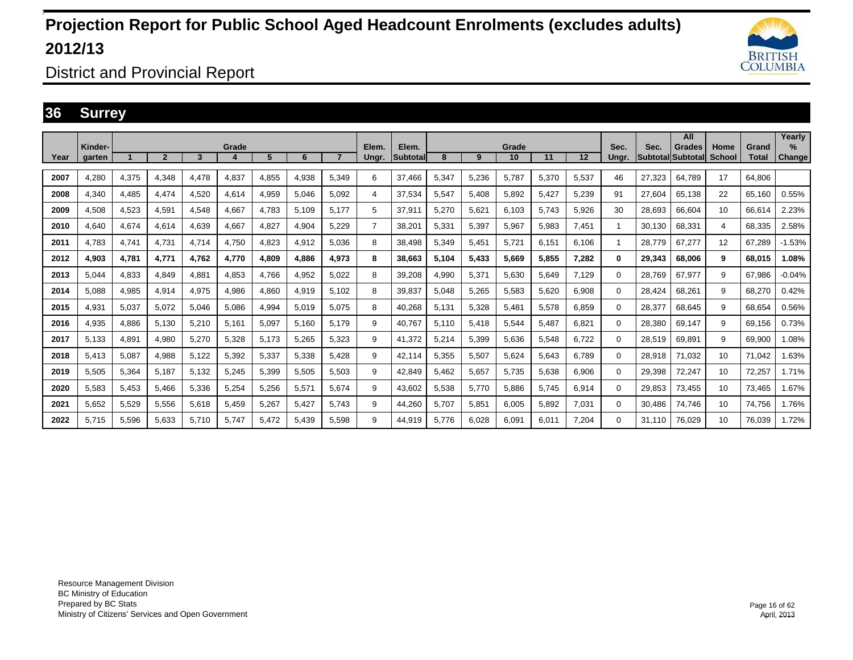

District and Provincial Report

### **36 Surrey**

|      | Kinder- |       |              |       | Grade                  |       |       |       | Elem. | Elem.           |       |       | Grade |       |       | Sec.     | Sec.   | All<br>Grades            | Home   | Grand        | Yearly<br>%   |
|------|---------|-------|--------------|-------|------------------------|-------|-------|-------|-------|-----------------|-------|-------|-------|-------|-------|----------|--------|--------------------------|--------|--------------|---------------|
| Year | aarten  |       | $\mathbf{2}$ | 3     | $\boldsymbol{\Lambda}$ | 5     | 6     |       | Ungr. | <b>Subtotal</b> | 8     | 9     | 10    | 11    | 12    | Unar.    |        | <b>SubtotallSubtotal</b> | School | <b>Total</b> | <b>Change</b> |
| 2007 | 4.280   | 4.375 | 4.348        | 4.478 | 4.837                  | 4.855 | 4.938 | 5.349 | 6     | 37.466          | 5,347 | 5,236 | 5.787 | 5.370 | 5.537 | 46       | 27.323 | 64.789                   | 17     | 64.806       |               |
| 2008 | 4.340   | 4,485 | 4.474        | 4,520 | 4,614                  | 4,959 | 5,046 | 5,092 | 4     | 37,534          | 5,547 | 5,408 | 5,892 | 5.427 | 5,239 | 91       | 27.604 | 65,138                   | 22     | 65,160       | 0.55%         |
| 2009 | 4.508   | 4,523 | 4.591        | 4.548 | 4,667                  | 4.783 | 5.109 | 5,177 | 5     | 37,911          | 5,270 | 5,621 | 6,103 | 5.743 | 5,926 | 30       | 28.693 | 66.604                   | 10     | 66.614       | 2.23%         |
| 2010 | 4.640   | 4.674 | 4.614        | 4.639 | 4.667                  | 4,827 | 4,904 | 5.229 | 7     | 38.201          | 5,331 | 5,397 | 5.967 | 5.983 | 7.451 | 1        | 30.130 | 68.331                   | 4      | 68.335       | 2.58%         |
| 2011 | 4.783   | 4,741 | 4.731        | 4.714 | 4,750                  | 4,823 | 4,912 | 5.036 | 8     | 38.498          | 5,349 | 5,451 | 5,721 | 6.151 | 6.106 |          | 28.779 | 67,277                   | 12     | 67.289       | $-1.53%$      |
| 2012 | 4.903   | 4,781 | 4.771        | 4.762 | 4,770                  | 4,809 | 4.886 | 4,973 | 8     | 38.663          | 5,104 | 5,433 | 5.669 | 5.855 | 7.282 | 0        | 29.343 | 68,006                   | 9      | 68.015       | 1.08%         |
| 2013 | 5,044   | 4,833 | 4,849        | 4,881 | 4,853                  | 4,766 | 4,952 | 5,022 | 8     | 39,208          | 4,990 | 5,371 | 5,630 | 5,649 | 7.129 | $\Omega$ | 28,769 | 67,977                   | 9      | 67,986       | $-0.04%$      |
| 2014 | 5.088   | 4,985 | 4,914        | 4,975 | 4,986                  | 4,860 | 4,919 | 5.102 | 8     | 39,837          | 5,048 | 5,265 | 5,583 | 5,620 | 6,908 | $\Omega$ | 28.424 | 68,261                   | 9      | 68,270       | 0.42%         |
| 2015 | 4,931   | 5,037 | 5,072        | 5.046 | 5.086                  | 4,994 | 5,019 | 5.075 | 8     | 40,268          | 5,131 | 5,328 | 5.481 | 5.578 | 6.859 | 0        | 28,377 | 68.645                   | 9      | 68.654       | 0.56%         |
| 2016 | 4,935   | 4,886 | 5,130        | 5,210 | 5,161                  | 5,097 | 5,160 | 5.179 | 9     | 40,767          | 5,110 | 5,418 | 5,544 | 5.487 | 6,821 | $\Omega$ | 28,380 | 69,147                   | 9      | 69,156       | 0.73%         |
| 2017 | 5.133   | 4,891 | 4,980        | 5,270 | 5,328                  | 5.173 | 5,265 | 5.323 | 9     | 41,372          | 5,214 | 5,399 | 5,636 | 5,548 | 6.722 | $\Omega$ | 28,519 | 69,891                   | 9      | 69,900       | 1.08%         |
| 2018 | 5.413   | 5,087 | 4,988        | 5,122 | 5,392                  | 5,337 | 5,338 | 5.428 | 9     | 42.114          | 5,355 | 5,507 | 5,624 | 5.643 | 6.789 | $\Omega$ | 28.918 | 71.032                   | 10     | 71.042       | 1.63%         |
| 2019 | 5,505   | 5,364 | 5,187        | 5,132 | 5,245                  | 5,399 | 5,505 | 5,503 | 9     | 42,849          | 5,462 | 5,657 | 5,735 | 5,638 | 6,906 | $\Omega$ | 29,398 | 72,247                   | 10     | 72,257       | 1.71%         |
| 2020 | 5,583   | 5,453 | 5,466        | 5,336 | 5,254                  | 5,256 | 5,571 | 5,674 | 9     | 43,602          | 5,538 | 5,770 | 5,886 | 5.745 | 6,914 | $\Omega$ | 29,853 | 73,455                   | 10     | 73,465       | 1.67%         |
| 2021 | 5.652   | 5,529 | 5,556        | 5,618 | 5,459                  | 5,267 | 5,427 | 5.743 | 9     | 44,260          | 5.707 | 5,851 | 6,005 | 5.892 | 7,031 | $\Omega$ | 30.486 | 74.746                   | 10     | 74,756       | 1.76%         |
| 2022 | 5.715   | 5,596 | 5,633        | 5,710 | 5,747                  | 5,472 | 5,439 | 5,598 | 9     | 44,919          | 5.776 | 6,028 | 6,091 | 6.011 | 7,204 | 0        | 31.110 | 76.029                   | 10     | 76.039       | 1.72%         |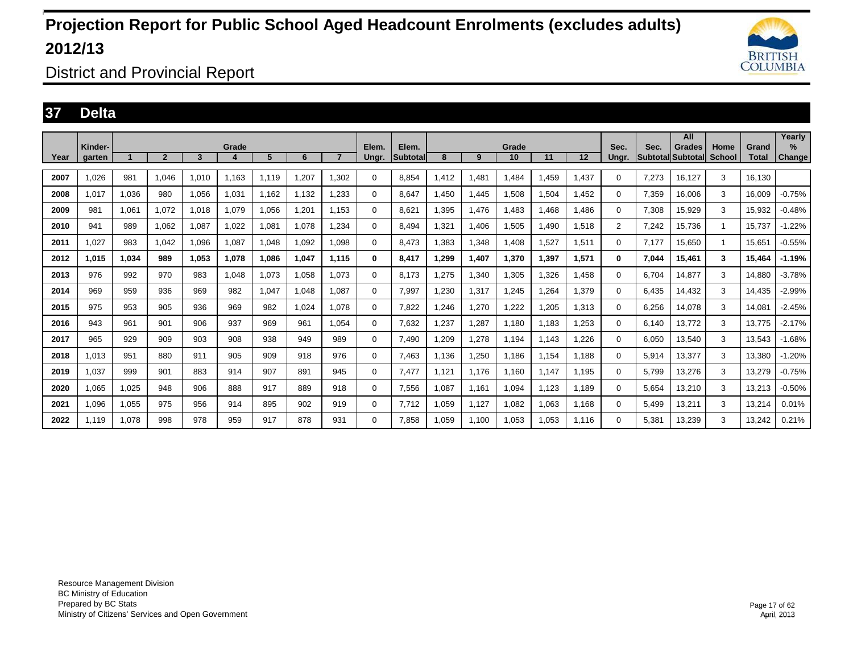

District and Provincial Report

### **37 Delta**

|      | Kinder- |       |                |       | Grade |       |       |                | Elem.    | Elem.           |       |       | Grade |       |       | Sec.           | Sec.  | All<br>Grades            | Home          | Grand        | Yearly<br>$\%$ |
|------|---------|-------|----------------|-------|-------|-------|-------|----------------|----------|-----------------|-------|-------|-------|-------|-------|----------------|-------|--------------------------|---------------|--------------|----------------|
| Year | aarten  |       | $\overline{2}$ | 3     | Δ     | 5     | 6     | $\overline{7}$ | Ungr.    | <b>Subtotal</b> | 8     | 9     | 10    | 11    | 12    | Unar.          |       | <b>Subtotal Subtotal</b> | <b>School</b> | <b>Total</b> | <b>Change</b>  |
| 2007 | 1.026   | 981   | 1.046          | 1.010 | 1.163 | 1.119 | 1.207 | 1.302          | $\Omega$ | 8.854           | 1.412 | 1.481 | 1.484 | 1.459 | 1.437 | 0              | 7.273 | 16.127                   | 3             | 16.130       |                |
| 2008 | 1.017   | 1,036 | 980            | 1,056 | 1,031 | 1,162 | 1,132 | 1,233          | $\Omega$ | 8.647           | .450  | 1,445 | 1,508 | 1,504 | 1.452 | 0              | 7,359 | 16,006                   | 3             | 16.009       | $-0.75%$       |
| 2009 | 981     | 1,061 | 1.072          | 1.018 | 1,079 | 1,056 | 1.201 | 1.153          | 0        | 8.621           | .395  | 1,476 | 1,483 | 1.468 | l.486 | 0              | 7,308 | 15,929                   | 3             | 15.932       | $-0.48%$       |
| 2010 | 941     | 989   | 1.062          | 1.087 | 1.022 | 1.081 | 1.078 | 1.234          | 0        | 8.494           | 1.321 | 1.406 | 1.505 | 1.490 | 1.518 | $\overline{2}$ | 7.242 | 15.736                   | -1            | 15.737       | $-1.22%$       |
| 2011 | 1.027   | 983   | 1.042          | 1,096 | 1,087 | 1,048 | 1,092 | 1,098          | 0        | 8.473           | .383  | 1,348 | 1,408 | 1,527 | 1,511 | 0              | 7.177 | 15,650                   | -1            | 15.651       | $-0.55%$       |
| 2012 | 1.015   | 1.034 | 989            | 1.053 | 1,078 | 1.086 | 1.047 | 1.115          | 0        | 8.417           | 1.299 | 1,407 | 1,370 | 1,397 | 1,571 | 0              | 7.044 | 15.461                   | 3             | 15.464       | $-1.19%$       |
| 2013 | 976     | 992   | 970            | 983   | 1,048 | 1,073 | 1,058 | 1,073          | 0        | 8.173           | .275  | 1,340 | 1,305 | 1,326 | l,458 | 0              | 6.704 | 14,877                   | 3             | 14,880       | $-3.78%$       |
| 2014 | 969     | 959   | 936            | 969   | 982   | 1,047 | 1,048 | 1.087          | $\Omega$ | 7,997           | .230  | 1,317 | 1,245 | 1,264 | 1,379 | 0              | 6.435 | 14,432                   | 3             | 14,435       | $-2.99%$       |
| 2015 | 975     | 953   | 905            | 936   | 969   | 982   | 1.024 | 1.078          | 0        | 7.822           | .246  | 1,270 | 1,222 | 1.205 | 1,313 | 0              | 6,256 | 14.078                   | 3             | 14.081       | $-2.45%$       |
| 2016 | 943     | 961   | 901            | 906   | 937   | 969   | 961   | 1.054          | 0        | 7,632           | ,237  | 1,287 | 1,180 | 1,183 | 1,253 | 0              | 6.140 | 13,772                   | 3             | 13.775       | $-2.17%$       |
| 2017 | 965     | 929   | 909            | 903   | 908   | 938   | 949   | 989            | 0        | 7.490           | .209  | 1,278 | 1,194 | 1.143 | .226  | 0              | 6,050 | 13,540                   | 3             | 13,543       | $-1.68%$       |
| 2018 | 1.013   | 951   | 880            | 911   | 905   | 909   | 918   | 976            | 0        | 7.463           | 1.136 | 1,250 | 1,186 | 1,154 | 1.188 | 0              | 5,914 | 13,377                   | 3             | 13,380       | $-1.20%$       |
| 2019 | 1,037   | 999   | 901            | 883   | 914   | 907   | 891   | 945            | 0        | 7,477           | 1,121 | 1,176 | 1,160 | 1.147 | 1,195 | 0              | 5,799 | 13,276                   | 3             | 13,279       | $-0.75%$       |
| 2020 | 1,065   | 1,025 | 948            | 906   | 888   | 917   | 889   | 918            | 0        | 7,556           | 1,087 | 1,161 | 1,094 | 1,123 | 1,189 | 0              | 5,654 | 13,210                   | 3             | 13,213       | $-0.50%$       |
| 2021 | 1.096   | 1,055 | 975            | 956   | 914   | 895   | 902   | 919            | 0        | 7,712           | 1,059 | 1,127 | 1,082 | 1,063 | 1,168 | 0              | 5.499 | 13,211                   | 3             | 13,214       | 0.01%          |
| 2022 | 1.119   | 1,078 | 998            | 978   | 959   | 917   | 878   | 931            | $\Omega$ | 7.858           | 1,059 | 1,100 | 1,053 | 1,053 | 1,116 | 0              | 5,381 | 13,239                   | 3             | 13,242       | 0.21%          |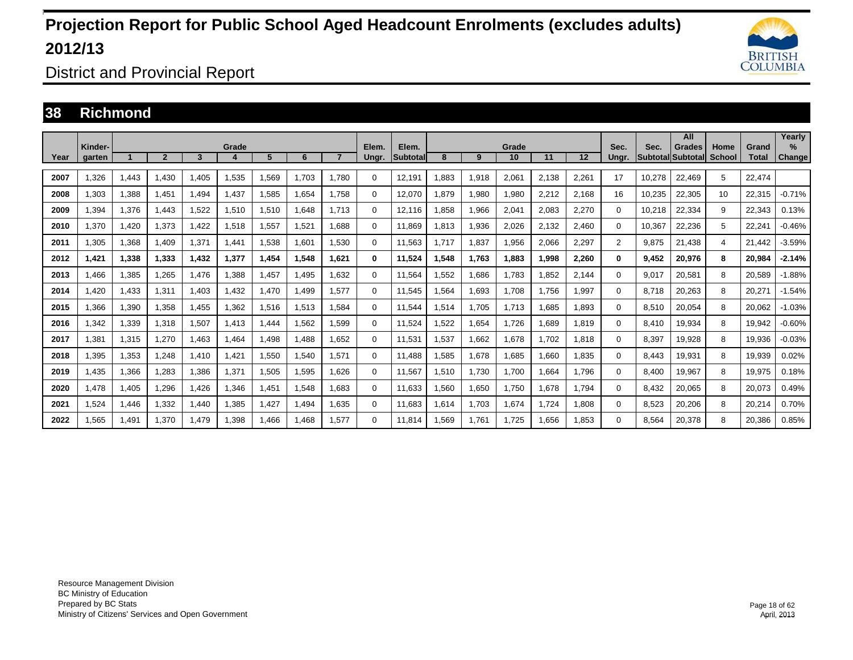

District and Provincial Report

#### **38 Richmond**

|      | Kinder- |       |                |       | Grade                  |       |       |       | Elem.    | Elem.           |       |       | Grade |       |       | Sec.           | Sec.                     | All<br><b>Grades</b> | Home          | Grand        | Yearly<br>$\%$ |
|------|---------|-------|----------------|-------|------------------------|-------|-------|-------|----------|-----------------|-------|-------|-------|-------|-------|----------------|--------------------------|----------------------|---------------|--------------|----------------|
| Year | aarten  |       | $\overline{2}$ | 3     | $\boldsymbol{\Lambda}$ | 5     | 6     |       | Ungr.    | <b>Subtotal</b> | 8     | 9     | 10    | 11    | 12    | Unar.          | <b>SubtotallSubtotal</b> |                      | <b>School</b> | <b>Total</b> | <b>Change</b>  |
| 2007 | ,326    | 1,443 | 1,430          | 1,405 | 1,535                  | 1,569 | 1.703 | 1.780 | $\Omega$ | 12,191          | ,883  | 1,918 | 2,061 | 2,138 | 2,261 | 17             | 10,278                   | 22,469               | 5             | 22.474       |                |
| 2008 | 1.303   | 1.388 | 1.451          | 1.494 | .437                   | 1,585 | 1.654 | 1.758 | 0        | 12.070          | 1.879 | 1,980 | 1,980 | 2,212 | 2,168 | 16             | 10.235                   | 22,305               | 10            | 22.315       | $-0.71%$       |
| 2009 | .394    | 1,376 | 1.443          | 1,522 | 1,510                  | 1,510 | 1.648 | 1.713 | 0        | 12,116          | .858  | 1,966 | 2,041 | 2,083 | 2,270 | $\Omega$       | 10,218                   | 22,334               | 9             | 22,343       | 0.13%          |
| 2010 | .370    | 1,420 | 1.373          | 1.422 | 1,518                  | 1,557 | 1.521 | 1.688 | 0        | 11.869          | 1,813 | 1,936 | 2,026 | 2,132 | 2.460 | 0              | 10.367                   | 22,236               | 5             | 22.241       | $-0.46%$       |
| 2011 | 1.305   | 1.368 | 1.409          | 1,371 | 1.441                  | 1,538 | 1.601 | 1.530 | 0        | 11.563          | 1.717 | 1,837 | 1,956 | 2.066 | 2,297 | $\overline{2}$ | 9.875                    | 21.438               | 4             | 21.442       | $-3.59%$       |
| 2012 | 1,421   | 1,338 | 1,333          | 1,432 | 1,377                  | 1,454 | 1,548 | 1,621 | 0        | 11,524          | 1,548 | 1,763 | 1.883 | 1,998 | 2,260 | 0              | 9.452                    | 20,976               | 8             | 20.984       | $-2.14%$       |
| 2013 | .466    | 1,385 | 1.265          | 1.476 | .388                   | 1.457 | 1.495 | 1.632 | 0        | 11.564          | .552  | 1.686 | 1.783 | 1.852 | 2.144 | $\Omega$       | 9.017                    | 20.581               | 8             | 20.589       | $-1.88%$       |
| 2014 | .420    | 1,433 | 1.311          | 1,403 | .432                   | .470  | 1.499 | 1.577 | $\Omega$ | 11.545          | .564  | 1,693 | 1,708 | 1.756 | 1,997 | $\Omega$       | 8.718                    | 20,263               | 8             | 20,271       | $-1.54%$       |
| 2015 | .366    | 1,390 | 1.358          | 1.455 | 1,362                  | 1,516 | 1,513 | 1.584 | 0        | 11.544          | 1,514 | 1.705 | 1.713 | 1.685 | 1.893 | 0              | 8.510                    | 20,054               | 8             | 20.062       | $-1.03%$       |
| 2016 | .342    | 1,339 | 1,318          | 1,507 | 1,413                  | .444  | 1,562 | 1,599 | 0        | 11,524          | .522  | 1,654 | 1,726 | 1,689 | 1,819 | $\Omega$       | 8.410                    | 19,934               | 8             | 19,942       | $-0.60%$       |
| 2017 | ,381    | 1,315 | 1,270          | 1,463 | .464                   | 1,498 | 1.488 | 1,652 | 0        | 11,531          | ,537  | 1,662 | 1,678 | 1.702 | 1,818 | 0              | 8,397                    | 19,928               | 8             | 19,936       | $-0.03%$       |
| 2018 | .395    | 1,353 | 1.248          | 1,410 | ,421                   | 1,550 | 1.540 | 1.571 | 0        | 11.488          | .585  | 1,678 | .685  | 1.660 | 1.835 | $\Omega$       | 8.443                    | 19.931               | 8             | 19,939       | 0.02%          |
| 2019 | .435    | 1,366 | 1,283          | 1,386 | 1,371                  | 1,505 | 1,595 | 1,626 | $\Omega$ | 11,567          | ,510  | 1,730 | 1,700 | 1,664 | 1.796 | $\Omega$       | 8,400                    | 19,967               | 8             | 19,975       | 0.18%          |
| 2020 | 1.478   | 1,405 | 1,296          | 1.426 | 1,346                  | 1,451 | 1,548 | 1.683 | 0        | 11.633          | .560  | 1,650 | 1,750 | 1.678 | 1.794 | $\Omega$       | 8.432                    | 20,065               | 8             | 20,073       | 0.49%          |
| 2021 | 1,524   | 1,446 | 1,332          | 1,440 | 1,385                  | 1,427 | 1,494 | 1,635 | $\Omega$ | 11,683          | 1,614 | 1,703 | 1,674 | 1,724 | 1,808 | $\Omega$       | 8,523                    | 20,206               | 8             | 20,214       | 0.70%          |
| 2022 | 1.565   | 1.491 | 1.370          | 1.479 | 1.398                  | 1.466 | 1.468 | 1.577 | 0        | 11.814          | 1.569 | 1.761 | 1.725 | 1.656 | 1.853 | $\Omega$       | 8.564                    | 20.378               | 8             | 20,386       | 0.85%          |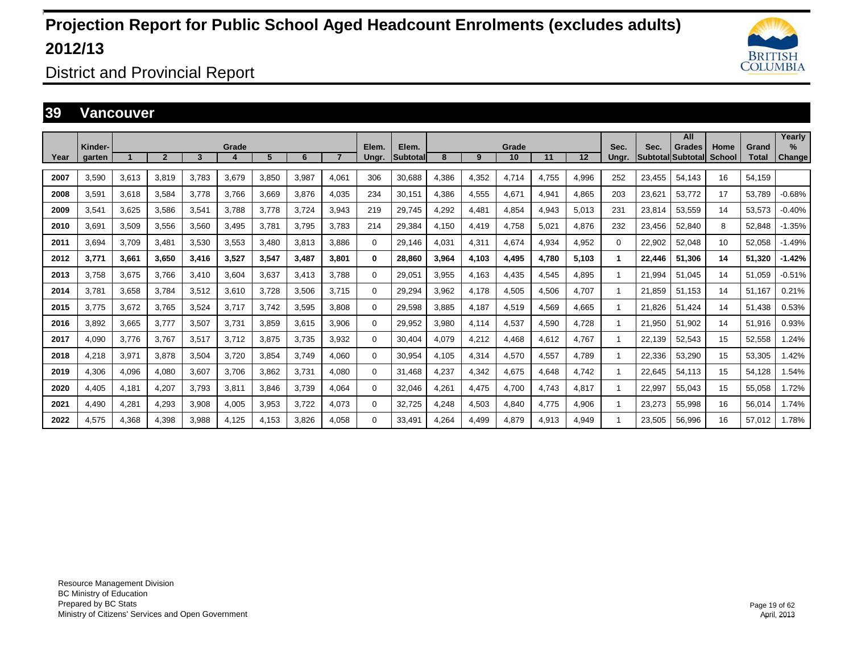

District and Provincial Report

#### **39 Vancouver**

|      |                   |       |                |       |       |       |       |       |                |                   |       |       |             |       |       |               |        | All                                       |                       |                       | Yearly                |
|------|-------------------|-------|----------------|-------|-------|-------|-------|-------|----------------|-------------------|-------|-------|-------------|-------|-------|---------------|--------|-------------------------------------------|-----------------------|-----------------------|-----------------------|
| Year | Kinder-<br>aarten |       | $\overline{2}$ | 3     | Grade | 5     | 6     |       | Elem.<br>Ungr. | Elem.<br>Subtotal | 8     | 9     | Grade<br>10 | 11    | 12    | Sec.<br>Unar. | Sec.   | <b>Grades</b><br><b>Subtotal Subtotal</b> | Home<br><b>School</b> | Grand<br><b>Total</b> | $\%$<br><b>Change</b> |
|      |                   |       |                |       |       |       |       |       |                |                   |       |       |             |       |       |               |        |                                           |                       |                       |                       |
| 2007 | 3,590             | 3,613 | 3,819          | 3,783 | 3,679 | 3,850 | 3,987 | 4,061 | 306            | 30,688            | 4,386 | 4,352 | 4,714       | 4,755 | 4,996 | 252           | 23,455 | 54,143                                    | 16                    | 54,159                |                       |
| 2008 | 3,591             | 3,618 | 3,584          | 3,778 | 3,766 | 3,669 | 3,876 | 4,035 | 234            | 30,151            | 4,386 | 4,555 | 4,671       | 4,941 | 4,865 | 203           | 23,621 | 53,772                                    | 17                    | 53,789                | $-0.68%$              |
| 2009 | 3,541             | 3,625 | 3,586          | 3,541 | 3,788 | 3.778 | 3,724 | 3,943 | 219            | 29,745            | 4,292 | 4,481 | 4,854       | 4,943 | 5,013 | 231           | 23,814 | 53,559                                    | 14                    | 53,573                | $-0.40%$              |
| 2010 | 3.691             | 3,509 | 3.556          | 3,560 | 3,495 | 3,78' | 3.795 | 3.783 | 214            | 29,384            | 4.150 | 4,419 | 4,758       | 5.021 | 4.876 | 232           | 23,456 | 52,840                                    | 8                     | 52.848                | $-1.35%$              |
| 2011 | 3.694             | 3,709 | 3.481          | 3,530 | 3,553 | 3,480 | 3,813 | 3.886 | $\Omega$       | 29,146            | 4.031 | 4,311 | 4.674       | 4.934 | 4,952 | $\Omega$      | 22,902 | 52,048                                    | 10                    | 52.058                | $-1.49%$              |
| 2012 | 3,771             | 3,661 | 3,650          | 3,416 | 3,527 | 3,547 | 3,487 | 3,801 | 0              | 28,860            | 3,964 | 4,103 | 4,495       | 4.780 | 5,103 |               | 22,446 | 51,306                                    | 14                    | 51,320                | $-1.42%$              |
| 2013 | 3,758             | 3,675 | 3,766          | 3,410 | 3,604 | 3,637 | 3,413 | 3.788 | $\Omega$       | 29,051            | 3,955 | 4,163 | 4,435       | 4,545 | 4,895 |               | 21,994 | 51,045                                    | 14                    | 51.059                | $-0.51%$              |
| 2014 | 3.781             | 3,658 | 3,784          | 3,512 | 3,610 | 3,728 | 3,506 | 3.715 | $\Omega$       | 29,294            | 3,962 | 4,178 | 4,505       | 4,506 | 4,707 |               | 21,859 | 51.153                                    | 14                    | 51.167                | 0.21%                 |
| 2015 | 3.775             | 3,672 | 3,765          | 3,524 | 3,717 | 3.742 | 3,595 | 3.808 | 0              | 29,598            | 3,885 | 4,187 | 4,519       | 4,569 | 4,665 |               | 21.826 | 51.424                                    | 14                    | 51.438                | 0.53%                 |
| 2016 | 3.892             | 3,665 | 3.777          | 3,507 | 3,731 | 3,859 | 3,615 | 3,906 | 0              | 29,952            | 3,980 | 4,114 | 4,537       | 4,590 | 4.728 |               | 21,950 | 51.902                                    | 14                    | 51,916                | 0.93%                 |
| 2017 | 4.090             | 3,776 | 3.767          | 3,517 | 3,712 | 3,875 | 3.735 | 3.932 | $\Omega$       | 30,404            | 4.079 | 4,212 | 4.468       | 4,612 | 4.767 |               | 22,139 | 52,543                                    | 15                    | 52,558                | 1.24%                 |
| 2018 | 4,218             | 3,971 | 3,878          | 3,504 | 3,720 | 3,854 | 3.749 | 4,060 | $\Omega$       | 30,954            | 4,105 | 4,314 | 4,570       | 4,557 | 4,789 |               | 22,336 | 53,290                                    | 15                    | 53,305                | 1.42%                 |
| 2019 | 4,306             | 4,096 | 4,080          | 3,607 | 3,706 | 3,862 | 3,731 | 4,080 | 0              | 31,468            | 4,237 | 4,342 | 4,675       | 4,648 | 4,742 |               | 22,645 | 54,113                                    | 15                    | 54,128                | 1.54%                 |
| 2020 | 4,405             | 4,181 | 4,207          | 3,793 | 3,811 | 3,846 | 3.739 | 4,064 | $\Omega$       | 32,046            | 4,261 | 4,475 | 4,700       | 4.743 | 4,817 |               | 22,997 | 55,043                                    | 15                    | 55,058                | 1.72%                 |
| 2021 | 4,490             | 4,281 | 4,293          | 3,908 | 4,005 | 3,953 | 3.722 | 4,073 | 0              | 32,725            | 4.248 | 4,503 | 4,840       | 4.775 | 4,906 |               | 23,273 | 55,998                                    | 16                    | 56,014                | 1.74%                 |
| 2022 | 4.575             | 4.368 | 4.398          | 3.988 | 4.125 | 4.153 | 3.826 | 4.058 | $\Omega$       | 33.491            | 4.264 | 4.499 | 4.879       | 4.913 | 4.949 |               | 23.505 | 56.996                                    | 16                    | 57.012                | 1.78%                 |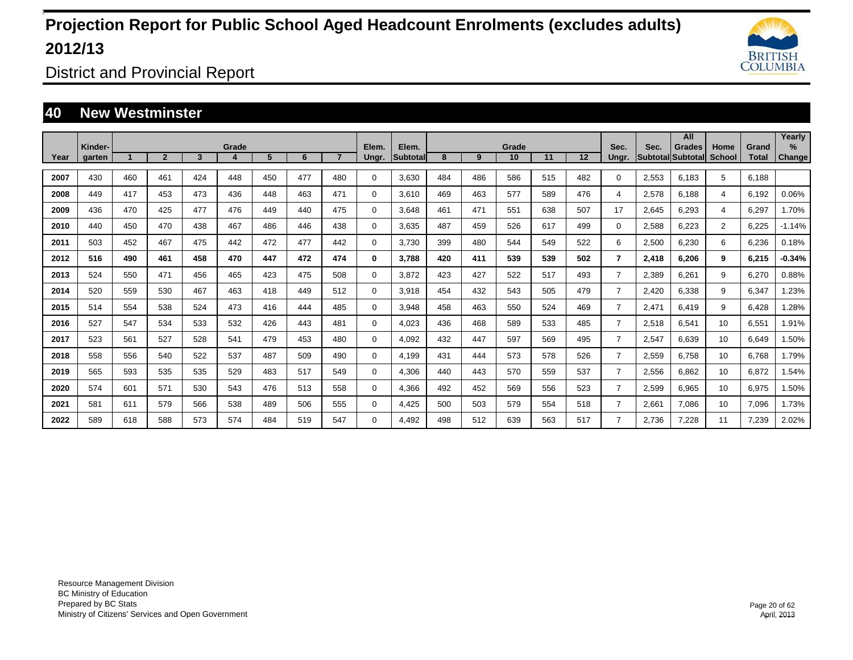

District and Provincial Report

### **40 New Westminster**

|      |                   |     |                |     |       |     |     |     |                |                           |     |     |             |     |     |                |       | All                          |                |                       | Yearly                         |
|------|-------------------|-----|----------------|-----|-------|-----|-----|-----|----------------|---------------------------|-----|-----|-------------|-----|-----|----------------|-------|------------------------------|----------------|-----------------------|--------------------------------|
| Year | Kinder-<br>garten |     | $\overline{2}$ | 3   | Grade | 5   | 6   |     | Elem.<br>Ungr. | Elem.<br><b>Subtotall</b> | 8   | 9   | Grade<br>10 | 11  | 12  | Sec.<br>Ungr.  | Sec.  | Grades<br> Subtotal Subtotal | Home<br>School | Grand<br><b>Total</b> | $\frac{9}{6}$<br><b>Change</b> |
|      |                   |     |                |     |       |     |     |     |                |                           |     |     |             |     |     |                |       |                              |                |                       |                                |
| 2007 | 430               | 460 | 461            | 424 | 448   | 450 | 477 | 480 | $\Omega$       | 3,630                     | 484 | 486 | 586         | 515 | 482 | $\Omega$       | 2,553 | 6,183                        | 5              | 6.188                 |                                |
| 2008 | 449               | 417 | 453            | 473 | 436   | 448 | 463 | 471 | $\Omega$       | 3.610                     | 469 | 463 | 577         | 589 | 476 | 4              | 2,578 | 6.188                        | 4              | 6,192                 | 0.06%                          |
| 2009 | 436               | 470 | 425            | 477 | 476   | 449 | 440 | 475 | 0              | 3,648                     | 461 | 471 | 551         | 638 | 507 | 17             | 2,645 | 6,293                        | 4              | 6,297                 | 1.70%                          |
| 2010 | 440               | 450 | 470            | 438 | 467   | 486 | 446 | 438 | 0              | 3,635                     | 487 | 459 | 526         | 617 | 499 | 0              | 2,588 | 6,223                        | $\overline{2}$ | 6,225                 | $-1.14%$                       |
| 2011 | 503               | 452 | 467            | 475 | 442   | 472 | 477 | 442 | 0              | 3,730                     | 399 | 480 | 544         | 549 | 522 | 6              | 2,500 | 6,230                        | 6              | 6,236                 | 0.18%                          |
| 2012 | 516               | 490 | 461            | 458 | 470   | 447 | 472 | 474 | $\bf{0}$       | 3,788                     | 420 | 411 | 539         | 539 | 502 | 7              | 2,418 | 6,206                        | 9              | 6,215                 | $-0.34%$                       |
| 2013 | 524               | 550 | 471            | 456 | 465   | 423 | 475 | 508 | 0              | 3,872                     | 423 | 427 | 522         | 517 | 493 | $\overline{7}$ | 2,389 | 6,261                        | 9              | 6,270                 | 0.88%                          |
| 2014 | 520               | 559 | 530            | 467 | 463   | 418 | 449 | 512 | 0              | 3,918                     | 454 | 432 | 543         | 505 | 479 | $\overline{7}$ | 2,420 | 6,338                        | 9              | 6,347                 | 1.23%                          |
| 2015 | 514               | 554 | 538            | 524 | 473   | 416 | 444 | 485 | $\Omega$       | 3,948                     | 458 | 463 | 550         | 524 | 469 | $\overline{7}$ | 2,471 | 6.419                        | 9              | 6.428                 | .28%                           |
| 2016 | 527               | 547 | 534            | 533 | 532   | 426 | 443 | 481 | 0              | 4,023                     | 436 | 468 | 589         | 533 | 485 | $\overline{7}$ | 2,518 | 6,541                        | 10             | 6,551                 | 1.91%                          |
| 2017 | 523               | 561 | 527            | 528 | 541   | 479 | 453 | 480 | 0              | 4,092                     | 432 | 447 | 597         | 569 | 495 | $\overline{7}$ | 2,547 | 6.639                        | 10             | 6,649                 | 1.50%                          |
| 2018 | 558               | 556 | 540            | 522 | 537   | 487 | 509 | 490 | 0              | 4,199                     | 431 | 444 | 573         | 578 | 526 | $\overline{7}$ | 2,559 | 6,758                        | 10             | 6,768                 | 1.79%                          |
| 2019 | 565               | 593 | 535            | 535 | 529   | 483 | 517 | 549 | 0              | 4,306                     | 440 | 443 | 570         | 559 | 537 | $\overline{7}$ | 2,556 | 6,862                        | 10             | 6,872                 | .54%                           |
| 2020 | 574               | 601 | 571            | 530 | 543   | 476 | 513 | 558 | 0              | 4,366                     | 492 | 452 | 569         | 556 | 523 | $\overline{7}$ | 2,599 | 6,965                        | 10             | 6,975                 | .50%                           |
| 2021 | 581               | 611 | 579            | 566 | 538   | 489 | 506 | 555 | 0              | 4,425                     | 500 | 503 | 579         | 554 | 518 | $\overline{7}$ | 2,661 | 7,086                        | 10             | 7,096                 | 1.73%                          |
| 2022 | 589               | 618 | 588            | 573 | 574   | 484 | 519 | 547 | $\Omega$       | 4.492                     | 498 | 512 | 639         | 563 | 517 | 7              | 2,736 | 7,228                        | 11             | 7,239                 | 2.02%                          |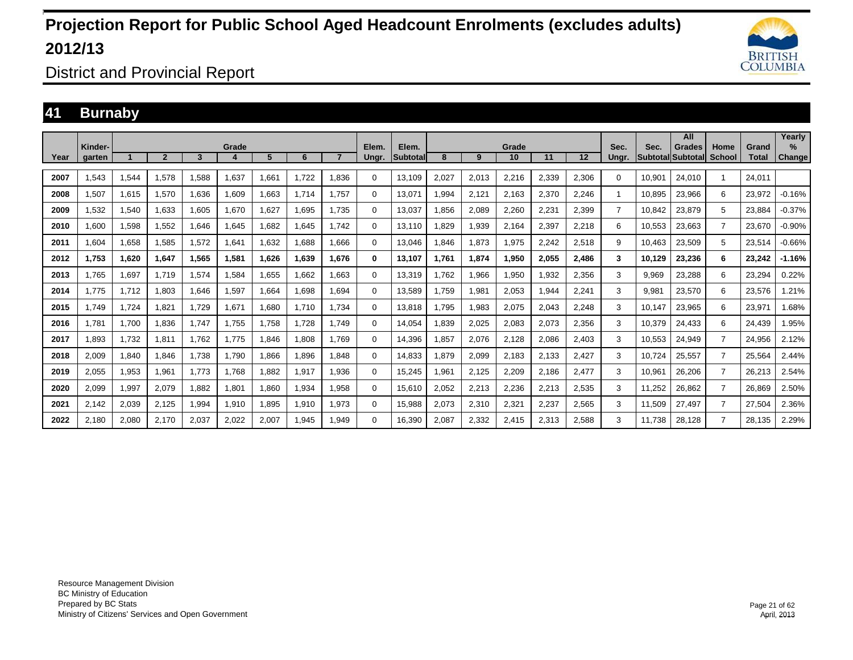

District and Provincial Report

### **41 Burnaby**

|      |                   |       |              |       |       |       |       |                |                |                   |       |       |             |       |       |                |                            | All           |                       |                       | Yearly         |
|------|-------------------|-------|--------------|-------|-------|-------|-------|----------------|----------------|-------------------|-------|-------|-------------|-------|-------|----------------|----------------------------|---------------|-----------------------|-----------------------|----------------|
| Year | Kinder-<br>garten |       | $\mathbf{p}$ | 3     | Grade | 5     | 6     | $\overline{ }$ | Elem.<br>Ungr. | Elem.<br>Subtotal | 8     | 9     | Grade<br>10 | 11    | 12    | Sec.<br>Unar.  | Sec.<br> Subtotal Subtotal | <b>Grades</b> | Home<br><b>School</b> | Grand<br><b>Total</b> | $\%$<br>Change |
| 2007 | 1.543             | 1,544 | 1.578        | 1,588 | 1,637 | 661.  | 1.722 | 1.836          | 0              | 13.109            | 2,027 | 2,013 | 2,216       | 2,339 | 2,306 | $\Omega$       | 10.901                     | 24.010        | -1                    | 24.011                |                |
| 2008 | 1.507             | 1.615 | 1.570        | 1.636 | 1,609 | .663  | 1.714 | 1.757          | 0              | 13.071            | 1.994 | 2,121 | 2.163       | 2.370 | 2.246 |                | 10.895                     | 23.966        | 6                     | 23.972                | $-0.16%$       |
| 2009 | 1,532             | 1,540 | 1,633        | 1,605 | 1,670 | 1,627 | 1,695 | 1.735          | 0              | 13,037            | .856  | 2,089 | 2,260       | 2,231 | 2,399 | $\overline{7}$ | 10,842                     | 23,879        | 5                     | 23,884                | $-0.37%$       |
| 2010 | 1.600             | 1,598 | 1,552        | 1.646 | 1,645 | .682  | 1.645 | 1.742          | 0              | 13.110            | .829  | 1,939 | 2,164       | 2,397 | 2,218 | 6              | 10,553                     | 23,663        | $\overline{7}$        | 23.670                | $-0.90%$       |
| 2011 | 1.604             | 1.658 | 1.585        | 1,572 | 1,641 | 1.632 | 1.688 | 1.666          | 0              | 13.046            | .846  | 1,873 | 1.975       | 2.242 | 2.518 | 9              | 10.463                     | 23,509        | 5                     | 23,514                | $-0.66%$       |
| 2012 | 1.753             | 1,620 | 1,647        | 1,565 | 1,581 | 1,626 | 1,639 | 1.676          | 0              | 13.107            | 1,761 | 1,874 | 1,950       | 2,055 | 2.486 | 3              | 10.129                     | 23,236        | 6                     | 23.242                | $-1.16%$       |
| 2013 | 1.765             | 1,697 | 1.719        | 1,574 | .584  | 1,655 | 1.662 | 1.663          | 0              | 13.319            | .762  | 1,966 | 1,950       | 1.932 | 2,356 | 3              | 9.969                      | 23,288        | 6                     | 23,294                | 0.22%          |
| 2014 | 1.775             | 1.712 | 1.803        | 1.646 | .597  | 1.664 | 1.698 | 1.694          | 0              | 13.589            | 1.759 | 1,981 | 2,053       | 1.944 | 2.241 | 3              | 9.981                      | 23.570        | 6                     | 23,576                | .21%           |
| 2015 | 1.749             | 1,724 | 1,821        | 1,729 | 1,671 | 1,680 | 1,710 | 1.734          | 0              | 13,818            | ,795  | 1,983 | 2,075       | 2,043 | 2,248 | 3              | 10.147                     | 23,965        | 6                     | 23,971                | .68%           |
| 2016 | 1.781             | 1,700 | 1,836        | 1,747 | 1,755 | 1,758 | 1.728 | 1.749          | 0              | 14,054            | ,839  | 2,025 | 2,083       | 2,073 | 2,356 | 3              | 10,379                     | 24,433        | 6                     | 24.439                | .95%           |
| 2017 | .893              | 1,732 | 1.811        | 1.762 | 1.775 | 846.  | 1.808 | 1.769          | 0              | 14,396            | .857  | 2,076 | 2,128       | 2.086 | 2,403 | 3              | 10.553                     | 24,949        | $\overline{7}$        | 24.956                | 2.12%          |
| 2018 | 2,009             | 1,840 | 1,846        | 1,738 | 1,790 | 866,  | 1,896 | 1.848          | $\Omega$       | 14,833            | ,879  | 2,099 | 2,183       | 2,133 | 2,427 | 3              | 10,724                     | 25,557        | 7                     | 25,564                | 2.44%          |
| 2019 | 2,055             | 1,953 | 1,961        | 1.773 | 1.768 | .882  | 1,917 | 1.936          | 0              | 15,245            | .961  | 2,125 | 2,209       | 2,186 | 2,477 | 3              | 10,961                     | 26,206        | $\overline{7}$        | 26,213                | 2.54%          |
| 2020 | 2.099             | 1,997 | 2.079        | 1.882 | 1,801 | 1.860 | 1,934 | 1.958          | $\Omega$       | 15.610            | 2,052 | 2,213 | 2,236       | 2,213 | 2,535 | 3              | 11,252                     | 26.862        | $\overline{7}$        | 26.869                | 2.50%          |
| 2021 | 2,142             | 2,039 | 2,125        | 1,994 | 1,910 | 1,895 | 1,910 | 1,973          | $\Omega$       | 15,988            | 2,073 | 2,310 | 2,321       | 2,237 | 2,565 | 3              | 11,509                     | 27,497        | $\overline{7}$        | 27,504                | 2.36%          |
| 2022 | 2.180             | 2,080 | 2.170        | 2.037 | 2.022 | 2.007 | 1.945 | 1.949          | 0              | 16.390            | 2.087 | 2,332 | 2.415       | 2,313 | 2.588 | 3              | 11.738                     | 28.128        | $\overline{7}$        | 28.135                | 2.29%          |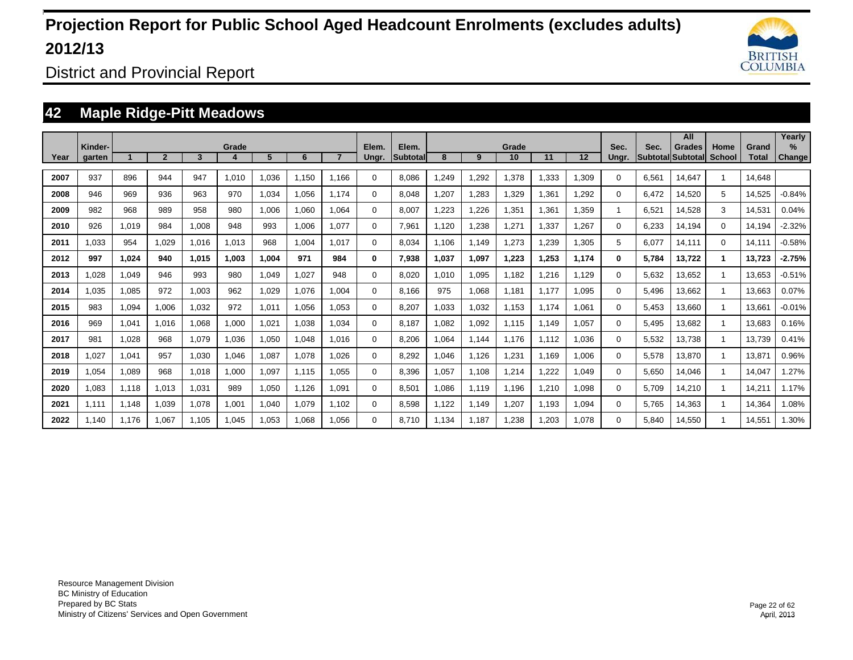

District and Provincial Report

### **42 Maple Ridge-Pitt Meadows**

|      |                   |       |              |       |       |       |       |       |                |                          |       |       |             |       |       |               |       | All                                |                       |                       | Yearly                |
|------|-------------------|-------|--------------|-------|-------|-------|-------|-------|----------------|--------------------------|-------|-------|-------------|-------|-------|---------------|-------|------------------------------------|-----------------------|-----------------------|-----------------------|
| Year | Kinder-<br>garten |       | $\mathbf{2}$ | 3     | Grade | 5     | 6     |       | Elem.<br>Ungr. | Elem.<br><b>Subtotal</b> | 8     | 9     | Grade<br>10 | 11    | 12    | Sec.<br>Ungr. | Sec.  | <b>Grades</b><br>Subtotal Subtotal | Home<br><b>School</b> | Grand<br><b>Total</b> | $\%$<br><b>Change</b> |
| 2007 | 937               | 896   | 944          | 947   | 1,010 | 1,036 | 1,150 | 1.166 | $\Omega$       | 8,086                    | ,249  | 1,292 | 1,378       | ,333  | 1,309 | 0             | 6,561 | 14,647                             |                       | 14.648                |                       |
| 2008 | 946               | 969   | 936          | 963   | 970   | 1,034 | 1,056 | 1.174 | $\Omega$       | 8,048                    | ,207  | 1,283 | 1,329       | ,361  | 1,292 | $\Omega$      | 6.472 | 14,520                             | 5                     | 14,525                | $-0.84%$              |
| 2009 | 982               | 968   | 989          | 958   | 980   | 1,006 | 1,060 | 1.064 | $\Omega$       | 8,007                    | ,223  | 1,226 | 1,351       | ,361  | 1,359 |               | 6,521 | 14,528                             | 3                     | 14,531                | 0.04%                 |
| 2010 | 926               | 1,019 | 984          | 1,008 | 948   | 993   | 1,006 | 1,077 | $\Omega$       | 7,961                    | 1,120 | 1,238 | 1,271       | ,337  | 1,267 | $\Omega$      | 6,233 | 14,194                             | $\Omega$              | 14,194                | $-2.32%$              |
| 2011 | 1,033             | 954   | 1,029        | 1,016 | 1,013 | 968   | 1,004 | 1.017 | $\Omega$       | 8,034                    | 1,106 | 1,149 | .273        | 1,239 | 1,305 | 5             | 6,077 | 14,111                             | $\Omega$              | 14.111                | $-0.58%$              |
| 2012 | 997               | 1,024 | 940          | 1,015 | 1,003 | 1,004 | 971   | 984   | 0              | 7,938                    | 1,037 | 1,097 | 1,223       | 1,253 | 1,174 | 0             | 5,784 | 13,722                             | 1                     | 13,723                | $-2.75%$              |
| 2013 | 0.028             | 1,049 | 946          | 993   | 980   | 1,049 | 1,027 | 948   | $\Omega$       | 8,020                    | 1,010 | 1,095 | 1,182       | ,216  | 1,129 | 0             | 5,632 | 13,652                             |                       | 13,653                | $-0.51%$              |
| 2014 | .035              | 1,085 | 972          | 1,003 | 962   | 1,029 | 1,076 | 1.004 | $\Omega$       | 8.166                    | 975   | 1,068 | 1,181       | 1.177 | 1,095 | 0             | 5,496 | 13,662                             |                       | 13,663                | 0.07%                 |
| 2015 | 983               | 1,094 | 1,006        | 1,032 | 972   | 1,011 | 1,056 | 1.053 | 0              | 8,207                    | 1,033 | 1,032 | 1,153       | 1.174 | 1,061 | 0             | 5,453 | 13,660                             |                       | 13,661                | $-0.01%$              |
| 2016 | 969               | 1,041 | 1.016        | 1,068 | 1,000 | 1,021 | 1,038 | 1,034 | $\Omega$       | 8.187                    | 1,082 | 1,092 | 1,115       | 1.149 | 1,057 | 0             | 5,495 | 13,682                             | 1                     | 13,683                | 0.16%                 |
| 2017 | 981               | 1,028 | 968          | 1,079 | 1,036 | 1,050 | 1,048 | 1.016 | $\Omega$       | 8,206                    | ,064  | 1,144 | 1.176       | 1.112 | 1,036 | $\Omega$      | 5,532 | 13,738                             | -1                    | 13,739                | 0.41%                 |
| 2018 | 1,027             | 1,041 | 957          | 1,030 | 1,046 | 1,087 | 1,078 | 1.026 | $\Omega$       | 8,292                    | 1,046 | 1,126 | .231        | 1.169 | 1,006 | $\Omega$      | 5,578 | 13,870                             | -1                    | 13,871                | 0.96%                 |
| 2019 | .054              | 1,089 | 968          | 1,018 | 1,000 | 1,097 | 1,115 | 1,055 | $\Omega$       | 8,396                    | 1,057 | 1,108 | .214        | 1,222 | 1,049 | 0             | 5,650 | 14,046                             |                       | 14.047                | .27%                  |
| 2020 | 1,083             | 1,118 | 1,013        | 1,031 | 989   | 1,050 | 1,126 | 1,091 | $\Omega$       | 8,501                    | 1,086 | 1,119 | 1,196       | 1,210 | 1,098 | 0             | 5,709 | 14,210                             |                       | 14,21'                | 1.17%                 |
| 2021 | 1.111             | 1,148 | 1,039        | 1,078 | 1,001 | 1,040 | 1,079 | 1.102 | $\Omega$       | 8,598                    | 1,122 | 1,149 | .207        | 1.193 | 1,094 | $\Omega$      | 5.765 | 14,363                             |                       | 14,364                | 1.08%                 |
| 2022 | 1.140             | 1.176 | 1.067        | 1.105 | 1,045 | 1,053 | 1,068 | 1.056 | $\Omega$       | 8.710                    | 1.134 | 1,187 | .238        | .203  | 1.078 | 0             | 5.840 | 14,550                             |                       | 14.551                | 1.30%                 |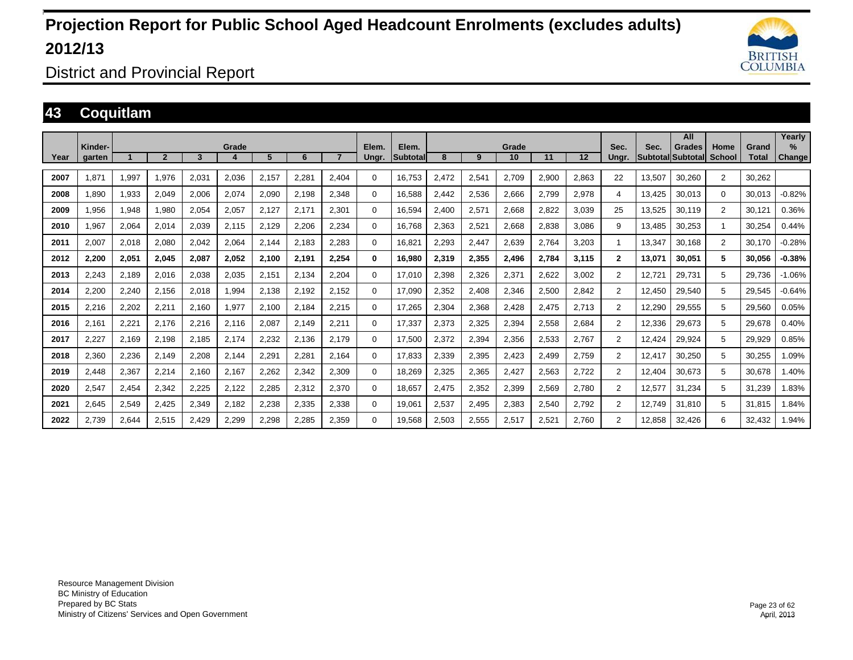

District and Provincial Report

### **43 Coquitlam**

|      | Kinder- |       |       |       | Grade |       |       |       |                | Elem.    |       |       | Grade |       |       | Sec.                 | Sec.                     | All           | Home           | Grand        | Yearly<br>$\%$ |
|------|---------|-------|-------|-------|-------|-------|-------|-------|----------------|----------|-------|-------|-------|-------|-------|----------------------|--------------------------|---------------|----------------|--------------|----------------|
| Year | garten  |       |       | 3     |       | 5     | 6     |       | Elem.<br>Ungr. | Subtotal | 8     | 9     | 10    | 11    | 12    | Unar.                | <b>Subtotal Subtotal</b> | <b>Grades</b> | <b>School</b>  | <b>Total</b> | <b>Change</b>  |
| 2007 | 1,871   | 1.997 | 1.976 | 2.031 | 2.036 | 2.157 | 2,281 | 2,404 | 0              | 16.753   | 2.472 | 2,541 | 2,709 | 2.900 | 2,863 | 22                   | 13,507                   | 30.260        | $\overline{2}$ | 30.262       |                |
| 2008 | 1,890   | 1,933 | 2,049 | 2,006 | 2,074 | 2,090 | 2,198 | 2,348 | $\Omega$       | 16,588   | 2,442 | 2,536 | 2,666 | 2,799 | 2,978 | 4                    | 13,425                   | 30,013        | $\Omega$       | 30,013       | $-0.82%$       |
| 2009 | 1,956   | 1,948 | 1,980 | 2.054 | 2,057 | 2,127 | 2.171 | 2,301 | $\mathbf 0$    | 16.594   | 2.400 | 2,571 | 2,668 | 2.822 | 3.039 | 25                   | 13,525                   | 30.119        | $\overline{2}$ | 30.121       | 0.36%          |
| 2010 | 1,967   | 2,064 | 2,014 | 2,039 | 2,115 | 2,129 | 2,206 | 2,234 | $\Omega$       | 16.768   | 2,363 | 2,521 | 2,668 | 2,838 | 3,086 | 9                    | 13,485                   | 30,253        | -1             | 30,254       | 0.44%          |
| 2011 | 2,007   | 2,018 | 2,080 | 2.042 | 2,064 | 2,144 | 2.183 | 2.283 | $\mathbf 0$    | 16,821   | 2.293 | 2,447 | 2,639 | 2.764 | 3,203 |                      | 13,347                   | 30,168        | $\overline{2}$ | 30.170       | $-0.28%$       |
| 2012 | 2.200   | 2,051 | 2.045 | 2.087 | 2.052 | 2.100 | 2.191 | 2.254 | $\bf{0}$       | 16.980   | 2.319 | 2,355 | 2,496 | 2.784 | 3.115 | $\mathbf{2}$         | 13.071                   | 30.051        | 5              | 30.056       | $-0.38%$       |
| 2013 | 2,243   | 2,189 | 2,016 | 2,038 | 2,035 | 2,151 | 2,134 | 2,204 | $\Omega$       | 17,010   | 2,398 | 2,326 | 2,371 | 2,622 | 3,002 | $\overline{2}$       | 12,721                   | 29,731        | 5              | 29,736       | $-1.06%$       |
| 2014 | 2,200   | 2,240 | 2,156 | 2,018 | 1,994 | 2,138 | 2,192 | 2.152 | $\mathbf 0$    | 17,090   | 2,352 | 2,408 | 2,346 | 2,500 | 2,842 | $\overline{2}$       | 12,450                   | 29,540        | 5              | 29,545       | $-0.64%$       |
| 2015 | 2,216   | 2,202 | 2,211 | 2,160 | 1,977 | 2,100 | 2,184 | 2,215 | 0              | 17,265   | 2,304 | 2,368 | 2,428 | 2,475 | 2,713 | $\overline{2}$       | 12,290                   | 29,555        | 5              | 29,560       | 0.05%          |
| 2016 | 2,161   | 2,221 | 2.176 | 2,216 | 2,116 | 2,087 | 2,149 | 2,211 | 0              | 17,337   | 2,373 | 2,325 | 2,394 | 2,558 | 2,684 | $\overline{2}$       | 12,336                   | 29,673        | 5              | 29,678       | 0.40%          |
| 2017 | 2,227   | 2,169 | 2,198 | 2,185 | 2,174 | 2,232 | 2,136 | 2,179 | 0              | 17,500   | 2,372 | 2,394 | 2,356 | 2,533 | 2,767 | $\overline{2}$       | 12,424                   | 29,924        | 5              | 29,929       | 0.85%          |
| 2018 | 2,360   | 2,236 | 2,149 | 2,208 | 2,144 | 2,291 | 2,281 | 2.164 | $\mathbf 0$    | 17,833   | 2,339 | 2,395 | 2,423 | 2,499 | 2,759 | $\overline{2}$       | 12,417                   | 30,250        | 5              | 30,255       | 1.09%          |
| 2019 | 2,448   | 2,367 | 2,214 | 2,160 | 2,167 | 2,262 | 2,342 | 2,309 | $\Omega$       | 18,269   | 2,325 | 2,365 | 2,427 | 2,563 | 2.722 | $\mathbf{2}^{\circ}$ | 12.404                   | 30.673        | 5              | 30.678       | 1.40%          |
| 2020 | 2,547   | 2,454 | 2,342 | 2,225 | 2,122 | 2,285 | 2,312 | 2,370 | $\Omega$       | 18,657   | 2,475 | 2,352 | 2,399 | 2,569 | 2,780 | $\overline{2}$       | 12,577                   | 31,234        | 5              | 31.239       | 1.83%          |
| 2021 | 2,645   | 2,549 | 2,425 | 2,349 | 2,182 | 2,238 | 2,335 | 2,338 | $\mathbf 0$    | 19,061   | 2,537 | 2,495 | 2,383 | 2,540 | 2,792 | $\overline{2}$       | 12.749                   | 31.810        | 5              | 31.815       | 1.84%          |
| 2022 | 2,739   | 2,644 | 2,515 | 2,429 | 2,299 | 2,298 | 2,285 | 2,359 | 0              | 19,568   | 2,503 | 2,555 | 2,517 | 2,521 | 2,760 | $\overline{2}$       | 12,858                   | 32,426        | 6              | 32,432       | 1.94%          |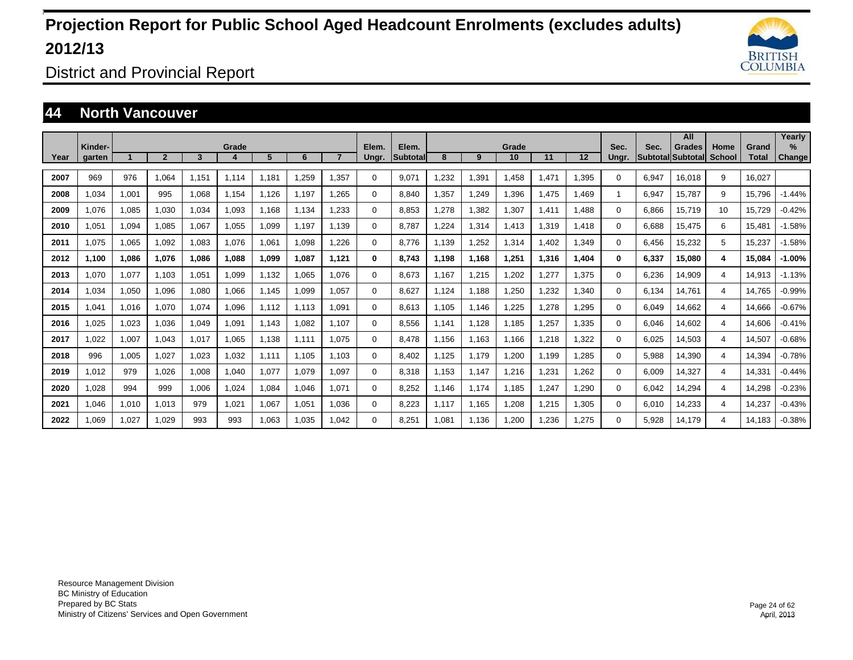

District and Provincial Report

#### **44 North Vancouver**

|      |                   |       |                |       |       |       |       |                |                |                   |       |       |             |       |       |               |                                  | All           |                       |                       | Yearly                |
|------|-------------------|-------|----------------|-------|-------|-------|-------|----------------|----------------|-------------------|-------|-------|-------------|-------|-------|---------------|----------------------------------|---------------|-----------------------|-----------------------|-----------------------|
| Year | Kinder-<br>garten |       | $\overline{2}$ | 3     | Grade | 5     | 6     | $\overline{7}$ | Elem.<br>Ungr. | Elem.<br>Subtotal | 8     | 9     | Grade<br>10 | 11    | 12    | Sec.<br>Unar. | Sec.<br><b>SubtotallSubtotal</b> | <b>Grades</b> | Home<br><b>School</b> | Grand<br><b>Total</b> | $\%$<br><b>Change</b> |
|      |                   |       |                |       |       |       |       |                |                |                   |       |       |             |       |       |               |                                  |               |                       |                       |                       |
| 2007 | 969               | 976   | 1.064          | 1.151 | 1.114 | 1.181 | 1.259 | 1.357          | $\Omega$       | 9.071             | .232  | 1,391 | .458        | 1.471 | 1.395 | 0             | 6.947                            | 16.018        | 9                     | 16.027                |                       |
| 2008 | 1.034             | 1,001 | 995            | 1,068 | 1,154 | 1,126 | 1.197 | 1.265          | 0              | 8.840             | ,357  | 1,249 | .396        | 1,475 | 1.469 |               | 6,947                            | 15,787        | 9                     | 15,796                | $-1.44%$              |
| 2009 | 1.076             | 1,085 | 1,030          | 1,034 | 1,093 | 1.168 | 1.134 | 1.233          | 0              | 8,853             | .278  | 1,382 | .307        | 1.411 | 1.488 | $\Omega$      | 6.866                            | 15,719        | 10                    | 15,729                | $-0.42%$              |
| 2010 | .051              | 1,094 | 1,085          | 1,067 | 1,055 | 1,099 | 1.197 | 1.139          | 0              | 8.787             | ,224  | 1,314 | 1.413       | 1,319 | 1.418 | 0             | 6.688                            | 15.475        | 6                     | 15.481                | $-1.58%$              |
| 2011 | 1.075             | 1,065 | 1,092          | 1.083 | 1.076 | 1.061 | 1.098 | 1.226          | 0              | 8.776             | 1.139 | 1,252 | 1.314       | .402  | 1.349 | $\Omega$      | 6.456                            | 15,232        | 5                     | 15.237                | $-1.58%$              |
| 2012 | 1,100             | 1,086 | 1,076          | 1,086 | 1,088 | 1,099 | 1,087 | 1,121          | 0              | 8,743             | 1,198 | 1,168 | 1,251       | 1,316 | 1,404 | 0             | 6,337                            | 15,080        | 4                     | 15,084                | $-1.00%$              |
| 2013 | 1.070             | 1,077 | 1,103          | 1,051 | 1,099 | 1,132 | 1,065 | 1.076          | $\Omega$       | 8.673             | 1.167 | 1,215 | .202        | 1,277 | 1,375 | $\Omega$      | 6,236                            | 14,909        | 4                     | 14,913                | $-1.13%$              |
| 2014 | 1.034             | 1,050 | 1,096          | 1,080 | 1.066 | 1.145 | 1,099 | 1.057          | 0              | 8.627             | 1.124 | 1.188 | .250        | 1,232 | 1,340 | $\Omega$      | 6.134                            | 14,761        | 4                     | 14.765                | $-0.99%$              |
| 2015 | 1.041             | 1,016 | 1.070          | 1.074 | 1.096 | 1.112 | 1,113 | 1.091          | 0              | 8.613             | 1.105 | 1.146 | .225        | 1.278 | 1.295 | 0             | 6.049                            | 14.662        | 4                     | 14.666                | $-0.67%$              |
| 2016 | 1,025             | 1,023 | 1,036          | 1,049 | 1,091 | 1,143 | 1,082 | 1.107          | $\Omega$       | 8,556             | 1,141 | 1,128 | 1,185       | 1,257 | 1,335 | $\Omega$      | 6,046                            | 14,602        | 4                     | 14,606                | $-0.41%$              |
| 2017 | 1,022             | 1,007 | 1,043          | 1,017 | 1,065 | 1,138 | 1,111 | 1.075          | 0              | 8.478             | 1,156 | 1,163 | 1,166       | 1,218 | 1,322 | 0             | 6,025                            | 14,503        | 4                     | 14,507                | $-0.68%$              |
| 2018 | 996               | 1,005 | 1,027          | 1,023 | 1,032 | 1.111 | 1.105 | 1.103          | 0              | 8.402             | 1,125 | 1,179 | .200        | 1.199 | 1,285 | $\Omega$      | 5,988                            | 14,390        | 4                     | 14,394                | $-0.78%$              |
| 2019 | 1.012             | 979   | 1,026          | 1.008 | 1,040 | 1,077 | 1,079 | 1.097          | $\Omega$       | 8.318             | 1.153 | 1,147 | 1,216       | 1,231 | 1,262 | 0             | 6.009                            | 14,327        | 4                     | 14.331                | $-0.44%$              |
| 2020 | 1,028             | 994   | 999            | 1,006 | 1,024 | 1,084 | 1,046 | 1,071          | $\Omega$       | 8,252             | 1,146 | 1,174 | 1,185       | 1,247 | 1,290 | 0             | 6,042                            | 14,294        | 4                     | 14,298                | $-0.23%$              |
| 2021 | 1.046             | 1,010 | 1.013          | 979   | 1,021 | 1,067 | 1,051 | 1.036          | 0              | 8,223             | 1,117 | 1,165 | 1,208       | 1,215 | 1,305 | $\Omega$      | 6,010                            | 14,233        | 4                     | 14,237                | $-0.43%$              |
| 2022 | 1.069             | 1.027 | 1.029          | 993   | 993   | 1.063 | 1.035 | 1.042          | $\Omega$       | 8.251             | 1.081 | 1.136 | 1,200       | 1.236 | 1.275 | 0             | 5.928                            | 14.179        | 4                     | 14.183                | $-0.38%$              |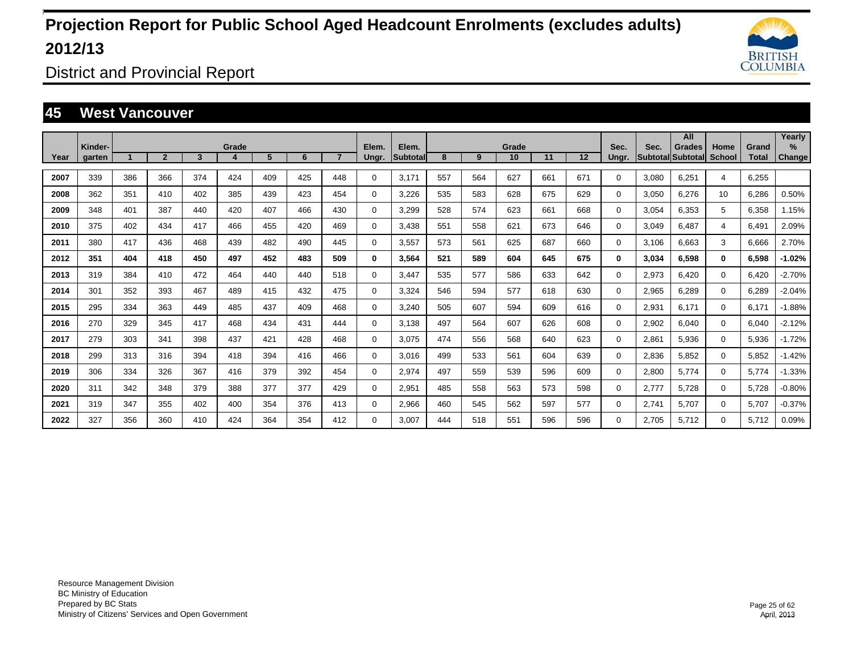

District and Provincial Report

#### **45 West Vancouver**

|      |                   |     |                |     |            |     |     |                |                |                    |     |     |             |     |                   |               |                         | All                       |                       |                       | Yearly         |
|------|-------------------|-----|----------------|-----|------------|-----|-----|----------------|----------------|--------------------|-----|-----|-------------|-----|-------------------|---------------|-------------------------|---------------------------|-----------------------|-----------------------|----------------|
| Year | Kinder-<br>garten |     | $\overline{2}$ | 3   | Grade<br>4 | 5   | 6   | $\overline{7}$ | Elem.<br>Ungr. | Elem.<br>Subtotall | 8   | 9   | Grade<br>10 | 11  | $12 \overline{ }$ | Sec.<br>Ungr. | Sec.<br><b>Subtotal</b> | <b>Grades</b><br>Subtotal | Home<br><b>School</b> | Grand<br><b>Total</b> | $\%$<br>Change |
|      |                   |     |                |     |            |     |     |                |                |                    |     |     |             |     |                   |               |                         |                           |                       |                       |                |
| 2007 | 339               | 386 | 366            | 374 | 424        | 409 | 425 | 448            | 0              | 3.171              | 557 | 564 | 627         | 661 | 671               | $\Omega$      | 3,080                   | 6.251                     | 4                     | 6.255                 |                |
| 2008 | 362               | 351 | 410            | 402 | 385        | 439 | 423 | 454            | 0              | 3,226              | 535 | 583 | 628         | 675 | 629               | $\Omega$      | 3,050                   | 6.276                     | 10                    | 6.286                 | 0.50%          |
| 2009 | 348               | 401 | 387            | 440 | 420        | 407 | 466 | 430            | 0              | 3,299              | 528 | 574 | 623         | 661 | 668               | $\Omega$      | 3,054                   | 6,353                     | 5                     | 6,358                 | 1.15%          |
| 2010 | 375               | 402 | 434            | 417 | 466        | 455 | 420 | 469            | 0              | 3,438              | 551 | 558 | 621         | 673 | 646               | $\Omega$      | 3,049                   | 6,487                     | 4                     | 6,491                 | 2.09%          |
| 2011 | 380               | 417 | 436            | 468 | 439        | 482 | 490 | 445            | $\mathbf 0$    | 3,557              | 573 | 561 | 625         | 687 | 660               | $\Omega$      | 3,106                   | 6,663                     | 3                     | 6,666                 | 2.70%          |
| 2012 | 351               | 404 | 418            | 450 | 497        | 452 | 483 | 509            | 0              | 3,564              | 521 | 589 | 604         | 645 | 675               | 0             | 3,034                   | 6,598                     | $\bf{0}$              | 6,598                 | $-1.02%$       |
| 2013 | 319               | 384 | 410            | 472 | 464        | 440 | 440 | 518            | $\mathbf 0$    | 3,447              | 535 | 577 | 586         | 633 | 642               | $\Omega$      | 2,973                   | 6.420                     | $\mathbf 0$           | 6,420                 | $-2.70%$       |
| 2014 | 301               | 352 | 393            | 467 | 489        | 415 | 432 | 475            | 0              | 3.324              | 546 | 594 | 577         | 618 | 630               | 0             | 2,965                   | 6.289                     | $\mathbf 0$           | 6,289                 | $-2.04%$       |
| 2015 | 295               | 334 | 363            | 449 | 485        | 437 | 409 | 468            | 0              | 3,240              | 505 | 607 | 594         | 609 | 616               | 0             | 2,931                   | 6.171                     | 0                     | 6,171                 | $-1.88%$       |
| 2016 | 270               | 329 | 345            | 417 | 468        | 434 | 431 | 444            | 0              | 3.138              | 497 | 564 | 607         | 626 | 608               | 0             | 2,902                   | 6.040                     | $\mathbf 0$           | 6,040                 | $-2.12%$       |
| 2017 | 279               | 303 | 341            | 398 | 437        | 421 | 428 | 468            | 0              | 3.075              | 474 | 556 | 568         | 640 | 623               | 0             | 2,861                   | 5,936                     | $\mathbf 0$           | 5,936                 | $-1.72%$       |
| 2018 | 299               | 313 | 316            | 394 | 418        | 394 | 416 | 466            | 0              | 3.016              | 499 | 533 | 561         | 604 | 639               | 0             | 2,836                   | 5,852                     | $\mathbf 0$           | 5,852                 | $-1.42%$       |
| 2019 | 306               | 334 | 326            | 367 | 416        | 379 | 392 | 454            | 0              | 2,974              | 497 | 559 | 539         | 596 | 609               | 0             | 2,800                   | 5,774                     | $\mathbf 0$           | 5.774                 | $-1.33%$       |
| 2020 | 311               | 342 | 348            | 379 | 388        | 377 | 377 | 429            | 0              | 2,951              | 485 | 558 | 563         | 573 | 598               | $\Omega$      | 2.777                   | 5.728                     | $\mathbf 0$           | 5,728                 | $-0.80%$       |
| 2021 | 319               | 347 | 355            | 402 | 400        | 354 | 376 | 413            | 0              | 2,966              | 460 | 545 | 562         | 597 | 577               | 0             | 2,741                   | 5,707                     | 0                     | 5,707                 | $-0.37%$       |
| 2022 | 327               | 356 | 360            | 410 | 424        | 364 | 354 | 412            | $\Omega$       | 3.007              | 444 | 518 | 551         | 596 | 596               | 0             | 2.705                   | 5,712                     | $\mathbf 0$           | 5,712                 | 0.09%          |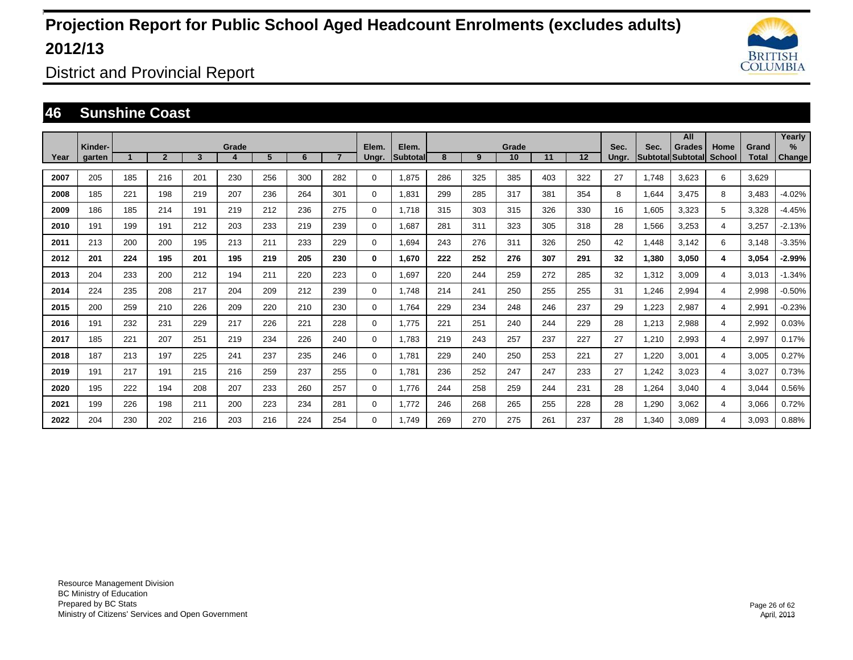

District and Provincial Report

### **46 Sunshine Coast**

|      |                   |     |                |     |       |     |     |     |                |                          |     |     |             |     |         |               |       | All                                       |                |                       | Yearly                  |
|------|-------------------|-----|----------------|-----|-------|-----|-----|-----|----------------|--------------------------|-----|-----|-------------|-----|---------|---------------|-------|-------------------------------------------|----------------|-----------------------|-------------------------|
| Year | Kinder-<br>garten |     | $\overline{2}$ | 3   | Grade | 5   | 6   |     | Elem.<br>Ungr. | Elem.<br><b>Subtotal</b> | 8   | 9   | Grade<br>10 | 11  | $12 \,$ | Sec.<br>Ungr. | Sec.  | <b>Grades</b><br><b>Subtotal Subtotal</b> | Home<br>School | Grand<br><b>Total</b> | $\frac{9}{6}$<br>Change |
|      |                   |     |                |     |       |     |     |     |                |                          |     |     |             |     |         |               |       |                                           |                |                       |                         |
| 2007 | 205               | 185 | 216            | 201 | 230   | 256 | 300 | 282 | 0              | 1,875                    | 286 | 325 | 385         | 403 | 322     | 27            | 1.748 | 3,623                                     | 6              | 3,629                 |                         |
| 2008 | 185               | 221 | 198            | 219 | 207   | 236 | 264 | 301 | 0              | 1.831                    | 299 | 285 | 317         | 381 | 354     | 8             | 1,644 | 3,475                                     | 8              | 3,483                 | $-4.02%$                |
| 2009 | 186               | 185 | 214            | 191 | 219   | 212 | 236 | 275 | 0              | 1.718                    | 315 | 303 | 315         | 326 | 330     | 16            | 1,605 | 3,323                                     | 5              | 3,328                 | $-4.45%$                |
| 2010 | 191               | 199 | 191            | 212 | 203   | 233 | 219 | 239 | 0              | 1.687                    | 281 | 311 | 323         | 305 | 318     | 28            | 1,566 | 3,253                                     | 4              | 3,257                 | $-2.13%$                |
| 2011 | 213               | 200 | 200            | 195 | 213   | 211 | 233 | 229 | 0              | 1.694                    | 243 | 276 | 311         | 326 | 250     | 42            | 1.448 | 3,142                                     | 6              | 3,148                 | $-3.35%$                |
| 2012 | 201               | 224 | 195            | 201 | 195   | 219 | 205 | 230 | 0              | 1.670                    | 222 | 252 | 276         | 307 | 291     | 32            | 1,380 | 3.050                                     | 4              | 3,054                 | $-2.99%$                |
| 2013 | 204               | 233 | 200            | 212 | 194   | 211 | 220 | 223 | 0              | 1.697                    | 220 | 244 | 259         | 272 | 285     | 32            | 1,312 | 3,009                                     | 4              | 3,013                 | $-1.34%$                |
| 2014 | 224               | 235 | 208            | 217 | 204   | 209 | 212 | 239 | 0              | 1,748                    | 214 | 241 | 250         | 255 | 255     | 31            | 1,246 | 2,994                                     | 4              | 2,998                 | $-0.50%$                |
| 2015 | 200               | 259 | 210            | 226 | 209   | 220 | 210 | 230 | 0              | 1,764                    | 229 | 234 | 248         | 246 | 237     | 29            | 1,223 | 2,987                                     | 4              | 2,991                 | $-0.23%$                |
| 2016 | 191               | 232 | 231            | 229 | 217   | 226 | 221 | 228 | 0              | 1,775                    | 221 | 251 | 240         | 244 | 229     | 28            | 1,213 | 2,988                                     | 4              | 2,992                 | 0.03%                   |
| 2017 | 185               | 221 | 207            | 251 | 219   | 234 | 226 | 240 | 0              | 1,783                    | 219 | 243 | 257         | 237 | 227     | 27            | 1,210 | 2,993                                     | 4              | 2,997                 | 0.17%                   |
| 2018 | 187               | 213 | 197            | 225 | 241   | 237 | 235 | 246 | 0              | 1,781                    | 229 | 240 | 250         | 253 | 221     | 27            | 1,220 | 3,001                                     | 4              | 3,005                 | 0.27%                   |
| 2019 | 191               | 217 | 191            | 215 | 216   | 259 | 237 | 255 | 0              | 1,781                    | 236 | 252 | 247         | 247 | 233     | 27            | 1,242 | 3,023                                     | 4              | 3,027                 | 0.73%                   |
| 2020 | 195               | 222 | 194            | 208 | 207   | 233 | 260 | 257 | 0              | 1.776                    | 244 | 258 | 259         | 244 | 231     | 28            | 1,264 | 3,040                                     | 4              | 3,044                 | 0.56%                   |
| 2021 | 199               | 226 | 198            | 211 | 200   | 223 | 234 | 281 | 0              | 1.772                    | 246 | 268 | 265         | 255 | 228     | 28            | 1,290 | 3,062                                     | 4              | 3,066                 | 0.72%                   |
| 2022 | 204               | 230 | 202            | 216 | 203   | 216 | 224 | 254 | $\Omega$       | 1.749                    | 269 | 270 | 275         | 261 | 237     | 28            | 1.340 | 3.089                                     | 4              | 3.093                 | 0.88%                   |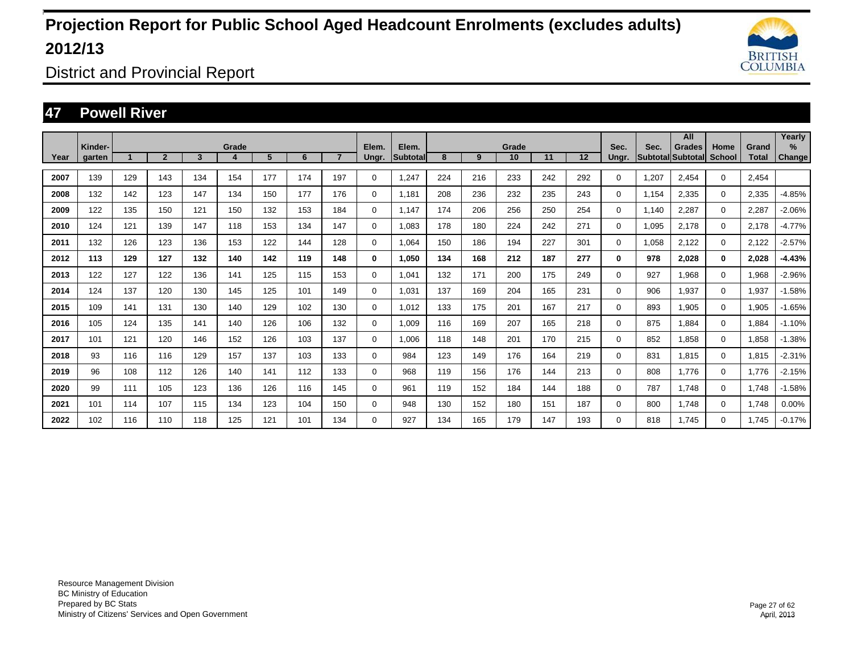

District and Provincial Report

### **47 Powell River**

|      |                   |     |                |     |            |     |     |                |                |                    |     |     |             |     |                   |               |                                  | All           |                       |                       | Yearly      |
|------|-------------------|-----|----------------|-----|------------|-----|-----|----------------|----------------|--------------------|-----|-----|-------------|-----|-------------------|---------------|----------------------------------|---------------|-----------------------|-----------------------|-------------|
| Year | Kinder-<br>garten |     | $\overline{2}$ | 3   | Grade<br>4 | 5   | 6   | $\overline{7}$ | Elem.<br>Ungr. | Elem.<br>Subtotall | 8   | 9   | Grade<br>10 | 11  | $12 \overline{ }$ | Sec.<br>Ungr. | Sec.<br><b>Subtotal Subtotal</b> | <b>Grades</b> | Home<br><b>School</b> | Grand<br><b>Total</b> | %<br>Change |
|      |                   |     |                |     |            |     |     |                |                |                    |     |     |             |     |                   |               |                                  |               |                       |                       |             |
| 2007 | 139               | 129 | 143            | 134 | 154        | 177 | 174 | 197            | 0              | 1.247              | 224 | 216 | 233         | 242 | 292               | 0             | 1,207                            | 2.454         | $\mathbf{0}$          | 2.454                 |             |
| 2008 | 132               | 142 | 123            | 147 | 134        | 150 | 177 | 176            | $\mathbf 0$    | 1.181              | 208 | 236 | 232         | 235 | 243               | $\Omega$      | 1.154                            | 2.335         | $\mathbf 0$           | 2,335                 | $-4.85%$    |
| 2009 | 122               | 135 | 150            | 121 | 150        | 132 | 153 | 184            | 0              | 1,147              | 174 | 206 | 256         | 250 | 254               | $\Omega$      | 1,140                            | 2,287         | $\mathbf 0$           | 2,287                 | $-2.06%$    |
| 2010 | 124               | 121 | 139            | 147 | 118        | 153 | 134 | 147            | $\mathbf 0$    | 1,083              | 178 | 180 | 224         | 242 | 271               | $\Omega$      | 1,095                            | 2,178         | $\mathbf 0$           | 2,178                 | $-4.77%$    |
| 2011 | 132               | 126 | 123            | 136 | 153        | 122 | 144 | 128            | $\mathbf 0$    | 1,064              | 150 | 186 | 194         | 227 | 301               | $\Omega$      | 1,058                            | 2,122         | $\mathbf 0$           | 2,122                 | $-2.57%$    |
| 2012 | 113               | 129 | 127            | 132 | 140        | 142 | 119 | 148            | 0              | 1,050              | 134 | 168 | 212         | 187 | 277               | 0             | 978                              | 2,028         | $\bf{0}$              | 2,028                 | $-4.43%$    |
| 2013 | 122               | 127 | 122            | 136 | 141        | 125 | 115 | 153            | $\mathbf 0$    | 1,041              | 132 | 171 | 200         | 175 | 249               | 0             | 927                              | 1.968         | $\mathbf 0$           | 1,968                 | $-2.96%$    |
| 2014 | 124               | 137 | 120            | 130 | 145        | 125 | 101 | 149            | $\mathbf 0$    | 1,031              | 137 | 169 | 204         | 165 | 231               | 0             | 906                              | 1,937         | $\mathbf 0$           | 1,937                 | $-1.58%$    |
| 2015 | 109               | 141 | 131            | 130 | 140        | 129 | 102 | 130            | 0              | 1.012              | 133 | 175 | 201         | 167 | 217               | 0             | 893                              | 1,905         | 0                     | 1,905                 | $-1.65%$    |
| 2016 | 105               | 124 | 135            | 141 | 140        | 126 | 106 | 132            | $\mathbf 0$    | 1.009              | 116 | 169 | 207         | 165 | 218               | 0             | 875                              | 1.884         | $\mathbf 0$           | 1,884                 | $-1.10%$    |
| 2017 | 101               | 121 | 120            | 146 | 152        | 126 | 103 | 137            | $\mathbf 0$    | 1.006              | 118 | 148 | 201         | 170 | 215               | 0             | 852                              | 1.858         | $\mathbf 0$           | 1,858                 | $-1.38%$    |
| 2018 | 93                | 116 | 116            | 129 | 157        | 137 | 103 | 133            | $\mathbf 0$    | 984                | 123 | 149 | 176         | 164 | 219               | 0             | 831                              | 1.815         | $\mathbf 0$           | 1,815                 | $-2.31%$    |
| 2019 | 96                | 108 | 112            | 126 | 140        | 141 | 112 | 133            | $\mathbf 0$    | 968                | 119 | 156 | 176         | 144 | 213               | 0             | 808                              | 1.776         | $\mathbf 0$           | 1.776                 | $-2.15%$    |
| 2020 | 99                | 111 | 105            | 123 | 136        | 126 | 116 | 145            | $\mathbf 0$    | 961                | 119 | 152 | 184         | 144 | 188               | 0             | 787                              | 1.748         | $\mathbf 0$           | 1.748                 | $-1.58%$    |
| 2021 | 101               | 114 | 107            | 115 | 134        | 123 | 104 | 150            | $\mathbf 0$    | 948                | 130 | 152 | 180         | 151 | 187               | 0             | 800                              | 1,748         | $\mathbf 0$           | 1,748                 | 0.00%       |
| 2022 | 102               | 116 | 110            | 118 | 125        | 121 | 101 | 134            | 0              | 927                | 134 | 165 | 179         | 147 | 193               | 0             | 818                              | 1.745         | $\mathbf 0$           | 1,745                 | $-0.17%$    |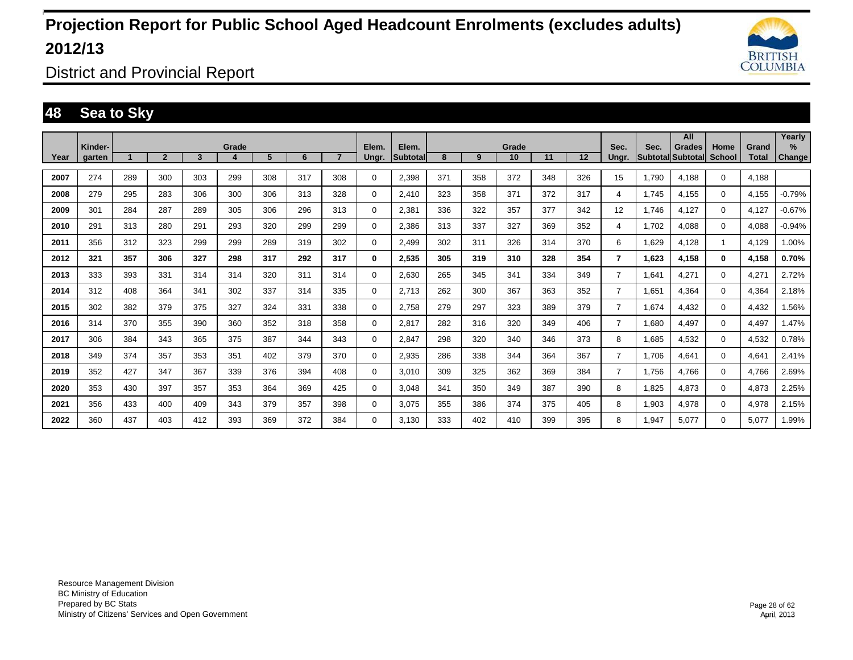

District and Provincial Report

### **48 Sea to Sky**

|      | Kinder- |     |                |     | Grade |     |     |                | Elem. | Elem.           |     |     | Grade |     |     | Sec.           | Sec.  | All                         | Home         |                       | Yearly<br>$\%$ |
|------|---------|-----|----------------|-----|-------|-----|-----|----------------|-------|-----------------|-----|-----|-------|-----|-----|----------------|-------|-----------------------------|--------------|-----------------------|----------------|
| Year | garten  |     | $\overline{2}$ | 3   |       | 5   | 6   | $\overline{7}$ | Ungr. | <b>Subtotal</b> | 8   | 9   | 10    | 11  | 12  | Unar.          |       | Grades<br>Subtotal Subtotal | School       | Grand<br><b>Total</b> | Change         |
| 2007 | 274     | 289 | 300            | 303 | 299   | 308 | 317 | 308            | 0     | 2.398           | 371 | 358 | 372   | 348 | 326 | 15             | 1.790 | 4.188                       | $\mathbf 0$  | 4.188                 |                |
| 2008 | 279     | 295 | 283            | 306 | 300   | 306 | 313 | 328            | 0     | 2.410           | 323 | 358 | 371   | 372 | 317 | 4              | 1.745 | 4,155                       | $\mathbf{0}$ | 4,155                 | $-0.79%$       |
| 2009 | 301     | 284 | 287            | 289 | 305   | 306 | 296 | 313            | 0     | 2,381           | 336 | 322 | 357   | 377 | 342 | 12             | 1.746 | 4,127                       | $\Omega$     | 4,127                 | $-0.67%$       |
| 2010 | 291     | 313 | 280            | 291 | 293   | 320 | 299 | 299            | 0     | 2.386           | 313 | 337 | 327   | 369 | 352 | 4              | 1.702 | 4,088                       | $\mathbf 0$  | 4.088                 | $-0.94%$       |
| 2011 | 356     | 312 | 323            | 299 | 299   | 289 | 319 | 302            | 0     | 2.499           | 302 | 311 | 326   | 314 | 370 | 6              | 1,629 | 4,128                       | 1            | 4.129                 | 1.00%          |
| 2012 | 321     | 357 | 306            | 327 | 298   | 317 | 292 | 317            | 0     | 2.535           | 305 | 319 | 310   | 328 | 354 | 7              | 1,623 | 4,158                       | $\mathbf 0$  | 4,158                 | 0.70%          |
| 2013 | 333     | 393 | 331            | 314 | 314   | 320 | 311 | 314            | 0     | 2,630           | 265 | 345 | 341   | 334 | 349 | $\overline{7}$ | 1,641 | 4,271                       | $\mathbf 0$  | 4,271                 | 2.72%          |
| 2014 | 312     | 408 | 364            | 341 | 302   | 337 | 314 | 335            | 0     | 2,713           | 262 | 300 | 367   | 363 | 352 | $\overline{7}$ | 1,651 | 4,364                       | $\mathbf 0$  | 4,364                 | 2.18%          |
| 2015 | 302     | 382 | 379            | 375 | 327   | 324 | 331 | 338            | 0     | 2,758           | 279 | 297 | 323   | 389 | 379 | $\overline{7}$ | 1,674 | 4,432                       | $\mathbf 0$  | 4,432                 | 1.56%          |
| 2016 | 314     | 370 | 355            | 390 | 360   | 352 | 318 | 358            | 0     | 2.817           | 282 | 316 | 320   | 349 | 406 | $\overline{7}$ | 1,680 | 4.497                       | $\mathbf 0$  | 4,497                 | 1.47%          |
| 2017 | 306     | 384 | 343            | 365 | 375   | 387 | 344 | 343            | 0     | 2.847           | 298 | 320 | 340   | 346 | 373 | 8              | 1,685 | 4,532                       | $\mathbf 0$  | 4,532                 | 0.78%          |
| 2018 | 349     | 374 | 357            | 353 | 351   | 402 | 379 | 370            | 0     | 2.935           | 286 | 338 | 344   | 364 | 367 | 7              | 1.706 | 4.641                       | $\mathbf 0$  | 4.641                 | 2.41%          |
| 2019 | 352     | 427 | 347            | 367 | 339   | 376 | 394 | 408            | 0     | 3,010           | 309 | 325 | 362   | 369 | 384 | $\overline{7}$ | 1,756 | 4,766                       | $\mathbf 0$  | 4,766                 | 2.69%          |
| 2020 | 353     | 430 | 397            | 357 | 353   | 364 | 369 | 425            | 0     | 3.048           | 341 | 350 | 349   | 387 | 390 | 8              | 1,825 | 4,873                       | $\mathbf 0$  | 4,873                 | 2.25%          |
| 2021 | 356     | 433 | 400            | 409 | 343   | 379 | 357 | 398            | 0     | 3.075           | 355 | 386 | 374   | 375 | 405 | 8              | 1,903 | 4,978                       | $\mathbf 0$  | 4,978                 | 2.15%          |
| 2022 | 360     | 437 | 403            | 412 | 393   | 369 | 372 | 384            | 0     | 3.130           | 333 | 402 | 410   | 399 | 395 | 8              | 1.947 | 5.077                       | 0            | 5.077                 | 1.99%          |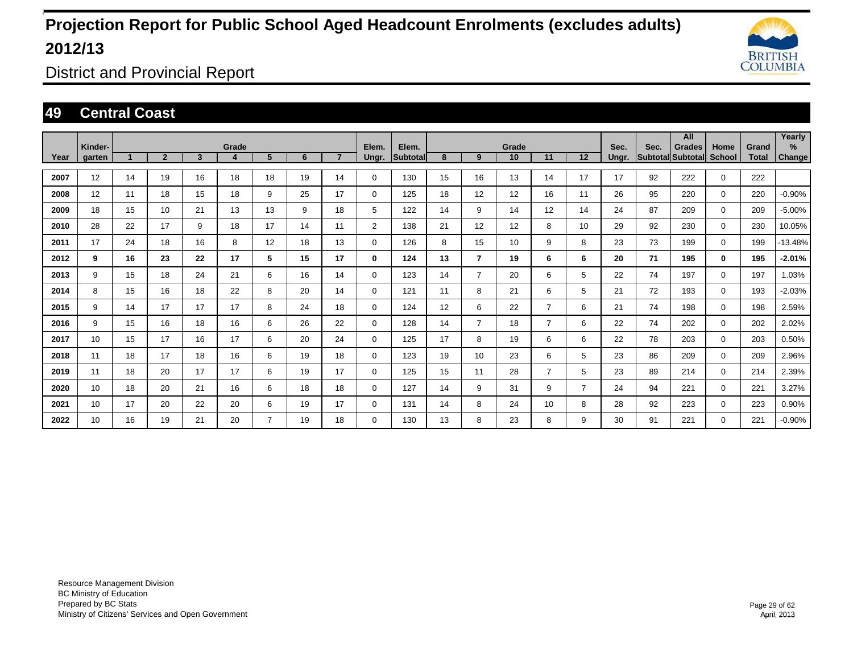

District and Provincial Report

### **49 Central Coast**

|      |                   |    |                |                         |            |                |    |                |                |                   |    |                |             |                |                |               |                           | All           |                       |                       | Yearly      |
|------|-------------------|----|----------------|-------------------------|------------|----------------|----|----------------|----------------|-------------------|----|----------------|-------------|----------------|----------------|---------------|---------------------------|---------------|-----------------------|-----------------------|-------------|
| Year | Kinder-<br>garten |    | $\overline{2}$ | $\overline{\mathbf{3}}$ | Grade<br>4 | 5              | 6  | $\overline{7}$ | Elem.<br>Ungr. | Elem.<br>Subtotal | 8  | 9              | Grade<br>10 | 11             | 12             | Sec.<br>Ungr. | Sec.<br>Subtotal Subtotal | <b>Grades</b> | Home<br><b>School</b> | Grand<br><b>Total</b> | %<br>Change |
|      |                   |    |                |                         |            |                |    |                |                |                   |    |                |             |                |                |               |                           |               |                       |                       |             |
| 2007 | 12                | 14 | 19             | 16                      | 18         | 18             | 19 | 14             | $\mathbf 0$    | 130               | 15 | 16             | 13          | 14             | 17             | 17            | 92                        | 222           | $\mathbf 0$           | 222                   |             |
| 2008 | 12                | 11 | 18             | 15                      | 18         | 9              | 25 | 17             | $\mathbf 0$    | 125               | 18 | 12             | 12          | 16             | 11             | 26            | 95                        | 220           | $\mathbf 0$           | 220                   | $-0.90%$    |
| 2009 | 18                | 15 | 10             | 21                      | 13         | 13             | 9  | 18             | 5              | 122               | 14 | 9              | 14          | 12             | 14             | 24            | 87                        | 209           | $\mathbf{0}$          | 209                   | $-5.00%$    |
| 2010 | 28                | 22 | 17             | 9                       | 18         | 17             | 14 | 11             | $\overline{2}$ | 138               | 21 | 12             | 12          | 8              | 10             | 29            | 92                        | 230           | $\mathbf{0}$          | 230                   | 10.05%      |
| 2011 | 17                | 24 | 18             | 16                      | 8          | 12             | 18 | 13             | $\mathbf 0$    | 126               | 8  | 15             | 10          | 9              | 8              | 23            | 73                        | 199           | $\mathbf{0}$          | 199                   | $-13.48%$   |
| 2012 | 9                 | 16 | 23             | 22                      | 17         | 5              | 15 | 17             | 0              | 124               | 13 | $\overline{7}$ | 19          | 6              | 6              | 20            | 71                        | 195           | $\mathbf 0$           | 195                   | $-2.01%$    |
| 2013 | 9                 | 15 | 18             | 24                      | 21         | 6              | 16 | 14             | $\mathbf 0$    | 123               | 14 | $\overline{7}$ | 20          | 6              | 5              | 22            | 74                        | 197           | $\mathbf{0}$          | 197                   | 1.03%       |
| 2014 | 8                 | 15 | 16             | 18                      | 22         | 8              | 20 | 14             | $\mathbf 0$    | 121               | 11 | 8              | 21          | 6              | 5              | 21            | 72                        | 193           | $\mathbf{0}$          | 193                   | $-2.03%$    |
| 2015 | 9                 | 14 | 17             | 17                      | 17         | 8              | 24 | 18             | 0              | 124               | 12 | 6              | 22          | 7              | 6              | 21            | 74                        | 198           | $\mathbf{0}$          | 198                   | 2.59%       |
| 2016 | 9                 | 15 | 16             | 18                      | 16         | 6              | 26 | 22             | $\mathbf 0$    | 128               | 14 | $\overline{7}$ | 18          | 7              | 6              | 22            | 74                        | 202           | $\mathbf{0}$          | 202                   | 2.02%       |
| 2017 | 10                | 15 | 17             | 16                      | 17         | 6              | 20 | 24             | $\mathbf 0$    | 125               | 17 | 8              | 19          | 6              | 6              | 22            | 78                        | 203           | $\mathbf{0}$          | 203                   | 0.50%       |
| 2018 | 11                | 18 | 17             | 18                      | 16         | 6              | 19 | 18             | $\mathbf 0$    | 123               | 19 | 10             | 23          | 6              | 5              | 23            | 86                        | 209           | $\mathbf 0$           | 209                   | 2.96%       |
| 2019 | 11                | 18 | 20             | 17                      | 17         | 6              | 19 | 17             | $\mathbf 0$    | 125               | 15 | 11             | 28          | $\overline{7}$ | 5              | 23            | 89                        | 214           | $\mathbf 0$           | 214                   | 2.39%       |
| 2020 | 10                | 18 | 20             | 21                      | 16         | 6              | 18 | 18             | $\mathbf 0$    | 127               | 14 | 9              | 31          | 9              | $\overline{7}$ | 24            | 94                        | 221           | $\mathbf 0$           | 221                   | 3.27%       |
| 2021 | 10                | 17 | 20             | 22                      | 20         | 6              | 19 | 17             | $\mathbf 0$    | 131               | 14 | 8              | 24          | 10             | 8              | 28            | 92                        | 223           | $\mathbf{0}$          | 223                   | 0.90%       |
| 2022 | 10                | 16 | 19             | 21                      | 20         | $\overline{7}$ | 19 | 18             | $\mathbf 0$    | 130               | 13 | 8              | 23          | 8              | 9              | 30            | 91                        | 221           | $\mathbf 0$           | 221                   | $-0.90%$    |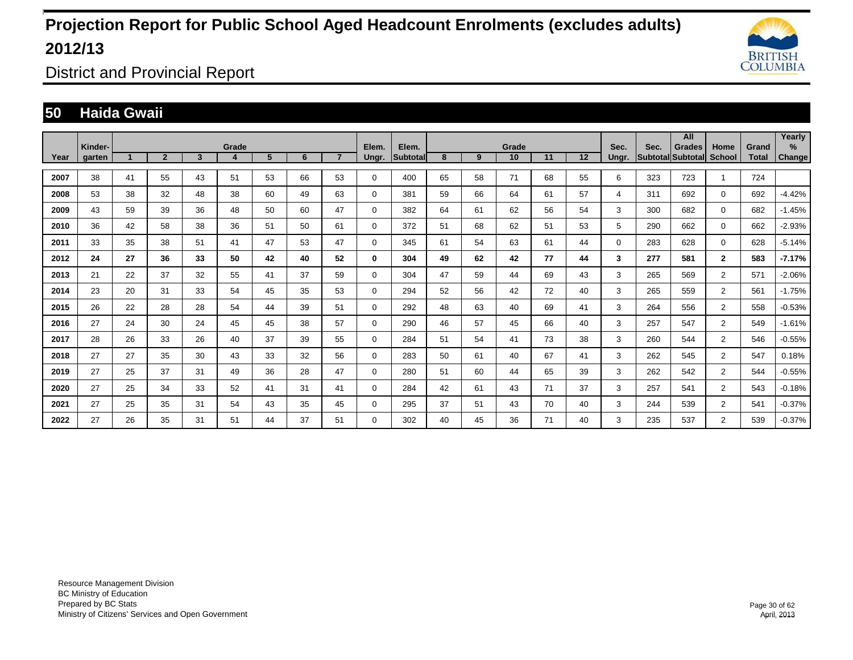

District and Provincial Report

### **50 Haida Gwaii**

|      |                          |    |                |              |            |    |    |                |                |                   |    |    |             |    |    |               |                           | All           |                       |                       | Yearly                |
|------|--------------------------|----|----------------|--------------|------------|----|----|----------------|----------------|-------------------|----|----|-------------|----|----|---------------|---------------------------|---------------|-----------------------|-----------------------|-----------------------|
| Year | Kinder-<br><b>garten</b> |    | $\overline{2}$ | $\mathbf{3}$ | Grade<br>4 | 5  | 6  | $\overline{7}$ | Elem.<br>Ungr. | Elem.<br>Subtotal | 8  | 9  | Grade<br>10 | 11 | 12 | Sec.<br>Unar. | Sec.<br>Subtotal Subtotal | <b>Grades</b> | Home<br><b>School</b> | Grand<br><b>Total</b> | $\%$<br><b>Change</b> |
| 2007 | 38                       | 41 | 55             | 43           | 51         | 53 | 66 | 53             | $\Omega$       | 400               | 65 | 58 | 71          | 68 | 55 | 6             | 323                       | 723           |                       | 724                   |                       |
| 2008 | 53                       | 38 | 32             | 48           | 38         | 60 | 49 | 63             | 0              | 381               | 59 | 66 | 64          | 61 | 57 | 4             | 311                       | 692           | $\mathbf 0$           | 692                   | $-4.42%$              |
| 2009 | 43                       | 59 | 39             | 36           | 48         | 50 | 60 | 47             | 0              | 382               | 64 | 61 | 62          | 56 | 54 | 3             | 300                       | 682           | $\mathbf 0$           | 682                   | $-1.45%$              |
| 2010 | 36                       | 42 | 58             | 38           | 36         | 51 | 50 | 61             | 0              | 372               | 51 | 68 | 62          | 51 | 53 | 5             | 290                       | 662           | $\mathbf 0$           | 662                   | $-2.93%$              |
| 2011 | 33                       | 35 | 38             | 51           | 41         | 47 | 53 | 47             | $\Omega$       | 345               | 61 | 54 | 63          | 61 | 44 | $\Omega$      | 283                       | 628           | $\mathbf 0$           | 628                   | $-5.14%$              |
| 2012 | 24                       | 27 | 36             | 33           | 50         | 42 | 40 | 52             | 0              | 304               | 49 | 62 | 42          | 77 | 44 | 3             | 277                       | 581           | $\mathbf{2}$          | 583                   | $-7.17%$              |
| 2013 | 21                       | 22 | 37             | 32           | 55         | 41 | 37 | 59             | 0              | 304               | 47 | 59 | 44          | 69 | 43 | 3             | 265                       | 569           | $\overline{2}$        | 571                   | $-2.06%$              |
| 2014 | 23                       | 20 | 31             | 33           | 54         | 45 | 35 | 53             | 0              | 294               | 52 | 56 | 42          | 72 | 40 | 3             | 265                       | 559           | $\overline{2}$        | 561                   | $-1.75%$              |
| 2015 | 26                       | 22 | 28             | 28           | 54         | 44 | 39 | 51             | $\mathbf 0$    | 292               | 48 | 63 | 40          | 69 | 41 | 3             | 264                       | 556           | $\overline{2}$        | 558                   | $-0.53%$              |
| 2016 | 27                       | 24 | 30             | 24           | 45         | 45 | 38 | 57             | 0              | 290               | 46 | 57 | 45          | 66 | 40 | 3             | 257                       | 547           | $\overline{2}$        | 549                   | $-1.61%$              |
| 2017 | 28                       | 26 | 33             | 26           | 40         | 37 | 39 | 55             | 0              | 284               | 51 | 54 | 41          | 73 | 38 | 3             | 260                       | 544           | $\overline{2}$        | 546                   | $-0.55%$              |
| 2018 | 27                       | 27 | 35             | 30           | 43         | 33 | 32 | 56             | 0              | 283               | 50 | 61 | 40          | 67 | 41 | 3             | 262                       | 545           | $\overline{2}$        | 547                   | 0.18%                 |
| 2019 | 27                       | 25 | 37             | 31           | 49         | 36 | 28 | 47             | 0              | 280               | 51 | 60 | 44          | 65 | 39 | 3             | 262                       | 542           | $\overline{2}$        | 544                   | $-0.55%$              |
| 2020 | 27                       | 25 | 34             | 33           | 52         | 41 | 31 | 41             | 0              | 284               | 42 | 61 | 43          | 71 | 37 | 3             | 257                       | 541           | $\overline{2}$        | 543                   | $-0.18%$              |
| 2021 | 27                       | 25 | 35             | 31           | 54         | 43 | 35 | 45             | 0              | 295               | 37 | 51 | 43          | 70 | 40 | 3             | 244                       | 539           | $\overline{2}$        | 541                   | $-0.37%$              |
| 2022 | 27                       | 26 | 35             | 31           | 51         | 44 | 37 | 51             | 0              | 302               | 40 | 45 | 36          | 71 | 40 | 3             | 235                       | 537           | $\overline{2}$        | 539                   | $-0.37%$              |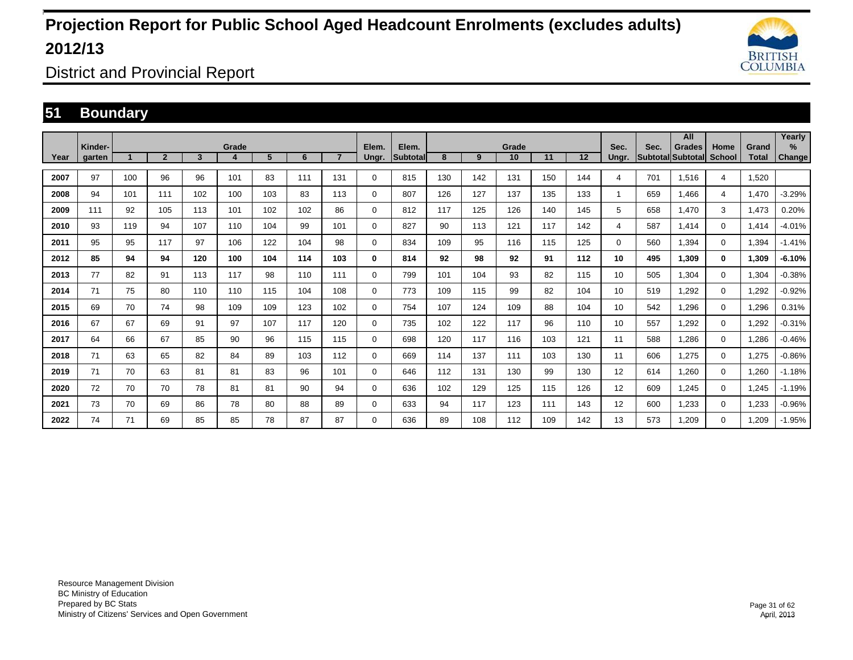

District and Provincial Report

### **51 Boundary**

|      |                   |     |                |                         |       |     |     |                | Elem.       | Elem.    |     |     |             |     |     |               |      | All                                |                |                       | Yearly                |
|------|-------------------|-----|----------------|-------------------------|-------|-----|-----|----------------|-------------|----------|-----|-----|-------------|-----|-----|---------------|------|------------------------------------|----------------|-----------------------|-----------------------|
| Year | Kinder-<br>aarten |     | $\overline{2}$ | $\overline{\mathbf{3}}$ | Grade | 5   | 6   | $\overline{7}$ | Ungr.       | Subtotal | 8   | 9   | Grade<br>10 | 11  | 12  | Sec.<br>Unar. | Sec. | <b>Grades</b><br>Subtotal Subtotal | Home<br>School | Grand<br><b>Total</b> | $\%$<br><b>Change</b> |
| 2007 | 97                | 100 | 96             | 96                      | 101   | 83  | 111 | 131            | 0           | 815      | 130 | 142 | 131         | 150 | 144 | 4             | 701  | 1,516                              | 4              | 1,520                 |                       |
| 2008 | 94                | 101 | 111            | 102                     | 100   | 103 | 83  | 113            | 0           | 807      | 126 | 127 | 137         | 135 | 133 |               | 659  | 1.466                              | 4              | 1,470                 | $-3.29%$              |
| 2009 | 111               | 92  | 105            | 113                     | 101   | 102 | 102 | 86             | 0           | 812      | 117 | 125 | 126         | 140 | 145 | 5             | 658  | 1.470                              | 3              | 1.473                 | 0.20%                 |
| 2010 | 93                | 119 | 94             | 107                     | 110   | 104 | 99  | 101            | 0           | 827      | 90  | 113 | 121         | 117 | 142 | 4             | 587  | 1,414                              | $\mathbf 0$    | 1,414                 | $-4.01%$              |
| 2011 | 95                | 95  | 117            | 97                      | 106   | 122 | 104 | 98             | 0           | 834      | 109 | 95  | 116         | 115 | 125 | $\Omega$      | 560  | 1.394                              | $\mathbf 0$    | 1,394                 | $-1.41%$              |
| 2012 | 85                | 94  | 94             | 120                     | 100   | 104 | 114 | 103            | 0           | 814      | 92  | 98  | 92          | 91  | 112 | 10            | 495  | 1.309                              | 0              | 1,309                 | $-6.10%$              |
| 2013 | 77                | 82  | 91             | 113                     | 117   | 98  | 110 | 111            | $\mathbf 0$ | 799      | 101 | 104 | 93          | 82  | 115 | 10            | 505  | 1.304                              | $\mathbf 0$    | 1,304                 | $-0.38%$              |
| 2014 | 71                | 75  | 80             | 110                     | 110   | 115 | 104 | 108            | 0           | 773      | 109 | 115 | 99          | 82  | 104 | 10            | 519  | .292                               | $\mathbf 0$    | 1,292                 | $-0.92%$              |
| 2015 | 69                | 70  | 74             | 98                      | 109   | 109 | 123 | 102            | 0           | 754      | 107 | 124 | 109         | 88  | 104 | 10            | 542  | .296                               | $\mathbf 0$    | 1,296                 | 0.31%                 |
| 2016 | 67                | 67  | 69             | 91                      | 97    | 107 | 117 | 120            | 0           | 735      | 102 | 122 | 117         | 96  | 110 | 10            | 557  | .292                               | $\mathbf 0$    | 1,292                 | $-0.31%$              |
| 2017 | 64                | 66  | 67             | 85                      | 90    | 96  | 115 | 115            | $\mathbf 0$ | 698      | 120 | 117 | 116         | 103 | 121 | 11            | 588  | .286                               | $\mathbf 0$    | 1,286                 | $-0.46%$              |
| 2018 | 71                | 63  | 65             | 82                      | 84    | 89  | 103 | 112            | 0           | 669      | 114 | 137 | 111         | 103 | 130 | 11            | 606  | .275                               | 0              | 1,275                 | $-0.86%$              |
| 2019 | 71                | 70  | 63             | 81                      | 81    | 83  | 96  | 101            | $\mathbf 0$ | 646      | 112 | 131 | 130         | 99  | 130 | 12            | 614  | .260                               | $\mathbf 0$    | 1,260                 | $-1.18%$              |
| 2020 | 72                | 70  | 70             | 78                      | 81    | 81  | 90  | 94             | $\mathbf 0$ | 636      | 102 | 129 | 125         | 115 | 126 | 12            | 609  | l.245                              | $\mathbf 0$    | 1,245                 | $-1.19%$              |
| 2021 | 73                | 70  | 69             | 86                      | 78    | 80  | 88  | 89             | $\mathbf 0$ | 633      | 94  | 117 | 123         | 111 | 143 | 12            | 600  | 1,233                              | $\mathbf 0$    | 1,233                 | $-0.96%$              |
| 2022 | 74                | 71  | 69             | 85                      | 85    | 78  | 87  | 87             | 0           | 636      | 89  | 108 | 112         | 109 | 142 | 13            | 573  | <b>1.209</b>                       | 0              | 1,209                 | $-1.95%$              |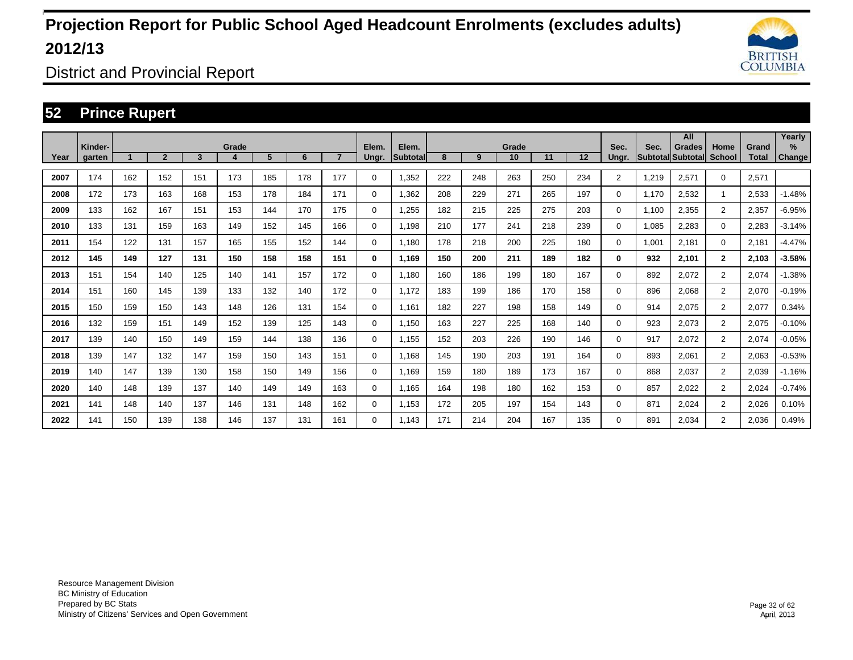

District and Provincial Report

### **52 Prince Rupert**

|      |         |     |                |     |       |     |     |                |             |           |     |     |             |     |     |                |       | All                                       |                       |              | Yearly        |
|------|---------|-----|----------------|-----|-------|-----|-----|----------------|-------------|-----------|-----|-----|-------------|-----|-----|----------------|-------|-------------------------------------------|-----------------------|--------------|---------------|
|      | Kinder- |     | $\overline{2}$ | 3   | Grade | 5   | 6   | $\overline{7}$ | Elem.       | Elem.     | 8   | 9   | Grade<br>10 | 11  | 12  | Sec.           | Sec.  | <b>Grades</b><br><b>Subtotal Subtotal</b> | Home<br><b>School</b> | Grand        | $\%$          |
| Year | garten  |     |                |     | 4     |     |     |                | Ungr.       | Subtotall |     |     |             |     |     | Ungr.          |       |                                           |                       | <b>Total</b> | <b>Change</b> |
| 2007 | 174     | 162 | 152            | 151 | 173   | 185 | 178 | 177            | 0           | 1,352     | 222 | 248 | 263         | 250 | 234 | $\overline{2}$ | 1.219 | 2,571                                     | $\mathbf 0$           | 2,571        |               |
| 2008 | 172     | 173 | 163            | 168 | 153   | 178 | 184 | 171            | 0           | 1,362     | 208 | 229 | 271         | 265 | 197 | 0              | 1.170 | 2,532                                     | 1                     | 2,533        | $-1.48%$      |
| 2009 | 133     | 162 | 167            | 151 | 153   | 144 | 170 | 175            | 0           | 1,255     | 182 | 215 | 225         | 275 | 203 | 0              | 1.100 | 2,355                                     | $\overline{2}$        | 2,357        | $-6.95%$      |
| 2010 | 133     | 131 | 159            | 163 | 149   | 152 | 145 | 166            | 0           | 1.198     | 210 | 177 | 241         | 218 | 239 | 0              | 1,085 | 2.283                                     | $\mathbf 0$           | 2,283        | $-3.14%$      |
| 2011 | 154     | 122 | 131            | 157 | 165   | 155 | 152 | 144            | 0           | 1.180     | 178 | 218 | 200         | 225 | 180 | 0              | 1.001 | 2.181                                     | $\mathbf 0$           | 2,181        | $-4.47%$      |
| 2012 | 145     | 149 | 127            | 131 | 150   | 158 | 158 | 151            | 0           | 1.169     | 150 | 200 | 211         | 189 | 182 | 0              | 932   | 2,101                                     | $\mathbf{2}$          | 2,103        | $-3.58%$      |
| 2013 | 151     | 154 | 140            | 125 | 140   | 141 | 157 | 172            | $\mathbf 0$ | 1.180     | 160 | 186 | 199         | 180 | 167 | 0              | 892   | 2,072                                     | $\overline{2}$        | 2,074        | $-1.38%$      |
| 2014 | 151     | 160 | 145            | 139 | 133   | 132 | 140 | 172            | $\mathbf 0$ | 1.172     | 183 | 199 | 186         | 170 | 158 | 0              | 896   | 2.068                                     | $\overline{2}$        | 2,070        | $-0.19%$      |
| 2015 | 150     | 159 | 150            | 143 | 148   | 126 | 131 | 154            | 0           | 1.161     | 182 | 227 | 198         | 158 | 149 | 0              | 914   | 2.075                                     | $\overline{2}$        | 2,077        | 0.34%         |
| 2016 | 132     | 159 | 151            | 149 | 152   | 139 | 125 | 143            | $\mathbf 0$ | 1,150     | 163 | 227 | 225         | 168 | 140 | 0              | 923   | 2.073                                     | $\overline{2}$        | 2,075        | $-0.10%$      |
| 2017 | 139     | 140 | 150            | 149 | 159   | 144 | 138 | 136            | $\mathbf 0$ | 1,155     | 152 | 203 | 226         | 190 | 146 | 0              | 917   | 2.072                                     | $\overline{2}$        | 2,074        | $-0.05%$      |
| 2018 | 139     | 147 | 132            | 147 | 159   | 150 | 143 | 151            | $\mathbf 0$ | 1.168     | 145 | 190 | 203         | 191 | 164 | 0              | 893   | 2.061                                     | $\overline{2}$        | 2,063        | $-0.53%$      |
| 2019 | 140     | 147 | 139            | 130 | 158   | 150 | 149 | 156            | 0           | 1.169     | 159 | 180 | 189         | 173 | 167 | 0              | 868   | 2.037                                     | $\overline{2}$        | 2,039        | $-1.16%$      |
| 2020 | 140     | 148 | 139            | 137 | 140   | 149 | 149 | 163            | 0           | 1.165     | 164 | 198 | 180         | 162 | 153 | 0              | 857   | 2.022                                     | $\overline{2}$        | 2.024        | $-0.74%$      |
| 2021 | 141     | 148 | 140            | 137 | 146   | 131 | 148 | 162            | $\mathbf 0$ | 1,153     | 172 | 205 | 197         | 154 | 143 | 0              | 871   | 2.024                                     | $\overline{2}$        | 2,026        | 0.10%         |
| 2022 | 141     | 150 | 139            | 138 | 146   | 137 | 131 | 161            | 0           | 1.143     | 171 | 214 | 204         | 167 | 135 | 0              | 891   | 2.034                                     | $\overline{2}$        | 2.036        | 0.49%         |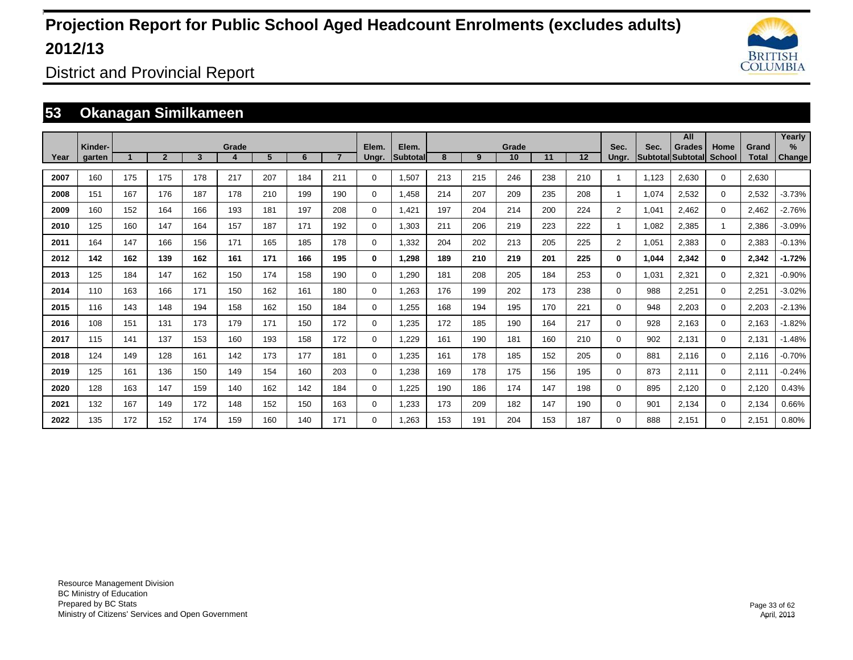

District and Provincial Report

### **53 Okanagan Similkameen**

|      |                   |     |                |     |       |     |     |                |                |                          |     |     |             |     |         |                |       | All                                       |                       |                       | Yearly         |
|------|-------------------|-----|----------------|-----|-------|-----|-----|----------------|----------------|--------------------------|-----|-----|-------------|-----|---------|----------------|-------|-------------------------------------------|-----------------------|-----------------------|----------------|
| Year | Kinder-<br>garten |     | $\overline{2}$ | 3   | Grade | 5   | 6   | $\overline{7}$ | Elem.<br>Ungr. | Elem.<br><b>Subtotal</b> | 8   | 9   | Grade<br>10 | 11  | $12 \,$ | Sec.<br>Unar.  | Sec.  | <b>Grades</b><br><b>Subtotal Subtotal</b> | Home<br><b>School</b> | Grand<br><b>Total</b> | $\%$<br>Change |
| 2007 | 160               | 175 | 175            | 178 | 217   | 207 | 184 | 211            | 0              | 1,507                    | 213 | 215 | 246         | 238 | 210     |                | 1.123 | 2,630                                     | $\mathbf 0$           | 2,630                 |                |
| 2008 | 151               | 167 | 176            | 187 | 178   | 210 | 199 | 190            | 0              | 1,458                    | 214 | 207 | 209         | 235 | 208     |                | 1,074 | 2,532                                     | $\mathbf 0$           | 2,532                 | $-3.73%$       |
| 2009 | 160               | 152 | 164            | 166 | 193   | 181 | 197 | 208            | 0              | 1,421                    | 197 | 204 | 214         | 200 | 224     | $\overline{2}$ | 1,041 | 2,462                                     | $\mathbf 0$           | 2,462                 | $-2.76%$       |
| 2010 | 125               | 160 | 147            | 164 | 157   | 187 | 171 | 192            | 0              | 1,303                    | 211 | 206 | 219         | 223 | 222     |                | 1,082 | 2,385                                     | 1                     | 2,386                 | $-3.09%$       |
| 2011 | 164               | 147 | 166            | 156 | 171   | 165 | 185 | 178            | 0              | 1,332                    | 204 | 202 | 213         | 205 | 225     | $\overline{2}$ | 1,051 | 2,383                                     | $\mathbf 0$           | 2,383                 | $-0.13%$       |
| 2012 | 142               | 162 | 139            | 162 | 161   | 171 | 166 | 195            | 0              | 1,298                    | 189 | 210 | 219         | 201 | 225     | 0              | 1,044 | 2,342                                     | $\bf{0}$              | 2,342                 | $-1.72%$       |
| 2013 | 125               | 184 | 147            | 162 | 150   | 174 | 158 | 190            | 0              | 1,290                    | 181 | 208 | 205         | 184 | 253     | $\Omega$       | 1,031 | 2,321                                     | $\mathbf 0$           | 2,321                 | $-0.90%$       |
| 2014 | 110               | 163 | 166            | 171 | 150   | 162 | 161 | 180            | 0              | 1.263                    | 176 | 199 | 202         | 173 | 238     | 0              | 988   | 2.251                                     | $\mathbf 0$           | 2,251                 | $-3.02%$       |
| 2015 | 116               | 143 | 148            | 194 | 158   | 162 | 150 | 184            | 0              | 1.255                    | 168 | 194 | 195         | 170 | 221     | 0              | 948   | 2.203                                     | $\mathbf 0$           | 2,203                 | $-2.13%$       |
| 2016 | 108               | 151 | 131            | 173 | 179   | 171 | 150 | 172            | 0              | 1.235                    | 172 | 185 | 190         | 164 | 217     | 0              | 928   | 2.163                                     | $\mathbf 0$           | 2,163                 | $-1.82%$       |
| 2017 | 115               | 141 | 137            | 153 | 160   | 193 | 158 | 172            | 0              | 1.229                    | 161 | 190 | 181         | 160 | 210     | 0              | 902   | 2,131                                     | $\mathbf 0$           | 2,131                 | $-1.48%$       |
| 2018 | 124               | 149 | 128            | 161 | 142   | 173 | 177 | 181            | 0              | 1,235                    | 161 | 178 | 185         | 152 | 205     | 0              | 881   | 2,116                                     | $\mathbf 0$           | 2,116                 | $-0.70%$       |
| 2019 | 125               | 161 | 136            | 150 | 149   | 154 | 160 | 203            | 0              | 1,238                    | 169 | 178 | 175         | 156 | 195     | 0              | 873   | 2,111                                     | $\mathbf 0$           | 2,111                 | $-0.24%$       |
| 2020 | 128               | 163 | 147            | 159 | 140   | 162 | 142 | 184            | 0              | 1,225                    | 190 | 186 | 174         | 147 | 198     | 0              | 895   | 2,120                                     | $\mathbf 0$           | 2,120                 | 0.43%          |
| 2021 | 132               | 167 | 149            | 172 | 148   | 152 | 150 | 163            | 0              | 1,233                    | 173 | 209 | 182         | 147 | 190     | 0              | 901   | 2,134                                     | $\mathbf 0$           | 2,134                 | 0.66%          |
| 2022 | 135               | 172 | 152            | 174 | 159   | 160 | 140 | 171            | $\Omega$       | 1.263                    | 153 | 191 | 204         | 153 | 187     | 0              | 888   | 2,151                                     | $\mathbf 0$           | 2,151                 | 0.80%          |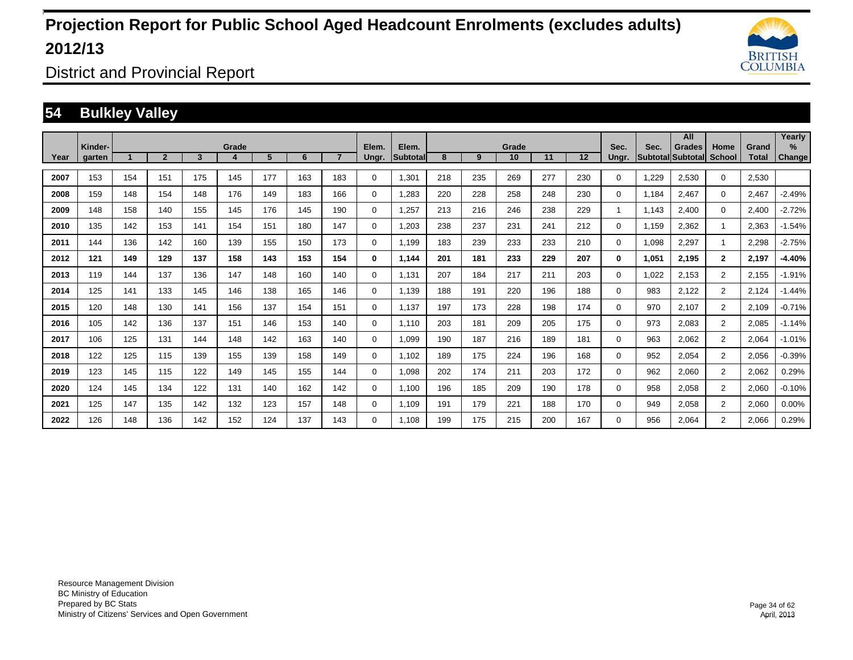

District and Provincial Report

### **54 Bulkley Valley**

|      |                   |     |                |     |       |     |     |     |                |                           |     |     |             |     |     |               |       | All                                       |                |                       | Yearly                  |
|------|-------------------|-----|----------------|-----|-------|-----|-----|-----|----------------|---------------------------|-----|-----|-------------|-----|-----|---------------|-------|-------------------------------------------|----------------|-----------------------|-------------------------|
| Year | Kinder-<br>garten |     | $\overline{2}$ | 3   | Grade | 5   | 6   |     | Elem.<br>Ungr. | Elem.<br><b>Subtotall</b> | 8   | 9   | Grade<br>10 | 11  | 12  | Sec.<br>Ungr. | Sec.  | <b>Grades</b><br><b>Subtotal</b> Subtotal | Home<br>School | Grand<br><b>Total</b> | $\frac{9}{6}$<br>Change |
| 2007 | 153               | 154 | 151            | 175 | 145   | 177 | 163 | 183 | $\mathbf 0$    | 1,301                     | 218 | 235 | 269         | 277 | 230 | 0             | 1,229 | 2,530                                     | $\mathbf 0$    | 2,530                 |                         |
| 2008 | 159               | 148 | 154            | 148 | 176   | 149 | 183 | 166 | $\mathbf 0$    | .283                      | 220 | 228 | 258         | 248 | 230 | 0             | 1.184 | 2,467                                     | $\mathbf 0$    | 2,467                 | $-2.49%$                |
| 2009 | 148               | 158 | 140            | 155 | 145   | 176 | 145 | 190 | $\mathbf 0$    | 1,257                     | 213 | 216 | 246         | 238 | 229 | 1             | 1.143 | 2,400                                     | $\mathbf 0$    | 2,400                 | $-2.72%$                |
| 2010 | 135               | 142 | 153            | 141 | 154   | 151 | 180 | 147 | $\mathbf 0$    | 1,203                     | 238 | 237 | 231         | 241 | 212 | 0             | 1.159 | 2,362                                     |                | 2,363                 | $-1.54%$                |
| 2011 | 144               | 136 | 142            | 160 | 139   | 155 | 150 | 173 | $\mathbf 0$    | 1,199                     | 183 | 239 | 233         | 233 | 210 | 0             | 1,098 | 2,297                                     |                | 2,298                 | $-2.75%$                |
| 2012 | 121               | 149 | 129            | 137 | 158   | 143 | 153 | 154 | $\bf{0}$       | 1,144                     | 201 | 181 | 233         | 229 | 207 | 0             | 1,051 | 2,195                                     | $\overline{2}$ | 2,197                 | $-4.40%$                |
| 2013 | 119               | 144 | 137            | 136 | 147   | 148 | 160 | 140 | $\mathbf 0$    | 1,131                     | 207 | 184 | 217         | 211 | 203 | 0             | 1,022 | 2,153                                     | $\overline{2}$ | 2,155                 | $-1.91%$                |
| 2014 | 125               | 141 | 133            | 145 | 146   | 138 | 165 | 146 | $\mathbf 0$    | 1,139                     | 188 | 191 | 220         | 196 | 188 | 0             | 983   | 2,122                                     | $\overline{2}$ | 2,124                 | $-1.44%$                |
| 2015 | 120               | 148 | 130            | 141 | 156   | 137 | 154 | 151 | 0              | 1.137                     | 197 | 173 | 228         | 198 | 174 | 0             | 970   | 2,107                                     | $\overline{2}$ | 2,109                 | $-0.71%$                |
| 2016 | 105               | 142 | 136            | 137 | 151   | 146 | 153 | 140 | $\mathbf 0$    | 1.110                     | 203 | 181 | 209         | 205 | 175 | 0             | 973   | 2,083                                     | $\overline{2}$ | 2,085                 | $-1.14%$                |
| 2017 | 106               | 125 | 131            | 144 | 148   | 142 | 163 | 140 | $\mathbf 0$    | 1,099                     | 190 | 187 | 216         | 189 | 181 | 0             | 963   | 2,062                                     | $\overline{2}$ | 2,064                 | $-1.01%$                |
| 2018 | 122               | 125 | 115            | 139 | 155   | 139 | 158 | 149 | $\mathbf 0$    | 1,102                     | 189 | 175 | 224         | 196 | 168 | 0             | 952   | 2,054                                     | $\overline{2}$ | 2,056                 | $-0.39%$                |
| 2019 | 123               | 145 | 115            | 122 | 149   | 145 | 155 | 144 | $\mathbf 0$    | 1,098                     | 202 | 174 | 211         | 203 | 172 | 0             | 962   | 2,060                                     | $\overline{2}$ | 2,062                 | 0.29%                   |
| 2020 | 124               | 145 | 134            | 122 | 131   | 140 | 162 | 142 | $\mathbf 0$    | 1,100                     | 196 | 185 | 209         | 190 | 178 | 0             | 958   | 2,058                                     | $\overline{2}$ | 2,060                 | $-0.10%$                |
| 2021 | 125               | 147 | 135            | 142 | 132   | 123 | 157 | 148 | $\mathbf 0$    | 1,109                     | 191 | 179 | 221         | 188 | 170 | 0             | 949   | 2,058                                     | $\overline{2}$ | 2,060                 | 0.00%                   |
| 2022 | 126               | 148 | 136            | 142 | 152   | 124 | 137 | 143 | $\mathbf 0$    | 1.108                     | 199 | 175 | 215         | 200 | 167 | 0             | 956   | 2,064                                     | $\overline{2}$ | 2,066                 | 0.29%                   |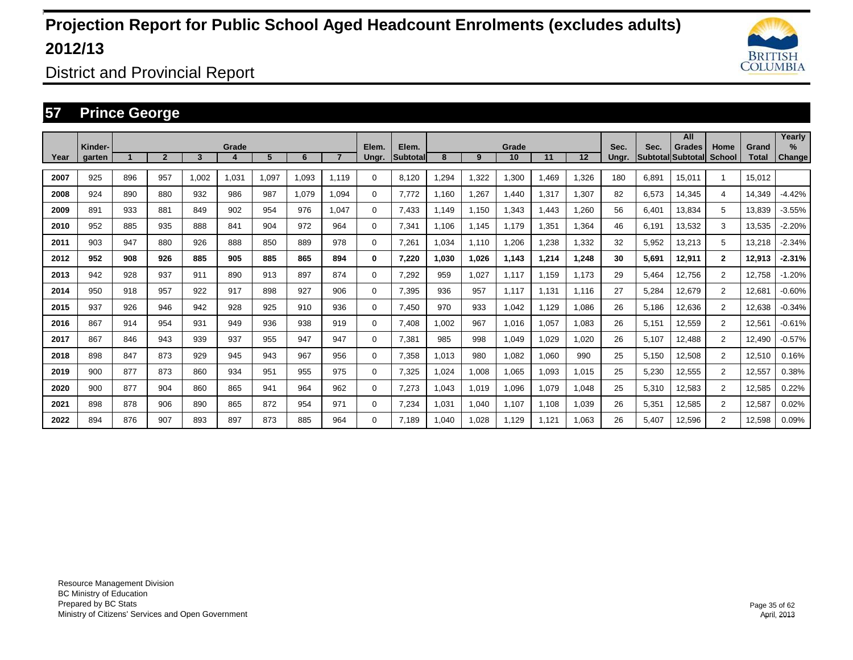

District and Provincial Report

### **57 Prince George**

|      |                   |     |                |       |       |       |       |                |          |                   |        |       |             |             |                   |               |                         | All                       |                       |                       | Yearly        |
|------|-------------------|-----|----------------|-------|-------|-------|-------|----------------|----------|-------------------|--------|-------|-------------|-------------|-------------------|---------------|-------------------------|---------------------------|-----------------------|-----------------------|---------------|
| Year | Kinder-<br>aarten |     | $\overline{2}$ | 3     | Grade | 5     | 6     | $\overline{7}$ | Elem.    | Elem.<br>Subtotal | 8      | 9     | Grade<br>10 | 11          | $12 \overline{ }$ | Sec.<br>Ungr. | Sec.<br><b>Subtotal</b> | <b>Grades</b><br>Subtotal | Home<br><b>School</b> | Grand<br><b>Total</b> | $\%$          |
|      |                   |     |                |       |       |       |       |                | Ungr.    |                   |        |       |             |             |                   |               |                         |                           |                       |                       | <b>Change</b> |
| 2007 | 925               | 896 | 957            | 1.002 | 1.031 | 1.097 | 1.093 | 1.119          | $\Omega$ | 8.120             | ,294   | 1,322 | 1,300       | <b>.469</b> | 1.326             | 180           | 6.891                   | 15.011                    | $\overline{1}$        | 15.012                |               |
| 2008 | 924               | 890 | 880            | 932   | 986   | 987   | 1.079 | 1.094          | 0        | 7.772             | .160   | 1,267 | 1.440       | 1,317       | 1.307             | 82            | 6.573                   | 14.345                    | 4                     | 14.349                | $-4.42%$      |
| 2009 | 891               | 933 | 881            | 849   | 902   | 954   | 976   | 1.047          | 0        | 7,433             | .149   | 1,150 | 1,343       | 1,443       | 1,260             | 56            | 6,401                   | 13,834                    | 5                     | 13,839                | $-3.55%$      |
| 2010 | 952               | 885 | 935            | 888   | 841   | 904   | 972   | 964            | 0        | 7,341             | 1,106  | 1,145 | 1,179       | 1,351       | 1,364             | 46            | 6,191                   | 13,532                    | 3                     | 13,535                | $-2.20%$      |
| 2011 | 903               | 947 | 880            | 926   | 888   | 850   | 889   | 978            | 0        | 7,261             | ,034   | 1,110 | 1,206       | 1,238       | 1,332             | 32            | 5,952                   | 13,213                    | 5                     | 13,218                | $-2.34%$      |
| 2012 | 952               | 908 | 926            | 885   | 905   | 885   | 865   | 894            | 0        | 7,220             | 030, ا | 1,026 | 1,143       | 1,214       | 1,248             | 30            | 5,691                   | 12,911                    | $\overline{2}$        | 12,913                | $-2.31%$      |
| 2013 | 942               | 928 | 937            | 911   | 890   | 913   | 897   | 874            | 0        | 7,292             | 959    | 1,027 | 1,117       | 1.159       | 1.173             | 29            | 5,464                   | 12,756                    | $\overline{2}$        | 12,758                | $-1.20%$      |
| 2014 | 950               | 918 | 957            | 922   | 917   | 898   | 927   | 906            | 0        | 7,395             | 936    | 957   | 1.117       | 1.131       | 1.116             | 27            | 5,284                   | 12,679                    | $\overline{2}$        | 12,681                | $-0.60%$      |
| 2015 | 937               | 926 | 946            | 942   | 928   | 925   | 910   | 936            | 0        | 7,450             | 970    | 933   | 1,042       | 1.129       | 1.086             | 26            | 5.186                   | 12,636                    | $\overline{2}$        | 12,638                | $-0.34%$      |
| 2016 | 867               | 914 | 954            | 931   | 949   | 936   | 938   | 919            | 0        | 7.408             | ,002   | 967   | 1,016       | 1,057       | 1,083             | 26            | 5,151                   | 12,559                    | $\overline{2}$        | 12,561                | $-0.61%$      |
| 2017 | 867               | 846 | 943            | 939   | 937   | 955   | 947   | 947            | 0        | 7,381             | 985    | 998   | 1,049       | 1,029       | 1.020             | 26            | 5.107                   | 12,488                    | $\overline{2}$        | 12.490                | $-0.57%$      |
| 2018 | 898               | 847 | 873            | 929   | 945   | 943   | 967   | 956            | 0        | 7,358             | 1.013  | 980   | 1,082       | 1,060       | 990               | 25            | 5.150                   | 12,508                    | $\overline{2}$        | 12,510                | 0.16%         |
| 2019 | 900               | 877 | 873            | 860   | 934   | 951   | 955   | 975            | 0        | 7,325             | ,024   | 1,008 | 1,065       | 1,093       | 1.015             | 25            | 5,230                   | 12,555                    | $\overline{2}$        | 12,557                | 0.38%         |
| 2020 | 900               | 877 | 904            | 860   | 865   | 941   | 964   | 962            | 0        | 7.273             | .043   | 1,019 | 1,096       | 1,079       | 1.048             | 25            | 5.310                   | 12,583                    | $\overline{2}$        | 12,585                | 0.22%         |
| 2021 | 898               | 878 | 906            | 890   | 865   | 872   | 954   | 971            | 0        | 7,234             | ,031   | 1,040 | 1,107       | 1,108       | 1,039             | 26            | 5,351                   | 12,585                    | $\overline{2}$        | 12,587                | 0.02%         |
| 2022 | 894               | 876 | 907            | 893   | 897   | 873   | 885   | 964            | $\Omega$ | 7.189             | ,040   | 1,028 | 1,129       | 1,121       | 1.063             | 26            | 5,407                   | 12,596                    | $\overline{2}$        | 12,598                | 0.09%         |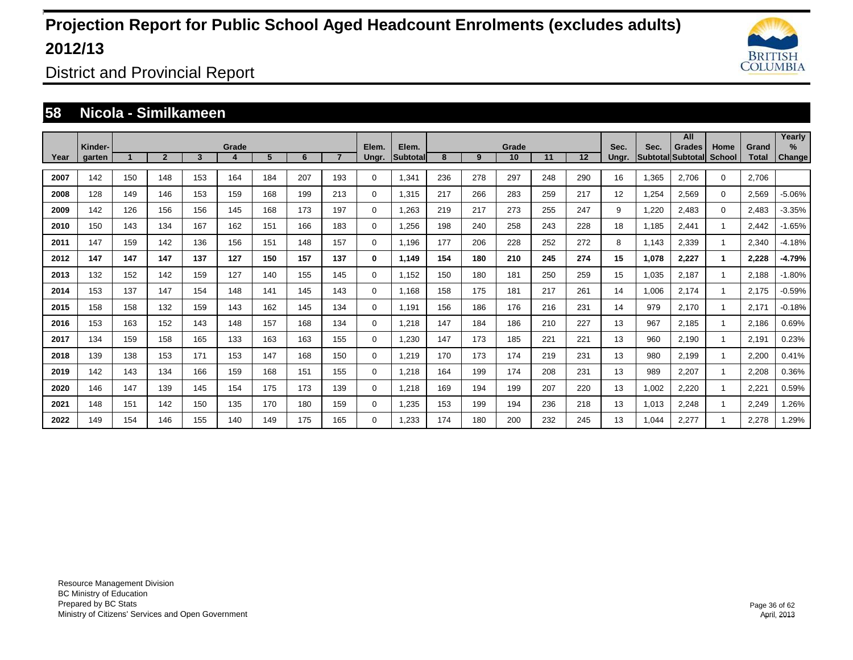

District and Provincial Report

#### **58 Nicola - Similkameen**

|      |                   |     |                |     |       |     |     |                |                |                    |     |     |             |     |     |               |       | All                                |                       |                       | Yearly         |
|------|-------------------|-----|----------------|-----|-------|-----|-----|----------------|----------------|--------------------|-----|-----|-------------|-----|-----|---------------|-------|------------------------------------|-----------------------|-----------------------|----------------|
| Year | Kinder-<br>garten |     | $\overline{2}$ | 3   | Grade | 5   | 6   | $\overline{7}$ | Elem.<br>Ungr. | Elem.<br>Subtotall | 8   | 9   | Grade<br>10 | 11  | 12  | Sec.<br>Ungr. | Sec.  | <b>Grades</b><br>Subtotal Subtotal | Home<br><b>School</b> | Grand<br><b>Total</b> | $\%$<br>Change |
|      |                   |     |                |     |       |     |     |                |                |                    |     |     |             |     |     |               |       |                                    |                       |                       |                |
| 2007 | 142               | 150 | 148            | 153 | 164   | 184 | 207 | 193            | 0              | 1,341              | 236 | 278 | 297         | 248 | 290 | 16            | 1,365 | 2.706                              | $\mathbf 0$           | 2.706                 |                |
| 2008 | 128               | 149 | 146            | 153 | 159   | 168 | 199 | 213            | $\mathbf 0$    | 1.315              | 217 | 266 | 283         | 259 | 217 | 12            | 1,254 | 2.569                              | $\mathbf 0$           | 2,569                 | $-5.06%$       |
| 2009 | 142               | 126 | 156            | 156 | 145   | 168 | 173 | 197            | 0              | 1,263              | 219 | 217 | 273         | 255 | 247 | 9             | 1,220 | 2,483                              | 0                     | 2,483                 | $-3.35%$       |
| 2010 | 150               | 143 | 134            | 167 | 162   | 151 | 166 | 183            | 0              | 1,256              | 198 | 240 | 258         | 243 | 228 | 18            | 1,185 | 2,441                              |                       | 2,442                 | $-1.65%$       |
| 2011 | 147               | 159 | 142            | 136 | 156   | 151 | 148 | 157            | $\mathbf 0$    | 1,196              | 177 | 206 | 228         | 252 | 272 | 8             | 1,143 | 2,339                              |                       | 2,340                 | $-4.18%$       |
| 2012 | 147               | 147 | 147            | 137 | 127   | 150 | 157 | 137            | 0              | 1,149              | 154 | 180 | 210         | 245 | 274 | 15            | 1,078 | 2,227                              | 1                     | 2,228                 | $-4.79%$       |
| 2013 | 132               | 152 | 142            | 159 | 127   | 140 | 155 | 145            | $\mathbf 0$    | 1,152              | 150 | 180 | 181         | 250 | 259 | 15            | 1,035 | 2,187                              |                       | 2,188                 | $-1.80%$       |
| 2014 | 153               | 137 | 147            | 154 | 148   | 141 | 145 | 143            | $\mathbf 0$    | 1,168              | 158 | 175 | 181         | 217 | 261 | 14            | 1,006 | 2,174                              |                       | 2,175                 | $-0.59%$       |
| 2015 | 158               | 158 | 132            | 159 | 143   | 162 | 145 | 134            | 0              | 1,191              | 156 | 186 | 176         | 216 | 231 | 14            | 979   | 2,170                              |                       | 2,171                 | $-0.18%$       |
| 2016 | 153               | 163 | 152            | 143 | 148   | 157 | 168 | 134            | $\mathbf 0$    | 1,218              | 147 | 184 | 186         | 210 | 227 | 13            | 967   | 2.185                              |                       | 2.186                 | 0.69%          |
| 2017 | 134               | 159 | 158            | 165 | 133   | 163 | 163 | 155            | $\mathbf 0$    | 1,230              | 147 | 173 | 185         | 221 | 221 | 13            | 960   | 2.190                              |                       | 2,191                 | 0.23%          |
| 2018 | 139               | 138 | 153            | 171 | 153   | 147 | 168 | 150            | $\mathbf 0$    | 1.219              | 170 | 173 | 174         | 219 | 231 | 13            | 980   | 2.199                              |                       | 2.200                 | 0.41%          |
| 2019 | 142               | 143 | 134            | 166 | 159   | 168 | 151 | 155            | $\mathbf 0$    | 1.218              | 164 | 199 | 174         | 208 | 231 | 13            | 989   | 2,207                              |                       | 2,208                 | 0.36%          |
| 2020 | 146               | 147 | 139            | 145 | 154   | 175 | 173 | 139            | $\mathbf 0$    | 1.218              | 169 | 194 | 199         | 207 | 220 | 13            | 1,002 | 2,220                              |                       | 2,221                 | 0.59%          |
| 2021 | 148               | 151 | 142            | 150 | 135   | 170 | 180 | 159            | $\mathbf 0$    | 1,235              | 153 | 199 | 194         | 236 | 218 | 13            | 1,013 | 2,248                              |                       | 2,249                 | 1.26%          |
| 2022 | 149               | 154 | 146            | 155 | 140   | 149 | 175 | 165            | $\mathbf 0$    | .233               | 174 | 180 | 200         | 232 | 245 | 13            | 1,044 | 2,277                              |                       | 2,278                 | .29%           |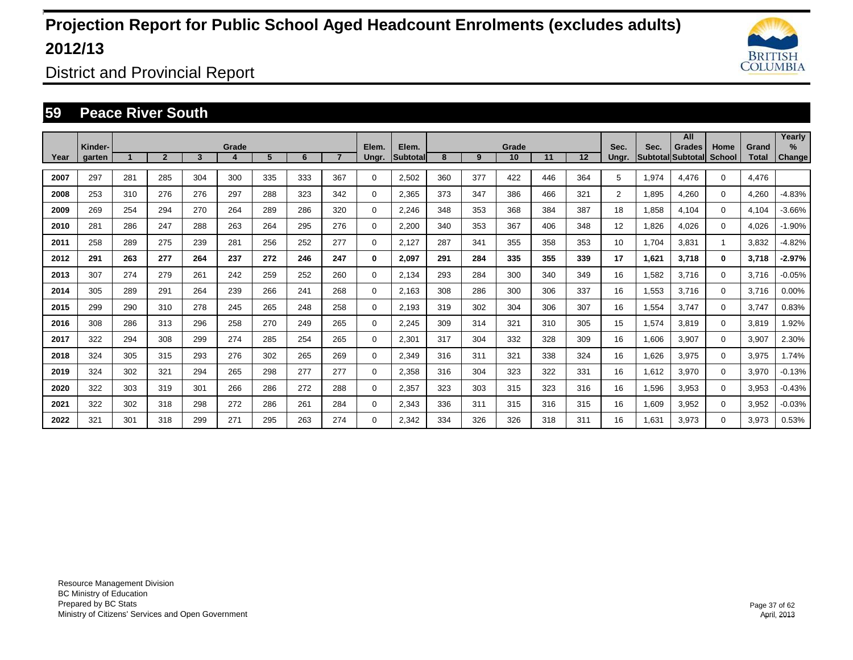

District and Provincial Report

#### **59 Peace River South**

|      |                   |     |                |     |            |     |     |                |                |                    |     |     |             |     |     |                |                         | All                       |                       |                       | Yearly         |
|------|-------------------|-----|----------------|-----|------------|-----|-----|----------------|----------------|--------------------|-----|-----|-------------|-----|-----|----------------|-------------------------|---------------------------|-----------------------|-----------------------|----------------|
| Year | Kinder-<br>garten |     | $\overline{2}$ | 3   | Grade<br>4 | 5   | 6   | $\overline{7}$ | Elem.<br>Ungr. | Elem.<br>Subtotall | 8   | 9   | Grade<br>10 | 11  | 12  | Sec.<br>Ungr.  | Sec.<br><b>Subtotal</b> | <b>Grades</b><br>Subtotal | Home<br><b>School</b> | Grand<br><b>Total</b> | $\%$<br>Change |
|      |                   |     |                |     |            |     |     |                |                |                    |     |     |             |     |     |                |                         |                           |                       |                       |                |
| 2007 | 297               | 281 | 285            | 304 | 300        | 335 | 333 | 367            | 0              | 2,502              | 360 | 377 | 422         | 446 | 364 | 5              | 1,974                   | 4.476                     | $\mathbf 0$           | 4.476                 |                |
| 2008 | 253               | 310 | 276            | 276 | 297        | 288 | 323 | 342            | 0              | 2,365              | 373 | 347 | 386         | 466 | 321 | $\overline{2}$ | 1,895                   | 4.260                     | $\mathbf 0$           | 4,260                 | $-4.83%$       |
| 2009 | 269               | 254 | 294            | 270 | 264        | 289 | 286 | 320            | 0              | 2,246              | 348 | 353 | 368         | 384 | 387 | 18             | 1,858                   | 4,104                     | $\mathbf 0$           | 4,104                 | $-3.66%$       |
| 2010 | 281               | 286 | 247            | 288 | 263        | 264 | 295 | 276            | 0              | 2,200              | 340 | 353 | 367         | 406 | 348 | 12             | 1,826                   | 4,026                     | $\mathbf 0$           | 4,026                 | $-1.90%$       |
| 2011 | 258               | 289 | 275            | 239 | 281        | 256 | 252 | 277            | $\mathbf 0$    | 2,127              | 287 | 341 | 355         | 358 | 353 | 10             | 1,704                   | 3,831                     |                       | 3,832                 | $-4.82%$       |
| 2012 | 291               | 263 | 277            | 264 | 237        | 272 | 246 | 247            | 0              | 2,097              | 291 | 284 | 335         | 355 | 339 | 17             | 1,621                   | 3,718                     | $\bf{0}$              | 3,718                 | $-2.97%$       |
| 2013 | 307               | 274 | 279            | 261 | 242        | 259 | 252 | 260            | 0              | 2,134              | 293 | 284 | 300         | 340 | 349 | 16             | 1,582                   | 3,716                     | $\mathbf 0$           | 3,716                 | $-0.05%$       |
| 2014 | 305               | 289 | 291            | 264 | 239        | 266 | 241 | 268            | 0              | 2.163              | 308 | 286 | 300         | 306 | 337 | 16             | 1,553                   | 3,716                     | $\mathbf 0$           | 3,716                 | 0.00%          |
| 2015 | 299               | 290 | 310            | 278 | 245        | 265 | 248 | 258            | 0              | 2.193              | 319 | 302 | 304         | 306 | 307 | 16             | 1,554                   | 3,747                     | 0                     | 3,747                 | 0.83%          |
| 2016 | 308               | 286 | 313            | 296 | 258        | 270 | 249 | 265            | 0              | 2,245              | 309 | 314 | 321         | 310 | 305 | 15             | 1,574                   | 3,819                     | $\mathbf 0$           | 3,819                 | 1.92%          |
| 2017 | 322               | 294 | 308            | 299 | 274        | 285 | 254 | 265            | 0              | 2,301              | 317 | 304 | 332         | 328 | 309 | 16             | 1,606                   | 3,907                     | $\mathbf 0$           | 3,907                 | 2.30%          |
| 2018 | 324               | 305 | 315            | 293 | 276        | 302 | 265 | 269            | 0              | 2,349              | 316 | 311 | 321         | 338 | 324 | 16             | 1,626                   | 3,975                     | $\mathbf 0$           | 3,975                 | 1.74%          |
| 2019 | 324               | 302 | 321            | 294 | 265        | 298 | 277 | 277            | 0              | 2,358              | 316 | 304 | 323         | 322 | 331 | 16             | 1.612                   | 3,970                     | $\mathbf 0$           | 3,970                 | $-0.13%$       |
| 2020 | 322               | 303 | 319            | 301 | 266        | 286 | 272 | 288            | 0              | 2,357              | 323 | 303 | 315         | 323 | 316 | 16             | 1.596                   | 3.953                     | $\mathbf 0$           | 3,953                 | $-0.43%$       |
| 2021 | 322               | 302 | 318            | 298 | 272        | 286 | 261 | 284            | $\mathbf 0$    | 2,343              | 336 | 311 | 315         | 316 | 315 | 16             | 1,609                   | 3,952                     | $\mathbf 0$           | 3,952                 | $-0.03%$       |
| 2022 | 321               | 301 | 318            | 299 | 271        | 295 | 263 | 274            | $\Omega$       | 2,342              | 334 | 326 | 326         | 318 | 311 | 16             | .631                    | 3,973                     | $\mathbf 0$           | 3,973                 | 0.53%          |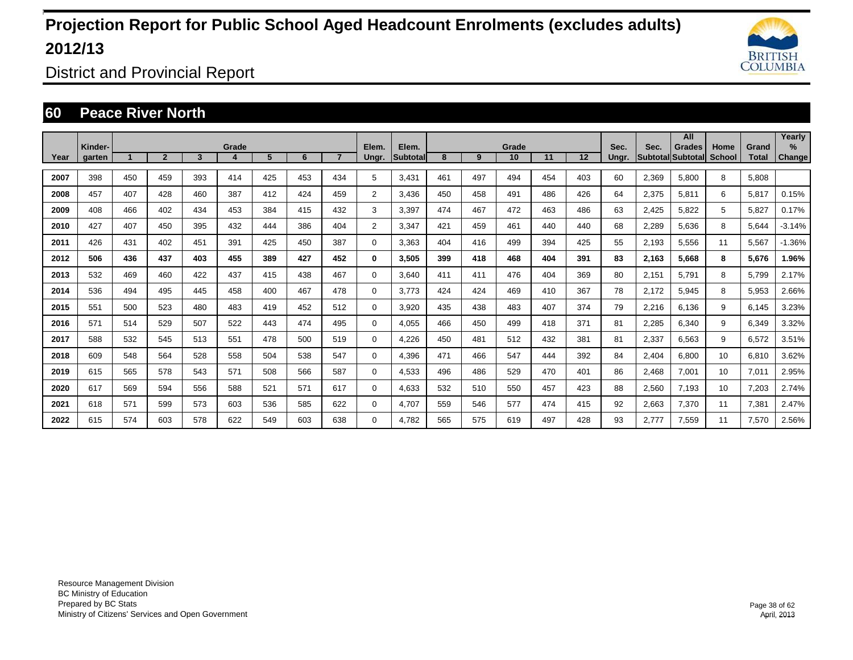

District and Provincial Report

### **60 Peace River North**

|      |         |     |                |     |            |     |     |                |                |                   |     |     |             |     |         |       |                         | All                       |                       |                       | Yearly   |
|------|---------|-----|----------------|-----|------------|-----|-----|----------------|----------------|-------------------|-----|-----|-------------|-----|---------|-------|-------------------------|---------------------------|-----------------------|-----------------------|----------|
| Year | Kinder- |     | $\overline{2}$ | 3   | Grade<br>4 | 5   | 6   | $\overline{7}$ | Elem.          | Elem.<br>Subtotal | 8   | 9   | Grade<br>10 | 11  | $12 \,$ | Sec.  | Sec.<br><b>Subtotal</b> | <b>Grades</b><br>Subtotal | Home<br><b>School</b> | Grand<br><b>Total</b> | $\%$     |
|      | garten  |     |                |     |            |     |     |                | Ungr.          |                   |     |     |             |     |         | Ungr. |                         |                           |                       |                       | Change   |
| 2007 | 398     | 450 | 459            | 393 | 414        | 425 | 453 | 434            | 5              | 3.431             | 461 | 497 | 494         | 454 | 403     | 60    | 2,369                   | 5.800                     | 8                     | 5.808                 |          |
| 2008 | 457     | 407 | 428            | 460 | 387        | 412 | 424 | 459            | $\overline{2}$ | 3.436             | 450 | 458 | 491         | 486 | 426     | 64    | 2,375                   | 5,811                     | 6                     | 5.817                 | 0.15%    |
| 2009 | 408     | 466 | 402            | 434 | 453        | 384 | 415 | 432            | 3              | 3,397             | 474 | 467 | 472         | 463 | 486     | 63    | 2,425                   | 5,822                     | 5                     | 5,827                 | 0.17%    |
| 2010 | 427     | 407 | 450            | 395 | 432        | 444 | 386 | 404            | 2              | 3,347             | 421 | 459 | 461         | 440 | 440     | 68    | 2,289                   | 5,636                     | 8                     | 5,644                 | $-3.14%$ |
| 2011 | 426     | 431 | 402            | 451 | 391        | 425 | 450 | 387            | 0              | 3,363             | 404 | 416 | 499         | 394 | 425     | 55    | 2,193                   | 5,556                     | 11                    | 5,567                 | $-1.36%$ |
| 2012 | 506     | 436 | 437            | 403 | 455        | 389 | 427 | 452            | 0              | 3,505             | 399 | 418 | 468         | 404 | 391     | 83    | 2,163                   | 5.668                     | 8                     | 5,676                 | 1.96%    |
| 2013 | 532     | 469 | 460            | 422 | 437        | 415 | 438 | 467            | $\Omega$       | 3.640             | 411 | 411 | 476         | 404 | 369     | 80    | 2,151                   | 5,791                     | 8                     | 5,799                 | 2.17%    |
| 2014 | 536     | 494 | 495            | 445 | 458        | 400 | 467 | 478            | 0              | 3.773             | 424 | 424 | 469         | 410 | 367     | 78    | 2.172                   | 5,945                     | 8                     | 5,953                 | 2.66%    |
| 2015 | 551     | 500 | 523            | 480 | 483        | 419 | 452 | 512            | 0              | 3.920             | 435 | 438 | 483         | 407 | 374     | 79    | 2,216                   | 6,136                     | 9                     | 6,145                 | 3.23%    |
| 2016 | 571     | 514 | 529            | 507 | 522        | 443 | 474 | 495            | 0              | 4.055             | 466 | 450 | 499         | 418 | 371     | 81    | 2,285                   | 6,340                     | 9                     | 6,349                 | 3.32%    |
| 2017 | 588     | 532 | 545            | 513 | 551        | 478 | 500 | 519            | 0              | 4.226             | 450 | 481 | 512         | 432 | 381     | 81    | 2,337                   | 6.563                     | 9                     | 6,572                 | 3.51%    |
| 2018 | 609     | 548 | 564            | 528 | 558        | 504 | 538 | 547            | 0              | 4.396             | 471 | 466 | 547         | 444 | 392     | 84    | 2,404                   | 6.800                     | 10                    | 6,810                 | 3.62%    |
| 2019 | 615     | 565 | 578            | 543 | 571        | 508 | 566 | 587            | 0              | 4,533             | 496 | 486 | 529         | 470 | 401     | 86    | 2.468                   | 7,001                     | 10                    | 7,011                 | 2.95%    |
| 2020 | 617     | 569 | 594            | 556 | 588        | 521 | 571 | 617            | 0              | 4.633             | 532 | 510 | 550         | 457 | 423     | 88    | 2,560                   | 7.193                     | 10                    | 7,203                 | 2.74%    |
| 2021 | 618     | 571 | 599            | 573 | 603        | 536 | 585 | 622            | 0              | 4,707             | 559 | 546 | 577         | 474 | 415     | 92    | 2,663                   | 7,370                     | 11                    | 7,381                 | 2.47%    |
| 2022 | 615     | 574 | 603            | 578 | 622        | 549 | 603 | 638            | $\Omega$       | 4,782             | 565 | 575 | 619         | 497 | 428     | 93    | 2.777                   | 7,559                     | 11                    | 7,570                 | 2.56%    |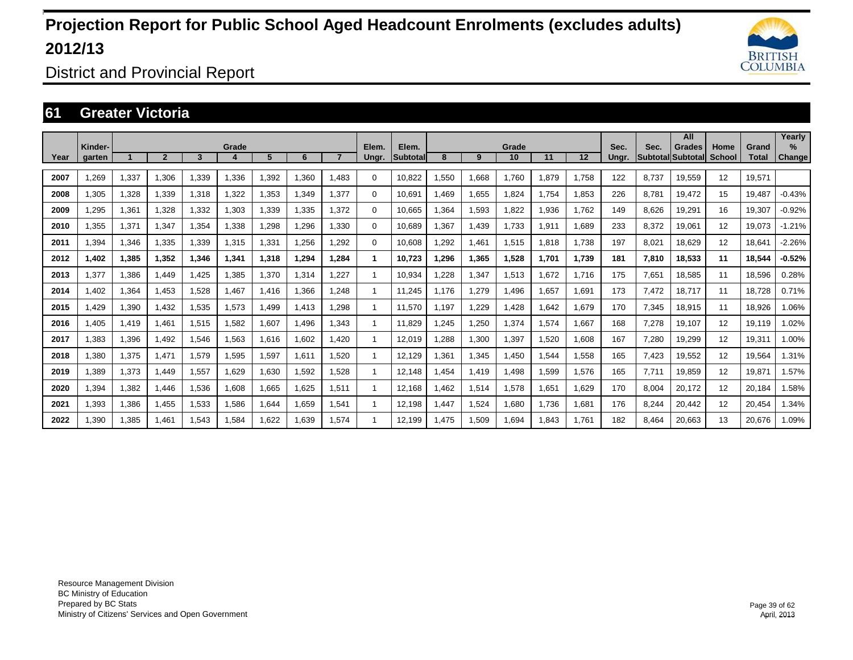

District and Provincial Report

### **61 Greater Victoria**

|      |                   |       |                |        |       |       |       |                |                |                          |       |       |             |       |       |               |       | All                                 |                       |                       | Yearly                |
|------|-------------------|-------|----------------|--------|-------|-------|-------|----------------|----------------|--------------------------|-------|-------|-------------|-------|-------|---------------|-------|-------------------------------------|-----------------------|-----------------------|-----------------------|
| Year | Kinder-<br>garten |       | $\overline{2}$ | 3      | Grade | 5     | 6     | $\overline{ }$ | Elem.<br>Ungr. | Elem.<br><b>Subtotal</b> | 8     | 9     | Grade<br>10 | 11    | 12    | Sec.<br>Unar. | Sec.  | <b>Grades</b><br> Subtotal Subtotal | Home<br><b>School</b> | Grand<br><b>Total</b> | $\%$<br><b>Change</b> |
|      |                   |       |                |        |       |       |       |                |                |                          |       |       |             |       |       |               |       |                                     |                       |                       |                       |
| 2007 | .269              | 1,337 | 1.306          | 1.339  | 1.336 | .392  | 1.360 | 1.483          | 0              | 10.822                   | .550  | 1.668 | 1.760       | 1.879 | 1.758 | 122           | 8.737 | 19.559                              | 12                    | 19.571                |                       |
| 2008 | 1,305             | 1,328 | 1,339          | 1,318  | 1,322 | ,353  | 1,349 | 1,377          | $\Omega$       | 10,691                   | .469  | 1,655 | 1,824       | 1.754 | 1,853 | 226           | 8.781 | 19,472                              | 15                    | 19.487                | $-0.43%$              |
| 2009 | .295              | 1,361 | .328           | 1,332  | 1,303 | ,339  | 1,335 | 1,372          | 0              | 10.665                   | .364  | 1,593 | 1,822       | 936,  | 1.762 | 149           | 8,626 | 19,291                              | 16                    | 19,307                | $-0.92%$              |
| 2010 | 1.355             | 1,371 | 1.347          | 1.354  | 1,338 | ,298  | 1,296 | 1.330          | $\mathbf 0$    | 10.689                   | .367  | 1,439 | 1,733       | 1,911 | 1,689 | 233           | 8,372 | 19.061                              | 12                    | 19.073                | $-1.21%$              |
| 2011 | 1.394             | 1.346 | 1.335          | 1.339  | 1.315 | .331  | 1,256 | 1.292          | $\mathbf 0$    | 10.608                   | .292  | 1.461 | 1.515       | 1.818 | 1.738 | 197           | 8.021 | 18.629                              | 12                    | 18.641                | $-2.26%$              |
| 2012 | 1,402             | 1,385 | 1,352          | 346, ا | 1,341 | 1,318 | 1,294 | 1,284          | 1              | 10,723                   | ,296  | 1,365 | 1,528       | 1,701 | 1,739 | 181           | 7,810 | 18,533                              | 11                    | 18,544                | $-0.52%$              |
| 2013 | 1,377             | 1,386 | <b>1.449</b>   | 1.425  | 1,385 | ,370  | 1,314 | 1.227          | -1             | 10,934                   | .228  | 1,347 | 1,513       | 1,672 | 1.716 | 175           | 7,651 | 18,585                              | 11                    | 18,596                | 0.28%                 |
| 2014 | 1.402             | 1,364 | 1.453          | 1.528  | 1.467 | 1.416 | 1.366 | 1.248          | $\overline{1}$ | 11.245                   | .176  | 1.279 | 1.496       | 1.657 | 1,691 | 173           | 7,472 | 18.717                              | 11                    | 18.728                | 0.71%                 |
| 2015 | 1.429             | 1,390 | 1.432          | 1.535  | 1,573 | .499  | 1.413 | 1.298          | -1             | 11,570                   | .197  | 1.229 | 1.428       | .642  | 1.679 | 170           | 7,345 | 18,915                              | 11                    | 18.926                | .06%                  |
| 2016 | 1,405             | 1,419 | 1,461          | 1,515  | 1,582 | 1,607 | 1,496 | 1,343          | -1             | 11,829                   | .245  | 1,250 | 1,374       | 1,574 | 1,667 | 168           | 7,278 | 19,107                              | 12                    | 19,119                | 1.02%                 |
| 2017 | 1,383             | 1,396 | 1,492          | 1,546  | 1,563 | 1,616 | 1,602 | 1.420          |                | 12,019                   | ,288  | 1,300 | 1,397       | 1,520 | 1,608 | 167           | 7,280 | 19,299                              | 12                    | 19,311                | 1.00%                 |
| 2018 | 1,380             | 1,375 | 1.471          | 1,579  | 1,595 | 1,597 | 1.611 | 1,520          |                | 12.129                   | .361  | 1,345 | 1,450       | 544.  | 1,558 | 165           | 7,423 | 19,552                              | 12                    | 19,564                | 1.31%                 |
| 2019 | 1.389             | 1,373 | 1.449          | 1.557  | 1.629 | 1.630 | 1,592 | 1.528          |                | 12,148                   | .454  | 1.419 | 1.498       | 1.599 | 1,576 | 165           | 7.711 | 19,859                              | 12                    | 19,871                | 1.57%                 |
| 2020 | 1,394             | 1,382 | 1,446          | 1,536  | 1,608 | 1,665 | 1,625 | 1,511          | 1              | 12,168                   | .462  | 1,514 | 1,578       | 1.651 | 1,629 | 170           | 8,004 | 20,172                              | 12                    | 20,184                | 1.58%                 |
| 2021 | 1,393             | 1,386 | 1,455          | 1,533  | 1,586 | 644.ا | 1.659 | 1,541          | -1             | 12,198                   | .447  | 1,524 | 1,680       | 1,736 | 1,681 | 176           | 8,244 | 20,442                              | 12                    | 20,454                | 1.34%                 |
| 2022 | 1.390             | 1.385 | 1.461          | 1.543  | 1.584 | .622  | 1.639 | 1.574          | 1              | 12.199                   | 1.475 | 1.509 | 1.694       | 1.843 | 1.761 | 182           | 8.464 | 20.663                              | 13                    | 20.676                | 1.09%                 |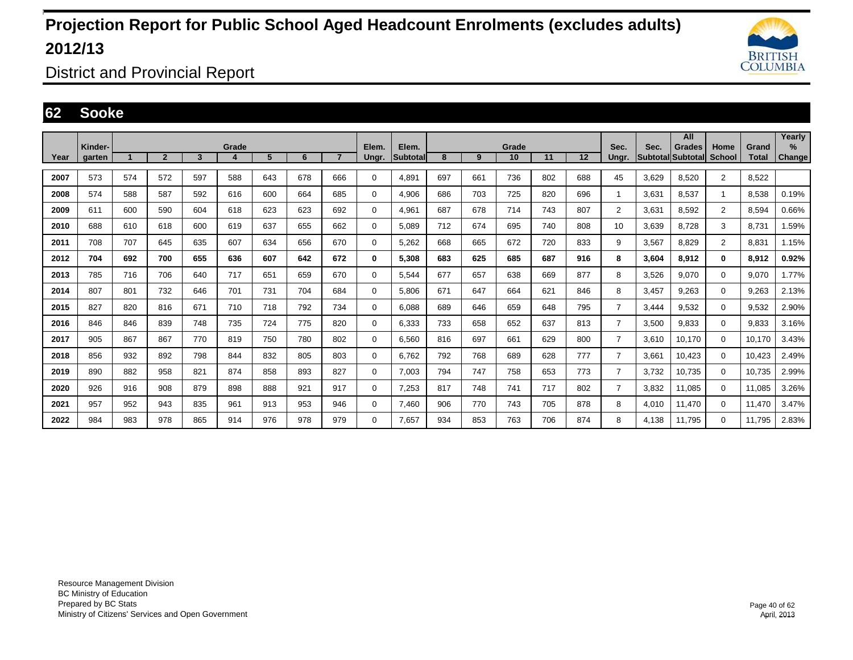

District and Provincial Report

#### **62 Sooke**

|      | Kinder- |     |                |     | Grade |     |     |                | Elem. | Elem.           |     |     | Grade |     |     | Sec.           | Sec.  | All<br>Grades     | Home           | Grand        | Yearly<br>$\%$ |
|------|---------|-----|----------------|-----|-------|-----|-----|----------------|-------|-----------------|-----|-----|-------|-----|-----|----------------|-------|-------------------|----------------|--------------|----------------|
| Year | aarten  |     | $\overline{2}$ | 3   | 4     | 5   | 6   | $\overline{7}$ | Ungr. | <b>Subtotal</b> | 8   | 9   | 10    | 11  | 12  | Unar.          |       | Subtotal Subtotal | School         | <b>Total</b> | Change         |
| 2007 | 573     | 574 | 572            | 597 | 588   | 643 | 678 | 666            | 0     | 4.891           | 697 | 661 | 736   | 802 | 688 | 45             | 3.629 | 8.520             | $\overline{2}$ | 8,522        |                |
| 2008 | 574     | 588 | 587            | 592 | 616   | 600 | 664 | 685            | 0     | 4.906           | 686 | 703 | 725   | 820 | 696 | 1              | 3.631 | 8.537             | 1              | 8.538        | 0.19%          |
| 2009 | 611     | 600 | 590            | 604 | 618   | 623 | 623 | 692            | 0     | 4,961           | 687 | 678 | 714   | 743 | 807 | $\overline{2}$ | 3,631 | 8,592             | $\overline{2}$ | 8,594        | 0.66%          |
| 2010 | 688     | 610 | 618            | 600 | 619   | 637 | 655 | 662            | 0     | 5,089           | 712 | 674 | 695   | 740 | 808 | 10             | 3,639 | 8,728             | 3              | 8.731        | 1.59%          |
| 2011 | 708     | 707 | 645            | 635 | 607   | 634 | 656 | 670            | 0     | 5,262           | 668 | 665 | 672   | 720 | 833 | 9              | 3,567 | 8.829             | $\overline{2}$ | 8.831        | 1.15%          |
| 2012 | 704     | 692 | 700            | 655 | 636   | 607 | 642 | 672            | 0     | 5.308           | 683 | 625 | 685   | 687 | 916 | 8              | 3.604 | 8.912             | 0              | 8.912        | 0.92%          |
| 2013 | 785     | 716 | 706            | 640 | 717   | 651 | 659 | 670            | 0     | 5,544           | 677 | 657 | 638   | 669 | 877 | 8              | 3,526 | 9,070             | $\mathbf{0}$   | 9,070        | 1.77%          |
| 2014 | 807     | 801 | 732            | 646 | 701   | 731 | 704 | 684            | 0     | 5.806           | 671 | 647 | 664   | 621 | 846 | 8              | 3.457 | 9.263             | $\mathbf 0$    | 9,263        | 2.13%          |
| 2015 | 827     | 820 | 816            | 671 | 710   | 718 | 792 | 734            | 0     | 6.088           | 689 | 646 | 659   | 648 | 795 | $\overline{7}$ | 3.444 | 9.532             | $\mathbf 0$    | 9,532        | 2.90%          |
| 2016 | 846     | 846 | 839            | 748 | 735   | 724 | 775 | 820            | 0     | 6.333           | 733 | 658 | 652   | 637 | 813 | $\overline{7}$ | 3,500 | 9.833             | $\mathbf 0$    | 9.833        | 3.16%          |
| 2017 | 905     | 867 | 867            | 770 | 819   | 750 | 780 | 802            | 0     | 6,560           | 816 | 697 | 661   | 629 | 800 | $\overline{7}$ | 3,610 | 10,170            | $\mathbf 0$    | 10,170       | 3.43%          |
| 2018 | 856     | 932 | 892            | 798 | 844   | 832 | 805 | 803            | 0     | 6,762           | 792 | 768 | 689   | 628 | 777 | $\overline{7}$ | 3,661 | 10,423            | $\mathbf 0$    | 10.423       | 2.49%          |
| 2019 | 890     | 882 | 958            | 821 | 874   | 858 | 893 | 827            | 0     | 7.003           | 794 | 747 | 758   | 653 | 773 | $\overline{7}$ | 3.732 | 10.735            | $\mathbf 0$    | 10,735       | 2.99%          |
| 2020 | 926     | 916 | 908            | 879 | 898   | 888 | 921 | 917            | 0     | 7.253           | 817 | 748 | 741   | 717 | 802 | $\overline{7}$ | 3.832 | 11.085            | $\mathbf 0$    | 11.085       | 3.26%          |
| 2021 | 957     | 952 | 943            | 835 | 961   | 913 | 953 | 946            | 0     | 7,460           | 906 | 770 | 743   | 705 | 878 | 8              | 4,010 | 11,470            | $\mathbf 0$    | 11,470       | 3.47%          |
| 2022 | 984     | 983 | 978            | 865 | 914   | 976 | 978 | 979            | 0     | 7.657           | 934 | 853 | 763   | 706 | 874 | 8              | 4.138 | 11.795            | $\mathbf 0$    | 11.795       | 2.83%          |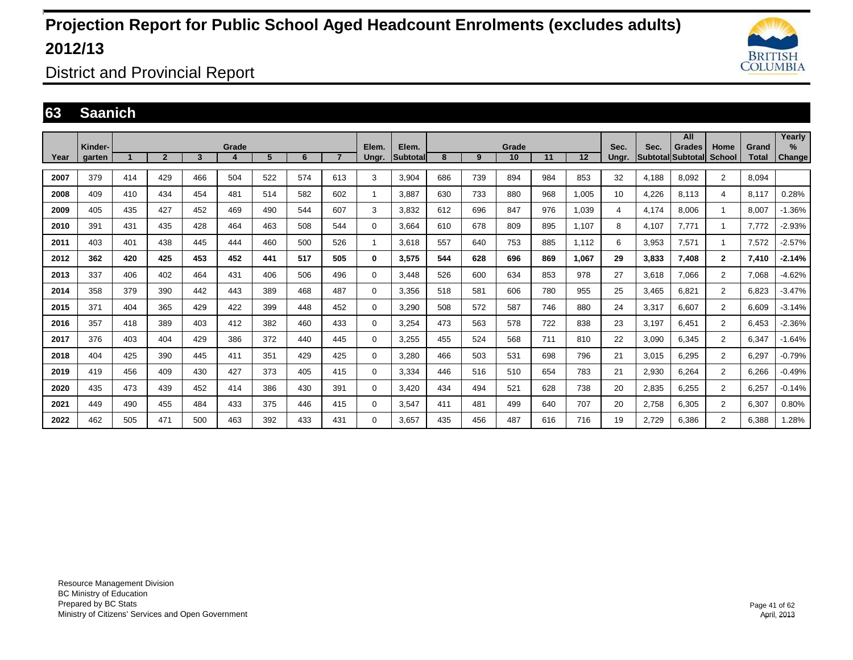

District and Provincial Report

#### **63 Saanich**

|      |                   |     |                |     |       |     |     |                |                |                          |     |     |             |     |       |               |       | All                                       |                       |                       | Yearly                |
|------|-------------------|-----|----------------|-----|-------|-----|-----|----------------|----------------|--------------------------|-----|-----|-------------|-----|-------|---------------|-------|-------------------------------------------|-----------------------|-----------------------|-----------------------|
| Year | Kinder-<br>garten |     | $\overline{2}$ | 3   | Grade | 5   | 6   | $\overline{7}$ | Elem.<br>Unar. | Elem.<br><b>Subtotal</b> | 8   | 9   | Grade<br>10 | 11  | 12    | Sec.<br>Unar. | Sec.  | <b>Grades</b><br><b>Subtotal Subtotal</b> | Home<br><b>School</b> | Grand<br><b>Total</b> | $\%$<br><b>Change</b> |
| 2007 | 379               | 414 | 429            | 466 | 504   | 522 | 574 | 613            | 3              | 3,904                    | 686 | 739 | 894         | 984 | 853   | 32            | 4.188 | 8,092                                     | $\overline{2}$        | 8.094                 |                       |
| 2008 | 409               | 410 | 434            | 454 | 481   | 514 | 582 | 602            | 1              | 3.887                    | 630 | 733 | 880         | 968 | 1,005 | 10            | 4,226 | 8,113                                     | 4                     | 8,117                 | 0.28%                 |
| 2009 | 405               | 435 | 427            | 452 | 469   | 490 | 544 | 607            | 3              | 3.832                    | 612 | 696 | 847         | 976 | 1.039 | 4             | 4.174 | 8.006                                     | -1                    | 8.007                 | $-1.36%$              |
| 2010 | 391               | 431 | 435            | 428 | 464   | 463 | 508 | 544            | 0              | 3,664                    | 610 | 678 | 809         | 895 | 1.107 | 8             | 4,107 | 7,771                                     | $\mathbf{1}$          | 7,772                 | $-2.93%$              |
| 2011 | 403               | 401 | 438            | 445 | 444   | 460 | 500 | 526            | 1              | 3.618                    | 557 | 640 | 753         | 885 | 1,112 | 6             | 3,953 | 7,571                                     | $\mathbf{1}$          | 7,572                 | $-2.57%$              |
| 2012 | 362               | 420 | 425            | 453 | 452   | 441 | 517 | 505            | 0              | 3,575                    | 544 | 628 | 696         | 869 | 1.067 | 29            | 3,833 | 7,408                                     | $\mathbf{2}$          | 7,410                 | $-2.14%$              |
| 2013 | 337               | 406 | 402            | 464 | 431   | 406 | 506 | 496            | 0              | 3.448                    | 526 | 600 | 634         | 853 | 978   | 27            | 3.618 | 7.066                                     | $\overline{2}$        | 7.068                 | $-4.62%$              |
| 2014 | 358               | 379 | 390            | 442 | 443   | 389 | 468 | 487            | 0              | 3,356                    | 518 | 581 | 606         | 780 | 955   | 25            | 3,465 | 6,821                                     | $\overline{2}$        | 6,823                 | $-3.47%$              |
| 2015 | 371               | 404 | 365            | 429 | 422   | 399 | 448 | 452            | 0              | 3,290                    | 508 | 572 | 587         | 746 | 880   | 24            | 3,317 | 6,607                                     | $\overline{2}$        | 6,609                 | $-3.14%$              |
| 2016 | 357               | 418 | 389            | 403 | 412   | 382 | 460 | 433            | 0              | 3,254                    | 473 | 563 | 578         | 722 | 838   | 23            | 3.197 | 6.451                                     | $\overline{2}$        | 6,453                 | $-2.36%$              |
| 2017 | 376               | 403 | 404            | 429 | 386   | 372 | 440 | 445            | 0              | 3.255                    | 455 | 524 | 568         | 711 | 810   | 22            | 3.090 | 6.345                                     | $\overline{2}$        | 6,347                 | $-1.64%$              |
| 2018 | 404               | 425 | 390            | 445 | 411   | 351 | 429 | 425            | 0              | 3,280                    | 466 | 503 | 531         | 698 | 796   | 21            | 3,015 | 6,295                                     | $\overline{2}$        | 6,297                 | $-0.79%$              |
| 2019 | 419               | 456 | 409            | 430 | 427   | 373 | 405 | 415            | 0              | 3,334                    | 446 | 516 | 510         | 654 | 783   | 21            | 2,930 | 6,264                                     | $\overline{2}$        | 6,266                 | $-0.49%$              |
| 2020 | 435               | 473 | 439            | 452 | 414   | 386 | 430 | 391            | 0              | 3,420                    | 434 | 494 | 521         | 628 | 738   | 20            | 2,835 | 6,255                                     | $\overline{2}$        | 6,257                 | $-0.14%$              |
| 2021 | 449               | 490 | 455            | 484 | 433   | 375 | 446 | 415            | 0              | 3,547                    | 411 | 481 | 499         | 640 | 707   | 20            | 2,758 | 6,305                                     | $\overline{2}$        | 6,307                 | 0.80%                 |
| 2022 | 462               | 505 | 471            | 500 | 463   | 392 | 433 | 431            | $\Omega$       | 3.657                    | 435 | 456 | 487         | 616 | 716   | 19            | 2,729 | 6.386                                     | $\overline{2}$        | 6,388                 | 1.28%                 |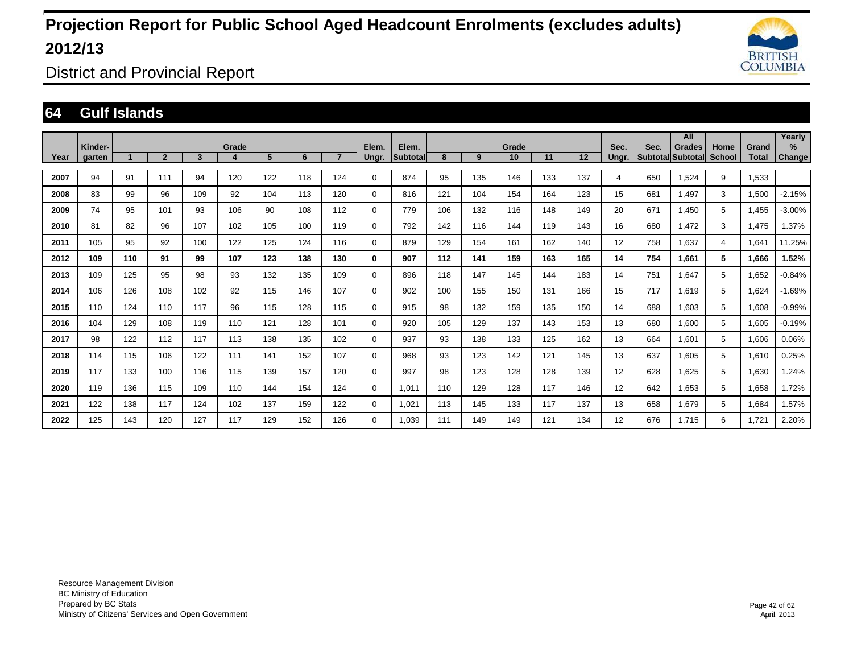

District and Provincial Report

#### **64 Gulf Islands**

|      |                   |     |                |                         |            |     |     |                |                |                           |     |     |             |     |     |               |                                  | All           |                       |                       | Yearly         |
|------|-------------------|-----|----------------|-------------------------|------------|-----|-----|----------------|----------------|---------------------------|-----|-----|-------------|-----|-----|---------------|----------------------------------|---------------|-----------------------|-----------------------|----------------|
| Year | Kinder-<br>garten |     | $\overline{2}$ | $\overline{\mathbf{3}}$ | Grade<br>4 | 5   | 6   | $\overline{7}$ | Elem.<br>Ungr. | Elem.<br><b>Subtotall</b> | 8   | 9   | Grade<br>10 | 11  | 12  | Sec.<br>Ungr. | Sec.<br><b>Subtotal</b> Subtotal | <b>Grades</b> | Home<br><b>School</b> | Grand<br><b>Total</b> | $\%$<br>Change |
|      |                   |     |                |                         |            |     |     |                |                |                           |     |     |             |     |     |               |                                  |               |                       |                       |                |
| 2007 | 94                | 91  | 111            | 94                      | 120        | 122 | 118 | 124            | $\mathbf 0$    | 874                       | 95  | 135 | 146         | 133 | 137 | 4             | 650                              | 1,524         | 9                     | 1,533                 |                |
| 2008 | 83                | 99  | 96             | 109                     | 92         | 104 | 113 | 120            | $\mathbf 0$    | 816                       | 121 | 104 | 154         | 164 | 123 | 15            | 681                              | 1.497         | 3                     | 1,500                 | $-2.15%$       |
| 2009 | 74                | 95  | 101            | 93                      | 106        | 90  | 108 | 112            | $\mathbf 0$    | 779                       | 106 | 132 | 116         | 148 | 149 | 20            | 671                              | 1.450         | 5                     | 1.455                 | $-3.00%$       |
| 2010 | 81                | 82  | 96             | 107                     | 102        | 105 | 100 | 119            | 0              | 792                       | 142 | 116 | 144         | 119 | 143 | 16            | 680                              | 1,472         | 3                     | 1,475                 | 1.37%          |
| 2011 | 105               | 95  | 92             | 100                     | 122        | 125 | 124 | 116            | $\mathbf 0$    | 879                       | 129 | 154 | 161         | 162 | 140 | 12            | 758                              | 1,637         | 4                     | 1,641                 | 11.25%         |
| 2012 | 109               | 110 | 91             | 99                      | 107        | 123 | 138 | 130            | 0              | 907                       | 112 | 141 | 159         | 163 | 165 | 14            | 754                              | 1,661         | 5                     | 1,666                 | 1.52%          |
| 2013 | 109               | 125 | 95             | 98                      | 93         | 132 | 135 | 109            | 0              | 896                       | 118 | 147 | 145         | 144 | 183 | 14            | 751                              | 1.647         | 5                     | 1,652                 | $-0.84%$       |
| 2014 | 106               | 126 | 108            | 102                     | 92         | 115 | 146 | 107            | $\mathbf 0$    | 902                       | 100 | 155 | 150         | 131 | 166 | 15            | 717                              | 1.619         | 5                     | 1.624                 | $-1.69%$       |
| 2015 | 110               | 124 | 110            | 117                     | 96         | 115 | 128 | 115            | 0              | 915                       | 98  | 132 | 159         | 135 | 150 | 14            | 688                              | 1.603         | 5                     | 1.608                 | $-0.99%$       |
| 2016 | 104               | 129 | 108            | 119                     | 110        | 121 | 128 | 101            | $\mathbf 0$    | 920                       | 105 | 129 | 137         | 143 | 153 | 13            | 680                              | 1,600         | 5                     | 1,605                 | $-0.19%$       |
| 2017 | 98                | 122 | 112            | 117                     | 113        | 138 | 135 | 102            | $\mathbf 0$    | 937                       | 93  | 138 | 133         | 125 | 162 | 13            | 664                              | 1,601         | 5                     | 1,606                 | 0.06%          |
| 2018 | 114               | 115 | 106            | 122                     | 111        | 141 | 152 | 107            | $\mathbf 0$    | 968                       | 93  | 123 | 142         | 121 | 145 | 13            | 637                              | 1,605         | 5                     | 1,610                 | 0.25%          |
| 2019 | 117               | 133 | 100            | 116                     | 115        | 139 | 157 | 120            | $\mathbf 0$    | 997                       | 98  | 123 | 128         | 128 | 139 | 12            | 628                              | 1,625         | 5                     | 1,630                 | 1.24%          |
| 2020 | 119               | 136 | 115            | 109                     | 110        | 144 | 154 | 124            | $\mathbf 0$    | 1.011                     | 110 | 129 | 128         | 117 | 146 | 12            | 642                              | 1.653         | 5                     | 1,658                 | 1.72%          |
| 2021 | 122               | 138 | 117            | 124                     | 102        | 137 | 159 | 122            | $\mathbf 0$    | 1,021                     | 113 | 145 | 133         | 117 | 137 | 13            | 658                              | 1.679         | 5                     | 1.684                 | 1.57%          |
| 2022 | 125               | 143 | 120            | 127                     | 117        | 129 | 152 | 126            | $\mathbf 0$    | 1.039                     | 111 | 149 | 149         | 121 | 134 | 12            | 676                              | 1.715         | 6                     | 1,721                 | 2.20%          |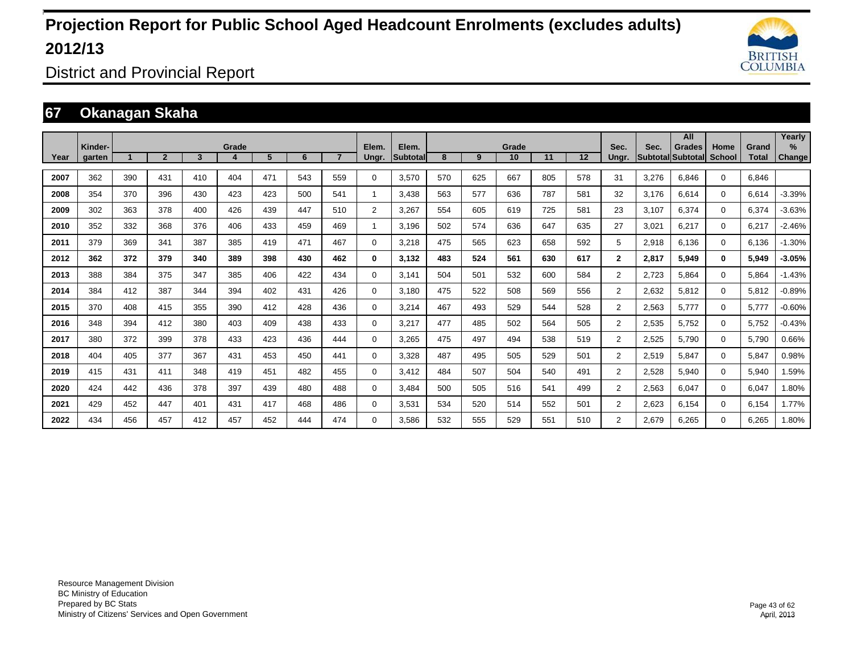

District and Provincial Report

### **67 Okanagan Skaha**

|      |                   |     |                |     |       |     |     |                |                |                   |     |     |             |     |     |                |       | All                                       |                       |                       | Yearly         |
|------|-------------------|-----|----------------|-----|-------|-----|-----|----------------|----------------|-------------------|-----|-----|-------------|-----|-----|----------------|-------|-------------------------------------------|-----------------------|-----------------------|----------------|
| Year | Kinder-<br>garten |     | $\overline{2}$ | 3   | Grade | 5   | 6   | $\overline{ }$ | Elem.<br>Ungr. | Elem.<br>Subtotal | 8   | 9   | Grade<br>10 | 11  | 12  | Sec.<br>Ungr.  | Sec.  | <b>Grades</b><br><b>Subtotal Subtotal</b> | Home<br><b>School</b> | Grand<br><b>Total</b> | $\%$<br>Change |
|      |                   |     |                |     |       |     |     |                |                |                   |     |     |             |     |     |                |       |                                           |                       |                       |                |
| 2007 | 362               | 390 | 431            | 410 | 404   | 471 | 543 | 559            | 0              | 3.570             | 570 | 625 | 667         | 805 | 578 | 31             | 3.276 | 6.846                                     | $\mathbf 0$           | 6.846                 |                |
| 2008 | 354               | 370 | 396            | 430 | 423   | 423 | 500 | 541            | $\mathbf{1}$   | 3.438             | 563 | 577 | 636         | 787 | 581 | 32             | 3.176 | 6.614                                     | $\Omega$              | 6.614                 | $-3.39%$       |
| 2009 | 302               | 363 | 378            | 400 | 426   | 439 | 447 | 510            | 2              | 3,267             | 554 | 605 | 619         | 725 | 581 | 23             | 3,107 | 6,374                                     | $\mathbf 0$           | 6,374                 | $-3.63%$       |
| 2010 | 352               | 332 | 368            | 376 | 406   | 433 | 459 | 469            | 1              | 3,196             | 502 | 574 | 636         | 647 | 635 | 27             | 3,021 | 6,217                                     | $\mathbf 0$           | 6,217                 | $-2.46%$       |
| 2011 | 379               | 369 | 341            | 387 | 385   | 419 | 471 | 467            | 0              | 3,218             | 475 | 565 | 623         | 658 | 592 | 5              | 2,918 | 6,136                                     | $\mathbf 0$           | 6,136                 | $-1.30%$       |
| 2012 | 362               | 372 | 379            | 340 | 389   | 398 | 430 | 462            | 0              | 3,132             | 483 | 524 | 561         | 630 | 617 | $\mathbf{2}$   | 2,817 | 5.949                                     | $\bf{0}$              | 5,949                 | $-3.05%$       |
| 2013 | 388               | 384 | 375            | 347 | 385   | 406 | 422 | 434            | $\Omega$       | 3,141             | 504 | 501 | 532         | 600 | 584 | $\overline{2}$ | 2,723 | 5,864                                     | $\Omega$              | 5,864                 | $-1.43%$       |
| 2014 | 384               | 412 | 387            | 344 | 394   | 402 | 431 | 426            | 0              | 3,180             | 475 | 522 | 508         | 569 | 556 | $\overline{2}$ | 2,632 | 5,812                                     | $\mathbf 0$           | 5,812                 | $-0.89%$       |
| 2015 | 370               | 408 | 415            | 355 | 390   | 412 | 428 | 436            | 0              | 3,214             | 467 | 493 | 529         | 544 | 528 | $\overline{2}$ | 2,563 | 5,777                                     | 0                     | 5,777                 | $-0.60%$       |
| 2016 | 348               | 394 | 412            | 380 | 403   | 409 | 438 | 433            | 0              | 3,217             | 477 | 485 | 502         | 564 | 505 | $\overline{2}$ | 2,535 | 5,752                                     | $\mathbf 0$           | 5,752                 | $-0.43%$       |
| 2017 | 380               | 372 | 399            | 378 | 433   | 423 | 436 | 444            | 0              | 3.265             | 475 | 497 | 494         | 538 | 519 | $\overline{2}$ | 2,525 | 5.790                                     | $\mathbf 0$           | 5,790                 | 0.66%          |
| 2018 | 404               | 405 | 377            | 367 | 431   | 453 | 450 | 441            | 0              | 3.328             | 487 | 495 | 505         | 529 | 501 | $\overline{2}$ | 2,519 | 5.847                                     | $\mathbf 0$           | 5,847                 | 0.98%          |
| 2019 | 415               | 431 | 411            | 348 | 419   | 451 | 482 | 455            | 0              | 3.412             | 484 | 507 | 504         | 540 | 491 | $\overline{2}$ | 2,528 | 5,940                                     | $\mathbf 0$           | 5,940                 | 1.59%          |
| 2020 | 424               | 442 | 436            | 378 | 397   | 439 | 480 | 488            | 0              | 3.484             | 500 | 505 | 516         | 541 | 499 | $\overline{2}$ | 2,563 | 6.047                                     | $\mathbf 0$           | 6,047                 | 1.80%          |
| 2021 | 429               | 452 | 447            | 401 | 431   | 417 | 468 | 486            | 0              | 3,531             | 534 | 520 | 514         | 552 | 501 | $\overline{2}$ | 2,623 | 6,154                                     | $\mathbf{0}$          | 6,154                 | 1.77%          |
| 2022 | 434               | 456 | 457            | 412 | 457   | 452 | 444 | 474            | $\Omega$       | 3.586             | 532 | 555 | 529         | 551 | 510 | $\overline{2}$ | 2.679 | 6.265                                     | $\mathbf 0$           | 6,265                 | 1.80%          |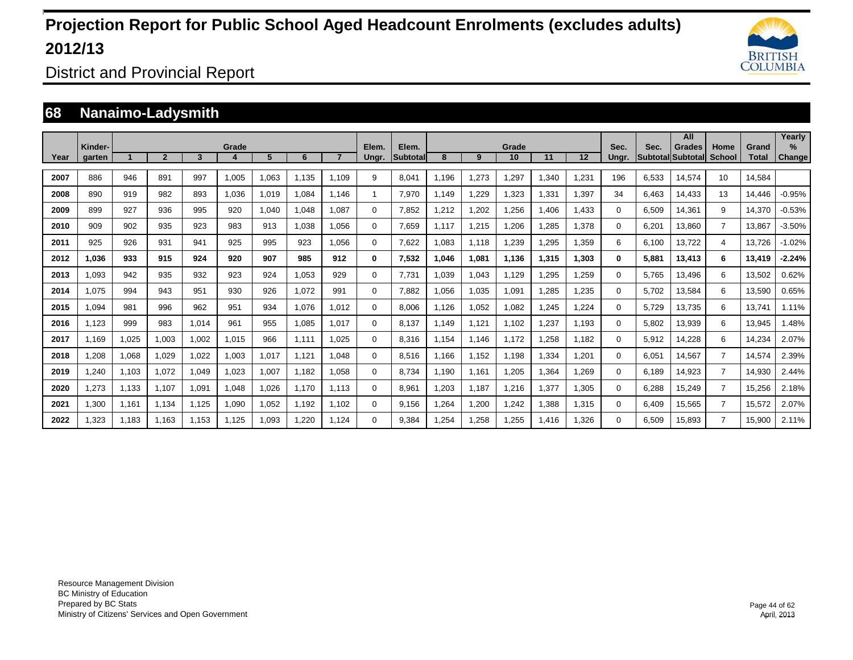

District and Provincial Report

### **68 Nanaimo-Ladysmith**

|      | Kinder- |       |                |       | Grade |       |       |       | Elem.    | Elem.           |        |       | Grade |       |       | Sec.     | Sec.  | All<br><b>Grades</b> |                       |                       | Yearlv<br>$\frac{9}{6}$ |
|------|---------|-------|----------------|-------|-------|-------|-------|-------|----------|-----------------|--------|-------|-------|-------|-------|----------|-------|----------------------|-----------------------|-----------------------|-------------------------|
| Year | garten  |       | $\overline{2}$ | 3     |       | 5     | 6     |       | Ungr.    | <b>Subtotal</b> | 8      | 9     | 10    | 11    | 12    | Ungr.    |       | Subtotal Subtotal    | Home<br><b>School</b> | Grand<br><b>Total</b> | <b>Change</b>           |
| 2007 | 886     | 946   | 891            | 997   | 1,005 | 1,063 | 1.135 | 1.109 | 9        | 8,041           | 1.196  | 1,273 | .297  | ,340  | 1,231 | 196      | 6,533 | 14,574               | 10                    | 14.584                |                         |
| 2008 | 890     | 919   | 982            | 893   | 1,036 | 1,019 | 1,084 | 1.146 | 1        | 7,970           | 1,149  | 1,229 | 1,323 | 1,331 | 1,397 | 34       | 6.463 | 14,433               | 13                    | 14.446                | $-0.95%$                |
| 2009 | 899     | 927   | 936            | 995   | 920   | 1,040 | 1,048 | 1.087 | 0        | 7,852           | ,212   | 1,202 | .256  | .406  | 1,433 | $\Omega$ | 6,509 | 14,361               | 9                     | 14,370                | $-0.53%$                |
| 2010 | 909     | 902   | 935            | 923   | 983   | 913   | 1,038 | 1.056 | 0        | 7.659           | 1.117  | 1,215 | .206  | ,285  | 1,378 | $\Omega$ | 6,201 | 13,860               | $\overline{7}$        | 13.867                | $-3.50%$                |
| 2011 | 925     | 926   | 931            | 941   | 925   | 995   | 923   | 1.056 | 0        | 7,622           | 1.083  | 1.118 | .239  | ,295  | 1,359 | 6        | 6.100 | 13.722               | 4                     | 13.726                | $-1.02%$                |
| 2012 | 1.036   | 933   | 915            | 924   | 920   | 907   | 985   | 912   | 0        | 7,532           | 046. ا | 1,081 | 1,136 | 1,315 | 1.303 | 0        | 5.881 | 13.413               | 6                     | 13.419                | $-2.24%$                |
| 2013 | 1.093   | 942   | 935            | 932   | 923   | 924   | 1,053 | 929   | 0        | 7.731           | 1.039  | 1,043 | 1.129 | .295  | 1,259 | 0        | 5.765 | 13.496               | 6                     | 13,502                | 0.62%                   |
| 2014 | 1.075   | 994   | 943            | 951   | 930   | 926   | 1,072 | 991   | 0        | 7,882           | 1,056  | 1,035 | 1,091 | ,285  | 1,235 | 0        | 5,702 | 13,584               | 6                     | 13,590                | 0.65%                   |
| 2015 | 1,094   | 981   | 996            | 962   | 951   | 934   | 1,076 | 1.012 | 0        | 8,006           | 1,126  | 1,052 | 1,082 | 1,245 | 1,224 | 0        | 5,729 | 13,735               | 6                     | 13,741                | 1.11%                   |
| 2016 | 1,123   | 999   | 983            | 1,014 | 961   | 955   | 1,085 | 1.017 | $\Omega$ | 8.137           | 1.149  | 1,121 | 1,102 | 1,237 | 1,193 | 0        | 5,802 | 13,939               | 6                     | 13,945                | 1.48%                   |
| 2017 | 1.169   | 1,025 | 1,003          | 1,002 | 1,015 | 966   | 1,111 | 1,025 | $\Omega$ | 8,316           | 1,154  | 1,146 | 1.172 | 1,258 | 1.182 | 0        | 5,912 | 14,228               | 6                     | 14,234                | 2.07%                   |
| 2018 | ,208    | 1,068 | 1,029          | 1,022 | 1,003 | 1,017 | 1,121 | 1.048 | 0        | 8,516           | 1,166  | 1,152 | 1,198 | 1,334 | 1,201 | 0        | 6,051 | 14,567               | $\overline{7}$        | 14,574                | 2.39%                   |
| 2019 | .240    | 1,103 | 1,072          | 1,049 | 1,023 | 1,007 | 1,182 | 1,058 | 0        | 8.734           | 1,190  | 1,161 | 1,205 | 1,364 | 1,269 | 0        | 6.189 | 14,923               | $\overline{7}$        | 14,930                | 2.44%                   |
| 2020 | ,273    | 1,133 | 1.107          | 1,091 | 1,048 | 1,026 | 1.170 | 1.113 | 0        | 8,961           | ,203   | 1,187 | 1,216 | 1,377 | 1,305 | 0        | 6,288 | 15,249               | $\overline{7}$        | 15,256                | 2.18%                   |
| 2021 | 1,300   | 1.161 | 1,134          | 1,125 | 1,090 | 1,052 | 1.192 | 1.102 | 0        | 9.156           | .264   | 1,200 | 1,242 | 1.388 | 1,315 | $\Omega$ | 6.409 | 15,565               | $\overline{7}$        | 15,572                | 2.07%                   |
| 2022 | 1.323   | 1.183 | 1.163          | 1.153 | 1.125 | 1.093 | 1.220 | 1.124 | $\Omega$ | 9.384           | .254   | 1.258 | 1,255 | 1.416 | 1.326 | $\Omega$ | 6.509 | 15.893               | 7                     | 15,900                | 2.11%                   |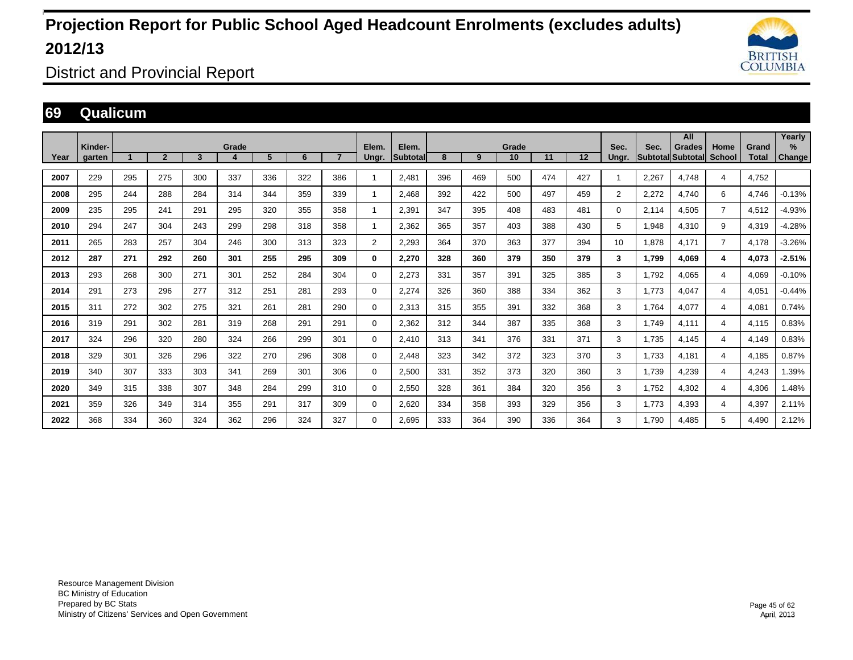

District and Provincial Report

#### **69 Qualicum**

|      | Kinder- |     |                |     | Grade |     |     |                | Elem.          | Elem.           |     |     | Grade |     |     | Sec.           | Sec.  | All<br><b>Grades</b>     | Home           | Grand        | Yearly<br>$\%$ |
|------|---------|-----|----------------|-----|-------|-----|-----|----------------|----------------|-----------------|-----|-----|-------|-----|-----|----------------|-------|--------------------------|----------------|--------------|----------------|
| Year | garten  |     | $\overline{2}$ | 3   |       | 5   | 6   | $\overline{7}$ | Ungr.          | <b>Subtotal</b> | 8   | 9   | 10    | 11  | 12  | Unar.          |       | <b>Subtotal Subtotal</b> | <b>School</b>  | <b>Total</b> | <b>Change</b>  |
| 2007 | 229     | 295 | 275            | 300 | 337   | 336 | 322 | 386            | $\mathbf 1$    | 2.481           | 396 | 469 | 500   | 474 | 427 | -1             | 2.267 | 4.748                    | 4              | 4.752        |                |
| 2008 | 295     | 244 | 288            | 284 | 314   | 344 | 359 | 339            | 1              | 2.468           | 392 | 422 | 500   | 497 | 459 | $\overline{2}$ | 2,272 | 4,740                    | 6              | 4.746        | $-0.13%$       |
| 2009 | 235     | 295 | 241            | 291 | 295   | 320 | 355 | 358            | 1              | 2,391           | 347 | 395 | 408   | 483 | 481 | $\Omega$       | 2.114 | 4,505                    | $\overline{7}$ | 4,512        | $-4.93%$       |
| 2010 | 294     | 247 | 304            | 243 | 299   | 298 | 318 | 358            | 1              | 2.362           | 365 | 357 | 403   | 388 | 430 | 5              | 1,948 | 4,310                    | 9              | 4,319        | $-4.28%$       |
| 2011 | 265     | 283 | 257            | 304 | 246   | 300 | 313 | 323            | $\overline{2}$ | 2.293           | 364 | 370 | 363   | 377 | 394 | 10             | 1.878 | 4.171                    | $\overline{7}$ | 4,178        | $-3.26%$       |
| 2012 | 287     | 271 | 292            | 260 | 301   | 255 | 295 | 309            | 0              | 2.270           | 328 | 360 | 379   | 350 | 379 | 3              | 1.799 | 4.069                    | 4              | 4.073        | $-2.51%$       |
| 2013 | 293     | 268 | 300            | 271 | 301   | 252 | 284 | 304            | 0              | 2,273           | 331 | 357 | 391   | 325 | 385 | 3              | 1,792 | 4,065                    | 4              | 4,069        | $-0.10%$       |
| 2014 | 291     | 273 | 296            | 277 | 312   | 251 | 281 | 293            | 0              | 2,274           | 326 | 360 | 388   | 334 | 362 | 3              | 1.773 | 4,047                    | 4              | 4,051        | $-0.44%$       |
| 2015 | 311     | 272 | 302            | 275 | 321   | 261 | 281 | 290            | 0              | 2,313           | 315 | 355 | 391   | 332 | 368 | 3              | 1.764 | 4,077                    | 4              | 4,081        | 0.74%          |
| 2016 | 319     | 291 | 302            | 281 | 319   | 268 | 291 | 291            | 0              | 2,362           | 312 | 344 | 387   | 335 | 368 | 3              | 1.749 | 4,111                    | 4              | 4,115        | 0.83%          |
| 2017 | 324     | 296 | 320            | 280 | 324   | 266 | 299 | 301            | 0              | 2.410           | 313 | 341 | 376   | 331 | 371 | 3              | 1.735 | 4.145                    | 4              | 4,149        | 0.83%          |
| 2018 | 329     | 301 | 326            | 296 | 322   | 270 | 296 | 308            | 0              | 2.448           | 323 | 342 | 372   | 323 | 370 | 3              | 1.733 | 4.181                    | 4              | 4.185        | 0.87%          |
| 2019 | 340     | 307 | 333            | 303 | 341   | 269 | 301 | 306            | 0              | 2,500           | 331 | 352 | 373   | 320 | 360 | 3              | 1,739 | 4,239                    | 4              | 4,243        | 1.39%          |
| 2020 | 349     | 315 | 338            | 307 | 348   | 284 | 299 | 310            | 0              | 2,550           | 328 | 361 | 384   | 320 | 356 | 3              | 1,752 | 4,302                    | 4              | 4,306        | 1.48%          |
| 2021 | 359     | 326 | 349            | 314 | 355   | 291 | 317 | 309            | 0              | 2,620           | 334 | 358 | 393   | 329 | 356 | 3              | 1.773 | 4.393                    | 4              | 4,397        | 2.11%          |
| 2022 | 368     | 334 | 360            | 324 | 362   | 296 | 324 | 327            | 0              | 2.695           | 333 | 364 | 390   | 336 | 364 | 3              | 1.790 | 4.485                    | 5              | 4.490        | 2.12%          |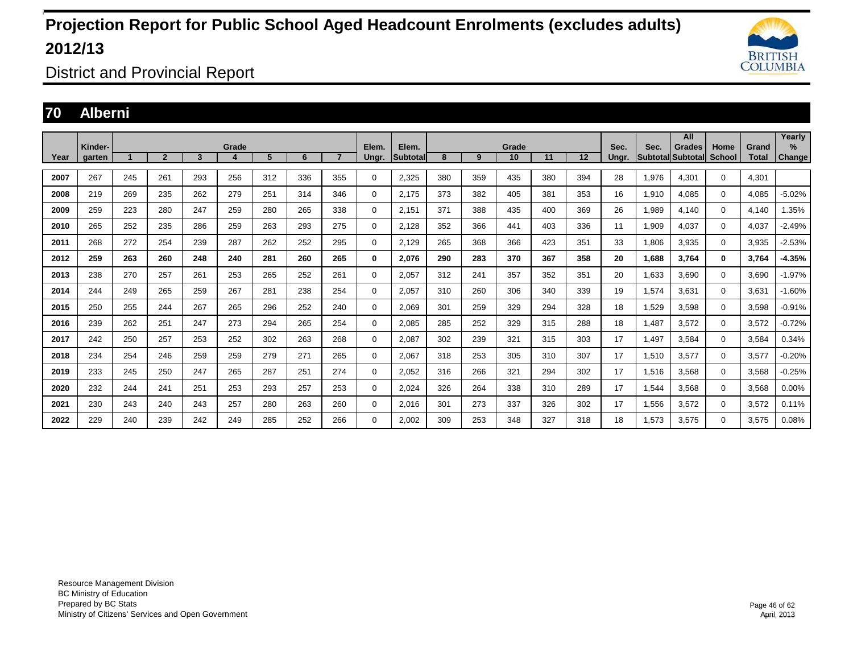

District and Provincial Report

### **70 Alberni**

|      | Kinder- |     |                |     | Grade |     |     |                | Elem. | Elem.           |     |     | Grade |     |     | Sec.  | Sec.                     | All<br><b>Grades</b> | Home          | Grand        | Yearly<br>$\%$ |
|------|---------|-----|----------------|-----|-------|-----|-----|----------------|-------|-----------------|-----|-----|-------|-----|-----|-------|--------------------------|----------------------|---------------|--------------|----------------|
| Year | aarten  |     | $\overline{2}$ | 3   | 4     | 5   | 6   | $\overline{7}$ | Ungr. | <b>Subtotal</b> | 8   | 9   | 10    | 11  | 12  | Unar. | <b>SubtotallSubtotal</b> |                      | <b>School</b> | <b>Total</b> | <b>Change</b>  |
| 2007 | 267     | 245 | 261            | 293 | 256   | 312 | 336 | 355            | 0     | 2.325           | 380 | 359 | 435   | 380 | 394 | 28    | 1.976                    | 4.301                | $\mathbf 0$   | 4.301        |                |
| 2008 | 219     | 269 | 235            | 262 | 279   | 251 | 314 | 346            | 0     | 2,175           | 373 | 382 | 405   | 381 | 353 | 16    | 1,910                    | 4,085                | $\mathbf 0$   | 4,085        | $-5.02%$       |
| 2009 | 259     | 223 | 280            | 247 | 259   | 280 | 265 | 338            | 0     | 2,151           | 371 | 388 | 435   | 400 | 369 | 26    | 1,989                    | 4.140                | $\mathbf{0}$  | 4.140        | 1.35%          |
| 2010 | 265     | 252 | 235            | 286 | 259   | 263 | 293 | 275            | 0     | 2.128           | 352 | 366 | 441   | 403 | 336 | 11    | 1.909                    | 4.037                | $\mathbf 0$   | 4.037        | $-2.49%$       |
| 2011 | 268     | 272 | 254            | 239 | 287   | 262 | 252 | 295            | 0     | 2,129           | 265 | 368 | 366   | 423 | 351 | 33    | 1,806                    | 3,935                | $\mathbf{0}$  | 3,935        | $-2.53%$       |
| 2012 | 259     | 263 | 260            | 248 | 240   | 281 | 260 | 265            | 0     | 2.076           | 290 | 283 | 370   | 367 | 358 | 20    | 1.688                    | 3,764                | $\mathbf 0$   | 3.764        | $-4.35%$       |
| 2013 | 238     | 270 | 257            | 261 | 253   | 265 | 252 | 261            | 0     | 2,057           | 312 | 241 | 357   | 352 | 351 | 20    | 1,633                    | 3,690                | $\mathbf 0$   | 3,690        | $-1.97%$       |
| 2014 | 244     | 249 | 265            | 259 | 267   | 281 | 238 | 254            | 0     | 2,057           | 310 | 260 | 306   | 340 | 339 | 19    | 1,574                    | 3,631                | $\mathbf 0$   | 3,631        | $-1.60%$       |
| 2015 | 250     | 255 | 244            | 267 | 265   | 296 | 252 | 240            | 0     | 2.069           | 301 | 259 | 329   | 294 | 328 | 18    | 1,529                    | 3,598                | $\mathbf 0$   | 3,598        | $-0.91%$       |
| 2016 | 239     | 262 | 251            | 247 | 273   | 294 | 265 | 254            | 0     | 2,085           | 285 | 252 | 329   | 315 | 288 | 18    | 1,487                    | 3,572                | $\mathbf 0$   | 3,572        | $-0.72%$       |
| 2017 | 242     | 250 | 257            | 253 | 252   | 302 | 263 | 268            | 0     | 2,087           | 302 | 239 | 321   | 315 | 303 | 17    | 1,497                    | 3,584                | $\mathbf 0$   | 3,584        | 0.34%          |
| 2018 | 234     | 254 | 246            | 259 | 259   | 279 | 271 | 265            | 0     | 2,067           | 318 | 253 | 305   | 310 | 307 | 17    | 1,510                    | 3,577                | $\mathbf 0$   | 3,577        | $-0.20%$       |
| 2019 | 233     | 245 | 250            | 247 | 265   | 287 | 251 | 274            | 0     | 2,052           | 316 | 266 | 321   | 294 | 302 | 17    | 1,516                    | 3,568                | $\mathbf 0$   | 3,568        | $-0.25%$       |
| 2020 | 232     | 244 | 241            | 251 | 253   | 293 | 257 | 253            | 0     | 2,024           | 326 | 264 | 338   | 310 | 289 | 17    | 1,544                    | 3,568                | $\mathbf 0$   | 3,568        | 0.00%          |
| 2021 | 230     | 243 | 240            | 243 | 257   | 280 | 263 | 260            | 0     | 2,016           | 301 | 273 | 337   | 326 | 302 | 17    | 1,556                    | 3,572                | $\mathbf 0$   | 3,572        | 0.11%          |
| 2022 | 229     | 240 | 239            | 242 | 249   | 285 | 252 | 266            | 0     | 2,002           | 309 | 253 | 348   | 327 | 318 | 18    | 1,573                    | 3,575                | $\mathbf 0$   | 3,575        | 0.08%          |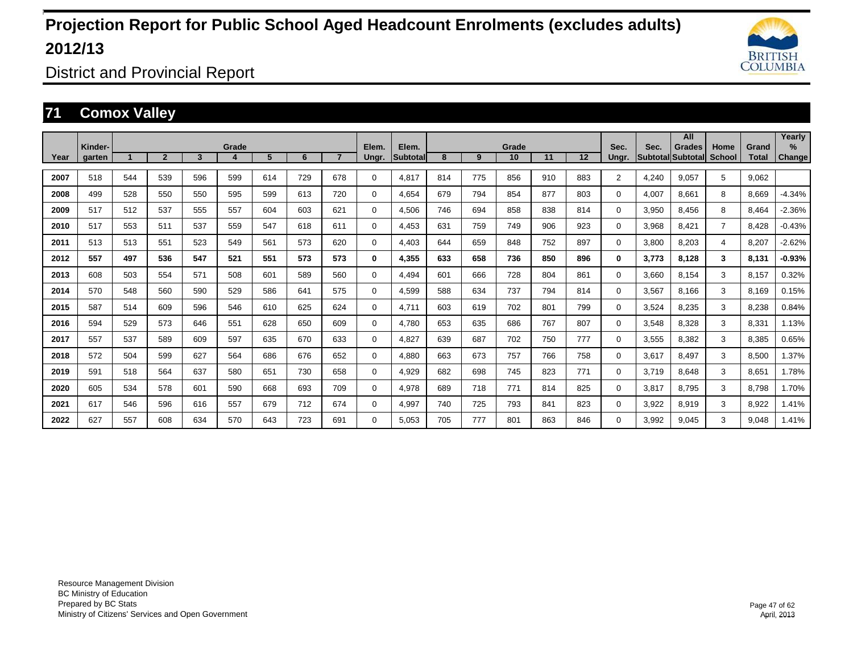

District and Provincial Report

### **71 Comox Valley**

|      |         |     |                |     |            |                |     |                |             |                    |     |     |             |     |     |                |                         | All                       |                       |                       | Yearly   |
|------|---------|-----|----------------|-----|------------|----------------|-----|----------------|-------------|--------------------|-----|-----|-------------|-----|-----|----------------|-------------------------|---------------------------|-----------------------|-----------------------|----------|
| Year | Kinder- |     | $\overline{2}$ | 3   | Grade<br>4 | 5 <sup>5</sup> | 6   | $\overline{7}$ | Elem.       | Elem.<br>Subtotall | 8   | 9   | Grade<br>10 | 11  | 12  | Sec.           | Sec.<br><b>Subtotal</b> | <b>Grades</b><br>Subtotal | Home<br><b>School</b> | Grand<br><b>Total</b> | $\%$     |
|      | garten  |     |                |     |            |                |     |                | Ungr.       |                    |     |     |             |     |     | Ungr.          |                         |                           |                       |                       | Change   |
| 2007 | 518     | 544 | 539            | 596 | 599        | 614            | 729 | 678            | 0           | 4.817              | 814 | 775 | 856         | 910 | 883 | $\overline{2}$ | 4.240                   | 9.057                     | 5                     | 9.062                 |          |
| 2008 | 499     | 528 | 550            | 550 | 595        | 599            | 613 | 720            | 0           | 4.654              | 679 | 794 | 854         | 877 | 803 | $\Omega$       | 4.007                   | 8.661                     | 8                     | 8.669                 | $-4.34%$ |
| 2009 | 517     | 512 | 537            | 555 | 557        | 604            | 603 | 621            | 0           | 4,506              | 746 | 694 | 858         | 838 | 814 | $\Omega$       | 3,950                   | 8,456                     | 8                     | 8,464                 | $-2.36%$ |
| 2010 | 517     | 553 | 511            | 537 | 559        | 547            | 618 | 611            | 0           | 4,453              | 631 | 759 | 749         | 906 | 923 | $\Omega$       | 3,968                   | 8,421                     | $\overline{7}$        | 8,428                 | $-0.43%$ |
| 2011 | 513     | 513 | 551            | 523 | 549        | 561            | 573 | 620            | 0           | 4,403              | 644 | 659 | 848         | 752 | 897 | $\Omega$       | 3,800                   | 8,203                     | 4                     | 8,207                 | $-2.62%$ |
| 2012 | 557     | 497 | 536            | 547 | 521        | 551            | 573 | 573            | 0           | 4,355              | 633 | 658 | 736         | 850 | 896 | 0              | 3,773                   | 8,128                     | 3                     | 8,131                 | $-0.93%$ |
| 2013 | 608     | 503 | 554            | 571 | 508        | 601            | 589 | 560            | $\mathbf 0$ | 4,494              | 601 | 666 | 728         | 804 | 861 | $\Omega$       | 3,660                   | 8,154                     | 3                     | 8,157                 | 0.32%    |
| 2014 | 570     | 548 | 560            | 590 | 529        | 586            | 641 | 575            | 0           | 4,599              | 588 | 634 | 737         | 794 | 814 | 0              | 3,567                   | 8.166                     | 3                     | 8,169                 | 0.15%    |
| 2015 | 587     | 514 | 609            | 596 | 546        | 610            | 625 | 624            | 0           | 4.711              | 603 | 619 | 702         | 801 | 799 | 0              | 3,524                   | 8.235                     | 3                     | 8,238                 | 0.84%    |
| 2016 | 594     | 529 | 573            | 646 | 551        | 628            | 650 | 609            | 0           | 4.780              | 653 | 635 | 686         | 767 | 807 | 0              | 3,548                   | 8.328                     | 3                     | 8,331                 | 1.13%    |
| 2017 | 557     | 537 | 589            | 609 | 597        | 635            | 670 | 633            | $\mathbf 0$ | 4,827              | 639 | 687 | 702         | 750 | 777 | 0              | 3,555                   | 8.382                     | 3                     | 8,385                 | 0.65%    |
| 2018 | 572     | 504 | 599            | 627 | 564        | 686            | 676 | 652            | $\mathbf 0$ | 4.880              | 663 | 673 | 757         | 766 | 758 | 0              | 3,617                   | 8.497                     | 3                     | 8,500                 | 1.37%    |
| 2019 | 591     | 518 | 564            | 637 | 580        | 651            | 730 | 658            | $\mathbf 0$ | 4,929              | 682 | 698 | 745         | 823 | 771 | $\Omega$       | 3.719                   | 8.648                     | 3                     | 8.651                 | 1.78%    |
| 2020 | 605     | 534 | 578            | 601 | 590        | 668            | 693 | 709            | $\mathbf 0$ | 4.978              | 689 | 718 | 771         | 814 | 825 | 0              | 3.817                   | 8.795                     | 3                     | 8.798                 | 1.70%    |
| 2021 | 617     | 546 | 596            | 616 | 557        | 679            | 712 | 674            | $\mathbf 0$ | 4,997              | 740 | 725 | 793         | 841 | 823 | 0              | 3,922                   | 8,919                     | 3                     | 8,922                 | 1.41%    |
| 2022 | 627     | 557 | 608            | 634 | 570        | 643            | 723 | 691            | $\Omega$    | 5.053              | 705 | 777 | 801         | 863 | 846 | 0              | 3,992                   | 9.045                     | 3                     | 9,048                 | 1.41%    |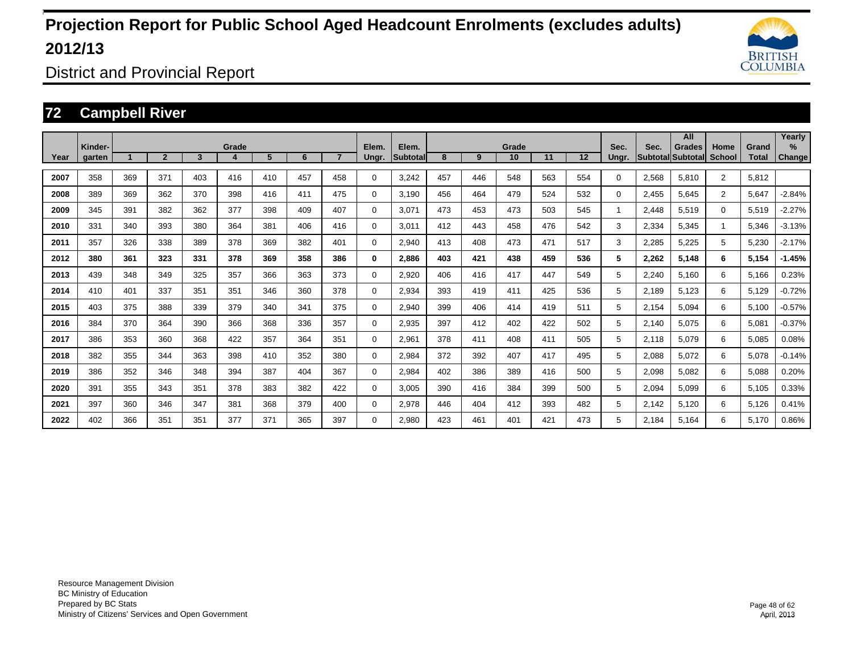

District and Provincial Report

### **72 Campbell River**

|      |                   |     |                |     |       |     |     |                |                |                          |     |     |             |     |     |               |       | All                                       |                       |                       | Yearly                |
|------|-------------------|-----|----------------|-----|-------|-----|-----|----------------|----------------|--------------------------|-----|-----|-------------|-----|-----|---------------|-------|-------------------------------------------|-----------------------|-----------------------|-----------------------|
| Year | Kinder-<br>garten |     | $\overline{2}$ | 3   | Grade | 5   | 6   | $\overline{ }$ | Elem.<br>Ungr. | Elem.<br><b>Subtotal</b> | 8   | 9   | Grade<br>10 | 11  | 12  | Sec.<br>Unar. | Sec.  | <b>Grades</b><br><b>Subtotal Subtotal</b> | Home<br><b>School</b> | Grand<br><b>Total</b> | $\%$<br><b>Change</b> |
| 2007 | 358               | 369 | 371            | 403 | 416   | 410 | 457 | 458            | 0              | 3.242                    | 457 | 446 | 548         | 563 | 554 | 0             | 2,568 | 5,810                                     | $\overline{2}$        | 5,812                 |                       |
| 2008 | 389               | 369 | 362            | 370 | 398   | 416 | 411 | 475            | 0              | 3,190                    | 456 | 464 | 479         | 524 | 532 | 0             | 2,455 | 5,645                                     | $\overline{2}$        | 5,647                 | $-2.84%$              |
| 2009 | 345               | 391 | 382            | 362 | 377   | 398 | 409 | 407            | 0              | 3,071                    | 473 | 453 | 473         | 503 | 545 |               | 2,448 | 5,519                                     | $\Omega$              | 5,519                 | $-2.27%$              |
| 2010 | 331               | 340 | 393            | 380 | 364   | 381 | 406 | 416            | 0              | 3,011                    | 412 | 443 | 458         | 476 | 542 | 3             | 2,334 | 5,345                                     | 1                     | 5,346                 | $-3.13%$              |
| 2011 | 357               | 326 | 338            | 389 | 378   | 369 | 382 | 401            | 0              | 2,940                    | 413 | 408 | 473         | 471 | 517 | 3             | 2,285 | 5,225                                     | 5                     | 5,230                 | $-2.17%$              |
| 2012 | 380               | 361 | 323            | 331 | 378   | 369 | 358 | 386            | 0              | 2,886                    | 403 | 421 | 438         | 459 | 536 | 5             | 2,262 | 5,148                                     | 6                     | 5,154                 | $-1.45%$              |
| 2013 | 439               | 348 | 349            | 325 | 357   | 366 | 363 | 373            | 0              | 2,920                    | 406 | 416 | 417         | 447 | 549 | 5             | 2,240 | 5,160                                     | 6                     | 5,166                 | 0.23%                 |
| 2014 | 410               | 401 | 337            | 351 | 351   | 346 | 360 | 378            | 0              | 2,934                    | 393 | 419 | 411         | 425 | 536 | 5             | 2.189 | 5.123                                     | 6                     | 5,129                 | $-0.72%$              |
| 2015 | 403               | 375 | 388            | 339 | 379   | 340 | 341 | 375            | 0              | 2,940                    | 399 | 406 | 414         | 419 | 511 | 5             | 2.154 | 5.094                                     | 6                     | 5,100                 | $-0.57%$              |
| 2016 | 384               | 370 | 364            | 390 | 366   | 368 | 336 | 357            | 0              | 2,935                    | 397 | 412 | 402         | 422 | 502 | 5             | 2.140 | 5.075                                     | 6                     | 5,081                 | $-0.37%$              |
| 2017 | 386               | 353 | 360            | 368 | 422   | 357 | 364 | 351            | 0              | 2,961                    | 378 | 411 | 408         | 411 | 505 | 5             | 2.118 | 5,079                                     | 6                     | 5,085                 | 0.08%                 |
| 2018 | 382               | 355 | 344            | 363 | 398   | 410 | 352 | 380            | 0              | 2,984                    | 372 | 392 | 407         | 417 | 495 | 5             | 2,088 | 5,072                                     | 6                     | 5,078                 | $-0.14%$              |
| 2019 | 386               | 352 | 346            | 348 | 394   | 387 | 404 | 367            | 0              | 2,984                    | 402 | 386 | 389         | 416 | 500 | 5             | 2,098 | 5,082                                     | 6                     | 5,088                 | 0.20%                 |
| 2020 | 391               | 355 | 343            | 351 | 378   | 383 | 382 | 422            | 0              | 3,005                    | 390 | 416 | 384         | 399 | 500 | 5             | 2,094 | 5,099                                     | 6                     | 5,105                 | 0.33%                 |
| 2021 | 397               | 360 | 346            | 347 | 381   | 368 | 379 | 400            | $\Omega$       | 2,978                    | 446 | 404 | 412         | 393 | 482 | 5             | 2.142 | 5,120                                     | 6                     | 5,126                 | 0.41%                 |
| 2022 | 402               | 366 | 351            | 351 | 377   | 371 | 365 | 397            | $\Omega$       | 2.980                    | 423 | 461 | 401         | 421 | 473 | 5             | 2.184 | 5,164                                     | 6                     | 5,170                 | 0.86%                 |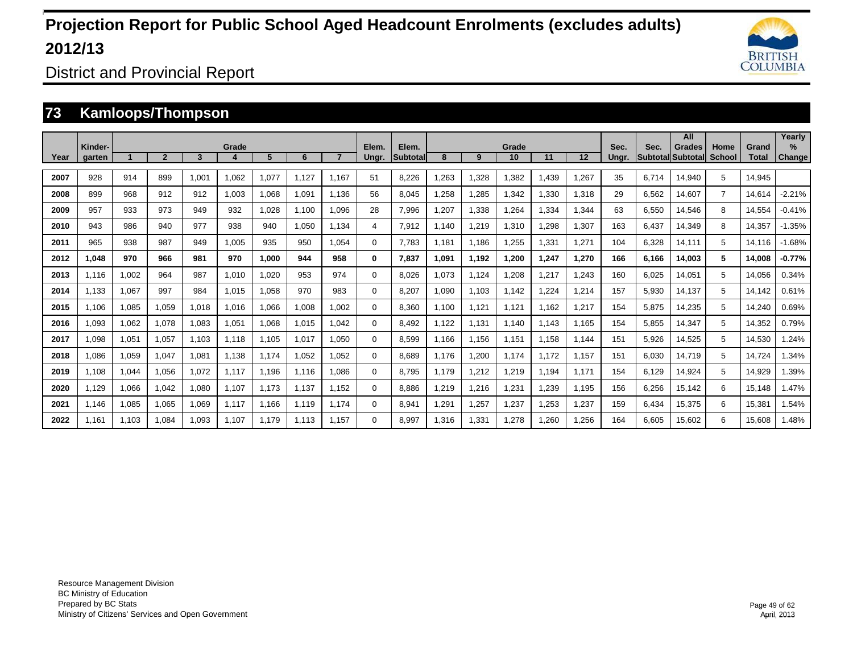

District and Provincial Report

### **73 Kamloops/Thompson**

|      | Kinder- |       |              |       | Grade            |       |       |       | Elem.    | Elem.           |       |       | Grade |       |                   | Sec.  | Sec.  | All<br><b>Grades</b> | Home           | Grand        | Yearlv<br>$\%$ |
|------|---------|-------|--------------|-------|------------------|-------|-------|-------|----------|-----------------|-------|-------|-------|-------|-------------------|-------|-------|----------------------|----------------|--------------|----------------|
| Year | garten  |       | $\mathbf{2}$ | 3     | $\boldsymbol{a}$ | 5     | 6     |       | Ungr.    | <b>Subtotal</b> | 8     | 9     | 10    | 11    | $12 \overline{ }$ | Ungr. |       | Subtotal Subtotal    | <b>School</b>  | <b>Total</b> | <b>Change</b>  |
| 2007 | 928     | 914   | 899          | 1,001 | 1,062            | 1.077 | 1.127 | 1.167 | 51       | 8.226           | .263  | 1,328 | 1,382 | .439  | 1,267             | 35    | 6.714 | 14,940               | 5              | 14.945       |                |
| 2008 | 899     | 968   | 912          | 912   | 1,003            | 1.068 | 1.091 | 1.136 | 56       | 8.045           | .258  | 1,285 | 1,342 | .330  | 1,318             | 29    | 6,562 | 14,607               | $\overline{7}$ | 14.614       | $-2.21%$       |
| 2009 | 957     | 933   | 973          | 949   | 932              | 1.028 | 1.100 | 1,096 | 28       | 7,996           | .207  | 1,338 | 1,264 | 1.334 | 1,344             | 63    | 6,550 | 14,546               | 8              | 14.554       | $-0.41%$       |
| 2010 | 943     | 986   | 940          | 977   | 938              | 940   | 1.050 | 1.134 | 4        | 7,912           | 1.140 | 1,219 | 1,310 | ,298  | 1,307             | 163   | 6.437 | 14,349               | 8              | 14.357       | $-1.35%$       |
| 2011 | 965     | 938   | 987          | 949   | 1.005            | 935   | 950   | 1.054 | 0        | 7.783           | 1.181 | 1.186 | 1,255 | 1,331 | 1,271             | 104   | 6,328 | 14,111               | 5              | 14.116       | $-1.68%$       |
| 2012 | 048. ا  | 970   | 966          | 981   | 970              | 1.000 | 944   | 958   | $\bf{0}$ | 7.837           | 1.091 | 1.192 | 1.200 | 1,247 | 1,270             | 166   | 6.166 | 14.003               | 5              | 14.008       | $-0.77%$       |
| 2013 | 1.116   | 1,002 | 964          | 987   | 1.010            | 1.020 | 953   | 974   | 0        | 8.026           | 1.073 | 1.124 | 1.208 | .217  | 1,243             | 160   | 6.025 | 14,051               | 5              | 14.056       | 0.34%          |
| 2014 | 1,133   | 1,067 | 997          | 984   | 1,015            | 1,058 | 970   | 983   | 0        | 8,207           | 1,090 | 1,103 | 1,142 | ,224  | 1,214             | 157   | 5,930 | 14,137               | 5              | 14,142       | 0.61%          |
| 2015 | 1.106   | 1,085 | 1,059        | 1.018 | 1,016            | 1,066 | 1,008 | 1,002 | 0        | 8,360           | 1.100 | 1.121 | 1,121 | 1,162 | 1,217             | 154   | 5,875 | 14,235               | 5              | 14,240       | 0.69%          |
| 2016 | 1,093   | 1,062 | 1,078        | 1,083 | 1,051            | 1,068 | 1,015 | 1,042 | 0        | 8,492           | 1,122 | 1,131 | 1.140 | 1.143 | 1.165             | 154   | 5,855 | 14,347               | 5              | 14,352       | 0.79%          |
| 2017 | 1,098   | 1,051 | 1,057        | 1.103 | 1.118            | 1,105 | 1,017 | 1,050 | 0        | 8,599           | 1.166 | 1.156 | 1,151 | 1,158 | 1.144             | 151   | 5,926 | 14,525               | 5              | 14,530       | 1.24%          |
| 2018 | 1,086   | 1,059 | 1,047        | 1,081 | 1,138            | 1.174 | 1,052 | 1,052 | 0        | 8.689           | 1.176 | 1,200 | 1,174 | 1.172 | 1,157             | 151   | 6,030 | 14,719               | 5              | 14.724       | 1.34%          |
| 2019 | 1.108   | 1,044 | 1,056        | 1.072 | 1,117            | 1,196 | 1.116 | 1,086 | 0        | 8.795           | 1.179 | 1,212 | 1,219 | 1,194 | 1.171             | 154   | 6,129 | 14,924               | 5              | 14,929       | 1.39%          |
| 2020 | 1,129   | 1,066 | 1,042        | 1.080 | 1.107            | 1.173 | 1.137 | 1.152 | 0        | 8.886           | .219  | 1,216 | 1,231 | 1,239 | 1.195             | 156   | 6,256 | 15,142               | 6              | 15.148       | 1.47%          |
| 2021 | 1.146   | 1,085 | 1,065        | 1.069 | 1.117            | 1.166 | 1.119 | 1.174 | 0        | 8,941           | 1.291 | 1,257 | 1,237 | 1,253 | 1,237             | 159   | 6.434 | 15,375               | 6              | 15,381       | 1.54%          |
| 2022 | 1.161   | 1.103 | 1.084        | 1.093 | 1.107            | 1.179 | 1.113 | 1.157 | 0        | 8.997           | 1.316 | 1.331 | 1.278 | .260  | 1.256             | 164   | 6.605 | 15.602               | 6              | 15.608       | 1.48%          |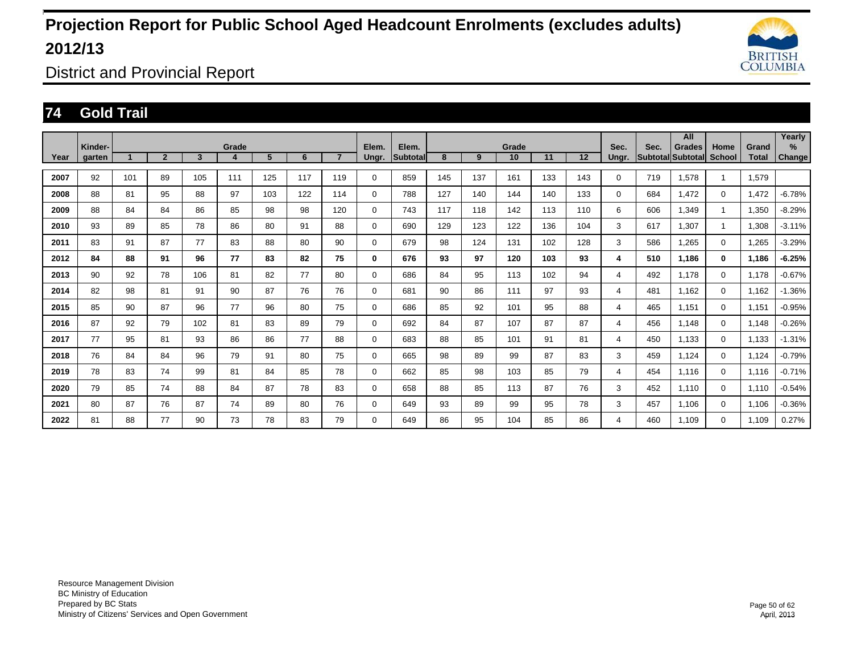

District and Provincial Report

### **74 Gold Trail**

|      |                   |     |                |                         |       |     |     |                |                |                          |     |     |             |     |     |               |      | All                         |                       |                | Yearly         |
|------|-------------------|-----|----------------|-------------------------|-------|-----|-----|----------------|----------------|--------------------------|-----|-----|-------------|-----|-----|---------------|------|-----------------------------|-----------------------|----------------|----------------|
| Year | Kinder-<br>garten |     | $\overline{2}$ | $\overline{\mathbf{3}}$ | Grade | 5   | 6   | $\overline{7}$ | Elem.<br>Ungr. | Elem.<br><b>Subtotal</b> | 8   | 9   | Grade<br>10 | 11  | 12  | Sec.<br>Ungr. | Sec. | Grades<br>Subtotal Subtotal | Home<br><b>School</b> | Grand<br>Total | $\%$<br>Change |
|      |                   |     |                |                         |       |     |     |                |                |                          |     |     |             |     |     |               |      |                             |                       |                |                |
| 2007 | 92                | 101 | 89             | 105                     | 111   | 125 | 117 | 119            | 0              | 859                      | 145 | 137 | 161         | 133 | 143 | 0             | 719  | 1,578                       | $\mathbf{1}$          | 1,579          |                |
| 2008 | 88                | 81  | 95             | 88                      | 97    | 103 | 122 | 114            | 0              | 788                      | 127 | 140 | 144         | 140 | 133 | 0             | 684  | 1,472                       | $\Omega$              | 1,472          | $-6.78%$       |
| 2009 | 88                | 84  | 84             | 86                      | 85    | 98  | 98  | 120            | 0              | 743                      | 117 | 118 | 142         | 113 | 110 | 6             | 606  | 1,349                       | $\mathbf{1}$          | 1,350          | $-8.29%$       |
| 2010 | 93                | 89  | 85             | 78                      | 86    | 80  | 91  | 88             | 0              | 690                      | 129 | 123 | 122         | 136 | 104 | 3             | 617  | 1,307                       | $\mathbf{1}$          | 1,308          | $-3.11%$       |
| 2011 | 83                | 91  | 87             | 77                      | 83    | 88  | 80  | 90             | 0              | 679                      | 98  | 124 | 131         | 102 | 128 | 3             | 586  | 1,265                       | $\mathbf 0$           | 1,265          | $-3.29%$       |
| 2012 | 84                | 88  | 91             | 96                      | 77    | 83  | 82  | 75             | 0              | 676                      | 93  | 97  | 120         | 103 | 93  | 4             | 510  | 1.186                       | $\bf{0}$              | 1,186          | $-6.25%$       |
| 2013 | 90                | 92  | 78             | 106                     | 81    | 82  | 77  | 80             | 0              | 686                      | 84  | 95  | 113         | 102 | 94  | 4             | 492  | 1.178                       | $\mathbf 0$           | 1.178          | $-0.67%$       |
| 2014 | 82                | 98  | 81             | 91                      | 90    | 87  | 76  | 76             | 0              | 681                      | 90  | 86  | 111         | 97  | 93  | 4             | 481  | 1.162                       | $\mathbf 0$           | 1.162          | $-1.36%$       |
| 2015 | 85                | 90  | 87             | 96                      | 77    | 96  | 80  | 75             | 0              | 686                      | 85  | 92  | 101         | 95  | 88  | 4             | 465  | 1.151                       | 0                     | 1.151          | $-0.95%$       |
| 2016 | 87                | 92  | 79             | 102                     | 81    | 83  | 89  | 79             | 0              | 692                      | 84  | 87  | 107         | 87  | 87  | 4             | 456  | 1,148                       | $\mathbf 0$           | 1,148          | $-0.26%$       |
| 2017 | 77                | 95  | 81             | 93                      | 86    | 86  | 77  | 88             | 0              | 683                      | 88  | 85  | 101         | 91  | 81  | 4             | 450  | 1,133                       | $\mathbf 0$           | 1,133          | $-1.31%$       |
| 2018 | 76                | 84  | 84             | 96                      | 79    | 91  | 80  | 75             | 0              | 665                      | 98  | 89  | 99          | 87  | 83  | 3             | 459  | 1,124                       | $\mathbf 0$           | 1,124          | $-0.79%$       |
| 2019 | 78                | 83  | 74             | 99                      | 81    | 84  | 85  | 78             | 0              | 662                      | 85  | 98  | 103         | 85  | 79  | 4             | 454  | 1.116                       | $\mathbf 0$           | 1,116          | $-0.71%$       |
| 2020 | 79                | 85  | 74             | 88                      | 84    | 87  | 78  | 83             | 0              | 658                      | 88  | 85  | 113         | 87  | 76  | 3             | 452  | 1.110                       | $\mathbf 0$           | 1,110          | $-0.54%$       |
| 2021 | 80                | 87  | 76             | 87                      | 74    | 89  | 80  | 76             | 0              | 649                      | 93  | 89  | 99          | 95  | 78  | 3             | 457  | 1.106                       | $\mathbf 0$           | 1.106          | $-0.36%$       |
| 2022 | 81                | 88  | 77             | 90                      | 73    | 78  | 83  | 79             | 0              | 649                      | 86  | 95  | 104         | 85  | 86  | 4             | 460  | 1.109                       | $\mathbf 0$           | 1.109          | 0.27%          |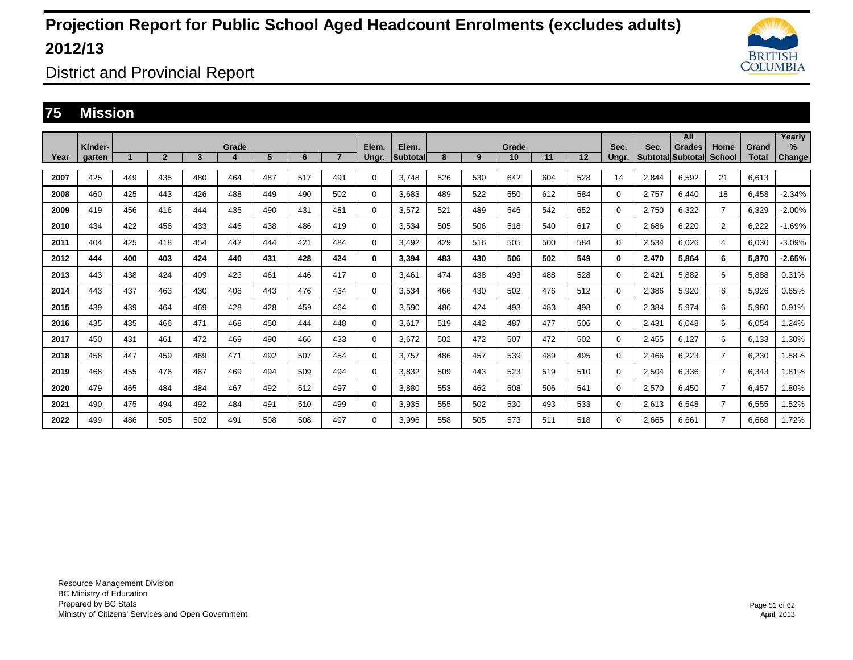

District and Provincial Report

#### **75 Mission**

|      | Kinder- |     |                |     | Grade |     |     |                | Elem. | Elem.           |     |     | Grade |     |     | Sec.  | Sec.  | All<br>Grades     | Home           | Grand        | Yearly<br>$\%$ |
|------|---------|-----|----------------|-----|-------|-----|-----|----------------|-------|-----------------|-----|-----|-------|-----|-----|-------|-------|-------------------|----------------|--------------|----------------|
| Year | aarten  |     | $\overline{2}$ | 3   | Δ     | 5   | 6   | $\overline{7}$ | Ungr. | <b>Subtotal</b> | 8   | 9   | 10    | 11  | 12  | Unar. |       | Subtotal Subtotal | School         | <b>Total</b> | Change         |
| 2007 | 425     | 449 | 435            | 480 | 464   | 487 | 517 | 491            | 0     | 3.748           | 526 | 530 | 642   | 604 | 528 | 14    | 2.844 | 6.592             | 21             | 6.613        |                |
| 2008 | 460     | 425 | 443            | 426 | 488   | 449 | 490 | 502            | 0     | 3,683           | 489 | 522 | 550   | 612 | 584 | 0     | 2,757 | 6.440             | 18             | 6,458        | $-2.34%$       |
| 2009 | 419     | 456 | 416            | 444 | 435   | 490 | 431 | 481            | 0     | 3.572           | 521 | 489 | 546   | 542 | 652 | 0     | 2.750 | 6.322             | $\overline{7}$ | 6,329        | $-2.00%$       |
| 2010 | 434     | 422 | 456            | 433 | 446   | 438 | 486 | 419            | 0     | 3.534           | 505 | 506 | 518   | 540 | 617 | 0     | 2.686 | 6.220             | $\overline{2}$ | 6.222        | $-1.69%$       |
| 2011 | 404     | 425 | 418            | 454 | 442   | 444 | 421 | 484            | 0     | 3,492           | 429 | 516 | 505   | 500 | 584 | 0     | 2,534 | 6,026             | 4              | 6,030        | $-3.09%$       |
| 2012 | 444     | 400 | 403            | 424 | 440   | 431 | 428 | 424            | 0     | 3.394           | 483 | 430 | 506   | 502 | 549 | 0     | 2,470 | 5.864             | 6              | 5.870        | $-2.65%$       |
| 2013 | 443     | 438 | 424            | 409 | 423   | 461 | 446 | 417            | 0     | 3,461           | 474 | 438 | 493   | 488 | 528 | 0     | 2,421 | 5,882             | 6              | 5,888        | 0.31%          |
| 2014 | 443     | 437 | 463            | 430 | 408   | 443 | 476 | 434            | 0     | 3,534           | 466 | 430 | 502   | 476 | 512 | 0     | 2,386 | 5,920             | 6              | 5,926        | 0.65%          |
| 2015 | 439     | 439 | 464            | 469 | 428   | 428 | 459 | 464            | 0     | 3.590           | 486 | 424 | 493   | 483 | 498 | 0     | 2,384 | 5.974             | 6              | 5,980        | 0.91%          |
| 2016 | 435     | 435 | 466            | 471 | 468   | 450 | 444 | 448            | 0     | 3,617           | 519 | 442 | 487   | 477 | 506 | 0     | 2,431 | 6.048             | 6              | 6,054        | 1.24%          |
| 2017 | 450     | 431 | 461            | 472 | 469   | 490 | 466 | 433            | 0     | 3.672           | 502 | 472 | 507   | 472 | 502 | 0     | 2,455 | 6,127             | 6              | 6,133        | 1.30%          |
| 2018 | 458     | 447 | 459            | 469 | 471   | 492 | 507 | 454            | 0     | 3.757           | 486 | 457 | 539   | 489 | 495 | 0     | 2,466 | 6,223             | $\overline{7}$ | 6,230        | .58%           |
| 2019 | 468     | 455 | 476            | 467 | 469   | 494 | 509 | 494            | 0     | 3,832           | 509 | 443 | 523   | 519 | 510 | 0     | 2,504 | 6,336             | $\overline{7}$ | 6,343        | 1.81%          |
| 2020 | 479     | 465 | 484            | 484 | 467   | 492 | 512 | 497            | 0     | 3,880           | 553 | 462 | 508   | 506 | 541 | 0     | 2,570 | 6,450             | $\overline{7}$ | 6,457        | 1.80%          |
| 2021 | 490     | 475 | 494            | 492 | 484   | 491 | 510 | 499            | 0     | 3,935           | 555 | 502 | 530   | 493 | 533 | 0     | 2,613 | 6.548             | $\overline{7}$ | 6,555        | 1.52%          |
| 2022 | 499     | 486 | 505            | 502 | 491   | 508 | 508 | 497            | 0     | 3,996           | 558 | 505 | 573   | 511 | 518 | 0     | 2,665 | 6.661             | $\overline{7}$ | 6.668        | 1.72%          |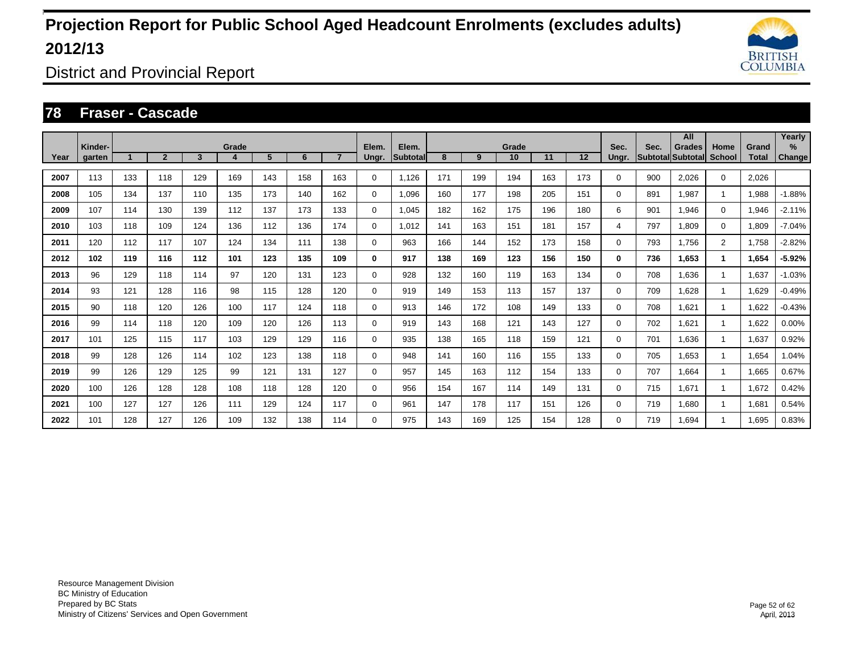

District and Provincial Report

#### **78 Fraser - Cascade**

|      |                   |     |                |     |       |     |     |     |                |                   |     |     |             |     |     |               |      | All                         |                |                       | Yearly             |
|------|-------------------|-----|----------------|-----|-------|-----|-----|-----|----------------|-------------------|-----|-----|-------------|-----|-----|---------------|------|-----------------------------|----------------|-----------------------|--------------------|
| Year | Kinder-<br>garten |     | $\overline{2}$ | 3   | Grade | 5   | 6   |     | Elem.<br>Ungr. | Elem.<br>Subtotal | 8   | 9   | Grade<br>10 | 11  | 12  | Sec.<br>Ungr. | Sec. | Grades<br>Subtotal Subtotal | Home<br>School | Grand<br><b>Total</b> | %<br><b>Change</b> |
|      |                   |     |                |     |       |     |     |     |                |                   |     |     |             |     |     |               |      |                             |                |                       |                    |
| 2007 | 113               | 133 | 118            | 129 | 169   | 143 | 158 | 163 | 0              | 1.126             | 171 | 199 | 194         | 163 | 173 | 0             | 900  | 2.026                       | $\mathbf 0$    | 2.026                 |                    |
| 2008 | 105               | 134 | 137            | 110 | 135   | 173 | 140 | 162 | 0              | 1.096             | 160 | 177 | 198         | 205 | 151 | 0             | 891  | 1.987                       | 1              | 1,988                 | $-1.88%$           |
| 2009 | 107               | 114 | 130            | 139 | 112   | 137 | 173 | 133 | 0              | 1.045             | 182 | 162 | 175         | 196 | 180 | 6             | 901  | 1.946                       | $\mathbf 0$    | 1,946                 | $-2.11%$           |
| 2010 | 103               | 118 | 109            | 124 | 136   | 112 | 136 | 174 | 0              | 1.012             | 141 | 163 | 151         | 181 | 157 | 4             | 797  | 1.809                       | $\mathbf 0$    | 1,809                 | $-7.04%$           |
| 2011 | 120               | 112 | 117            | 107 | 124   | 134 | 111 | 138 | 0              | 963               | 166 | 144 | 152         | 173 | 158 | 0             | 793  | 1.756                       | 2              | 1,758                 | $-2.82%$           |
| 2012 | 102               | 119 | 116            | 112 | 101   | 123 | 135 | 109 | 0              | 917               | 138 | 169 | 123         | 156 | 150 | 0             | 736  | 1.653                       | 1              | 1,654                 | $-5.92%$           |
| 2013 | 96                | 129 | 118            | 114 | 97    | 120 | 131 | 123 | 0              | 928               | 132 | 160 | 119         | 163 | 134 | 0             | 708  | 1,636                       | 1              | 1,637                 | $-1.03%$           |
| 2014 | 93                | 121 | 128            | 116 | 98    | 115 | 128 | 120 | $\mathbf 0$    | 919               | 149 | 153 | 113         | 157 | 137 | 0             | 709  | 1,628                       | 1              | 1,629                 | $-0.49%$           |
| 2015 | 90                | 118 | 120            | 126 | 100   | 117 | 124 | 118 | 0              | 913               | 146 | 172 | 108         | 149 | 133 | 0             | 708  | 1,621                       | 1              | 1,622                 | $-0.43%$           |
| 2016 | 99                | 114 | 118            | 120 | 109   | 120 | 126 | 113 | 0              | 919               | 143 | 168 | 121         | 143 | 127 | 0             | 702  | 1,621                       | 1              | 1,622                 | 0.00%              |
| 2017 | 101               | 125 | 115            | 117 | 103   | 129 | 129 | 116 | 0              | 935               | 138 | 165 | 118         | 159 | 121 | 0             | 701  | 1,636                       | 1              | 1,637                 | 0.92%              |
| 2018 | 99                | 128 | 126            | 114 | 102   | 123 | 138 | 118 | 0              | 948               | 141 | 160 | 116         | 155 | 133 | 0             | 705  | 1.653                       | 1              | 1.654                 | 1.04%              |
| 2019 | 99                | 126 | 129            | 125 | 99    | 121 | 131 | 127 | 0              | 957               | 145 | 163 | 112         | 154 | 133 | 0             | 707  | 1.664                       | 1              | 1.665                 | 0.67%              |
| 2020 | 100               | 126 | 128            | 128 | 108   | 118 | 128 | 120 | 0              | 956               | 154 | 167 | 114         | 149 | 131 | 0             | 715  | 1.671                       | 1              | 1.672                 | 0.42%              |
| 2021 | 100               | 127 | 127            | 126 | 111   | 129 | 124 | 117 | 0              | 961               | 147 | 178 | 117         | 151 | 126 | 0             | 719  | 1.680                       | 1              | 1.681                 | 0.54%              |
| 2022 | 101               | 128 | 127            | 126 | 109   | 132 | 138 | 114 | 0              | 975               | 143 | 169 | 125         | 154 | 128 | 0             | 719  | 1.694                       |                | 1.695                 | 0.83%              |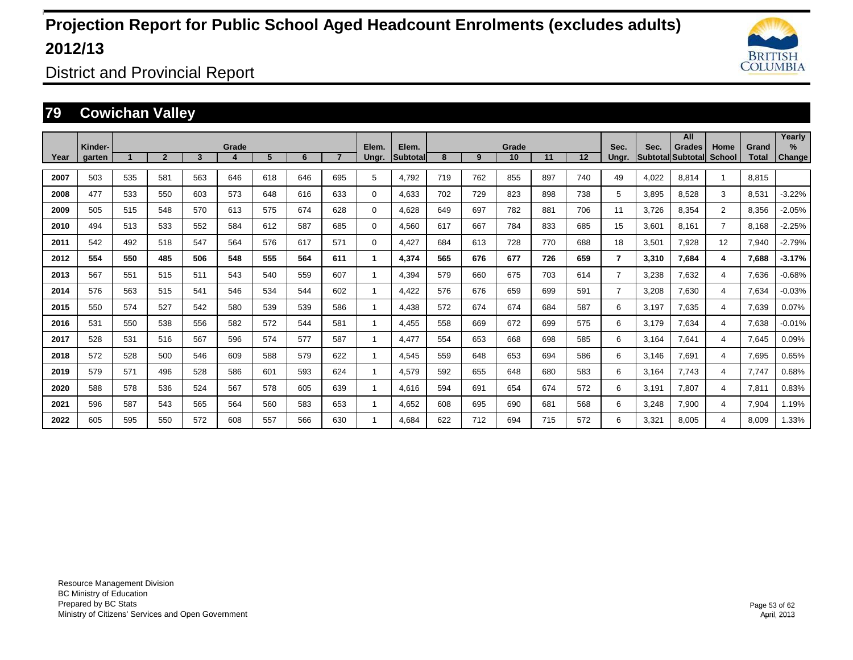

District and Provincial Report

### **79 Cowichan Valley**

|      |                   |     |                |     |       |     |     |                |       |                   |     |     |             |     |         |                |                         | All                       |                       |                       | Yearly   |
|------|-------------------|-----|----------------|-----|-------|-----|-----|----------------|-------|-------------------|-----|-----|-------------|-----|---------|----------------|-------------------------|---------------------------|-----------------------|-----------------------|----------|
| Year | Kinder-<br>garten |     | $\overline{2}$ | 3   | Grade | 5   | 6   | $\overline{7}$ | Elem. | Elem.<br>Subtotal | 8   | 9   | Grade<br>10 | 11  | $12 \,$ | Sec.<br>Ungr.  | Sec.<br><b>Subtotal</b> | <b>Grades</b><br>Subtotal | Home<br><b>School</b> | Grand<br><b>Total</b> | $\%$     |
|      |                   |     |                |     |       |     |     |                | Ungr. |                   |     |     |             |     |         |                |                         |                           |                       |                       | Change   |
| 2007 | 503               | 535 | 581            | 563 | 646   | 618 | 646 | 695            | 5     | 4.792             | 719 | 762 | 855         | 897 | 740     | 49             | 4,022                   | 8.814                     |                       | 8.815                 |          |
| 2008 | 477               | 533 | 550            | 603 | 573   | 648 | 616 | 633            | 0     | 4.633             | 702 | 729 | 823         | 898 | 738     | 5              | 3,895                   | 8.528                     | 3                     | 8.531                 | $-3.22%$ |
| 2009 | 505               | 515 | 548            | 570 | 613   | 575 | 674 | 628            | 0     | 4,628             | 649 | 697 | 782         | 881 | 706     | 11             | 3,726                   | 8,354                     | $\overline{2}$        | 8,356                 | $-2.05%$ |
| 2010 | 494               | 513 | 533            | 552 | 584   | 612 | 587 | 685            | 0     | 4,560             | 617 | 667 | 784         | 833 | 685     | 15             | 3,601                   | 8,161                     | $\overline{7}$        | 8,168                 | $-2.25%$ |
| 2011 | 542               | 492 | 518            | 547 | 564   | 576 | 617 | 571            | 0     | 4,427             | 684 | 613 | 728         | 770 | 688     | 18             | 3,501                   | 7,928                     | 12                    | 7,940                 | $-2.79%$ |
| 2012 | 554               | 550 | 485            | 506 | 548   | 555 | 564 | 611            | 1     | 4,374             | 565 | 676 | 677         | 726 | 659     | $\overline{7}$ | 3,310                   | 7,684                     | 4                     | 7,688                 | $-3.17%$ |
| 2013 | 567               | 551 | 515            | 511 | 543   | 540 | 559 | 607            | 1     | 4,394             | 579 | 660 | 675         | 703 | 614     | $\overline{7}$ | 3,238                   | 7,632                     | 4                     | 7,636                 | $-0.68%$ |
| 2014 | 576               | 563 | 515            | 541 | 546   | 534 | 544 | 602            | 1     | 4.422             | 576 | 676 | 659         | 699 | 591     | $\overline{7}$ | 3,208                   | 7,630                     | $\overline{4}$        | 7,634                 | $-0.03%$ |
| 2015 | 550               | 574 | 527            | 542 | 580   | 539 | 539 | 586            | 1     | 4.438             | 572 | 674 | 674         | 684 | 587     | 6              | 3.197                   | 7.635                     | $\overline{4}$        | 7,639                 | 0.07%    |
| 2016 | 531               | 550 | 538            | 556 | 582   | 572 | 544 | 581            | 1     | 4,455             | 558 | 669 | 672         | 699 | 575     | 6              | 3.179                   | 7,634                     | $\overline{4}$        | 7,638                 | $-0.01%$ |
| 2017 | 528               | 531 | 516            | 567 | 596   | 574 | 577 | 587            | 1     | 4.477             | 554 | 653 | 668         | 698 | 585     | 6              | 3.164                   | 7,641                     | $\overline{4}$        | 7,645                 | 0.09%    |
| 2018 | 572               | 528 | 500            | 546 | 609   | 588 | 579 | 622            | 1     | 4,545             | 559 | 648 | 653         | 694 | 586     | 6              | 3.146                   | 7,691                     | $\overline{4}$        | 7,695                 | 0.65%    |
| 2019 | 579               | 571 | 496            | 528 | 586   | 601 | 593 | 624            | 1     | 4.579             | 592 | 655 | 648         | 680 | 583     | 6              | 3.164                   | 7.743                     | $\overline{4}$        | 7,747                 | 0.68%    |
| 2020 | 588               | 578 | 536            | 524 | 567   | 578 | 605 | 639            | 1     | 4.616             | 594 | 691 | 654         | 674 | 572     | 6              | 3.191                   | 7.807                     | 4                     | 7,811                 | 0.83%    |
| 2021 | 596               | 587 | 543            | 565 | 564   | 560 | 583 | 653            | 1     | 4,652             | 608 | 695 | 690         | 681 | 568     | 6              | 3,248                   | 7,900                     | 4                     | 7,904                 | 1.19%    |
| 2022 | 605               | 595 | 550            | 572 | 608   | 557 | 566 | 630            | 1     | 4.684             | 622 | 712 | 694         | 715 | 572     | 6              | 3,321                   | 8.005                     | 4                     | 8,009                 | 1.33%    |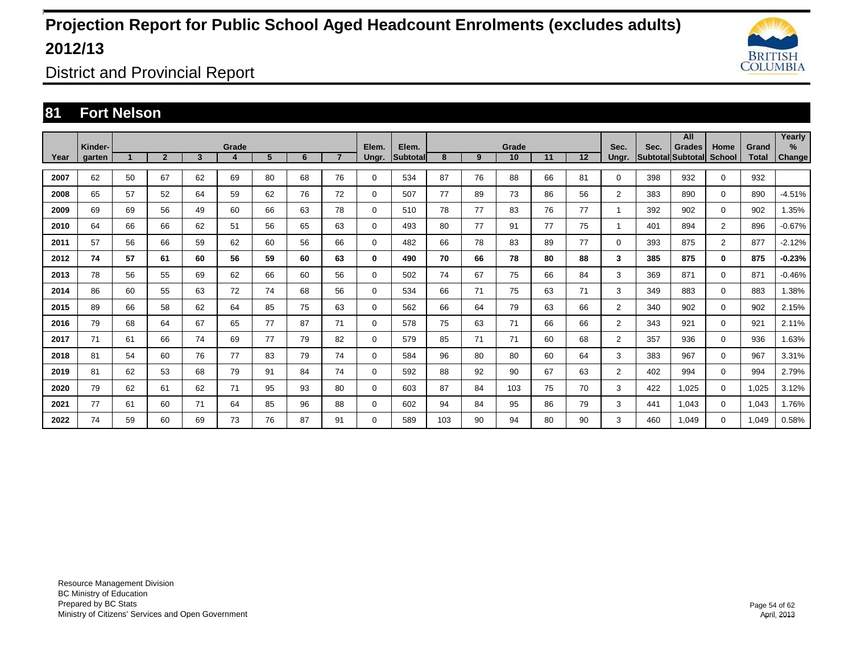

District and Provincial Report

### **81 Fort Nelson**

|      |                   |    |                |                         |            |    |    |                |                |                   |     |    |             |    |    |                |      | All                                |                       |                       | Yearly         |
|------|-------------------|----|----------------|-------------------------|------------|----|----|----------------|----------------|-------------------|-----|----|-------------|----|----|----------------|------|------------------------------------|-----------------------|-----------------------|----------------|
| Year | Kinder-<br>garten |    | $\overline{2}$ | $\overline{\mathbf{3}}$ | Grade<br>4 | 5  | 6  | $\overline{7}$ | Elem.<br>Ungr. | Elem.<br>Subtotal | 8   | 9  | Grade<br>10 | 11 | 12 | Sec.<br>Ungr.  | Sec. | <b>Grades</b><br>Subtotal Subtotal | Home<br><b>School</b> | Grand<br><b>Total</b> | $\%$<br>Change |
|      |                   |    |                |                         |            |    |    |                |                |                   |     |    |             |    |    |                |      |                                    |                       |                       |                |
| 2007 | 62                | 50 | 67             | 62                      | 69         | 80 | 68 | 76             | 0              | 534               | 87  | 76 | 88          | 66 | 81 | 0              | 398  | 932                                | $\mathbf 0$           | 932                   |                |
| 2008 | 65                | 57 | 52             | 64                      | 59         | 62 | 76 | 72             | 0              | 507               | 77  | 89 | 73          | 86 | 56 | $\overline{2}$ | 383  | 890                                | $\mathbf 0$           | 890                   | $-4.51%$       |
| 2009 | 69                | 69 | 56             | 49                      | 60         | 66 | 63 | 78             | 0              | 510               | 78  | 77 | 83          | 76 | 77 | 1              | 392  | 902                                | $\mathbf 0$           | 902                   | 1.35%          |
| 2010 | 64                | 66 | 66             | 62                      | 51         | 56 | 65 | 63             | 0              | 493               | 80  | 77 | 91          | 77 | 75 | 1              | 401  | 894                                | $\overline{2}$        | 896                   | $-0.67%$       |
| 2011 | 57                | 56 | 66             | 59                      | 62         | 60 | 56 | 66             | $\Omega$       | 482               | 66  | 78 | 83          | 89 | 77 | $\Omega$       | 393  | 875                                | $\overline{2}$        | 877                   | $-2.12%$       |
| 2012 | 74                | 57 | 61             | 60                      | 56         | 59 | 60 | 63             | 0              | 490               | 70  | 66 | 78          | 80 | 88 | 3              | 385  | 875                                | $\bf{0}$              | 875                   | $-0.23%$       |
| 2013 | 78                | 56 | 55             | 69                      | 62         | 66 | 60 | 56             | 0              | 502               | 74  | 67 | 75          | 66 | 84 | 3              | 369  | 871                                | $\mathbf 0$           | 871                   | $-0.46%$       |
| 2014 | 86                | 60 | 55             | 63                      | 72         | 74 | 68 | 56             | 0              | 534               | 66  | 71 | 75          | 63 | 71 | 3              | 349  | 883                                | $\mathbf 0$           | 883                   | 1.38%          |
| 2015 | 89                | 66 | 58             | 62                      | 64         | 85 | 75 | 63             | 0              | 562               | 66  | 64 | 79          | 63 | 66 | $\overline{2}$ | 340  | 902                                | $\mathbf 0$           | 902                   | 2.15%          |
| 2016 | 79                | 68 | 64             | 67                      | 65         | 77 | 87 | 71             | 0              | 578               | 75  | 63 | 71          | 66 | 66 | $\overline{2}$ | 343  | 921                                | $\mathbf 0$           | 921                   | 2.11%          |
| 2017 | 71                | 61 | 66             | 74                      | 69         | 77 | 79 | 82             | 0              | 579               | 85  | 71 | 71          | 60 | 68 | $\overline{2}$ | 357  | 936                                | $\mathbf 0$           | 936                   | 1.63%          |
| 2018 | 81                | 54 | 60             | 76                      | 77         | 83 | 79 | 74             | 0              | 584               | 96  | 80 | 80          | 60 | 64 | 3              | 383  | 967                                | $\mathbf 0$           | 967                   | 3.31%          |
| 2019 | 81                | 62 | 53             | 68                      | 79         | 91 | 84 | 74             | 0              | 592               | 88  | 92 | 90          | 67 | 63 | $\overline{2}$ | 402  | 994                                | $\mathbf 0$           | 994                   | 2.79%          |
| 2020 | 79                | 62 | 61             | 62                      | 71         | 95 | 93 | 80             | 0              | 603               | 87  | 84 | 103         | 75 | 70 | 3              | 422  | 1,025                              | $\mathbf 0$           | 1,025                 | 3.12%          |
| 2021 | 77                | 61 | 60             | 71                      | 64         | 85 | 96 | 88             | 0              | 602               | 94  | 84 | 95          | 86 | 79 | 3              | 441  | 1.043                              | $\mathbf 0$           | 1,043                 | 1.76%          |
| 2022 | 74                | 59 | 60             | 69                      | 73         | 76 | 87 | 91             | $\Omega$       | 589               | 103 | 90 | 94          | 80 | 90 | 3              | 460  | 1.049                              | $\mathbf 0$           | 1,049                 | 0.58%          |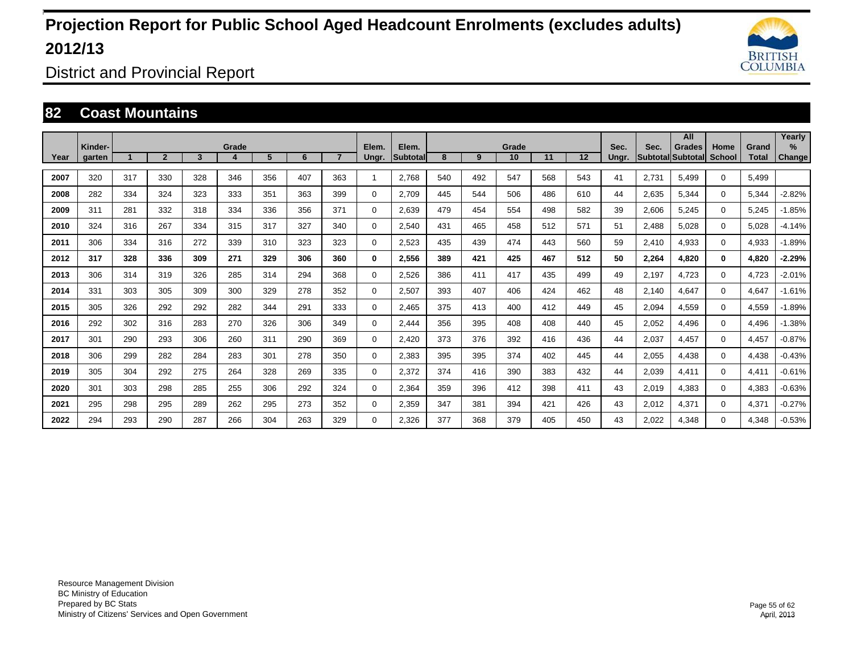

District and Provincial Report

#### **82 Coast Mountains**

|      |                   |     |                |     |       |     |     |     |                |                          |     |     |             |     |         |               |       | All                                |                |                       | Yearly                  |
|------|-------------------|-----|----------------|-----|-------|-----|-----|-----|----------------|--------------------------|-----|-----|-------------|-----|---------|---------------|-------|------------------------------------|----------------|-----------------------|-------------------------|
| Year | Kinder-<br>garten |     | $\overline{2}$ | 3   | Grade | 5   | 6   |     | Elem.<br>Ungr. | Elem.<br><b>Subtotal</b> | 8   | 9   | Grade<br>10 | 11  | $12 \,$ | Sec.<br>Ungr. | Sec.  | Grades<br><b>Subtotal Subtotal</b> | Home<br>School | Grand<br><b>Total</b> | $\frac{9}{6}$<br>Change |
| 2007 | 320               | 317 | 330            | 328 | 346   | 356 | 407 | 363 | 1              | 2,768                    | 540 | 492 | 547         | 568 | 543     | 41            | 2,731 | 5,499                              | $\Omega$       | 5,499                 |                         |
|      |                   |     |                |     |       |     |     |     |                |                          |     |     |             |     |         |               |       |                                    |                |                       |                         |
| 2008 | 282               | 334 | 324            | 323 | 333   | 351 | 363 | 399 | $\Omega$       | 2,709                    | 445 | 544 | 506         | 486 | 610     | 44            | 2,635 | 5,344                              | $\Omega$       | 5,344                 | $-2.82%$                |
| 2009 | 311               | 281 | 332            | 318 | 334   | 336 | 356 | 371 | 0              | 2,639                    | 479 | 454 | 554         | 498 | 582     | 39            | 2,606 | 5,245                              | $\Omega$       | 5,245                 | $-1.85%$                |
| 2010 | 324               | 316 | 267            | 334 | 315   | 317 | 327 | 340 | 0              | 2,540                    | 431 | 465 | 458         | 512 | 571     | 51            | 2,488 | 5,028                              | $\mathbf 0$    | 5,028                 | $-4.14%$                |
| 2011 | 306               | 334 | 316            | 272 | 339   | 310 | 323 | 323 | 0              | 2,523                    | 435 | 439 | 474         | 443 | 560     | 59            | 2,410 | 4,933                              | $\mathbf 0$    | 4,933                 | $-1.89%$                |
| 2012 | 317               | 328 | 336            | 309 | 271   | 329 | 306 | 360 | 0              | 2,556                    | 389 | 421 | 425         | 467 | 512     | 50            | 2,264 | 4.820                              | $\bf{0}$       | 4,820                 | $-2.29%$                |
| 2013 | 306               | 314 | 319            | 326 | 285   | 314 | 294 | 368 | 0              | 2,526                    | 386 | 411 | 417         | 435 | 499     | 49            | 2,197 | 4,723                              | $\mathbf 0$    | 4,723                 | $-2.01%$                |
| 2014 | 331               | 303 | 305            | 309 | 300   | 329 | 278 | 352 | 0              | 2,507                    | 393 | 407 | 406         | 424 | 462     | 48            | 2,140 | 4,647                              | $\Omega$       | 4,647                 | $-1.61%$                |
| 2015 | 305               | 326 | 292            | 292 | 282   | 344 | 291 | 333 | $\Omega$       | 2,465                    | 375 | 413 | 400         | 412 | 449     | 45            | 2,094 | 4,559                              | $\Omega$       | 4,559                 | $-1.89%$                |
| 2016 | 292               | 302 | 316            | 283 | 270   | 326 | 306 | 349 | $\Omega$       | 2,444                    | 356 | 395 | 408         | 408 | 440     | 45            | 2,052 | 4,496                              | $\Omega$       | 4,496                 | $-1.38%$                |
| 2017 | 301               | 290 | 293            | 306 | 260   | 311 | 290 | 369 | 0              | 2,420                    | 373 | 376 | 392         | 416 | 436     | 44            | 2,037 | 4,457                              | $\Omega$       | 4,457                 | $-0.87%$                |
| 2018 | 306               | 299 | 282            | 284 | 283   | 301 | 278 | 350 | 0              | 2,383                    | 395 | 395 | 374         | 402 | 445     | 44            | 2,055 | 4,438                              | $\mathbf 0$    | 4,438                 | $-0.43%$                |
| 2019 | 305               | 304 | 292            | 275 | 264   | 328 | 269 | 335 | 0              | 2,372                    | 374 | 416 | 390         | 383 | 432     | 44            | 2,039 | 4,411                              | $\Omega$       | 4,411                 | $-0.61%$                |
| 2020 | 301               | 303 | 298            | 285 | 255   | 306 | 292 | 324 | 0              | 2,364                    | 359 | 396 | 412         | 398 | 411     | 43            | 2,019 | 4,383                              | $\mathbf 0$    | 4,383                 | $-0.63%$                |
| 2021 | 295               | 298 | 295            | 289 | 262   | 295 | 273 | 352 | 0              | 2,359                    | 347 | 381 | 394         | 421 | 426     | 43            | 2,012 | 4,371                              | $\mathbf 0$    | 4,371                 | $-0.27%$                |
| 2022 | 294               | 293 | 290            | 287 | 266   | 304 | 263 | 329 | $\Omega$       | 2,326                    | 377 | 368 | 379         | 405 | 450     | 43            | 2,022 | 4.348                              | $\Omega$       | 4,348                 | $-0.53%$                |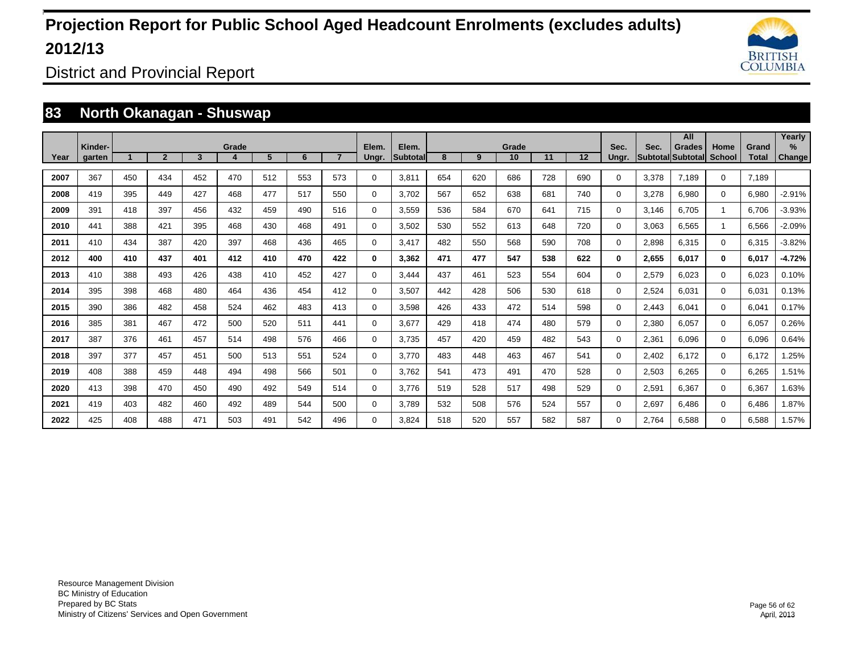

District and Provincial Report

### **83 North Okanagan - Shuswap**

|      |                   |     |                |     |       |     |     |                |                |                   |     |     |             |     |         |               |                         | All                       |                       |                       | Yearly         |
|------|-------------------|-----|----------------|-----|-------|-----|-----|----------------|----------------|-------------------|-----|-----|-------------|-----|---------|---------------|-------------------------|---------------------------|-----------------------|-----------------------|----------------|
| Year | Kinder-<br>garten |     | $\overline{2}$ | 3   | Grade | 5   | 6   | $\overline{7}$ | Elem.<br>Ungr. | Elem.<br>Subtotal | 8   | 9   | Grade<br>10 | 11  | $12 \,$ | Sec.<br>Ungr. | Sec.<br><b>Subtotal</b> | <b>Grades</b><br>Subtotal | Home<br><b>School</b> | Grand<br><b>Total</b> | $\%$<br>Change |
|      |                   |     |                |     |       |     |     |                |                |                   |     |     |             |     |         |               |                         |                           |                       |                       |                |
| 2007 | 367               | 450 | 434            | 452 | 470   | 512 | 553 | 573            | 0              | 3.811             | 654 | 620 | 686         | 728 | 690     | $\Omega$      | 3.378                   | 7.189                     | $\mathbf 0$           | 7.189                 |                |
| 2008 | 419               | 395 | 449            | 427 | 468   | 477 | 517 | 550            | 0              | 3.702             | 567 | 652 | 638         | 681 | 740     | $\Omega$      | 3.278                   | 6.980                     | $\mathbf 0$           | 6.980                 | $-2.91%$       |
| 2009 | 391               | 418 | 397            | 456 | 432   | 459 | 490 | 516            | 0              | 3,559             | 536 | 584 | 670         | 641 | 715     | $\Omega$      | 3,146                   | 6,705                     |                       | 6,706                 | $-3.93%$       |
| 2010 | 441               | 388 | 421            | 395 | 468   | 430 | 468 | 491            | 0              | 3,502             | 530 | 552 | 613         | 648 | 720     | $\Omega$      | 3,063                   | 6,565                     |                       | 6,566                 | $-2.09%$       |
| 2011 | 410               | 434 | 387            | 420 | 397   | 468 | 436 | 465            | 0              | 3,417             | 482 | 550 | 568         | 590 | 708     | $\Omega$      | 2,898                   | 6,315                     | $\mathbf 0$           | 6,315                 | $-3.82%$       |
| 2012 | 400               | 410 | 437            | 401 | 412   | 410 | 470 | 422            | 0              | 3,362             | 471 | 477 | 547         | 538 | 622     | 0             | 2,655                   | 6.017                     | $\bf{0}$              | 6,017                 | $-4.72%$       |
| 2013 | 410               | 388 | 493            | 426 | 438   | 410 | 452 | 427            | $\Omega$       | 3.444             | 437 | 461 | 523         | 554 | 604     | $\Omega$      | 2,579                   | 6.023                     | $\mathbf 0$           | 6,023                 | 0.10%          |
| 2014 | 395               | 398 | 468            | 480 | 464   | 436 | 454 | 412            | 0              | 3,507             | 442 | 428 | 506         | 530 | 618     | 0             | 2,524                   | 6.031                     | $\mathbf 0$           | 6,031                 | 0.13%          |
| 2015 | 390               | 386 | 482            | 458 | 524   | 462 | 483 | 413            | 0              | 3.598             | 426 | 433 | 472         | 514 | 598     | 0             | 2.443                   | 6.041                     | 0                     | 6,041                 | 0.17%          |
| 2016 | 385               | 381 | 467            | 472 | 500   | 520 | 511 | 441            | 0              | 3.677             | 429 | 418 | 474         | 480 | 579     | 0             | 2,380                   | 6.057                     | $\mathbf 0$           | 6,057                 | 0.26%          |
| 2017 | 387               | 376 | 461            | 457 | 514   | 498 | 576 | 466            | 0              | 3.735             | 457 | 420 | 459         | 482 | 543     | 0             | 2,361                   | 6.096                     | $\mathbf 0$           | 6,096                 | 0.64%          |
| 2018 | 397               | 377 | 457            | 451 | 500   | 513 | 551 | 524            | 0              | 3.770             | 483 | 448 | 463         | 467 | 541     | $\Omega$      | 2.402                   | 6.172                     | $\mathbf 0$           | 6,172                 | 1.25%          |
| 2019 | 408               | 388 | 459            | 448 | 494   | 498 | 566 | 501            | 0              | 3.762             | 541 | 473 | 491         | 470 | 528     | $\Omega$      | 2,503                   | 6.265                     | $\mathbf 0$           | 6.265                 | 1.51%          |
| 2020 | 413               | 398 | 470            | 450 | 490   | 492 | 549 | 514            | 0              | 3.776             | 519 | 528 | 517         | 498 | 529     | $\Omega$      | 2,591                   | 6.367                     | $\mathbf 0$           | 6,367                 | 1.63%          |
| 2021 | 419               | 403 | 482            | 460 | 492   | 489 | 544 | 500            | 0              | 3,789             | 532 | 508 | 576         | 524 | 557     | $\Omega$      | 2,697                   | 6,486                     | $\mathbf 0$           | 6,486                 | 1.87%          |
| 2022 | 425               | 408 | 488            | 471 | 503   | 491 | 542 | 496            | $\Omega$       | 3.824             | 518 | 520 | 557         | 582 | 587     | 0             | 2.764                   | 6.588                     | $\mathbf 0$           | 6,588                 | 1.57%          |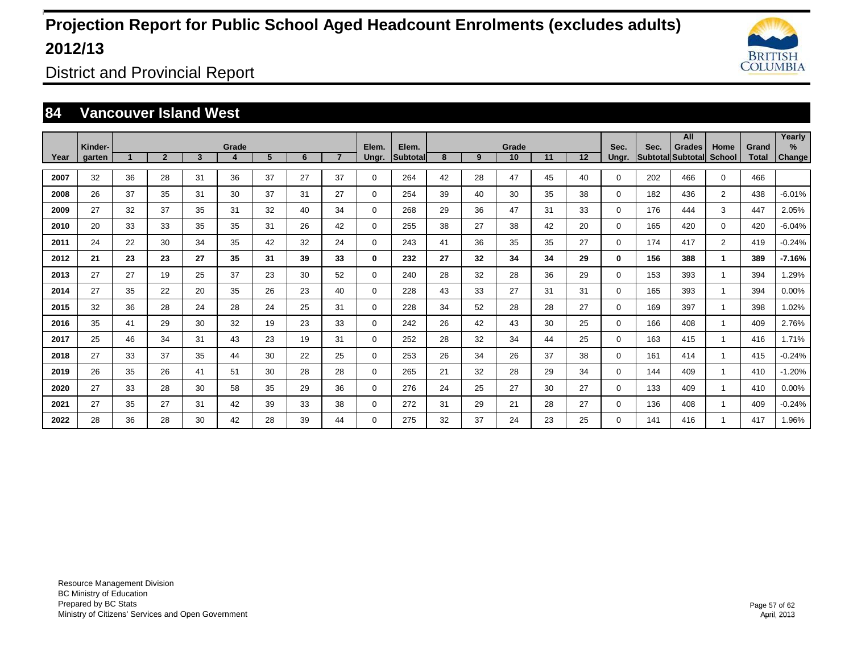

District and Provincial Report

#### **84 Vancouver Island West**

|      | Kinder- |                      |                |    | Grade |    |    |                | Elem.       | Elem.     |    |    | Grade |    |    | Sec.     | Sec. | All<br><b>Grades</b>     | Home           | Grand        | Yearly<br>% |
|------|---------|----------------------|----------------|----|-------|----|----|----------------|-------------|-----------|----|----|-------|----|----|----------|------|--------------------------|----------------|--------------|-------------|
| Year | garten  | $\blacktriangleleft$ | $\overline{2}$ | 3  | 4     | 5  | 6  | $\overline{7}$ | Ungr.       | Subtotall | 8  | 9  | 10    | 11 | 12 | Ungr.    |      | <b>Subtotal Subtotal</b> | <b>School</b>  | <b>Total</b> | Change      |
| 2007 | 32      | 36                   | 28             | 31 | 36    | 37 | 27 | 37             | $\mathbf 0$ | 264       | 42 | 28 | 47    | 45 | 40 | 0        | 202  | 466                      | $\mathbf 0$    | 466          |             |
| 2008 | 26      | 37                   | 35             | 31 | 30    | 37 | 31 | 27             | $\mathbf 0$ | 254       | 39 | 40 | 30    | 35 | 38 | 0        | 182  | 436                      | $\overline{2}$ | 438          | $-6.01%$    |
| 2009 | 27      | 32                   | 37             | 35 | 31    | 32 | 40 | 34             | $\mathbf 0$ | 268       | 29 | 36 | 47    | 31 | 33 | 0        | 176  | 444                      | 3              | 447          | 2.05%       |
| 2010 | 20      | 33                   | 33             | 35 | 35    | 31 | 26 | 42             | $\mathbf 0$ | 255       | 38 | 27 | 38    | 42 | 20 | 0        | 165  | 420                      | $\mathbf 0$    | 420          | $-6.04%$    |
| 2011 | 24      | 22                   | 30             | 34 | 35    | 42 | 32 | 24             | $\mathbf 0$ | 243       | 41 | 36 | 35    | 35 | 27 | 0        | 174  | 417                      | $\overline{2}$ | 419          | $-0.24%$    |
| 2012 | 21      | 23                   | 23             | 27 | 35    | 31 | 39 | 33             | 0           | 232       | 27 | 32 | 34    | 34 | 29 | 0        | 156  | 388                      | 1              | 389          | $-7.16%$    |
| 2013 | 27      | 27                   | 19             | 25 | 37    | 23 | 30 | 52             | $\mathbf 0$ | 240       | 28 | 32 | 28    | 36 | 29 | 0        | 153  | 393                      |                | 394          | 1.29%       |
| 2014 | 27      | 35                   | 22             | 20 | 35    | 26 | 23 | 40             | $\mathbf 0$ | 228       | 43 | 33 | 27    | 31 | 31 | 0        | 165  | 393                      |                | 394          | 0.00%       |
| 2015 | 32      | 36                   | 28             | 24 | 28    | 24 | 25 | 31             | 0           | 228       | 34 | 52 | 28    | 28 | 27 | 0        | 169  | 397                      |                | 398          | 1.02%       |
| 2016 | 35      | 41                   | 29             | 30 | 32    | 19 | 23 | 33             | $\mathbf 0$ | 242       | 26 | 42 | 43    | 30 | 25 | 0        | 166  | 408                      |                | 409          | 2.76%       |
| 2017 | 25      | 46                   | 34             | 31 | 43    | 23 | 19 | 31             | $\mathbf 0$ | 252       | 28 | 32 | 34    | 44 | 25 | 0        | 163  | 415                      |                | 416          | 1.71%       |
| 2018 | 27      | 33                   | 37             | 35 | 44    | 30 | 22 | 25             | $\mathbf 0$ | 253       | 26 | 34 | 26    | 37 | 38 | 0        | 161  | 414                      |                | 415          | $-0.24%$    |
| 2019 | 26      | 35                   | 26             | 41 | 51    | 30 | 28 | 28             | $\mathbf 0$ | 265       | 21 | 32 | 28    | 29 | 34 | 0        | 144  | 409                      |                | 410          | $-1.20%$    |
| 2020 | 27      | 33                   | 28             | 30 | 58    | 35 | 29 | 36             | $\mathbf 0$ | 276       | 24 | 25 | 27    | 30 | 27 | 0        | 133  | 409                      |                | 410          | 0.00%       |
| 2021 | 27      | 35                   | 27             | 31 | 42    | 39 | 33 | 38             | $\mathbf 0$ | 272       | 31 | 29 | 21    | 28 | 27 | $\Omega$ | 136  | 408                      |                | 409          | $-0.24%$    |
| 2022 | 28      | 36                   | 28             | 30 | 42    | 28 | 39 | 44             | $\mathbf 0$ | 275       | 32 | 37 | 24    | 23 | 25 | $\Omega$ | 141  | 416                      |                | 417          | 1.96%       |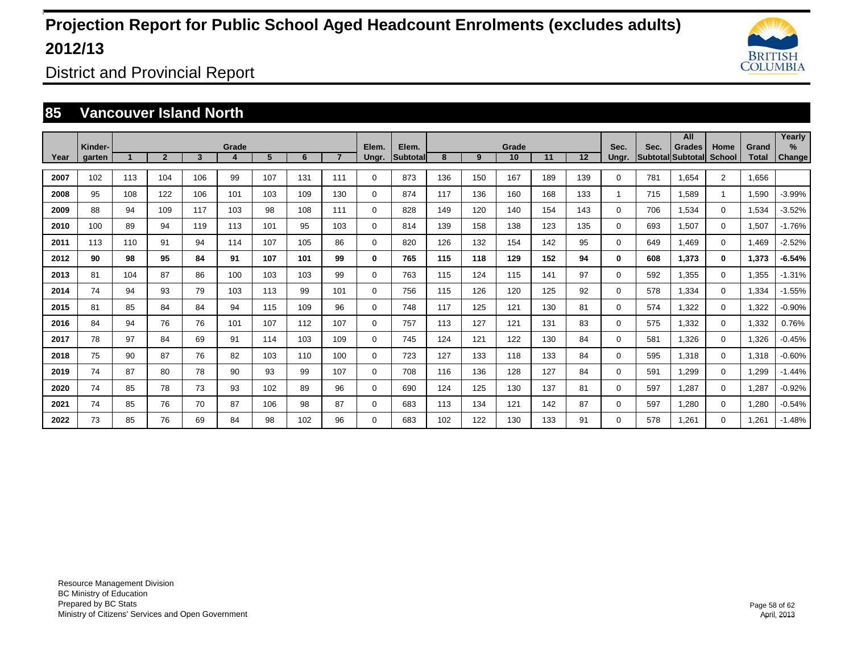

District and Provincial Report

#### **85 Vancouver Island North**

|      |                   |     |                |     |       |     |     |                |             |                          |     |     |             |     |         |               |                                  | All           |                       |                       | Yearly   |
|------|-------------------|-----|----------------|-----|-------|-----|-----|----------------|-------------|--------------------------|-----|-----|-------------|-----|---------|---------------|----------------------------------|---------------|-----------------------|-----------------------|----------|
| Year | Kinder-<br>garten |     | $\overline{2}$ | 3   | Grade | 5   | 6   | $\overline{7}$ | Elem.       | Elem.<br><b>Subtotal</b> | 8   | 9   | Grade<br>10 | 11  | $12 \,$ | Sec.<br>Ungr. | Sec.<br><b>SubtotallSubtotal</b> | <b>Grades</b> | Home<br><b>School</b> | Grand<br><b>Total</b> | %        |
|      |                   |     |                |     |       |     |     |                | Ungr.       |                          |     |     |             |     |         |               |                                  |               |                       |                       | Change   |
| 2007 | 102               | 113 | 104            | 106 | 99    | 107 | 131 | 111            | 0           | 873                      | 136 | 150 | 167         | 189 | 139     | 0             | 781                              | 1.654         | $\overline{2}$        | 1.656                 |          |
| 2008 | 95                | 108 | 122            | 106 | 101   | 103 | 109 | 130            | 0           | 874                      | 117 | 136 | 160         | 168 | 133     |               | 715                              | 1.589         | 1                     | 1.590                 | $-3.99%$ |
| 2009 | 88                | 94  | 109            | 117 | 103   | 98  | 108 | 111            | $\mathbf 0$ | 828                      | 149 | 120 | 140         | 154 | 143     | $\Omega$      | 706                              | 1,534         | $\mathbf 0$           | 1,534                 | $-3.52%$ |
| 2010 | 100               | 89  | 94             | 119 | 113   | 101 | 95  | 103            | $\mathbf 0$ | 814                      | 139 | 158 | 138         | 123 | 135     | $\Omega$      | 693                              | 1,507         | $\mathbf 0$           | 1,507                 | $-1.76%$ |
| 2011 | 113               | 110 | 91             | 94  | 114   | 107 | 105 | 86             | $\mathbf 0$ | 820                      | 126 | 132 | 154         | 142 | 95      | 0             | 649                              | 1,469         | $\mathbf 0$           | 1,469                 | $-2.52%$ |
| 2012 | 90                | 98  | 95             | 84  | 91    | 107 | 101 | 99             | 0           | 765                      | 115 | 118 | 129         | 152 | 94      | 0             | 608                              | 1,373         | $\bf{0}$              | 1,373                 | $-6.54%$ |
| 2013 | 81                | 104 | 87             | 86  | 100   | 103 | 103 | 99             | $\mathbf 0$ | 763                      | 115 | 124 | 115         | 141 | 97      | 0             | 592                              | 1,355         | $\mathbf 0$           | 1,355                 | $-1.31%$ |
| 2014 | 74                | 94  | 93             | 79  | 103   | 113 | 99  | 101            | $\mathbf 0$ | 756                      | 115 | 126 | 120         | 125 | 92      | 0             | 578                              | 1,334         | $\mathbf 0$           | 1,334                 | $-1.55%$ |
| 2015 | 81                | 85  | 84             | 84  | 94    | 115 | 109 | 96             | 0           | 748                      | 117 | 125 | 121         | 130 | 81      | 0             | 574                              | 1,322         | 0                     | 1,322                 | $-0.90%$ |
| 2016 | 84                | 94  | 76             | 76  | 101   | 107 | 112 | 107            | $\mathbf 0$ | 757                      | 113 | 127 | 121         | 131 | 83      | 0             | 575                              | 1,332         | $\mathbf 0$           | 1,332                 | 0.76%    |
| 2017 | 78                | 97  | 84             | 69  | 91    | 114 | 103 | 109            | $\mathbf 0$ | 745                      | 124 | 121 | 122         | 130 | 84      | 0             | 581                              | 1.326         | $\mathbf 0$           | 1,326                 | $-0.45%$ |
| 2018 | 75                | 90  | 87             | 76  | 82    | 103 | 110 | 100            | $\mathbf 0$ | 723                      | 127 | 133 | 118         | 133 | 84      | 0             | 595                              | 1,318         | $\mathbf 0$           | 1,318                 | $-0.60%$ |
| 2019 | 74                | 87  | 80             | 78  | 90    | 93  | 99  | 107            | $\mathbf 0$ | 708                      | 116 | 136 | 128         | 127 | 84      | 0             | 591                              | 1.299         | $\mathbf 0$           | 1,299                 | $-1.44%$ |
| 2020 | 74                | 85  | 78             | 73  | 93    | 102 | 89  | 96             | $\mathbf 0$ | 690                      | 124 | 125 | 130         | 137 | 81      | 0             | 597                              | 1.287         | $\mathbf 0$           | 1,287                 | $-0.92%$ |
| 2021 | 74                | 85  | 76             | 70  | 87    | 106 | 98  | 87             | $\mathbf 0$ | 683                      | 113 | 134 | 121         | 142 | 87      | 0             | 597                              | 1,280         | $\mathbf 0$           | 1,280                 | $-0.54%$ |
| 2022 | 73                | 85  | 76             | 69  | 84    | 98  | 102 | 96             | $\Omega$    | 683                      | 102 | 122 | 130         | 133 | 91      | 0             | 578                              | 1,261         | $\mathbf 0$           | .261                  | $-1.48%$ |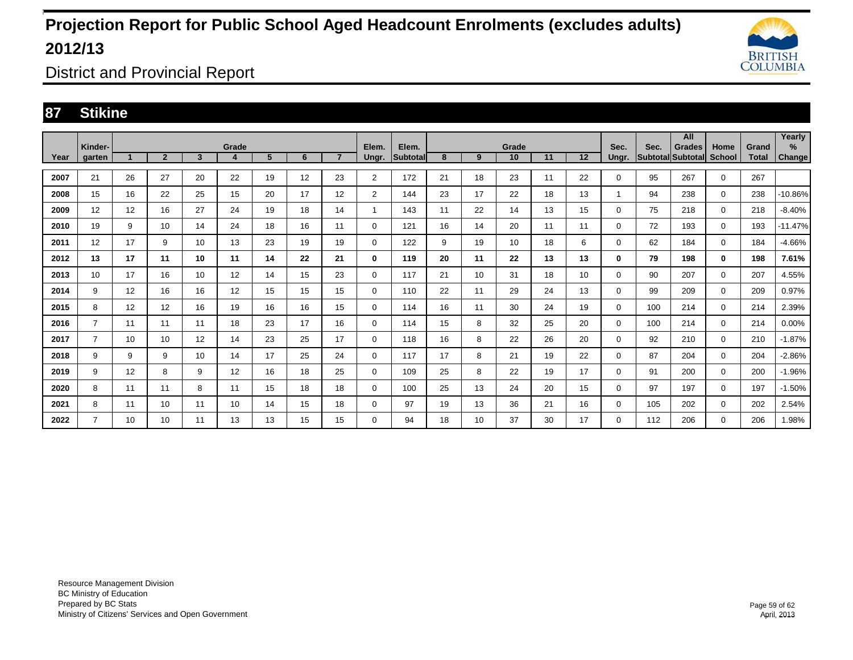

District and Provincial Report

### **87 Stikine**

|      | Kinder-        |                      |                |                         | Grade            |    |    |                | Elem.          | Elem.           |    |    | Grade |    |    | Sec.     | Sec. | All<br><b>Grades</b>     | Home          | Grand | Yearly<br>% |
|------|----------------|----------------------|----------------|-------------------------|------------------|----|----|----------------|----------------|-----------------|----|----|-------|----|----|----------|------|--------------------------|---------------|-------|-------------|
| Year | garten         | $\blacktriangleleft$ | $\overline{2}$ | $\overline{\mathbf{3}}$ | $\boldsymbol{4}$ | 5  | 6  | $\overline{7}$ | Ungr.          | <b>Subtotal</b> | 8  | 9  | 10    | 11 | 12 | Unar.    |      | <b>Subtotal Subtotal</b> | <b>School</b> | Total | Change      |
| 2007 | 21             | 26                   | 27             | 20                      | 22               | 19 | 12 | 23             | $\overline{2}$ | 172             | 21 | 18 | 23    | 11 | 22 | 0        | 95   | 267                      | $\mathbf 0$   | 267   |             |
| 2008 | 15             | 16                   | 22             | 25                      | 15               | 20 | 17 | 12             | $\overline{2}$ | 144             | 23 | 17 | 22    | 18 | 13 |          | 94   | 238                      | $\mathbf 0$   | 238   | -10.86%     |
| 2009 | 12             | 12                   | 16             | 27                      | 24               | 19 | 18 | 14             | 1              | 143             | 11 | 22 | 14    | 13 | 15 | 0        | 75   | 218                      | $\mathbf 0$   | 218   | $-8.40%$    |
| 2010 | 19             | 9                    | 10             | 14                      | 24               | 18 | 16 | 11             | 0              | 121             | 16 | 14 | 20    | 11 | 11 | 0        | 72   | 193                      | $\mathbf 0$   | 193   | $-11.47%$   |
| 2011 | 12             | 17                   | 9              | 10                      | 13               | 23 | 19 | 19             | 0              | 122             | 9  | 19 | 10    | 18 | 6  | 0        | 62   | 184                      | 0             | 184   | $-4.66%$    |
| 2012 | 13             | 17                   | 11             | 10                      | 11               | 14 | 22 | 21             | 0              | 119             | 20 | 11 | 22    | 13 | 13 | 0        | 79   | 198                      | $\mathbf 0$   | 198   | 7.61%       |
| 2013 | 10             | 17                   | 16             | 10                      | 12               | 14 | 15 | 23             | $\mathbf 0$    | 117             | 21 | 10 | 31    | 18 | 10 | 0        | 90   | 207                      | $\mathbf 0$   | 207   | 4.55%       |
| 2014 | 9              | 12                   | 16             | 16                      | 12               | 15 | 15 | 15             | 0              | 110             | 22 | 11 | 29    | 24 | 13 | 0        | 99   | 209                      | $\mathbf 0$   | 209   | 0.97%       |
| 2015 | 8              | 12                   | 12             | 16                      | 19               | 16 | 16 | 15             | 0              | 114             | 16 | 11 | 30    | 24 | 19 | $\Omega$ | 100  | 214                      | 0             | 214   | 2.39%       |
| 2016 | 7              | 11                   | 11             | 11                      | 18               | 23 | 17 | 16             | 0              | 114             | 15 | 8  | 32    | 25 | 20 | $\Omega$ | 100  | 214                      | $\mathbf 0$   | 214   | 0.00%       |
| 2017 | $\overline{7}$ | 10                   | 10             | 12                      | 14               | 23 | 25 | 17             | 0              | 118             | 16 | 8  | 22    | 26 | 20 | 0        | 92   | 210                      | $\mathbf 0$   | 210   | $-1.87%$    |
| 2018 | 9              | 9                    | 9              | 10                      | 14               | 17 | 25 | 24             | 0              | 117             | 17 | 8  | 21    | 19 | 22 | 0        | 87   | 204                      | $\mathbf 0$   | 204   | $-2.86%$    |
| 2019 | 9              | 12                   | 8              | 9                       | 12               | 16 | 18 | 25             | 0              | 109             | 25 | 8  | 22    | 19 | 17 | 0        | 91   | 200                      | $\mathbf 0$   | 200   | $-1.96%$    |
| 2020 | 8              | 11                   | 11             | 8                       | 11               | 15 | 18 | 18             | 0              | 100             | 25 | 13 | 24    | 20 | 15 | 0        | 97   | 197                      | $\mathbf 0$   | 197   | $-1.50%$    |
| 2021 | 8              | 11                   | 10             | 11                      | 10               | 14 | 15 | 18             | 0              | 97              | 19 | 13 | 36    | 21 | 16 | $\Omega$ | 105  | 202                      | $\mathbf 0$   | 202   | 2.54%       |
| 2022 | 7              | 10                   | 10             | 11                      | 13               | 13 | 15 | 15             | 0              | 94              | 18 | 10 | 37    | 30 | 17 | 0        | 112  | 206                      | $\mathbf 0$   | 206   | 1.98%       |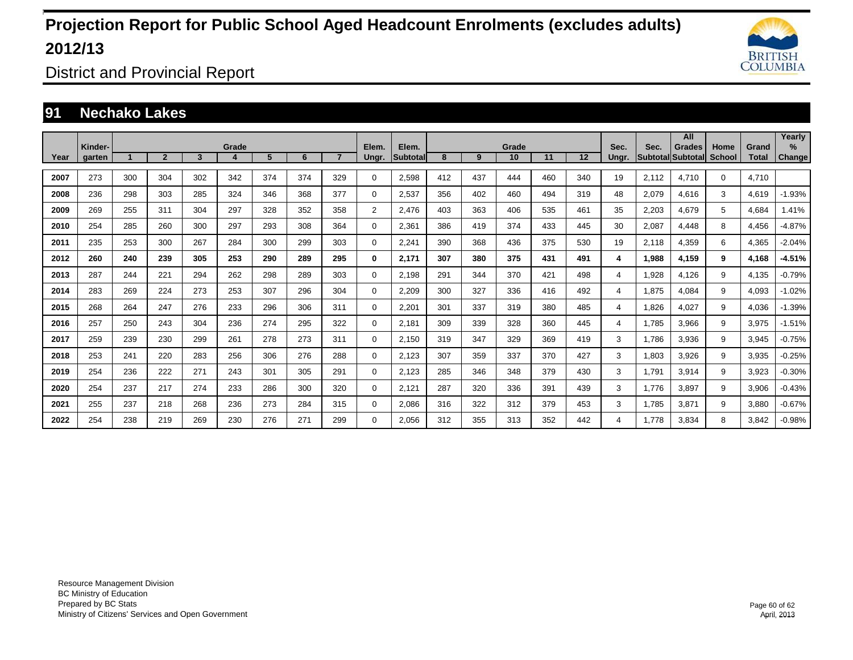

District and Provincial Report

### **91 Nechako Lakes**

|      |                   |     |                |     |       |     |     |                |                |                   |     |     |             |     |         |               |                         | All                       |                       |                       | Yearly                |
|------|-------------------|-----|----------------|-----|-------|-----|-----|----------------|----------------|-------------------|-----|-----|-------------|-----|---------|---------------|-------------------------|---------------------------|-----------------------|-----------------------|-----------------------|
| Year | Kinder-<br>garten |     | $\overline{2}$ | 3   | Grade | 5   | 6   | $\overline{7}$ | Elem.<br>Ungr. | Elem.<br>Subtotal | 8   | 9   | Grade<br>10 | 11  | $12 \,$ | Sec.<br>Ungr. | Sec.<br><b>Subtotal</b> | <b>Grades</b><br>Subtotal | Home<br><b>School</b> | Grand<br><b>Total</b> | $\%$<br><b>Change</b> |
|      |                   |     |                |     |       |     |     |                |                |                   |     |     |             |     |         |               |                         |                           |                       |                       |                       |
| 2007 | 273               | 300 | 304            | 302 | 342   | 374 | 374 | 329            | 0              | 2.598             | 412 | 437 | 444         | 460 | 340     | 19            | 2.112                   | 4.710                     | $\mathbf 0$           | 4.710                 |                       |
| 2008 | 236               | 298 | 303            | 285 | 324   | 346 | 368 | 377            | 0              | 2.537             | 356 | 402 | 460         | 494 | 319     | 48            | 2.079                   | 4.616                     | 3                     | 4.619                 | $-1.93%$              |
| 2009 | 269               | 255 | 311            | 304 | 297   | 328 | 352 | 358            | $\overline{c}$ | 2,476             | 403 | 363 | 406         | 535 | 461     | 35            | 2,203                   | 4,679                     | 5                     | 4,684                 | 1.41%                 |
| 2010 | 254               | 285 | 260            | 300 | 297   | 293 | 308 | 364            | 0              | 2,361             | 386 | 419 | 374         | 433 | 445     | 30            | 2,087                   | 4,448                     | 8                     | 4,456                 | $-4.87%$              |
| 2011 | 235               | 253 | 300            | 267 | 284   | 300 | 299 | 303            | 0              | 2,241             | 390 | 368 | 436         | 375 | 530     | 19            | 2,118                   | 4,359                     | 6                     | 4,365                 | $-2.04%$              |
| 2012 | 260               | 240 | 239            | 305 | 253   | 290 | 289 | 295            | 0              | 2,171             | 307 | 380 | 375         | 431 | 491     | 4             | 1,988                   | 4,159                     | 9                     | 4,168                 | $-4.51%$              |
| 2013 | 287               | 244 | 221            | 294 | 262   | 298 | 289 | 303            | 0              | 2,198             | 291 | 344 | 370         | 421 | 498     | 4             | 928,                    | 4,126                     | 9                     | 4,135                 | $-0.79%$              |
| 2014 | 283               | 269 | 224            | 273 | 253   | 307 | 296 | 304            | 0              | 2,209             | 300 | 327 | 336         | 416 | 492     | 4             | 1,875                   | 4,084                     | 9                     | 4,093                 | $-1.02%$              |
| 2015 | 268               | 264 | 247            | 276 | 233   | 296 | 306 | 311            | 0              | 2,201             | 301 | 337 | 319         | 380 | 485     | 4             | 1.826                   | 4.027                     | 9                     | 4,036                 | $-1.39%$              |
| 2016 | 257               | 250 | 243            | 304 | 236   | 274 | 295 | 322            | 0              | 2,181             | 309 | 339 | 328         | 360 | 445     | 4             | 1.785                   | 3,966                     | 9                     | 3,975                 | $-1.51%$              |
| 2017 | 259               | 239 | 230            | 299 | 261   | 278 | 273 | 311            | 0              | 2,150             | 319 | 347 | 329         | 369 | 419     | 3             | 1.786                   | 3,936                     | 9                     | 3,945                 | $-0.75%$              |
| 2018 | 253               | 241 | 220            | 283 | 256   | 306 | 276 | 288            | 0              | 2,123             | 307 | 359 | 337         | 370 | 427     | 3             | 1,803                   | 3,926                     | 9                     | 3,935                 | $-0.25%$              |
| 2019 | 254               | 236 | 222            | 271 | 243   | 301 | 305 | 291            | 0              | 2,123             | 285 | 346 | 348         | 379 | 430     | 3             | 1.791                   | 3,914                     | 9                     | 3,923                 | $-0.30%$              |
| 2020 | 254               | 237 | 217            | 274 | 233   | 286 | 300 | 320            | 0              | 2,121             | 287 | 320 | 336         | 391 | 439     | 3             | 1.776                   | 3.897                     | 9                     | 3,906                 | $-0.43%$              |
| 2021 | 255               | 237 | 218            | 268 | 236   | 273 | 284 | 315            | 0              | 2,086             | 316 | 322 | 312         | 379 | 453     | 3             | 1,785                   | 3,871                     | 9                     | 3,880                 | $-0.67%$              |
| 2022 | 254               | 238 | 219            | 269 | 230   | 276 | 271 | 299            | $\Omega$       | 2.056             | 312 | 355 | 313         | 352 | 442     | 4             | 1.778                   | 3,834                     | 8                     | 3,842                 | $-0.98%$              |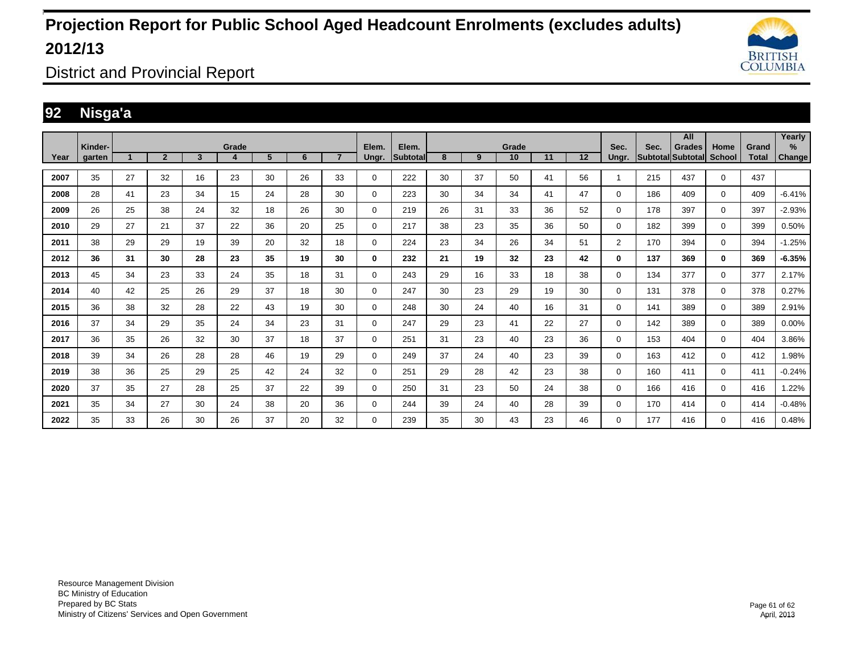

District and Provincial Report

### **92 Nisga'a**

|      | Kinder-       |    |                |    | Grade |    |    |                | Elem.       | Elem.    |    |    | Grade |    |    | Sec.           | Sec.              | All<br><b>Grades</b> | Home          | Grand        | Yearly<br>% |
|------|---------------|----|----------------|----|-------|----|----|----------------|-------------|----------|----|----|-------|----|----|----------------|-------------------|----------------------|---------------|--------------|-------------|
| Year | <b>garten</b> |    | $\overline{2}$ | 3  | 4     | 5  | 6  | $\overline{7}$ | Ungr.       | Subtotal | 8  | 9  | 10    | 11 | 12 | Ungr.          | Subtotal Subtotal |                      | <b>School</b> | <b>Total</b> | Change      |
| 2007 | 35            | 27 | 32             | 16 | 23    | 30 | 26 | 33             | 0           | 222      | 30 | 37 | 50    | 41 | 56 | 1              | 215               | 437                  | $\mathbf 0$   | 437          |             |
| 2008 | 28            | 41 | 23             | 34 | 15    | 24 | 28 | 30             | 0           | 223      | 30 | 34 | 34    | 41 | 47 | 0              | 186               | 409                  | $\mathbf 0$   | 409          | $-6.41%$    |
| 2009 | 26            | 25 | 38             | 24 | 32    | 18 | 26 | 30             | $\Omega$    | 219      | 26 | 31 | 33    | 36 | 52 | 0              | 178               | 397                  | $\mathbf 0$   | 397          | $-2.93%$    |
| 2010 | 29            | 27 | 21             | 37 | 22    | 36 | 20 | 25             | $\mathbf 0$ | 217      | 38 | 23 | 35    | 36 | 50 | 0              | 182               | 399                  | $\mathbf 0$   | 399          | 0.50%       |
| 2011 | 38            | 29 | 29             | 19 | 39    | 20 | 32 | 18             | 0           | 224      | 23 | 34 | 26    | 34 | 51 | $\overline{2}$ | 170               | 394                  | $\mathbf 0$   | 394          | $-1.25%$    |
| 2012 | 36            | 31 | 30             | 28 | 23    | 35 | 19 | 30             | 0           | 232      | 21 | 19 | 32    | 23 | 42 | $\bf{0}$       | 137               | 369                  | $\bf{0}$      | 369          | $-6.35%$    |
| 2013 | 45            | 34 | 23             | 33 | 24    | 35 | 18 | 31             | $\Omega$    | 243      | 29 | 16 | 33    | 18 | 38 | $\Omega$       | 134               | 377                  | $\mathbf 0$   | 377          | 2.17%       |
| 2014 | 40            | 42 | 25             | 26 | 29    | 37 | 18 | 30             | 0           | 247      | 30 | 23 | 29    | 19 | 30 | 0              | 131               | 378                  | $\mathbf 0$   | 378          | 0.27%       |
| 2015 | 36            | 38 | 32             | 28 | 22    | 43 | 19 | 30             | 0           | 248      | 30 | 24 | 40    | 16 | 31 | $\Omega$       | 141               | 389                  | 0             | 389          | 2.91%       |
| 2016 | 37            | 34 | 29             | 35 | 24    | 34 | 23 | 31             | $\Omega$    | 247      | 29 | 23 | 41    | 22 | 27 | $\Omega$       | 142               | 389                  | $\mathbf 0$   | 389          | 0.00%       |
| 2017 | 36            | 35 | 26             | 32 | 30    | 37 | 18 | 37             | $\Omega$    | 251      | 31 | 23 | 40    | 23 | 36 | $\Omega$       | 153               | 404                  | $\mathbf 0$   | 404          | 3.86%       |
| 2018 | 39            | 34 | 26             | 28 | 28    | 46 | 19 | 29             | $\mathbf 0$ | 249      | 37 | 24 | 40    | 23 | 39 | 0              | 163               | 412                  | $\mathbf 0$   | 412          | 1.98%       |
| 2019 | 38            | 36 | 25             | 29 | 25    | 42 | 24 | 32             | 0           | 251      | 29 | 28 | 42    | 23 | 38 | 0              | 160               | 411                  | $\mathbf 0$   | 411          | $-0.24%$    |
| 2020 | 37            | 35 | 27             | 28 | 25    | 37 | 22 | 39             | 0           | 250      | 31 | 23 | 50    | 24 | 38 | $\Omega$       | 166               | 416                  | $\mathbf 0$   | 416          | 1.22%       |
| 2021 | 35            | 34 | 27             | 30 | 24    | 38 | 20 | 36             | $\Omega$    | 244      | 39 | 24 | 40    | 28 | 39 | $\Omega$       | 170               | 414                  | $\Omega$      | 414          | $-0.48%$    |
| 2022 | 35            | 33 | 26             | 30 | 26    | 37 | 20 | 32             | 0           | 239      | 35 | 30 | 43    | 23 | 46 | $\Omega$       | 177               | 416                  | $\mathbf 0$   | 416          | 0.48%       |